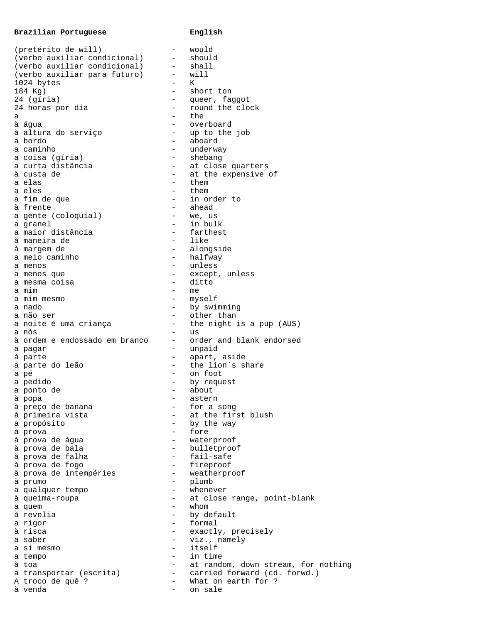## **Brazilian Portuguese** English

| (pretérito de will)           |                          | would                               |
|-------------------------------|--------------------------|-------------------------------------|
| (verbo auxiliar condicional)  | $\equiv$                 | should                              |
| (verbo auxiliar condicional)  | $-$                      | shall                               |
| (verbo auxiliar para futuro)  | $-$                      | will                                |
| 1024 bytes                    | $\overline{\phantom{0}}$ | K                                   |
| 184 Kg)                       | $\overline{\phantom{0}}$ | short ton                           |
| 24 (gíria)                    | $-$                      | queer, faggot                       |
| 24 horas por dia              | $\overline{\phantom{0}}$ | round the clock                     |
| а                             |                          | the                                 |
| à água                        |                          | overboard                           |
| à altura do serviço           | $\overline{\phantom{0}}$ | up to the job                       |
| a bordo                       | $-$                      | aboard                              |
| a caminho                     | -                        | underway                            |
| a coisa (gíria)               |                          | shebang                             |
| a curta distância             | $-$                      | at close quarters                   |
| à custa de                    | $-$                      | at the expensive of                 |
| a elas                        |                          | them                                |
| a eles                        |                          | them                                |
| a fim de que                  | $\overline{\phantom{0}}$ | in order to                         |
| à frente                      | $\overline{\phantom{0}}$ | ahead                               |
| a gente (coloquial)           | $\qquad \qquad -$        | we, us                              |
| a granel                      | Ξ.                       | in bulk                             |
| a maior distância             |                          | farthest                            |
| à maneira de                  | $\overline{\phantom{0}}$ | like                                |
| à margem de                   | $-$                      | alongside                           |
| a meio caminho                | $-$                      | halfway                             |
| a menos                       | $\overline{\phantom{0}}$ | unless                              |
| a menos que                   | $-$                      | except, unless                      |
| a mesma coisa                 | $\overline{\phantom{0}}$ | ditto                               |
| a mim                         | -                        | me                                  |
| a mim mesmo                   | -                        | myself                              |
| a nado                        | $-$                      | by swimming                         |
| a não ser                     | $-$                      | other than                          |
| a noite é uma criança         | $-$                      | the night is a pup (AUS)            |
| a nós                         |                          | us<br>order and blank endorsed      |
| à ordem e endossado em branco | Ξ.                       |                                     |
| a pagar                       | $-$                      | unpaid                              |
| à parte                       | $-$                      | apart, aside<br>the lion's share    |
| a parte do leão               | $\qquad \qquad -$        |                                     |
| a pé                          | $-$                      | on foot                             |
| a pedido<br>a ponto de        |                          | by request<br>about                 |
| à popa                        |                          | astern                              |
| à preço de banana             |                          | for a song                          |
| à primeira vista              |                          | at the first blush                  |
| a propósito                   |                          | by the way                          |
| à prova                       |                          | fore                                |
| à prova de água               |                          | waterproof                          |
| à prova de bala               | $-$                      | bulletproof                         |
| à prova de falha              | $\overline{\phantom{0}}$ | fail-safe                           |
| à prova de fogo               |                          | fireproof                           |
| à prova de intempéries        |                          | weatherproof                        |
| à prumo                       | $-$                      | plumb                               |
| a qualquer tempo              |                          | whenever                            |
| à queima-roupa                |                          | at close range, point-blank         |
| a quem                        |                          | whom                                |
| à revelia                     | $-$                      | by default                          |
| a rigor                       | $\overline{\phantom{0}}$ | formal                              |
| à risca                       |                          | exactly, precisely                  |
| a saber                       |                          | viz., namely                        |
| a si mesmo                    | -                        | itself                              |
| a tempo                       |                          | in time                             |
| à toa                         | $\overline{\phantom{0}}$ | at random, down stream, for nothing |
| a transportar (escrita)       | $\overline{\phantom{0}}$ | carried forward (cd. forwd.)        |
| A troco de quê ?              | $-$                      | What on earth for ?                 |
| à venda                       | $-$                      | on sale                             |
|                               |                          |                                     |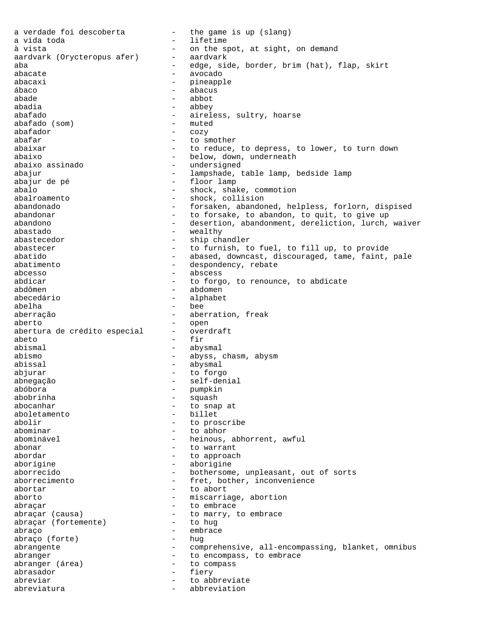a verdade foi descoberta - the game is up (slang) a vida toda  $-$  lifetime à vista<br>aardvark (Orycteropus afer) - aardvark<br>- aardvark aardvark (Orycteropus afer) -<br>aba aba - edge, side, border, brim (hat), flap, skirt abacate - avocado abacaxi - pineapple<br>
abaco<br>
abacus<br>
- abacus ábaco - abacus abade - abbot - abbey abafado - aireless, sultry, hoarse<br>abafado (som) - muted  $abafado$  (som) abafador - cozy  $abafar$  - to smother abaixar  $-$  to reduce, to depress, to lower, to turn down abaixo - below, down, underneath abaixo assinado - undersigned abajur - lampshade, table lamp, bedside lamp abajur de pé  $-$  floor lamp abalo - shock, shake, commotion abalroamento - shock, collision<br>abandonado - - forsaken, abandon - forsaken, abandoned, helpless, forlorn, dispised abandonar abandonar - to forsake, to abandon, to quit, to give up abandono - desertion, abandonment, dereliction, lurch, waiver abastado - wealthy abastecedor - ship chandler abastecer - to furnish, to fuel, to fill up, to provide abatido - abased, downcast, discouraged, tame, faint, pale abatimento  $-$  despondency, rebate abcesso - abscess<br>abdicar - to forgo abdicar - to forgo, to renounce, to abdicate abdômen - abdomen<br>abecedário abecedário - alphabet abelha - bee aberração - aberration, freak aberto - open abertura de crédito especial abeto - fir abismal - abysmal abismo - abyss, chasm, abysm abissal - abysmal abjurar - to forgo abnegação - self-denial abóbora - pumpkin abobrinha - squash abocanhar  $-$  to snap at aboletamento - billet<br>abolir - to pros - to proscribe abominar - to abhor abominável - heinous, abhorrent, awful abonar - to warrant  $a$ bordar  $a$  - to approach aborígine - aborigine aborrecido - bothersome, unpleasant, out of sorts aborrecimento - fret, bother, inconvenience  $\alpha$ abortar  $\alpha$  - to abort aborto - miscarriage, abortion abraçar - to embrace - to marry, to embrace<br>- to hug abraçar (fortemente) abraço - embrace - embrace - embrace - embrace - embrace - embrace - embrace - embrace - embrace - embrace -  $\frac{1}{2}$ abraço (forte) abrangente - comprehensive, all-encompassing, blanket, omnibus<br>abranger - to encompass, to embrace abranger extending the to encompass, to embrace abranger (área) - to compass abrasador - transformation - transformation - terms in the set of  $\sim$  5.1 cm s  $\sim$  5.1 cm s  $\sim$  5.1 cm s  $\sim$  5.1 cm s  $\sim$  5.1 cm s  $\sim$  5.1 cm s  $\sim$  5.1 cm s  $\sim$  5.1 cm s  $\sim$  5.1 cm s abrasador - fiery abreviar abreviate to abbreviate abreviatura  $\qquad \qquad -$  abbreviation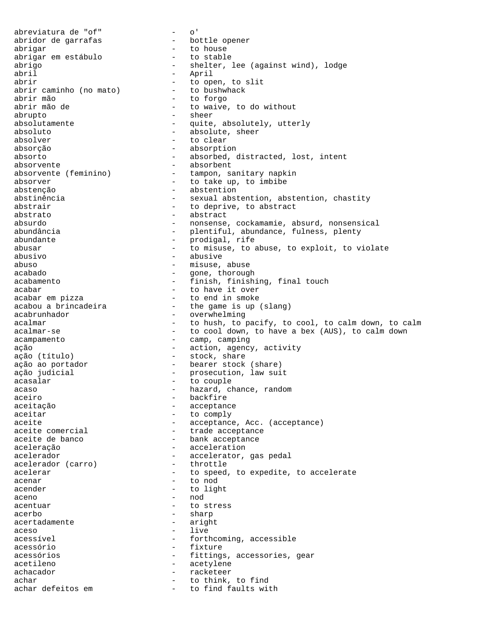abreviatura de "of" - o' abridor de garrafas - bottle opener abrigar - to house abrigar em estábulo abrigo - shelter, lee (against wind), lodge abril - April abrir<br>abrir caminho (no mato) - to bushwhack<br>to bushwhack<br>abrir caminho (no mato) - to bushwhack abrir caminho (no mato)<br>abrir mão abrir mão - to forgo - to waive, to do without abrupto - sheer absolutamente - quite, absolutely, utterly absoluto - absolute, sheer absolver - to clear absorção - absorption absorto - absorbed, distracted, lost, intent absorvente - absorbent absorvente (feminino) - tampon, sanitary napkin absorver - to take up, to imbibe abstenção - abstention abstinência  $-$  sexual abstention, abstention, chastity abstrair  $-$  to deprive, to abstract abstrato - abstract absurdo - nonsense, cockamamie, absurd, nonsensical abundância - plentiful, abundance, fulness, plenty abundante  $\qquad \qquad -$  prodigal, rife abusar abusar  $-$  to misuse, to abuse, to exploit, to violate abusivo - abusive abuso - misuse, abuse acabado - misuse, abuse acabado - misuse, abuse acabado - misuse, abuse acabado - misuse acabado - gone, thorough<br>acabamento - finish, finish - finish, finishing, final touch acabar  $\begin{array}{ccc} \texttt{acabar} & \texttt{--} & \texttt{--} & \texttt{--} \\ \texttt{acabar em pizza} & \texttt{--} & \texttt{--} & \texttt{--} & \texttt{--} \end{array}$ acabar em pizza - to end in smoke - the game is up (slang) acabrunhador - overwhelming acalmar  $-$  to hush, to pacify, to cool, to calm down, to calm acalmar-se  $-$  to cool down, to have a bex (AUS), to calm down - to cool down, to have a bex (AUS), to calm down acampamento  $\qquad \qquad -$  camp, camping ação  $-$  action, agency, activity ação (título)<br>
ação ao portador bearer stock (share) ação ao portador  $\qquad \qquad -$  bearer stock (share) ação judicial - prosecution, law suit acasalar - to couple acaso  $-$  hazard, chance, random aceiro - backfire aceitação - acceptance aceitar - to comply aceite - acceptance, Acc. (acceptance) aceite comercial  $\begin{array}{ccc} - & + \\ - & - \end{array}$  trade acceptance<br>aceite de banco  $\begin{array}{ccc} - & + \\ - & - \end{array}$  bank acceptance - bank acceptance aceleração - acceleration acelerador - accelerator, gas pedal<br>acelerador (carro) - throttle acelerador (carro) - throttle acelerar  $-$  to speed, to expedite, to accelerate acenar - to nod<br>acender - to light acender - to light<br>aceno aceno - nod<br>acentuar - nod acentuar - to stress acerbo - sharp - sharp - sharp - sharp - sharp - sharp - sharp - sharp - sharp - sharp - sharp - sharp - sharp - sharp - sharp - sharp - sharp - sharp - sharp - sharp - sharp - sharp - sharp - sharp - sharp - sharp - sharp acertadamente aceso - live<br>acessível - forti - forthcoming, accessible acessório - fixture acessórios - fittings, accessories, gear acetileno - acetylene achacador - racketeer achar - to think, to find achar defeitos em  $-$  to find faults with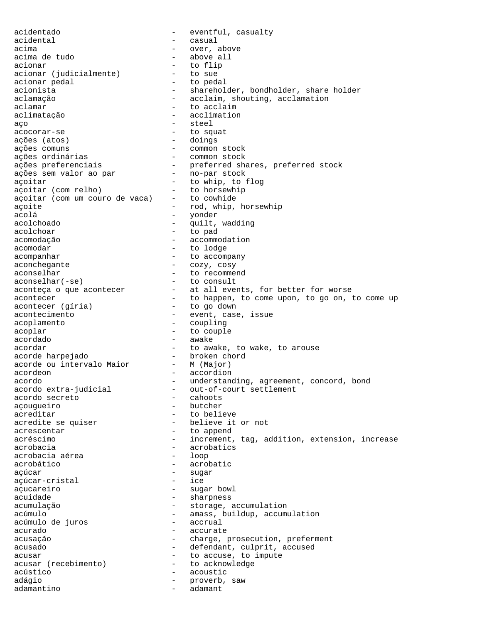acidentado - eventful, casualty acidental - casual acima - over, above - above all acionar<br>
acionar (iudicialmente) - to flip<br>
- to sue acionar (judicialmente)<br>acionar pedal acionar pedal acionista<br>acionista - to pedal acionista acionista - shareholder, bondholder, share holder<br>aclamacão - - acclaim, shouting, acclamation - acclaim, shouting, acclamation aclamar - to acclaim aclimatação - acclimation aço - steel acocorar-se - to squat ações (atos) - doings ações comuns - common stock ações ordinárias - common stock - preferred shares, preferred stock<br>- no-par stock ações sem valor ao par no-par stock açoitar<br>açoitar (com relho) - to whip, to flog<br>to horsewhip<br>to horsewhip açoitar (com relho) - to horsewh:<br>acoitar (com um couro de vaca) - to cowhide açoitar (com um couro de vaca)<br>acoite açoite  $\qquad \qquad \text{mod, }$  whip, horsewhip acolá - yonder acolchoado - quilt, wadding acolchoar - to pad acomodação - accommodation acomodar - to lodge  $a$ companhar  $-$  to  $a$ ccompany aconchegante - cozy, cosy aconselhar - to recommend<br>aconselhar(-se) - to consult aconselhar(-se) - to consult aconteça o que acontecer  $\qquad \qquad$  -  $\qquad$  at all events, for better for worse acontecer **a** to happen, to come upon, to go on, to come up acontecer (gíria) - to go down acontecimento  $\overline{\phantom{a}}$  - event, case, issue acoplamento - coupling acoplar - to couple acordado - awake - awake acordar - to awake, to wake, to arouse<br>acorde harpejado - broken chord acorde harpejado - broken chord acorde ou intervalo Maior - M (Major) acordeon - accordion acordo - understanding, agreement, concord, bond<br>acordo extra-judicial - out-of-court settlement - out-of-court settlement<br>- cahoots acordo secreto  $\overline{a}$  - cahoots<br>acouqueiro - butcher açougueiro acreditar - to believe acredite se quiser - believe it or not<br>acrescentar - to append acrescentar acréscimo - increment, tag, addition, extension, increase acrobacia - acrobatics acrobacia aérea acrobático - acrobatic açúcar - sugar açúcar-cristal<br>açucareiro - sugar bowl acuidade en acuidade - sharpness acumulação  $-$  storage, accumulation acúmulo - amass, buildup, accumulation<br>acúmulo de juros - accrual - accrual acúmulo de juros acurado en el estado en el estado en el estado en el estado en el estado en el estado en el estado en el estado acusação - charge, prosecution, preferment acusado - defendant, culprit, accused acusar - to accuse, to impute acusar (recebimento) - to acknowledge acústico - acoustic adágio - proverb, saw adamantino - adamant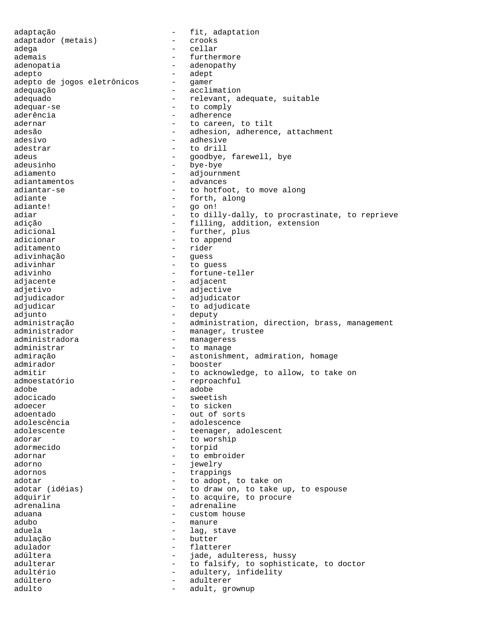adaptação - fit, adaptation adaptador (metais) -<br>adega adega - cellar ademais - furthermore adenopatia  $\qquad \qquad -$  adenopathy adepto<br>adepto de jogos eletrônicos - gamer adepto de jogos eletrônicos adequação - acclimation adequado - relevant, adequate, suitable adequar-se  $-$  to comply aderência en estadounidade en el adherence adernar and to careen, to tilt adesão - adhesion, adherence, attachment adesivo - adhesive adestrar - to drill<br>adeus - to drill - andhve. adeus extending to the control of the goodbye, farewell, bye adeusinho - bye-bye adiamento - adjournment<br>adiantamentos - advances adiantamentos - advances adiantar-se - to hotfoot, to move along<br>adiante - to forth, along adiante - forth, along<br>adiante! - eo on! - go on! adiar and to dilly-dally, to procrastinate, to reprieve adição - filling, addition, extension adicional - further, plus adicionar  $-$  to append aditamento - rider adivinhação - guess adivinhar - to guess adivinho - fortune-teller adjacente  $\qquad \qquad -$  adjacent adjetivo - adjective adjudicador - adjudicator - to adjudicate adjunto - deputy administração - - administration, direction, brass, management administrador - manager, trustee administradora - manageress administrar entry to manage admiração - - - - astonishment, admiration, homage admirador - booster admitir  $-$  to acknowledge, to allow, to take on admoestatório - reproachful adobe - adobe - sweetish adoecer - to sicken<br>adoentado - to sicken<br>- out of so: - out of sorts adolescência en externa dolescence adolescente - teenager, adolescent adorar - to worship adormecido - torpid adornar - to embroider adorno - jewelry adornos - trappings adotar<br>
adotar (idéias) - to adopt, to take on<br>
- to draw on, to take u - to draw on, to take up, to espouse adquirir  $\qquad \qquad -$  to acquire, to procure adrenalina - adrenaline<br>aduana - adrenaline - custom house adubo - manure aduela  $\qquad \qquad -$  lag, stave adulação - butter - flatterer adúltera - jade, adulteress, hussy adulterar  $-$  to falsify, to sophisticate, to doctor adultério  $-$  adultery, infidelity<br>adúltero  $-$  adulterer - adulterer adulto - adult, grownup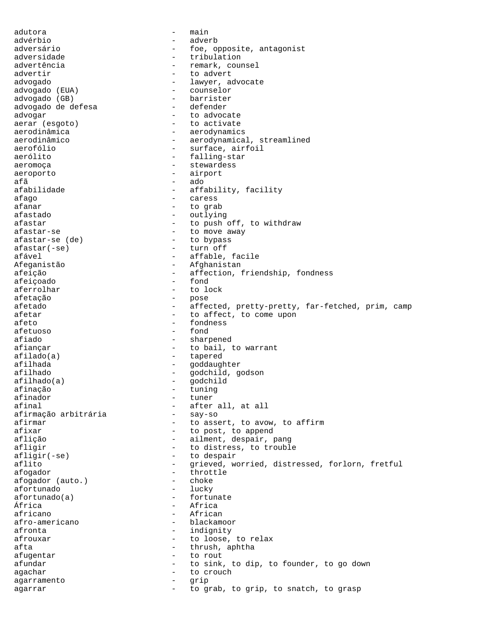adutora - main advérbio - adverb adversário  $-$  foe, opposite, antagonist adversidade - tribulation advertência  $-$  remark, counsel advertir and to advert advogado  $\begin{array}{ccc} - & 1$ awyer, advocate advogado (EUA)  $\begin{array}{ccc} - & 1 & 0 \\ - & 0 & 0 \end{array}$ - counselor<br>- barrister advogado (GB) - barrister advogado de defesa advogar - to advocate aerar (esgoto) aerodinâmica - aerodynamics aerodinâmico - aerodynamical, streamlined aerofólio  $-$  surface, airfoil aerólito  $-$  falling-star aeromoça - stewardess aeroporto - airport afã - ado - affability, facility afago - caress - caress - caress - caress - caress - caress - caress - caress - caress - caress - care - care - care - care - care - care - care - care - care - care - care - care - care - care - care - care - care - care - to grab afastado - outlying afastar  $\qquad \qquad -$  to push off, to withdraw afastar-se - to move away afastar-se (de) - to bypass afastar(-se) - turn off afável  $-$  affable, facile Afeganistão - Afghanistan afeição - affection, friendship, fondness<br>afeicoado - fond afeiçoado - fond aferrolhar afetação - pose afetado - affected, pretty-pretty, far-fetched, prim, camp - to affect, to come upon afeto - fondness afetuoso - fond afiado - sharpened afiançar  $-$  to bail, to warrant afilado(a) - tapered afilhada - goddaughter - godchild, godson<br>- godchild afilhado(a) - godchild<br>afinacão - tuning afinação - tuning afinador - tuner - after all, at all<br>- say-so afirmação arbitrária afirmar  $-$  to assert, to avow, to affirm afixar - to post, to append aflição - ailment, despair, pang afligir  $-$  to distress, to trouble afligir(-se) - to despair<br>aflito - exieved, we aflito  $-$  grieved, worried, distressed, forlorn, fretful afogador - throttle afogador (auto.) - choke afortunado afortunado(a) - fortunate<br>África - Africa África - Africa - African afro-americano - blackamoor afronta - indignity afrouxar - to loose, to relax<br>afta - thrush antha afta - thrush, aphtha afugentar - to rout afundar and to sink, to dip, to founder, to go down agachar - to crouch agarramento - grip agarrar - to grab, to grip, to snatch, to grasp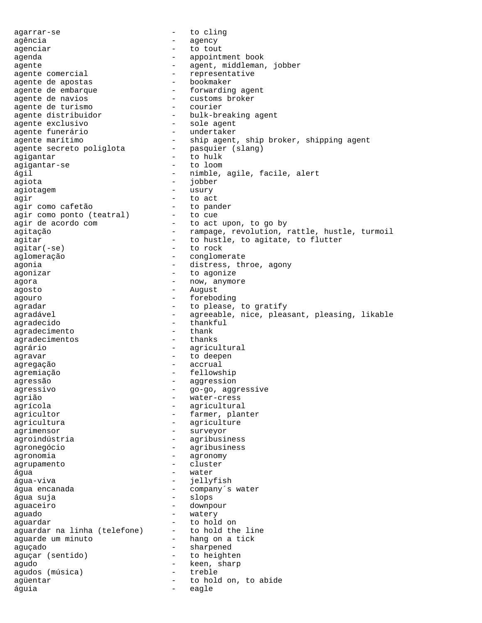agarrar-se - to cling agência en agency agenciar - to tout agenda - appointment book agente - agent, middleman, jobber<br>agente comercial - representative agente comercial agente comercial extension of the representative agente de apostas agente de apostas - bookmaker agente de embarque  $\hskip1cm$  - forwarding agent agente de embarque - forward:<br>agente de navios - customs<br>agente de turismo - courier agente de turismo<br>agente distribuidor - bulk-breaking agent agente exclusivo - sole agent agente funerário - undertaker agente marítimo - ship agent, ship broker, shipping agent agente secreto poliglota - pasquier (slang) agigantar - to hulk agigantar-se - to loom ágil  $-$  nimble, agile, facile, alert agiota - jobber agiotagem entrancement and the usury agir - to act<br>agir como cafetão - to pander agir como cafetão - to pander agir como ponto (teatral) - to cue agir de acordo com - to act upon, to go by agitação - rampage, revolution, rattle, hustle, turmoil agitar  $-$  to hustle, to agitate, to flutter agitar(-se) - to rock aglomeração - conglomerate agonia  $-$  distress, throe, agony agonizar  $\overline{a}$  - to agonize agora - now, anymore agosto - August agouro - foreboding agradar - to please, to gratify - agreeable, nice, pleasant, pleasing, likable agradecido - thankful<br>agradecimento - thank agradecimento - thank agradecimentos agrário - agricultural agravar - to deepen agregação - accrual agremiação - fellowship agressão - aggression agressivo - go-go, aggressive agrião - water-cress agrícola - agricultural agricultor  $-$  farmer, planter agricultura - agriculture agrimensor - surveyor agroindústria - agribusiness agronegócio - agribusiness agronomia - agronomy agrupamento - cluster água - water água-viva - iellyfish água encanada  $\qquad \qquad -$  company's water água suja - slops aguaceiro - downpour aguado - watery aguardar<br>aquardar na linha (telefone) - to hold the line aguardar na linha (telefone) - to hold the line<br>aquarde um minuto - hang on a tick aguarde um minuto aguçado - sharpened aguçar (sentido) - to heighten agudo - keen, sharp agudos (música) - treble agüentar - to hold on, to abide águia - eagle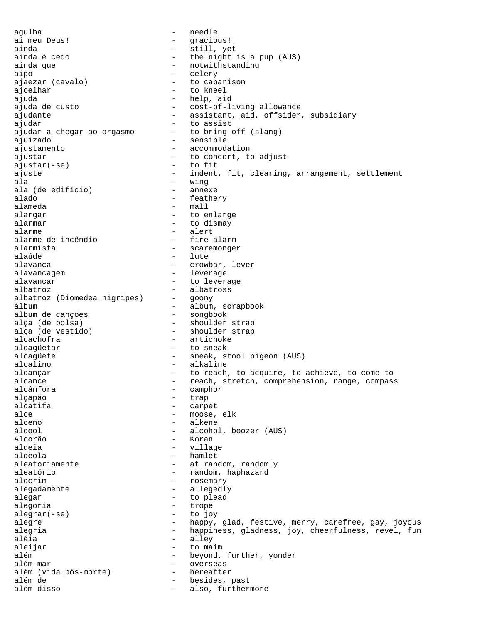agulha - needle ai meu Deus! - gracious! ainda - still, yet - the night is a pup (AUS) ainda que  $\qquad \qquad \qquad -$  notwithstanding aipo - celery ajaezar (cavalo) ajoelhar - to kneel ajuda - help, aid ajuda de custo  $-$  cost-of-living allowance ajudante - assistant, aid, offsider, subsidiary ajudar<br>ajudar a chegar ao orgasmo to bring off (slang) ajudar a chegar ao orgasmo ajuizado - sensible ajustamento - accommodation ajustar - to concert, to adjust<br>ajustar(-se) - to fit  $ajustar(-se)$ ajuste - indent, fit, clearing, arrangement, settlement<br>ala ala - wing ala (de edifício) - annexe alado - feathery - mall alargar - to enlarge alarmar - to dismay<br>alarme - alert - alert<br>- fire-alarm alarme de incêndio alarmista - scaremonger - lute<br>- crowl alavanca - crowbar, lever alavancagem entre alexander alexander alexander alexander alexander alexander alexander alexander alexander al alavancar alavancar - to leverage albatroz<br>albatroz (Diomedea nigripes) - goony albatroz (Diomedea nigripes) - goony – album, scrapbook<br>– songbook álbum de canções alça (de bolsa) - shoulder strap - shoulder strap alcachofra - artichoke alcagüetar - to sneak alcagüete - sneak, stool pigeon (AUS) alcalino - alkaline alcançar - to reach, to acquire, to achieve, to come to alcance - reach, stretch, comprehension, range, compass<br>alcânfora alcânfora - camphor - camphor<br>alcapão - trap alçapão - trap<br>alcatifa - carn alcatifa - carpet<br>alce - moose - moose, elk alceno - alkene álcool - alcohol, boozer (AUS) Alcorão - Koran aldeia  $-$  village aldeola - hamlet aleatoriamente - at random, randomly aleatório  $-$  random, haphazard alecrim - rosemary<br>alecadamente - allecadi alegadamente - allegedly<br>alegar - to plead alegar - to plead<br>alegoria alegoria - trope<br>alegoria - trope<br>alegoria alegrar(-se) - to joy alegre **1988** - happy, glad, festive, merry, carefree, gay, joyous alegria - happiness, gladness, joy, cheerfulness, revel, fun - alley<br>- to ma aleijar - to maim além  $-$  beyond, further, yonder além-mar - overseas além (vida pós-morte) além de - besides, past - also, furthermore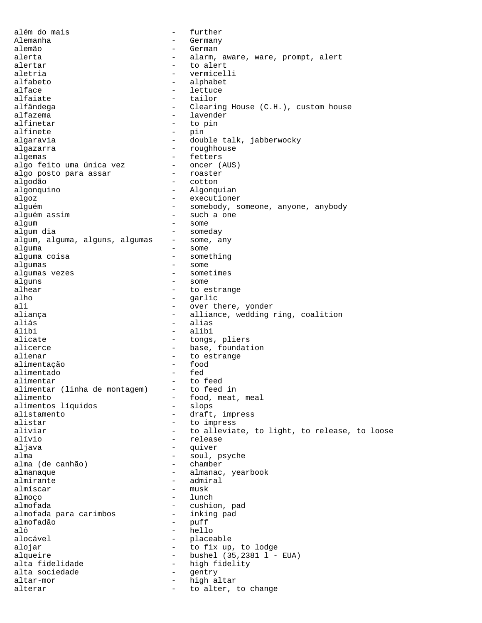além do mais  $\overline{\phantom{a}}$  - further Alemanha - Germany alemão - German alerta  $-$  alarm, aware, ware, prompt, alert alertar - to alert aletria - vermicelli alfabeto - alphabet alface - lettuce - tailor alfândega - Clearing House (C.H.), custom house alfazema - lavender<br>alfinetar - to pin - to pin alfinete - pin algaravia - double talk, jabberwocky algazarra  $\qquad$  - roughhouse algemas - fetters<br>algo feito uma única vez - oncer (AUS) algo feito uma única vez - oncer (AUS) - oncer (AUS) - roaster algo posto para assar - roaster algodão - cotton algonquino - Algonquian algoz - executioner alguém - somebody, someone, anyone, anybody<br>alquém assim - such a one - such a one algum - some algum dia - someday algum, alguma, alguns, algumas alguma - some<br>alguma coisa - some alguma coisa  $\qquad \qquad -$  something algumas - some algumas vezes et algumas vezes et algumas vezes et algumas et algumas et algumas et algumas et algumas et alguma alguns - some alhear - to estrange<br>alho - arlic alho - garlic - garlic - garlic - garlic - garlic - garlic - garlic - garlic - garlic - garlic - garlic - garlic - garlic - garlic - garlic - garlic - garlic - garlic - garlic - garlic - garlic - garlic - garlic - garlic -- over there, yonder aliança  $-$  alliance, wedding ring, coalition aliás - alias álibi - alibi - tongs, pliers alicerce  $\begin{array}{ccc}\n & - & \text{base, foundation} \\
\text{alienar} & - & \text{no estrance}\n\end{array}$ alienar - to estrange alimentação - food alimentado alimentar - to feed<br>alimentar (linha de montagem) - to feed in alimentar (linha de montagem) alimento - food, meat, meal alimentos líquidos<br>alistamento alistamento - draft, impress<br>alistar - to impress - to impress aliviar and the state of the state of the state of the state of the state of the state of the state of the state of the state of the state of the state of the state of the state of the state of the state of the state of th alívio - release aljava - quiver alma  $-$  soul, psyche alma (de canhão) - chamber alma (de canhão) almanaque en extreme results and the set of almanac, yearbook almirante - admiral almíscar - muskalmások elment a muskalmatok elment a muskalmatok elment a muskalmatok elment a muskalmatok elm<br>A muskalmatok elment a muskalmatok elment a muskalmatok elment a muskalmatok elment a muskalmatok elment a mus almoço - lunch almofada<br>almofada para carimbos - cushion, pad<br>almofada para carimbos - inking pad almofada para carimbos almofadão - puff alô - hello<br>alocável - hello<br>- place: - placeable<br>- to fix up. alojar - to fix up, to lodge alqueire - bushel (35,2381 l - EUA) alta fidelidade  $-$  high fidelity alta sociedade  $\begin{array}{ccc} - &$  gentry altar-mor altar-mor - high altar alterar  $-$  to alter, to change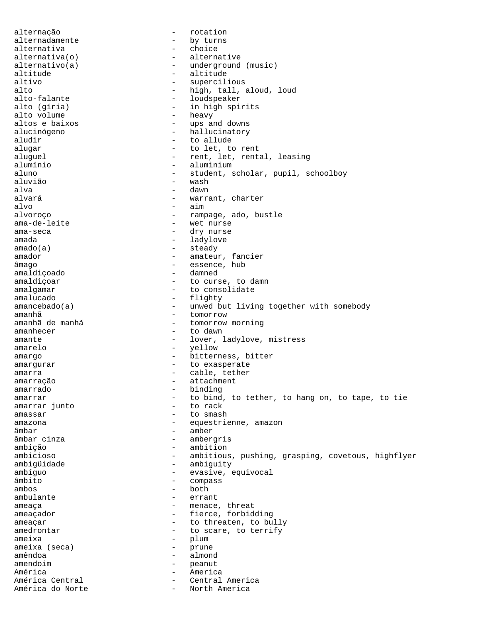alternação entre entre entre entre entre entre entre entre entre entre entre entre entre entre entre entre en alternadamente - by turns alternativa - choice alternativa(o) - alternative  $\begin{array}{ccc}\n \text{alternativo(a)} & - & \text{underground (music)} \\
 \text{altitude} & - & \text{altitude}\n \end{array}$ altitude - altitude altivo - supercilious<br>alto - high tall alto alto - high, tall, aloud, loud<br>alto-falante - high, tall, aloud, loud<br>- loudspeaker - loudspeaker alto (gíria) - in high spirits<br>alto volume - heavy alto volume - heavy - ups and downs alucinógeno  $-$  hallucinatory aludir - to allude alugar - to let, to rent aluguel - rent, let, rental, leasing alumínio - aluminium aluno - student, scholar, pupil, schoolboy<br>aluvião - wash aluvião - wash alva - dawn alvará - warrant, charter  $-$  aim alvoroço - rampage, ado, bustle - wet nurse ama-seca - dry nurse amada - ladylove amado(a) - steady amador - amateur, fancier âmago - essence, hub amaldiçoado - damned amaldiçoar - to curse, to damn amalgamar - to consolidate amalucado - flighty amancebado(a) - unwed but living together with somebody amanhã chuyển thuộc thuộc thuộc thuộc thuộc thuộc thuộc thuộc thuộc thuộc thuộc thuộc thuộc thuộc thuộc thuộc thuộc thuộc thuộc thuộc thuộc thuộc thuộc thuộc thuộc thuộc thuộc thuộc thuộc thuộc thuộc thuộc thuộc thuộc thuộ amanhã de manhã  $-$  tomorrow morning amanhecer - to dawn amante - lover, ladylove, mistress amarelo - yellow amargo  $-$  bitterness, bitter amargurar - to exasperate amarra  $\qquad \qquad$  - cable, tether amarração - attachment amarrado - binding amarrar  $-$  to bind, to tether, to hang on, to tape, to tie amarrar junto  $-$  to rack amarrar junto amassar - to smash amazona - equestrienne, amazon âmbar - amber<br>âmbar cinza - amber - amber - ambergris ambição - ambition ambicioso - ambitious, pushing, grasping, covetous, highflyer ambigüidade - ambiguity ambíguo - evasive, equivocal âmbito - compass<br>ambos - both - both ambos - both ambulante ameaça - menace, threat ameaçador - fierce, forbidding ameaçar - to threaten, to bully amedrontar  $-$  to scare, to terrify ameixa - plum<br>ameixa (seca) - prune ameixa (seca) - prune - prune - prune - prune - prune - prune - prune - prune - prune - prune - prune - prune amêndoa - almond amendoim american american extensive peanut América - America - America - America - America - America - America - America - America - America - America - - Central America<br>- North America América do Norte - North America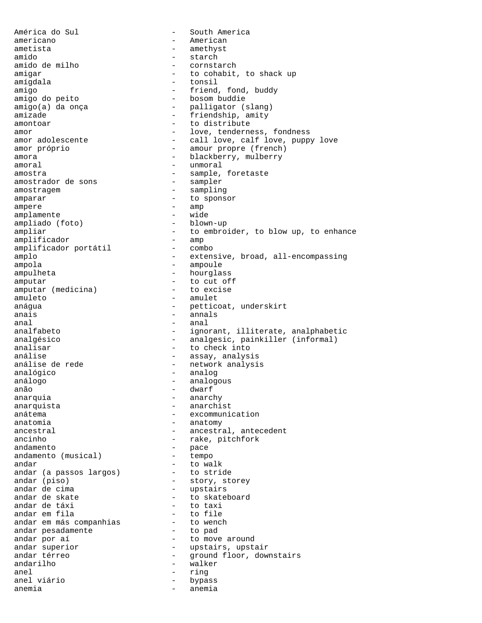América do Sul - South America americano - American ametista - amethyst amido - starch amido de milho  $-$  cornstarch amigar  $-$  to cohabit, amigar - to cohabit, to shack up<br>amigdala - tonsil - tonsil - tonsil amigo  $-$  friend, fond, buddy amigo do peito  $-$  bosom buddie - bosom buddie amigo(a) da onça  $-$  palligator (slang) amizade - friendship, amity amontoar amontoar - to distribute amor - love, tenderness, fondness amor adolescente - call love, calf love, puppy love amor próprio - amour propre (french) amora - blackberry, mulberry amoral - unmoral amostra - sample, foretaste amostrador de sons amostragem - sampling amparar  $\overline{\phantom{a}}$  - to sponsor ampere - amp<br>
amplamente - vide amplamente - wide<br>
ampliado (foto) - blown-up ampliado (foto) ampliar  $-$  to embroider, to blow up, to enhance<br>amplificador  $-$  amp amplificador<br>amplificador portátil - combo amplificador portátil amplo - extensive, broad, all-encompassing ampola - ampoule ampulheta - hourglass amputar<br>
amputar (medicina) - to cut off<br>
- to excise amputar (medicina) amuleto - amulet anágua - petticoat, underskirt anais - annals  $anal$   $anal$ analfabeto - ignorant, illiterate, analphabetic analgésico - analgesic, painkiller (informal) analisar - to check into análise - assay, analysis - network analysis analógico - analog análogo  $-$  analogous anão - dwarf anarquia  $-$  anarchy anarquista - anarchist<br>anátema - - anarchist<br>- excommuni - excommunication anatomia - anatomy ancestral  $\qquad \qquad -$  ancestral, antecedent ancinho  $-$  rake, pitchfork andamento<br>andamento (musical) - tempo andamento (musical) - tempo<br>andar - to walk andar  $-$  to walk andar (a passos largos) - to stride andar (piso) - story, storey<br>andar de cima - upstairs andar de cima<br>andar de skate - upstairs<br>andar de skate - to skate andar de skate  $\qquad \qquad -$  to skateboard<br>andar de táxi - to taxi<br>- to file andar em fila - to file andar em más companhias to wench andar pesadamente - to pad andar por aí **comparacteurs andar** por aí andar superior - upstairs, upstair andar térreo  $-$  ground floor, downstairs andarilho - walker anel - ring - bypass anemia - anemia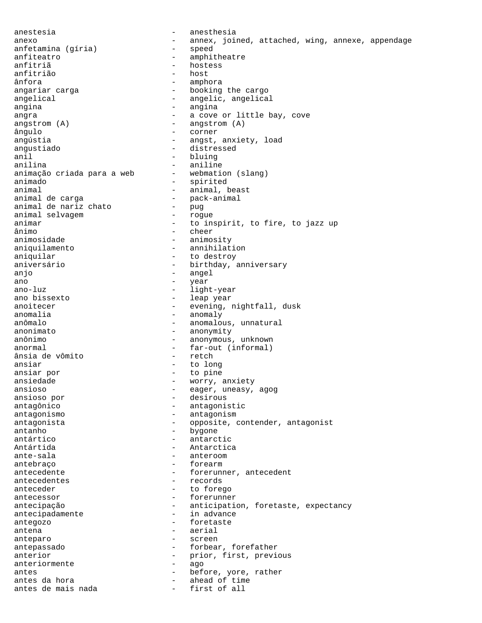anestesia - anesthesia anexo - annex, joined, attached, wing, annexe, appendage anfetamina (gíria) - speed anfetamina (gíria) anfiteatro - amphitheatre<br>
anfitriã - amphitheatre<br>
- hostess - hostess<br>- host anfitrião<br>ânfora ânfora - amphora - booking the cargo angelical - angelic, angelical angina - angina angra  $-$  a cove or little bay, cove  $angstrom (A)$  - angstrom  $(A)$ ângulo - corner angústia  $-$  angst, anxiety, load angustiado - distressed anil - bluing anilina - bluing - bluing anilina - anilina - anilina - anilina - anilina - anilina - anilina - - aniline<br>- webmation (slang) animação criada para a web animado - spirited animal<br>animal de carga de terme animal, beast<br>animal de carga - pack-animal<br>- puq animal de nariz chato - pug animal selvagem<br>animar animar - to inspirit, to fire, to jazz up<br>
animo - cheer ânimo - cheer - animosity aniquilamento - annihilation aniquilar - to destroy aniversário  $-$  birthday, anniversary anjo - angel<br>ano - vear - vear ano - year ano-luz - light-year ano bissexto  $-$  leap year<br>anoitecer  $-$  evening, 1 - evening, nightfall, dusk anomalia - anomaly anômalo  $-$  anomalous, unnatural anonimato - anonymity anônimo - anonymous, unknown anormal - far-out (informal)<br>ânsia de vômito - retch - retch ânsia de vômito ansiar - to long ansiar por  $-$  to pine ansiedade - worry, anxiety ansioso  $\begin{array}{ccc} - & - & - \\ - & - & - \end{array}$  eager, uneasy, agog ansioso por - desirous antagônico - antagonistic antagonismo - antagonism antagonista - opposite, contender, antagonist antanho bygone antártico - antarctic Antártida - Antarctica ante-sala - anteroom - anteroom antebraço - forearm - forearm antecedente - forerunner, antecedent antecedentes - records anteceder - to forego antecessor - forerunner antecipação - anticipation, foretaste, expectancy antecipadamente - in advance antegozo - foretaste antena - aerial anteparo - screen antepassado - forbear, forefather anterior - prior, first, previous<br>anteriormente - ago anteriormente - ago antes - before, yore, rather antes da hora  $-$  ahead of time antes de mais nada  $-$  first of all antes de mais nada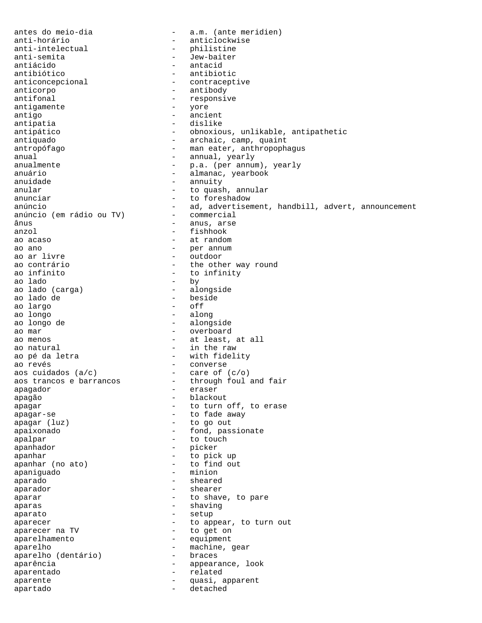antes do meio-dia  $-$  a.m. (ante meridien)<br>anti-horário  $-$  anticlockwise anti-horário - anticlockwise<br>anti-intelectual - philistine anti-intelectual - philistine<br>anti-semita - Jew-baiter anti-semita - Jew-baiter antiácido - antacid antibiótico - antibiotic anticoncepcional  $\qquad \qquad -$  contraceptive<br>anticorpo - antibody anticorpo - antibody - antibody - antibody - antibody - responsive - responsive<br>- yore antigamente<br>antigo - ancient antipatia - dislike antipático - como - obnoxious, unlikable, antipathetic antiquado  $-$  archaic, camp, quaint antropófago - man eater, anthropophagus anual - annual, yearly anualmente - p.a. (per annum), yearly anuário - almanac, yearbook anuidade - annuity<br>anular - annuity<br>- to quas! anular  $\begin{array}{ccc} - & + & + \end{array}$  to quash, annular anunciar anunciar  $-$  to foreshadow<br>anúncio  $-$  ad advertiser - ad, advertisement, handbill, advert, announcement<br>- commercial anúncio (em rádio ou TV) ânus - anus, arse anzol - fishhook ao acaso  $-$  at random ao ano  $-$  per annum ao ar livre - outdoor ao contrário  $\begin{array}{ccc} - & + & + \end{array}$  the other way round ao infinito - to infinity<br>- by ao lado - by ao lado (carga)<br>ao lado de - beside<br>- off ao largo<br>ao longo - along ao longo de  $-$  alongside ao mar - overboard - overboard ao menos and the set of the set of the set of the set of the set of the set of the set of the set of the set o ao natural  $\qquad \qquad$  - in the raw ao pé da letra  $-$  with fidelity<br>ao revés  $-$  converse ao revés - converse aos cuidados (a/c) - care of (c/o) aos trancos e barrancos and through foul and fair apagador eraser - eraser apagão - blackout apagar - to turn off, to erase apagar-se - to fade away<br>apagar (luz) - to go out - to go out apaixonado en el estado en el estado en el estado en el estado en el estado en el estado en el estado en el es apalpar - to touch apanhador - picker apanhar - to pick up - to find out apaniguado - minion aparado - sheared aparador - shearer aparar  $-$  to shave, to pare aparas - shaving - shaving aparato - setup aparecer - to appear, to turn out aparecer na TV - to set on aparecer na TV aparelhamento - equipment aparelho  $-$  machine, gear<br>aparelho (dentário) - braces aparelho (dentário) aparência  $\qquad \qquad -$  appearance, look aparentado - related aparente  $\qquad \qquad -$  quasi, apparent apartado en el estachedo detachedo en el estachedo en el estachedo en el estachedo en el estachedo en el estac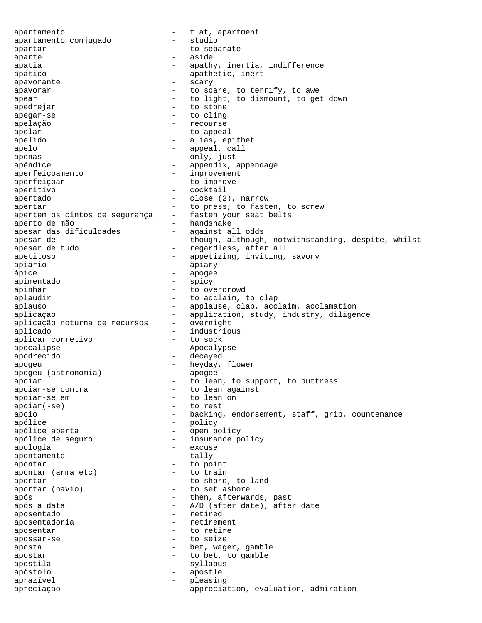apartamento<br>
apartamento conjugado  $\qquad \qquad -$  flat, apartmento<br>
- studio apartamento conjugado apartar  $-$  to separate aparte - aside apatia  $-$  apathy, inertia, indifference apático  $\qquad \qquad -$  apathetic, inert apavorante - scary apavorar and to scare, to terrify, to awe apear  $-$  to light, to dismount, to get down apedrejar - to stone apegar-se - to cling apelação - recourse apelar - to appeal apelido  $-$  alias, epithet apelo - appeal, call apenas - only, just apêndice - appendix, appendage aperfeiçoamento - improvement aperfeiçoar - to improve<br>aperitivo - cocktail aperitivo apertado - close (2), narrow apertar  $\qquad \qquad \qquad -$  to press, to fasten, to screw apertem os cintos de segurança - fasten your seat belts aperto de mão - handshake apesar das dificuldades - against all odds apesar de  $-$  though, although, notwithstanding, despite, whilst apesar de tudo  $\qquad \qquad -$  regardless, after all apetitoso - appetizing, inviting, savory apiário - apiary - apiary<br>ánice - apogee ápice - apogee apimentado - spicy<br>apinhar - to ove apinhar - to overcrowd aplaudir  $\qquad \qquad -$  to acclaim, to clap aplauso **completed applause**, clap, acclaim, acclamation aplicação - application, study, industry, diligence<br>aplicação noturna de recursos - overnight aplicação noturna de recursos aplicado - industrious aplicar corretivo apocalipse - Apocalypse apodrecido - decayed apogeu<br>apogeu (astronomia) - heyday, flower<br>- apogee apogeu (astronomia) apoiar and to lean, to support, to buttress apoiar-se contra entre entre to lean against apoiar-se em entre apoiar-se em entre apoiar-se em entre apoiar a la contraducción de la contraducción de la co apoiar(-se) - to rest apoio - backing, endorsement, staff, grip, countenance apólice - policy - policy apólice aberta  $\qquad \qquad -$  open policy apólice de seguro  $-$  insurance policy apologia - excuse  $a$ pontamento  $a$  - tally  $a$  - to po apontar - to point apontar (arma etc) aportar  $\begin{array}{ccc} - & + \ 0 & \text{short} \end{array}$  to shore, to land aportar (navio) - to set ashore após - then, afterwards, past após a data  $-$  A/D (after date), after date aposentado - retired aposentadoria aposentar  $-$  to retire apossar-se - to seize aposta  $-$  bet, wager, gamble apostar  $\begin{array}{ccc} - & + & + \sqrt{2} & - \sqrt{2} & - \sqrt{2} & - \sqrt{2} & - \sqrt{2} & - \sqrt{2} & - \sqrt{2} & - \sqrt{2} & - \sqrt{2} & - \sqrt{2} & - \sqrt{2} & - \sqrt{2} & - \sqrt{2} & - \sqrt{2} & - \sqrt{2} & - \sqrt{2} & - \sqrt{2} & - \sqrt{2} & - \sqrt{2} & - \sqrt{2} & - \sqrt{2} & - \sqrt{2} & - \sqrt{2} & - \sqrt{2} & - \sqrt{2} & - \sqrt{2} & - \sqrt{2} & - \sqrt{2} & - \sqrt{2}$ apostila - syllabus apóstolo - apostle aprazível - pleasing apreciação  $-$  appreciation, evaluation, admiration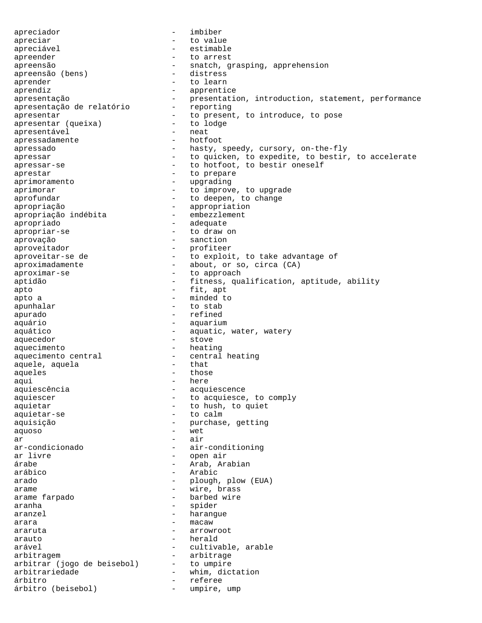apreciador - imbiber apreciar and to value apreciável - estimable apreender extended to a rrest apreensão - snatch, grasping, apprehension<br>apreensão (bens) - distress apreensão (bens) aprender - to learn aprendiz - apprentice apresentação - presentation, introduction, statement, performance apresentação de relatório - reporting apresentação de relatório apresentar<br>
apresentar (queixa) - to present, to introduce, to pose<br>
- to lodge apresentar (queixa) - to lodge - to lodge - to lodge - to lodge - to lodge - to lodge - to lodge - to lodge apresentável - neat apressadamente apressado  $-$  hasty, speedy, cursory, on-the-fly apressar **come contract and the set of the expedite**, to bestir, to accelerate apressar-se - to hotfoot, to bestir oneself aprestar - to prepare aprimoramento - upgrading aprimorar **abulation** - to improve, to upgrade aprofundar extending the to deepen, to change apropriação<br>
apropriacão indébita<br>
- embezzlement<br>
- embezzlement apropriação indébita apropriado - adequate apropriar-se - to draw on aprovação - sanction aproveitador - profiteer aproveitar-se de to exploit, to take advantage of aproximadamente - about, or so, circa (CA) aproximar-se  $-$  to approach aptidão - fitness, qualification, aptitude, ability<br>apto - fit, apt - fit, apt apto a  $-$  minded to apunhalar - to stab apurado  $-$  refined aquário - aquarium aquático  $\qquad \qquad -$  aquatic, water, watery aquecedor - stove aquecimento - heating aquecimento central - central heating<br>aquele, aquela - that aquele, aquela aqueles - those aqui - here aquiescência - acquiescence aquiescer - to acquiesce, to comply aquietar - to hush, to quiet aquietar-se - to calm aquisição - purchase, getting aquoso - wet  $ar$  - air ar-condicionado - air-conditioning ar livre  $\qquad \qquad$  - open air árabe - Arab, Arabian arábico - Arabic arado - plough, plow (EUA) arame - wire, brass arame farpado - barbed wire aranha  $-$  spider aranzel - harangue  $\frac{1}{2}$  araruta  $\frac{1}{2}$  araruta  $\frac{1}{2}$  arrow araruta - arrowroot arauto - herald arável  $\qquad \qquad - \qquad$  cultivable, arable arbitragem - arbitrage arbitrar (jogo de beisebol) - to umpire arbitrariedade - whim, dictation árbitro<br>árbitro (beisebol) - referee árbitro (beisebol) - umpire, ump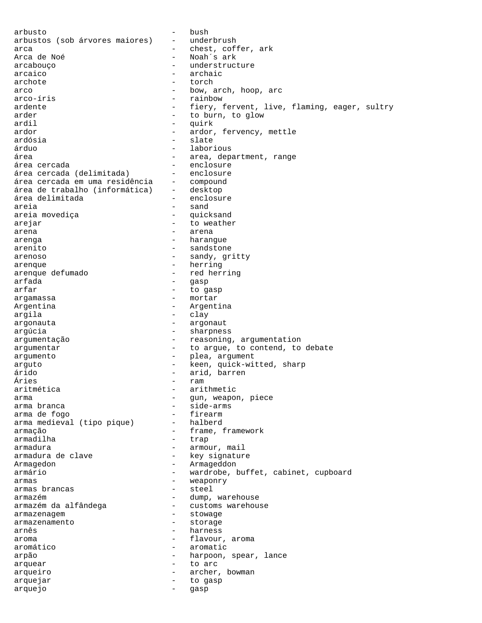arbusto - bush arbustos (sob árvores maiores) - underbrush arca - chest, coffer, ark - Noah´s ark arcabouço - understructure - understructure - understructure - understructure - understructure - understructure arcaico - archaic<br>archote - torch archote - torch arco - bow, arch, hoop, arch<br>arco-íris - rainbow - rainbow - rainbow ardente - fiery, fervent, live, flaming, eager, sultry arder  $-$  to burn, to glow ardil - quirk ardor - ardor, fervency, mettle ardósia - slate árduo - laborious área  $\qquad \qquad -$  area, department, range área cercada<br>área cercada (delimitada) - enclosure área cercada (delimitada) - enclosure área cercada em uma residência - compound área de trabalho (informática) - desktop<br>área delimitada - enclosure área delimitada<br>areja - sand<br>- quicksand areia movediça arejar - to weather arena - arena - arena - arena arenga - harangue arenito - sandstone arenoso - sandy, gritty arenque - herring arenque defumado  $\overline{a}$  - red herring<br>arfada - resultada - resultada arfada - gasp - to gasp argamassa - mortar Argentina  $\overline{a}$  - Argentina argila - clay argonauta - argonaut arqu<sup>cia</sup> - sharpness argumentação - reasoning, argumentation argumentar  $\begin{array}{ccc} - & \text{to argue, to content, to debate} \\ - & \text{olea. argument} \end{array}$ argumento - plea, argument arguto - keen, quick-witted, sharp árido - arid, barren – ram<br>– arit aritmética  $-$  arithmetic arma  $\frac{1}{2}$  arma branca  $\frac{1}{2}$  arma branca  $\frac{1}{2}$  arma branca  $\frac{1}{2}$  arma branca  $\frac{1}{2}$  arma branca  $\frac{1}{2}$  arma branca  $\frac{1}{2}$  arma branca  $\frac{1}{2}$  arma branca  $\frac{1}{2}$  arma branca  $\frac{1}{2}$  arma bran - side-arms<br>- firearm arma de fogo<br>
arma medieval (tipo pique) - halberd arma medieval (tipo pique) armação <br/>
- frame, framework<br/>
- frame, framework armadilha  $-$  trap armadura  $\qquad \qquad$  - armour, mail armadura de clave  $\qquad \qquad$  - key signature Armagedon - Armageddon armário - wardrobe, buffet, cabinet, cupboard armas - weaponry<br>armas brancas - steel - steel armas brancas in the steel armazém - dump, warehouse - customs warehouse armazenagem entre a material armazenagem armazenagem entre a material armazena a material a material armazena armazenamento - storage arnês - harness aroma - flavour, aroma aromático - aromatic arpão - harpoon, spear, lance arquear - to arc arqueiro - archer, bowman arquejar - to gasp arquejo - gasp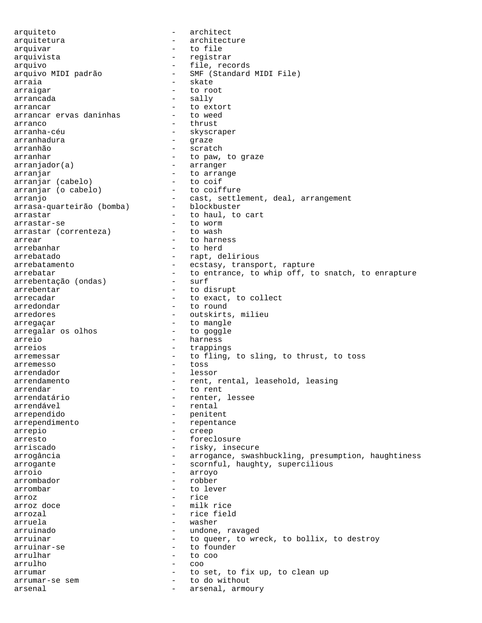arquiteto - architect arquitetura - architecture arquivar - to file arquivista - registrar - file, records arquivo MIDI padrão - SMF (Standard MIDI File) arraia - skate - skate arraigar - to root arrancada - sally arrancar<br>
arrancar ervas daninhas<br>
- to weed arrancar ervas daninhas arranco - thrust arranha-céu - skyscraper arranhadura - graze arranhão - scratch arranhar - to paw, to graze arranjador(a) - arranger arranjar - to arrange arranjar (cabelo) - to coif<br>arranjar (o cabelo) - to coiffure arranjar (o cabelo) arranjo<br>arrasa-quarteirão (bomba) - cast, settlement, deal, arrangement<br>blockbuster arrasa-quarteirão (bomba) arrastar  $-$  to haul, to cart arrastar-se - to worm<br>arrastar (correnteza) - to wash arrastar (correnteza) arrear  $-$  to harness arrebanhar - to herd - rapt, delirious arrebatamento extraordination arrebatamento extraordinary, transport, rapture arrebatar  $-$  to entrance, to whip off, to snatch, to enrapture arrebentacão (ondas)  $-$  surf arrebentação (ondas) arrebentar - to disrupt arrecadar  $\begin{array}{ccc}\n\text{arrecadar} \\
\text{arredondar} \\
\end{array}$  + to exact, to collect - to round arredores - outskirts, milieu arregaçar - to mangle<br>arregalar os olhos - to goggle arregalar os olhos<br>arreio - harness arreios - trappings arremessar  $-$  to fling, to sling, to thrust, to toss<br>arremesso arremesso - toss arrendador en el essor en lessor arrendamento - rent, rental, leasehold, leasing arrendar - to rent arrendatário - renter, lessee arrendável - rental - penitent arrependimento - repentance arrepio - creep arresto - foreclosure arriscado  $-$  risky, insecure arrogância  $-$  arrogance, swashbuckling, presumption, haughtiness arrogante - scornful, haughty, supercilious arroio - arroyo arrombador - robber - robber - robber - robber - robber - robber - robber - robber - robber - robber - robber - robber - robber - robber - robber - robber - robber - robber - robber - robber - robber - robber - robber - ro arrombar - to lever arroz doce arroz doce arroz doce arroz doce arroz doce arroz de milk - milk rice arrozal  $\qquad \qquad$  - rice field arruela - washer arruinado - undone, ravaged arruinar arruinar - to queer, to wreck, to bollix, to destroy arruinar-se - to founder arrulhar - to coo arrulho - coo arrumar - to set, to fix up, to clean up arrumar-se sem  $-$  to do without arsenal  $-$  arsenal, armoury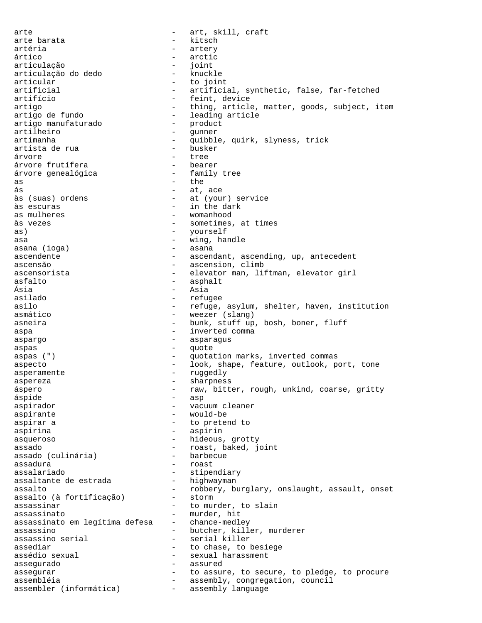arte - art, skill, craft arte barata  $-$  kitsch artéria  $-$  artery ártico - arctic articulação - joint articulação do dedo articular - to joint artificial - artificial, synthetic, false, far-fetched<br>artifício - feint, device - feint, device artigo  $-$  thing, article, matter, goods, subject, item artigo de fundo  $-$  leading article<br>artigo manufaturado  $-$  product artigo manufaturado - product artilheiro - gunner artimanha - quibble, quirk, slyness, trick<br>artista de rua - busker - busker artista de rua árvore - tree árvore frutífera bearer<br>árvore qenealógica family tree árvore genealógica as  $-$  the ás - at, ace às (suas) ordens  $-$  at (your) service<br>às escuras  $-$  in the dark - in the dark as mulheres  $-$  womanhood às vezes - sometimes, at times as) as  $-$  yourself asa  $-$  wing, handle asana (ioga) - asana ascendente extending, ascendant, ascending, up, antecedent ascensão - ascension, climb ascensorista - elevator man, liftman, elevator girl<br>asfalto asfalto - asphalt - asphalt<br>Ásia - Asia Ásia - Asia - Asia<br>asilado - Asia - Asia - Asia asilado - refugee - refuge, asylum, shelter, haven, institution asmático  $-$  weezer (slang) asneira - bunk, stuff up, bosh, boner, fluff aspa - inverted comma aspargo - asparagus aspas - quote aspas (") - quotation marks, inverted commas aspecto - look, shape, feature, outlook, port, tone asperamente  $-$  ruggedly aspereza - sharpness áspero  $-$  raw, bitter, rough, unkind, coarse, gritty áspide - asp aspirador - vacuum cleaner aspirante  $-$  would-be aspirar a  $-$  to pretend to aspirina - aspirin asqueroso - hideous, grotty assado (culinária) - roast, baked, joint<br>assado (culinária) - barbecue assado (culinária) assadura - roast assalariado<br>assaltante de estrada highwayman assaltante de estrada assalto - robbery, burglary, onslaught, assault, onset<br>assalto (à fortificacão) - storm assalto (à fortificação) assassinar assassinar - to murder, to slain assassinato - murder, hit assassinato em legítima defesa - chance-medley assassino - butcher, killer, murderer assassino serial - serial killer assediar extended to chase, to besiege assédio sexual  $\qquad \qquad -$  sexual harassment<br>assegurado  $\qquad \qquad -$  assured assegurado - assured assegurar extended to assure, to secure, to pledge, to procure assembléia - assembly, congregation, council<br>assembler (informática) - assembly language assembler (informática)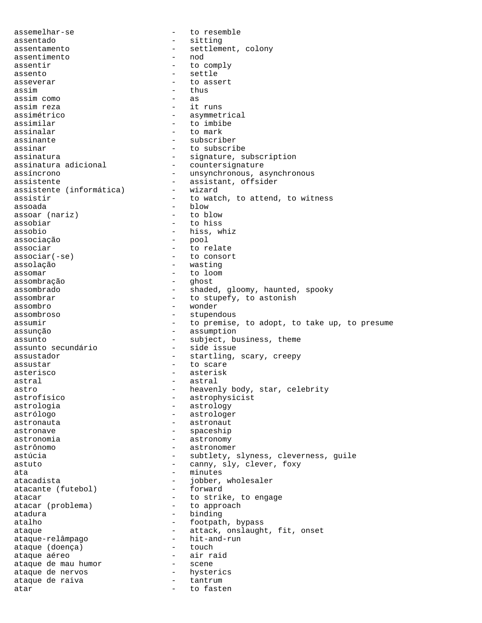assemelhar-se - to resemble assentado - sitting assentamento - settlement, colony<br>assentimento - nod assentimento assentir  $-$  to comply assento - settle asseverar extended to assert assim - thus assim como assim reza  $-$  it runs assimétrico  $-$  asymmetrical assimilar  $-$  to imbibe assinalar  $-$  to mark assinante - subscriber assinar - to subscribe assinatura - signature, subscription assinatura adicional  $\overline{\phantom{a}}$  - countersignature assincronous, as - unsynchronous, asynchronous assistente<br>
assistente (informática) - assistant, offsider<br>
- wizard assistente (informática) assistir  $-$  to watch, to attend, to witness assoada - blow<br>assoar (nariz) - blow - to blow assoar (nariz) assobiar - to hiss assobio - hiss, whiz<br>associação - e pool - pool associação associar extended to relate  $\texttt{associar}(-\texttt{se})$  - to consort assolação - wasting assomar - to loom assombração assombrado - shaded, gloomy, haunted, spooky assombrar - to stupefy, to astonish assombro - wonder assombroso - stupendous assumir  $-$  to premise, to adopt, to take up, to presume assunção - assumption assunto - subject, business, theme assunto secundário assustador - startling, scary, creepy assustar - to scare asterisco - asterisk astral - astral - astral astro - heavenly body, star, celebrity<br>astrofísico - astrophysicist - astrophysicist astrologia - astrology - astrologer astronauta - astronaut astronave - spaceship astronomia extraordination astronomy astrônomo - astronomer astúcia  $-$  subtlety, slyness, cleverness, guile astuto  $\sim$  - canny, sly, clever, foxy ata - minutes<br>atacadista - minutes atacadista - jobber, wholesaler<br>atacante (futebol) - forward atacante (futebol) atacar  $\begin{array}{ccc} - & + & + \end{array}$  to strike, to engage atacar (problema)  $\begin{array}{ccc} - & + \end{array}$  to approach atacar (problema) atadura - binding atalho  $-$  footpath, bypass ataque - attack, onslaught, fit, onset<br>ataque-relâmpago - hit-and-run ataque-relâmpago - hit-and-runne (doenca) - hit-and-runne - hit-and-runne - hit-and-runne - hit-andataque (doença) ataque aéreo - air raid ataque de mau humor - scene<br>ataque de nervos - hysterics ataque de nervos - hysterics ataque de raiva - tantrum - tantrum - tantrum - tantrum - tantrum - tantrum - tantrum - tantrum - tantrum - ta atar - to fasten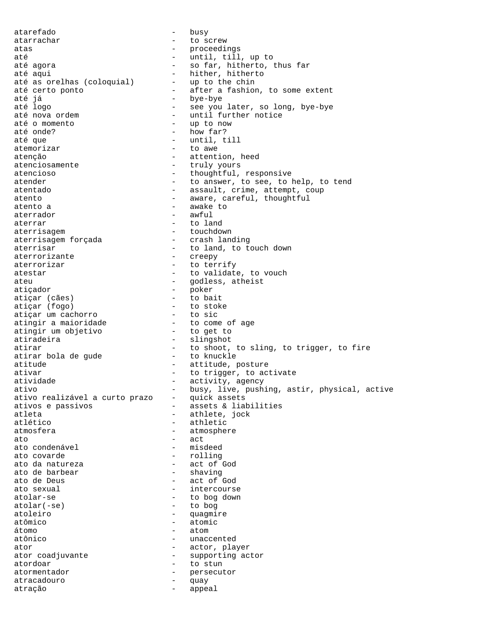atarefado - busy atarrachar - to screw atas - proceedings até - until, till, up to até agora - so far, hitherto, thus far - hither, hitherto<br>- up to the chin até as orelhas (coloquial)<br>até certo ponto até certo ponto  $\overline{\phantom{a}}$  - after a fashion, to some extent até já até já - bye-bye - see you later, so long, bye-bye até nova ordem  $\begin{array}{ccc} - & \text{until further notice} \\ - & \text{up to now} \end{array}$ até o momento  $\overline{a}$  - up to now até onde?  $\overline{a}$  - how far? - how far? até que  $\qquad \qquad -$  until, till atemorizar - to awe atenção - attention, heed<br>atenciosamente - truly yours - truly yours atencioso  $-$  thoughtful, responsive atender - to answer, to see, to help, to tend atentado - assault, crime, attempt, coup atento - aware, careful, thoughtful<br>atento a - - awake to - awake to aterrador - awful aterrar - to land aterrisagem  $\overline{a}$  - touchdown<br>aterrisagem forçada - crash landing aterrisagem forçada aterrisar  $-$  to land, to touch down aterrorizante - creepy aterrorizar  $-$  to terrify atestar - to validate, to vouch ateu  $\qquad \qquad -$  godless, atheist atiçador - poker atiçar (cães) - to bait atiçar (fogo) - to stoke atiçar um cachorro - to sic atingir a maioridade  $\qquad \qquad -$  to come of age atingir um objetivo - to get to atiradeira - slingshot atirar  $-$  to shoot, to sling, to trigger, to fire atirar bola de gude  $-$  to knuckle atirar bola de gude<br>atitude - attitude, posture ativar  $-$  to trigger, to activate atividade  $-$  activity, agency ativo - busy, live, pushing, astir, physical, active ativo realizável a curto prazo - quick assets ativo realizável a curto prazo ativos e passivos  $\overline{a}$  - assets & liabilities - athlete, jock atlético - athletic atmosfera - atmosphere ato - act ato condenável ato covarde  $-$  rolling<br>ato da natureza  $-$  act of  $-$ - act of God<br>- shaving ato de barbear<br>ato de Deus - act of God ato sexual and the sexual sexual sexual sexual sexual services of  $\sim$  1111  $\mu$  intercourse atolar-se <br>atolar(-se) - to bog down<br>- to bog - to bog atoleiro - quagmire atômico - atomic átomo - atom atônico - unaccented ator  $\qquad \qquad$  - actor, player ator coadjuvante  $-$  supporting actor atordoar - to stun atormentador - persecutor atracadouro - quay atração - appeal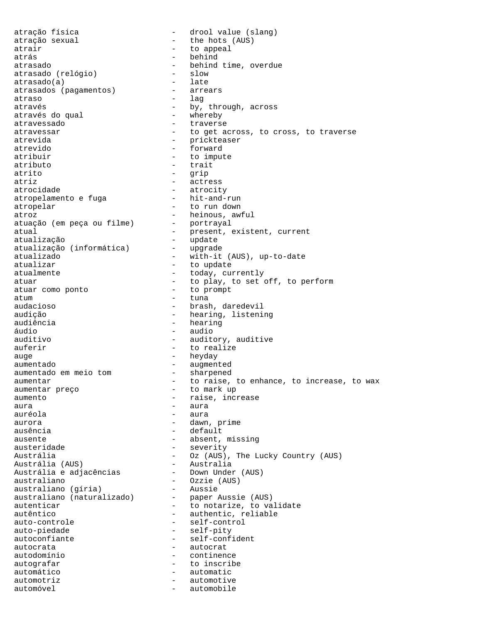atração física  $\qquad \qquad -$  drool value (slang) atração sexual - the hots (AUS) atrair  $-$  to appeal atrás - behind atrasado (relógio) - behind time, overdue atrasado (relógio) - slow atrasado (relógio) - slow atrasado(a) - late<br>atrasados (pagamentos) - - arrears atrasados (pagamentos) atraso - lag através  $\frac{1}{2}$  através do qual  $\frac{1}{2}$  através do qual  $\frac{1}{2}$  através do qual  $\frac{1}{2}$  através do qual  $\frac{1}{2}$  através do qual  $\frac{1}{2}$  através do qual  $\frac{1}{2}$  através do qual  $\frac{1}{2}$  através do qual  $\frac{1}{$ através do qual atravessado - traverse atravessar extended to get across, to cross, to traverse atrevida - prickteaser atrevido - forward atribuir - to impute <br>atributo - trait - trait - trait atrito - grip atriz - actress - atrocity<br>- hit-and-run atropelamento e fuga atropelar - to run down atroz - heinous, awful atuação (em peça ou filme) - portrayal atual  $-$  present, existent, current atualização<br>atualização (informática) - upgrade atualização (informática) atualizado - with-it (AUS), up-to-date atualizar - to update - today, currently atuar  $-$  to play, to set off, to perform atuar como ponto atuar como ponto atum - tuna audacioso - - - - - brash, daredevil<br>audição - - - - - - - - hearing, listeni - hearing, listening audiência  $-$  hearing áudio - audio auditivo  $-$  auditory, auditive auferir  $-$  to realize auge - heyday aumentado<br>aumentado em meio tom - augmented<br>- sharpened aumentado em meio tom aumentar extended to raise, to enhance, to increase, to wax aumentar preço  $-$  to mark up aumento  $\overline{\phantom{a}}$  - raise, increase aura <sup>-</sup> aura auréola - aura aurora - dawn, prime - default ausente - absent, missing austeridade - severity Austrália - Oz (AUS), The Lucky Country (AUS)<br>Austrália (AUS) - Australia Austrália (AUS) - Australia Austrália e adjacências - Down Under (AUS) australiano - Ozzie (AUS) australiano (gíria) - Aussie australiano (naturalizado) - paper Aussie (AUS) autenticar  $\qquad \qquad -$  to notarize, to validate autêntico - authentic, reliable auto-controle - self-control auto-piedade - self-pity autoconfiante - self-confident autocrata - autocrat autodomínio - continence autografar - to inscribe automático - automatic - automotive automóvel - automobile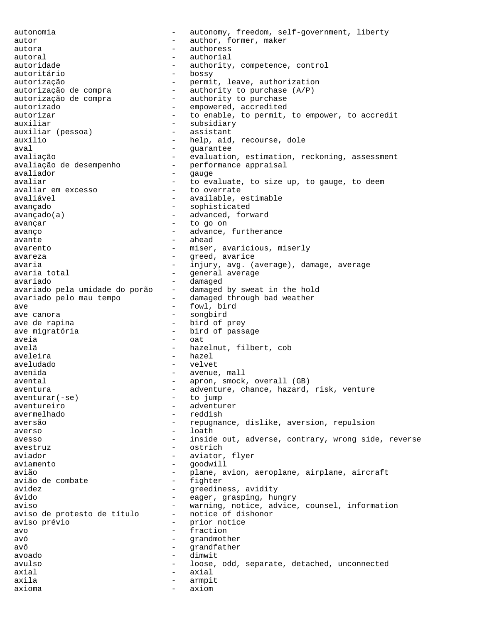autonomia - autonomy, freedom, self-government, liberty autor author, former, maker autora - authoress autoral - authorial autoridade - authority, competence, control autoritário internacional e contra el contra el contra el contra el contra el contra el contra el contra el co autorização - permit, leave, authorization autorização de compra - authority to purchase (A/P) autorização de compra - authority to purchase autorizado  $\overline{\hspace{1cm}}$  - empowered, accredited autorizar autorizar autorizar to enable, to permit, to empower, to accredit auxiliar<br>auxiliar (pessoa) - subsidiary<br>- assistant auxiliar (pessoa) auxílio  $-$  help, aid, recourse, dole aval - guarantee avaliação  $-$  evaluation, estimation, reckoning, assessment avaliação de desempenho  $\overline{a}$  - performance appraisal avaliador - gauge - to evaluate, to size up, to gauge, to deem<br>- to overrate avaliar em excesso<br>avaliável - available, estimable avançado - sophisticated avançado(a) - advanced, forward avançar - to go on avanço  $\sim$  - advance, furtherance avante de la contrata de la contrata de la contrata de la contrata de la contrata de la contrata de la contrat avarento - miser, avaricious, miserly avareza - greed, avarice avaria - injury, avg. (average), damage, average<br>avaria total - qeneral average general average avariado<br>avariado pela umidade do porão - damaged by sweat in the hold avariado pela umidade do porão - damaged by sweat in the holavariado pelo mau tempo - damaged through bad weather avariado pelo mau tempo ave anora and the sought of the songbird terms of the songbird  $-$  songbird - songbird ave de rapina  $-$  bird of prey ave migratória  $-$  bird of passage aveia en la contra en la contra de la contra de la contra en la contra de la contra de la contra de la contra avelã - hazelnut, filbert, cob aveleira - hazel aveludado - velvet avenida - avenue, mall avental  $-$  apron, smock, overall (GB) aventura - adventure, chance, hazard, risk, venture aventurar(-se) - to jump  $aventurar(-se)$ aventureiro - adventurer avermelhado - reddish aversão - repugnance, dislike, aversion, repulsion averso - loath avesso **1988** - inside out, adverse, contrary, wrong side, reverse avestruz - ostrich aviador - aviator, flyer aviamento - aviator, flyer - aviator, flyer - aviator, flyer - aviator, flyer - aviator, flyer - aviator, flyer - aviator, flyer - aviator, flyer - aviator, flyer - aviator, flyer - aviator, flyer aviamento - goodwill avião - plane, avion, aeroplane, airplane, aircraft avião de combate  $$ avidez - greediness, avidity - eager, grasping, hungry aviso<br>aviso de protesto de título - motice of dishonor<br>protesto de título - notice of dishonor aviso de protesto de título aviso prévio - prior notice avo - fraction avó en el estado en el estado en el estado en el estado en el estado en el estado en el estado en el estado en avô - grandfather avoado - dimwit avulso - loose, odd, separate, detached, unconnected axial - axial - axial axila - armpit axioma - axiom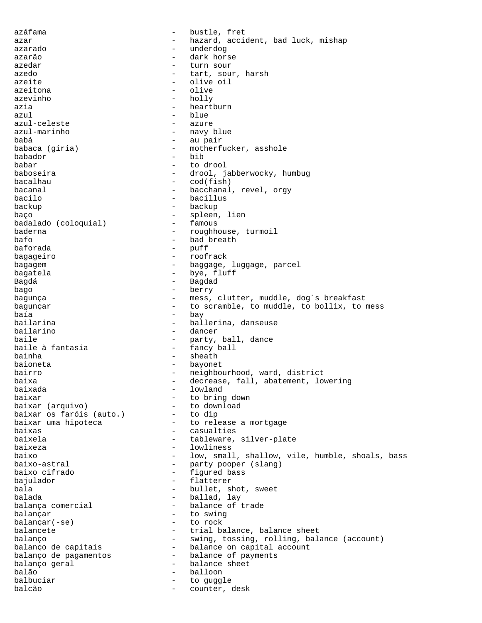azáfama  $\overline{\phantom{a}}$  - bustle, fret azar - hazard, accident, bad luck, mishap<br>azarado - hazardo - hazardo azarado - underdog azarão - dark horse azedar - turn sour azedo  $-$  tart, sour, harsh azeite - olive oil azeitona - olive azevinho - holly azia  $-$  heartburn azul - azul - eleste (1999) - blue - azure (1999) - blue - azure (1999) - azure (1999) - azure (1999) - azure ( azul-celeste<br>azul-marinho - navy blue babá - au pair babaca (gíria) - motherfucker, asshole babador - bib babar - to drool - drool, jabberwocky, humbug bacalhau - cod(fish) bacanal  $\qquad \qquad -$  bacchanal, revel, orgy bacilo - bacillus backup - backup baço - spleen, lien<br>
badalado (coloquial) - - famous badalado (coloquial)<br>baderna baderna - roughhouse, turmoil<br>bafo - bad breath - bad breath baforada - puff bagageiro - roofrack bagagem - baggage, luggage, parcel bagatela  $-$  bye, fluff Bagdá - Bagdad bago - berry bagunça e component e mess, clutter, muddle, dog's breakfast bagunçar  $-$  to scramble, to muddle, to bollix, to mess baía - bay<br>bailarina - ball - ball bailarina - ballerina, danseuse bailarino - dancer - party, ball, dance<br>- fancy ball baile à fantasia bainha  $-$  sheath baioneta - bayonet bairro  $-$  neighbourhood, ward, district baixa - decrease, fall, abatement, lowering baixada - lowland baixar  $\begin{array}{ccc} \text{baixar} & - & \text{to bring down} \\ \text{baixar} & (\text{arquiv}) & - & \text{to download} \end{array}$ - to download<br>- to dip baixar os faróis (auto.)<br>baixar uma hipoteca - to release a mortgage baixas - casualties baixela - tableware, silver-plate baixeza - lowliness baixo - low, small, shallow, vile, humble, shoals, bass baixo-astral - party pooper (slang) baixo cifrado - figured bass bajulador - flatterer bala - bullet, shot, sweet balada - ballad, lay - balance of trade balançar - to swing  $b$ alançar $(-se)$ balancete - trial balance, balance sheet balanço - swing, tossing, rolling, balance (account)<br>balanço de capitais - balance on capital account - balance on capital account balanço de pagamentos - balance of payments - balance sheet balão - balloon - balloon - balloon - balloon - balloon - balloon - balloon - balloon - balloon - balloon - ba balbuciar  $-$  to guggle balcão  $-$  counter, desk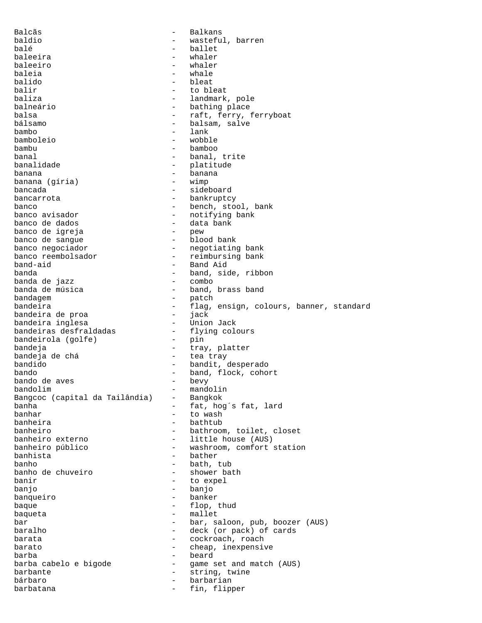Balcãs - Balkans baldio - wasteful, barren balé - ballet baleeira - whaler baleeiro baleia - whale balido - bleat balir - to bleat - landmark, pole balneário - bathing place balsa - raft, ferry, ferryboat<br>
bálsamo - halsam salve - balsam, salve bambo - lank bamboleio - wobble bambu - bamboo banal - banal, trite - platitude banana<br>banana (qíria) - banana<br>banana (qíria) - wimp banana (gíria)<br>bancada bancada - sideboard bancarrota - bankruptcy<br>hanco - bench sto banco<br>banco avisador - bench, stool, bank<br>- notifving bank banco avisador - notifying bank - data bank<br>- pew banco de igreja banco de sangue  $-$  blood bank banco negociador - negotiating bank banco reembolsador - reimbursing bank band-aid - Band Aid - band, side, ribbon<br>- combo banda de jazz<br>banda de música banda de música - band, brass band<br>bandagem - patch bandagem - patch - flag, ensign, colours, banner, standard<br>- iack bandeira de proa - jack bandeira inglesa<br>bandeiras desfraldadas - flying colours<br>- pin bandeirola (golfe) bandeja  $-$  tray, platter bandeja de chá - tea tray - bandit, desperado bando - band, flock, cohort bando de aves bandolim - mandolin<br>Banqcoc (capital da Tailândia) - Bangkok Bangcoc (capital da Tailândia)<br>banha banha - fat, hog´s fat, lard banhar - to wash - bathtub banheiro  $-$  bathroom, toilet, closet<br>banheiro externo  $-$  little house (AUS) - little house (AUS) banheiro público  $-$  washroom, comfort station banhista<sup>-</sup> bather bather banho - bath, tub - shower bath banir  $-$  to expel banjo - banjo banqueiro - banker baque - flop, thud baqueta - mallet bar - bar, saloon, pub, boozer (AUS) baralho  $-$  deck (or pack) of cards barata  $\qquad \qquad -$  cockroach, roach barato  $-$  cheap, inexpensive  $barba$  -  $barba$ <br>barba cabelo e bigode -  $barba$  -  $barba$ barba cabelo e bigode - game set and match (AUS)<br>barbante barbante - string, twine bárbaro - barbarian barbatana  $-$  fin, flipper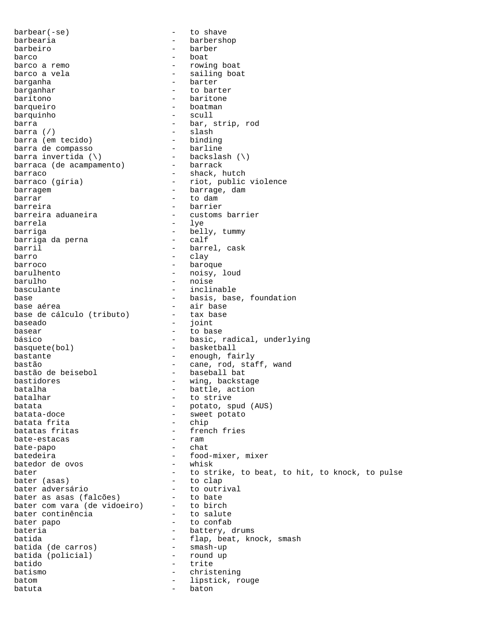barbear(-se) - to shave barbearia - barbershop barbeiro - barber barco - boat barco a remo  $-$  rowing boat barco a vela entrants and the sailing boat barganha - barter barganhar  $-$  to barter barítono - baritone barqueiro - boatman barquinho - scull barra  $\overline{\phantom{a}}$  - bar, strip, rod barra (/) - slash barra (em tecido) - binding<br>barra de compasso - barline barra de compasso - barline barra invertida  $(\setminus)$ barraca (de acampamento) - barrack barraco  $\frac{1}{2}$  barraco (gíria) - shack, hutch barraco (gíria) - riot, public - riot, public violence barragem  $\overline{\phantom{a}}$  barrage, dam barrar - to dam barreira - barrier barreira aduaneira - customs barrier barrela - lye barriga - belly, tummy barriga da perna barril - barrel, cask barro - clay barroco - baroque - noisy, loud barulho - noise basculante  $\qquad \qquad -$  inclinable base - basis, base, foundation<br>base aérea - - - - - - - - - - - air base - air base<br>- tax base base de cálculo (tributo) -<br>baseado baseado - joint basear basear - to base básico  $-$  basic, radical, underlying basquete(bol) - basketball bastante - enough, fairly bastão  $-$  cane, rod, staff, wand<br>bastão de beisebol  $-$  baseball bat bastão de beisebol<br>bastidores - wing, backstage batalha - battle, action<br>batalhar - battle, action<br>batalhar - to strive - to strive batata<br>batata-doce - potato, spud (AUS)<br>- sweet potato - sweet potato<br>- chip batata frita batatas fritas - french fries bate-estacas bate-papo - chat batedeira - food-mixer, mixer batedor de ovos - whisk batedor de ovos bater  $\begin{array}{cccc} \text{bater} \\ \text{bater} \\ \text{bater} \\ \text{bater} \\ \text{bater} \\ \text{bater} \\ \text{beter} \\ \text{beter} \\ \text{beter} \\ \text{beter} \\ \text{beter} \\ \text{beter} \\ \text{beter} \\ \text{beter} \\ \text{beter} \\ \text{coker} \\ \text{coker} \\ \text{coker} \\ \text{diss} \\ \text{diss} \\ \text{diss} \\ \text{diss} \\ \text{diss} \\ \text{diss} \\ \text{diss} \\ \text{diss} \\ \text{diss} \\ \text{diss} \\ \text{diss} \\ \text{diss$ bater (asas) - to clap bater adversário - to outrival bater as asas (falcões) - to bate bater com vara (de vidoeiro) - to birch bater continência  $-$  to salute bater papo  $-$  to confab bateria  $-$  battery, drums batida  $-$  flap, beat, knock, smash batida (de carros) - smash-up batida (de carros) - smash-up batida (policial) - round up to the round up to the round up to the round up to the round up to the round up to the round up to the round up to the round up to the round up to the round up to the round up to the round up t batido - trite batismo - christening<br>batom - linstick r batom  $-$  lipstick, rouge batuta - baton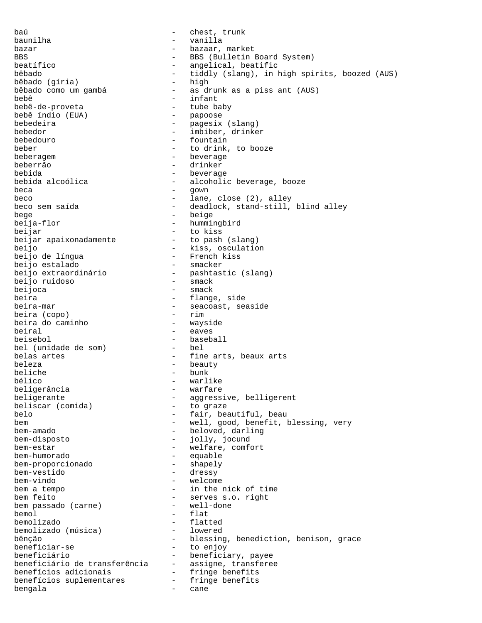baú internación de la chest, trunk baunilha - vanilla bazar  $-$  bazaar, market BBS - BBS (Bulletin Board System) beatífico  $-$  angelical, beatific bêbado - tiddly (slang), in high spirits, boozed (AUS) bêbado (gíria)<br>bêbado como um gambá - as drunk as a piss ant (AUS) bebê - infant bebê-de-proveta tube ba<br>bebê índio (EUA) papoose bebê índio (EUA) bebedeira  $-$  pagesix (slang) bebedor - imbiber, drinker bebedouro - fountain beber - to drink, to booze beberagem - beverage beberrão - drinker bebida - beverage bebida alcoólica - alcoholic beverage, booze beca - gown beco  $-$  lane, close (2), alley beco sem saída  $-$  deadlock, stand-still, - deadlock, stand-still, blind alley bege - beige - hummingbird beijar<br>beijar apaixonadamente to pash (slang) beijar apaixonadamente beijo - kiss, osculation beijo de língua - French kiss beijo estalado<br>beijo extraordinário - pashtastic (slang)<br>- smack beijo ruidoso<br>beijoca - smack beira - flange, side - seacoast, seaside<br>- rim beira (copo) - rim beira do caminho beiral - eaves beisebol - baseball bel (unidade de som) belas artes  $-$  fine arts, beaux arts beleza - beauty beliche - bunk bélico - warlike - warlike - warlike - warlike - warlike - warlike - warlike - warlike - warlike - warlike - wa beligerância beligerante - aggressive, belligerent<br>beliscar (comida) - to graze beliscar (comida)<br>belo - fair, beautiful, beau bem  $-$  well, good, benefit, blessing, very bem-amado - beloved, darling bem-disposto - jolly, jocund bem-estar - welfare, comfort bem-humorado - equable bem-proporcionado bem-vestido - dressy - welcome bem a tempo  $-$  in the nick of time bem feito<br>
bem passado (carne) - serves s.o. right<br>
- well-done bem passado (carne) bemol - flat bemolizado<br>
bemolizado (música) - lowered<br>
- lowered bemolizado (música) bênção  $-$  blessing, benediction, benison, grace beneficiar-se - to enjoy beneficiário - beneficiary, payee beneficiário de transferência - assigne, transferee benefícios adicionais - fringe benefits benefícios suplementares - fringe benefits bengala - cane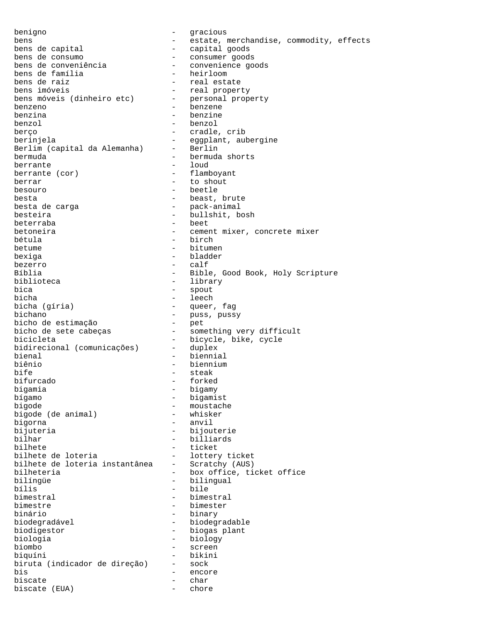benigno - gracious bens  $-$  estate, merchandise, commodity, effects bens de capital - capital goods bens de consumo - consumer goods bens de conveniência - convenience goods bens de família - heirloom bens de raiz - real estate - real property bens móveis (dinheiro etc) - personal property benzeno - benzene benzina - benzine benzol - benzol berço - cradle, crib berinjela<br>Berlim (capital da Alemanha) - Berlin Berlim (capital da Alemanha) bermuda - bermuda shorts berrante - loud berrante (cor) - flamboyant berrar - to shout besouro - beetle besta<br>besta de carga de carga de carga de esta de carga de la pack-animal - pack-animal besteira - bullshit, bosh beterraba - beet betoneira - cement mixer, concrete mixer bétula  $-$  birch betume - bitumen bexiga - bladder bezerro - calf - Bible, Good Book, Holy Scripture biblioteca - library - library<br>bica - spout bica - spout bicha  $\frac{1}{2}$  bicha (gíria) - leech - queer - queer, fag bichano<br>
bichano - puss, pussy<br>
bicho de estimação<br>
- pet bicho de estimação<br>bicho de sete cabeças - something very difficult bicicleta - bicycle, bike, cycle<br>bidirecional (comunicações) - duplex bidirecional (comunicações) bienal - biennial biênio - biennium - biennium - biennium - biennium - biennium - biennium - biennium - biennium - biennium - biennium - biennium - biennium - biennium - biennium - biennium - biennium - biennium - biennium - biennium - bien bife - steak bifurcado - steak - steak - steak - steak - steak - steak - steak - steak - steak - steak - steak - forked bigamia - bigamy bígamo - bigamist bigode - moustache bigode (de animal) bigorna - anvil bijuteria - bijouterie - billiards bilhete - ticket - lottery ticket<br>- Scratchy (AUS) bilhete de loteria instantânea<br>bilheteria bilheteria  $-$  box office, ticket office bilíngüe - bilingual bílis - bile bimestral - bimestral - bimestral - bimestral - bimestral - bimestral - bimestral - bimestral - bimester - bimester - bimester - bimester - bimester - bimester - bimester - bimester - bimester - bimester - bimester - bimes bimestre - bimester - binary biodegradável - biodegradable biodigestor - biogas plant biologia - biology biombo - screen biquíni - bikini biruta (indicador de direção) - sock bis - encore biscate biscate (EUA) - chore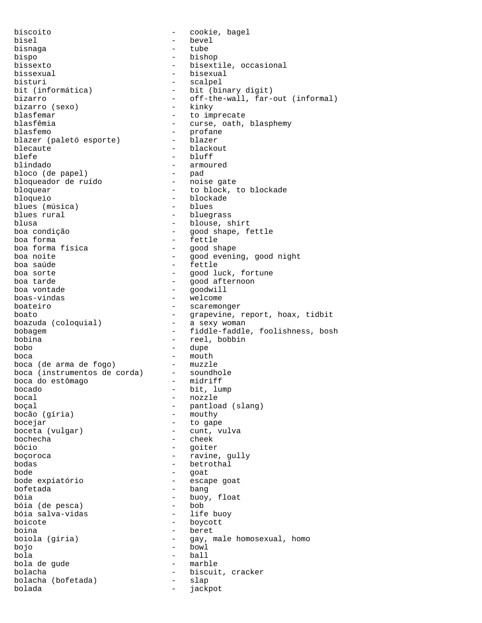biscoito - cookie, bagel bisel - bevel bisnaga - tube bispo - bishop bissexto - bisextile, occasional bissexual - bisexual bisturi - scalpel<br>bit (informática) - bit (bi bit (informática) - bit (binary digit)<br>bizarro - off-the-wall, far-- off-the-wall, far-out (informal)<br>- kinkv bizarro (sexo) blasfemar - to imprecate<br>blasfêmia - curse oath - curse, oath, blasphemy blasfemo - profane blazer (paletó esporte) blecaute - blackout blefe - bluff - bluff - bluff - bluff - bluff - bluff - bluff - bluff - bluff - bluff - bluff - bluff - bluff - bluff - bluff - bluff - bluff - bluff - bluff - bluff - bluff - bluff - bluff - bluff - bluff - bluff - bluff - armoured<br>- pad bloco (de papel) - pad bloqueador de ruído<br>bloquear bloquear - to block, to blockade - blockade<br>- blues blues (música)<br>blues rural blues rural - bluegrass blusa - blouse, shirt boa condição  $-$  good shape, fettle boa forma boa forma - fettle boa forma física<br>boa noite boa noite  $-$  good evening, good night boa saúde - fettle boa sorte en external control of the solution of the good luck, fortune boa tarde  $-$  good afternoon boa vontade  $\begin{array}{ccc} b$ oa vontade  $\begin{array}{ccc} b \geq 0 & b \geq 0 \\ b \geq 0 & b \geq 0 \end{array} & b \geq 0 \end{array}$ boas-vindas - welcome - scaremonger boato<br>boazuda (coloquial) - grapevine, report, hoax, tidbit<br>a sexy woman boazuda (coloquial) bobagem - fiddle-faddle, foolishness, bosh bobina - reel, bobbin bobo - dupe boca - mouth boca (de arma de fogo) - muzzle boca (instrumentos de corda) - soundhole boca do estômago  $-$  midriff<br>bocado  $-$  bit, lu - bit, lump bocal - nozzle boçal - pantload (slang) bocão (gíria) bocejar - to gape boceta (vulgar) bochecha - cheek bócio - goiter boçoroca <br/> - ravine, gully bodas - betrothal bode - goat - escape goat bofetada - bang - buoy, float<br>- bob bóia (de pesca) - bob bóia salva-vidas boicote - boycott boina - beret - gay, male homosexual, homo bojo - bowl bola - ball bola de gude bolacha<br>bolacha (bofetada) - biscuit, cracker<br>- slap bolacha (bofetada) - slapped - slapped - slapped - slapped - slapped - slapped - slapped - slapped - slapped - slapped - slapped - slapped - slapped - slapped - slapped - slapped - slapped - slapped - slapped - slapped - s bolada - jackpot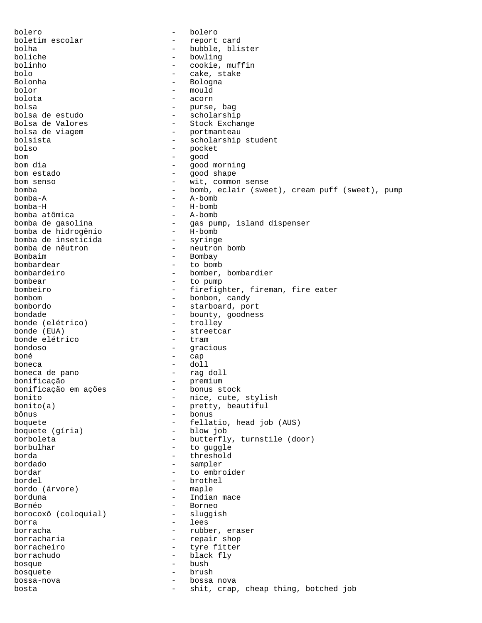bolero - bolero boletim escolar - report card bolha - bubble, blister boliche - bowling bolinho - cookie, muffin bolo - cake, stake Bolonha - Bologna bolor - mould<br>holota - acorn bolota - acorn bolsa - purse, bag bolsa de estudo - scholarship Bolsa de Valores<br>
bolsa de viagem de entre la portmanteau<br>
- portmanteau - portmanteau bolsista - scholarship student bolso - pocket<br>hom - good bom - good bom dia - good morning bom estado  $-$  good shape bom senso - wit, common sense<br>bomba - bomb, eclair (sweet) bomba - bomb, eclair (sweet), cream puff (sweet), pump bomba-A - A-bomb - H-bomb<br>- A-bomb bomba atômica<br>bomba de gasolina - gas pump, island dispenser<br>- H-bomb bomba de hidrogênio - H-bomb bomba de inseticida - syringe bomba de nêutron<br>Bombaim Bombaim - Bombay<br>bombardear - to bomk bombardear  $\qquad \qquad -$  to bomb<br>bombardeiro  $\qquad \qquad -$  bomber. - bomber, bombardier bombear - to pump<br>bombeiro - firefigl bombeiro - firefighter, fireman, fire eater<br>bombom - bonbon, candy bombom - bonbon, candy - starboard, port bondade - bounty, goodness bonde (elétrico)<br>bonde (EUA) - streetcar<br>- tram bonde elétrico bondoso - gracious boné - cap boneca - doll boneca de pano - rag doll bonificação<br>bonificação em ações - premium<br>- bonus stock bonificação em ações<br>bonito bonito - nice, cute, stylish<br>
bonito(a) - pretty, beautiful bonito(a) - pretty, beautiful<br>bônus - bonus - bonus bônus - bonus boquete  $\left($ qiria) - fellatio, head job (AUS) - blow job boquete (gíria) borboleta - butterfly, turnstile (door) borbulhar  $-$  to guggle borda - threshold bordado - sampler bordar  $-$  to embroider bordel - brothel bordo (árvore) borduna  $-$  Indian mace Bornéo - Borneo borocoxô (coloquial) borra - lees<br>borracha - lees<br>- rubb - rubber, eraser borracharia - repair shop borracheiro - tyre fitter borrachudo - black fly bosque - bush bosquete - brush - brush - brush - brush - brush - brush - brush - brush - brush - brush - brush - brush - bru bossa-nova - bossa nova bosta - shit, crap, cheap thing, botched job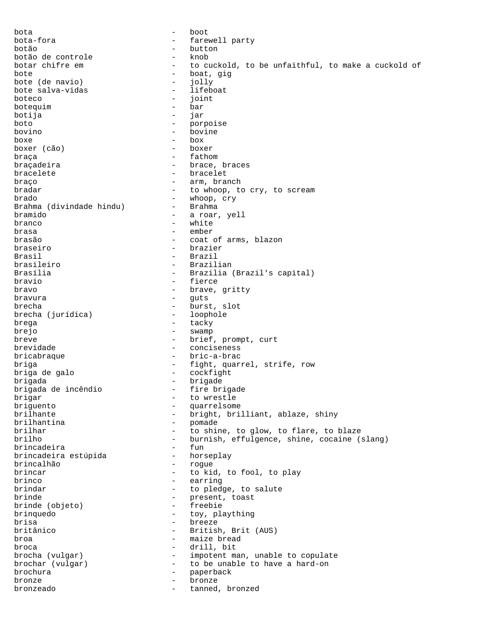bota - boot bota-fora  $-$  farewell party botão - button botão de controle botar chifre em - to cuckold, to be unfaithful, to make a cuckold of bote - boat, gig bote (de navio) - jolly bote salva-vidas boteco - joint<br>
hotecuim - bar - bar botequim the contract of the contract of the contract of the contract of the contract of the contract of the contract of the contract of the contract of the contract of the contract of the contract of the contract of the c botija - jar boto - porpoise bovino - bovine boxe - box boxer (cão)  $\begin{array}{cccc}\n\texttt{bra} & \texttt{0} & \texttt{0} & \texttt{0} & \texttt{0}\n\end{array}$ braçadeira  $-$  brace, braces bracelete - bracelet braço  $-$  arm, branch bradar  $-$  to whoop, to cry, to scream brado - whoop, cry Brahma (divindade hindu) bramido - a roar, yell branco - white brasa - ember brasão - coat of arms, blazon braseiro - brazier Brasil - Brazil brasileiro - Brazilian Brasília - Brazilia (Brazil's capital) bravio - fierce bravo - brave, gritty bravura - guts brecha  $\qquad \qquad -$  burst, slot<br>brecha (jurídica) - loophole brecha (jurídica) brega  $-$  tacky brejo - swamp breve  $\qquad \qquad -$  brief, prompt, curt brevidade  $\qquad \qquad -$  conciseness bricabraque - bric-a-brac briga  $-$  fight, quarrel, strife, row<br>briga de galo  $-$  cockfight - cockfight brigada - brigade brigada de incêndio brigar - to wrestle<br>briguento - to wrestle briguento - quarrelsome - bright, brilliant, ablaze, shiny brilhantina - pomade brilhar  $-$  to shine, to glow, to flare, to blaze<br>brilho  $-$  burnish, effulgence, shine, cocaine ( - burnish, effulgence, shine, cocaine (slang) brincadeira - fun brincadeira estúpida brincalhão - rogue brincar  $-$  to kid, to fool, to play brinco - earring brindar  $-$  to pledge, to salute brinde  $\begin{array}{ccc} \text{brinde} & \text{b} \\ \text{bride} & \text{c} \\ \end{array}$  - present, toast brinde (objeto) brinquedo - toy, plaything brisa - breeze - British, Brit (AUS) broa - maize bread broca - drill, bit brocha (vulgar) - impotent man, unable to copulate brochar (vulgar) - to be unable to have a hard-on brochura<br> - paperback brochura - paperback - paperback bronze - bronze bronzeado - tanned, bronzed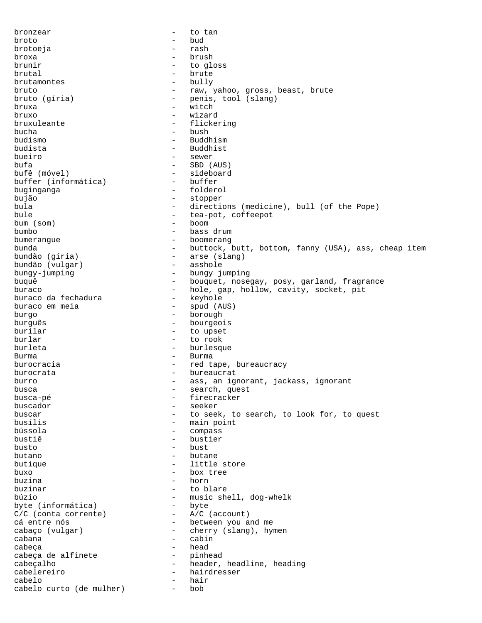bronzear  $-$  to tan broto - bud brotoeja - rash broxa - brush brunir  $-$  to gloss brutal - brute brutamontes bruto  $-$  raw, yahoo, gross, beast, brute bruto (gíria)  $-$  penis, tool (slang) - penis, tool (slang)<br>- witch bruxa - witch bruxo - wizard bruxuleante - flickering bucha - bush budismo - Buddhism budista - Buddhist bueiro - sewer bufa - SBD (AUS) - sideboard<br>- buffer buffer (informática) buginganga - folderol bujão - stopper - stopper - stopper - stopper - stopper - stopper - stopper - stopper - stopper - stopper - stopper - stopper - stopper - stopper - stopper - stopper - stopper - stopper - stopper - stopper - stopper - stop - directions (medicine), bull (of the Pope) bule  $\begin{array}{cccc} \text{bule} & - & \text{tea-pot, coffeepot} \\ \text{bum} & \text{som} & - & \text{boom} \end{array}$ bum (som) bumbo - bass drum bumerangue - boomerang bunda - buttock, butt, bottom, fanny (USA), ass, cheap item bundão (gíria) - arse (slang) bundão (vulgar) bungy-jumping - bungy jumping buquê - bouquet, nosegay, posy, garland, fragrance<br>buraco - - hole, gap, hollow, cavity, socket, pit - hole, gap, hollow, cavity, socket, pit<br>- keyhole buraco da fechadura<br>buraco em meia - spud (AUS) burgo - borough burguês - bourgeois<br>burilar - bourgeois - to upset burlar - to rook burleta - burlesque Burma - Burma burocracia  $-$  red tape, bureaucracy burocrata - bureaucrat<br>burro - ass an ign burro - ass, an ignorant, jackass, ignorant<br>husca - search quest busca - search, quest<br>busca-pé - search, quest busca-pé  $-$  firecracker buscador - seeker - to seek, to search, to look for, to quest busílis - main point<br>bússola - compass bússola - compass bustiê - bustier busto - bust butano - butane butique  $-$  little store buxo - box tree buzina - horn buzinar - to blare búzio - music shell, dog-whelk<br>byte (informática) - byte - byte byte (informática) - byte<br>C/C (conta corrente) - A/C (account) C/C (conta corrente) cá entre nós  $-$  between you and me cabaço (vulgar) - cherry (slang), hymen cabana - cabin - head cabeça de alfinete - pinhead cabeçalho - header, headline, heading cabelereiro - hairdresser cabelo - hair cabelo curto (de mulher) - bob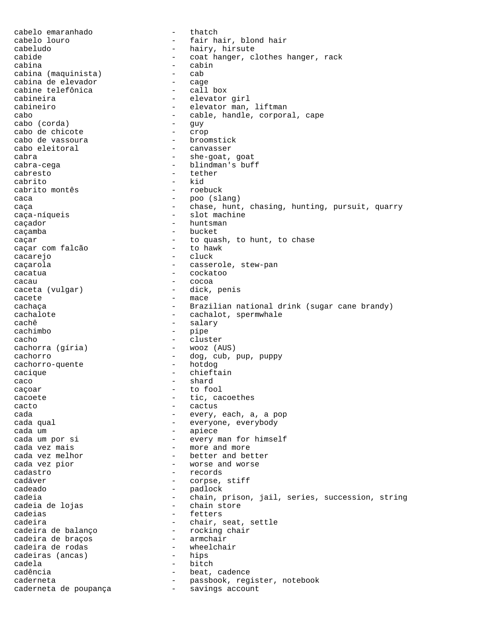cabelo emaranhado - thatch cabelo louro - fair hair, blond hair cabeludo - hairy, hirsute cabide - coat hanger, clothes hanger, rack cabina<br>cabina (maquinista) - cabina (maquinista) - cab cabina (maquinista) - cab cabina de elevador - cage cabine telefônica<br>cabineira - elevator girl cabineiro - elevator man, liftman cabo - cable, handle, corporal, cape<br>
cabo (corda) - quy cabo (corda) - guy cabo de chicote cabo de vassoura  $\qquad \qquad -$  broomstick cabo eleitoral  $\qquad \qquad -$  canvasser cabra - she-goat, goat cabra-cega - blindman's buff cabresto - tether cabrito  $\begin{array}{ccc} - & \text{kid} \\ \text{cabrito months} & - & \text{ roebuck} \end{array}$ cabrito montês caca - poo (slang) caça e chase, hunt, chasing, hunting, pursuit, quarry caça-níqueis - slot machine caçador - huntsman - bucket caçar - to quash, to hunt, to chase caçar com falcão cacarejo - cluck caçarola - casserole, stew-pan cacatua - cockatoo cacau - cocoa - dick, penis cacete - mace cachaça - Brazilian national drink (sugar cane brandy) cachalote - cachalot, spermwhale cachê  $-$  salary cachimbo - pipe<br>cacho - clus - cluster<br>- wooz (AUS) cachorra (gíria) cachorro - dog, cub, puppy cachorro-quente - dog, cub, pup, puppy cachorro-quente cacique - chieftain  $\begin{array}{ccc} \text{caco} & & & \\ \end{array}$  - shard caçoar - to fool cacoete - tic, cacoethes cacto - cactus cada - every, each, a, a pop cada qual  $\qquad \qquad \qquad -$  everyone, everybody cada um est est en la piece cada um por si  $-$  every man for himself cada vez mais  $-$  more and more cada vez melhor  $-$  better and better cada vez pior  $-$  worse and worse cadastro - records cadáver - corpse, stiff - padlock<br>- chain.r cadeia - chain, prison, jail, series, succession, string<br>cadeia de lojas - chain store cadeia de lojas - chain store - fetters cadeira - chair, seat, settle - rocking chair<br>- armchair cadeira de braços - armchair cadeira de rodas - wheelchair cadeiras (ancas) cadela - bitch cadência  $\qquad \qquad -$  beat, cadence caderneta - passbook, register, notebook caderneta de poupança - savings account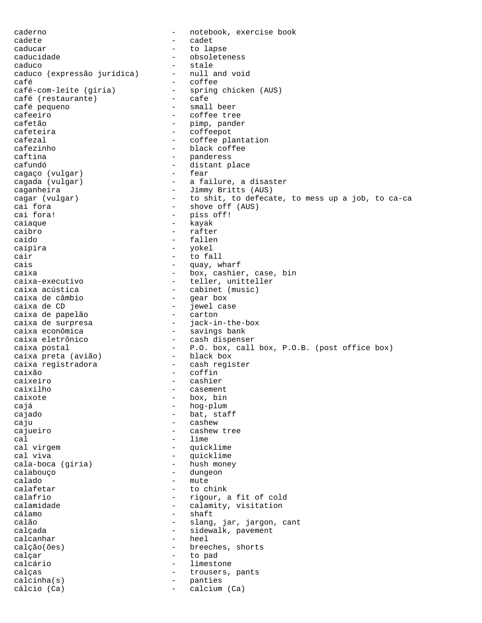caderno - notebook, exercise book cadete - cadet - to lapse caducidade - obsoleteness caduco - stale caduco (expressão jurídica) -<br>café café<br>
café-com-leite (gíria) - coffee<br>
- spring - spring chicken (AUS)<br>- cafe café (restaurante)<br>café pequeno - small beer cafeeiro - coffee tree cafetão - pimp, pander cafeteira - coffeepot cafezal  $\qquad \qquad -$  coffee plantation cafezinho - black coffee caftina - panderess cafundó - distant place cagaço (vulgar)<br>cagada (vulgar) - a failure, a disaster caganheira<br>
cagar (vulgar) - Jimmy Britts (AUS)<br>
- to shit, to defeca cagar (vulgar) - to shit, to defecate, to mess up a job, to ca-ca<br>cai fora cai fora  $\begin{array}{ccc} - & \text{show off (AUS)} \\ - & \text{bias off} \end{array}$ - piss off! caiaque - kayak caibro - rafter caído - fallen caipira - yokel<br>cair - to fa cair - to fall<br>cais - to fall<br>- cais - cais cais  $-$  quay, wharf caixa<br>
caixa-executivo<br>
- teller, unitteller<br>
- teller, unitteller caixa-executivo - teller, unitteller<br>caixa acústica - cabinet (music) - cabinet (music)<br>- gear box caixa de câmbio de caixa de composición de la partida de la partida de la partida de la partida de la partida<br>Caixa de CD - jewel case<br>- carton caixa de papelão<br>caixa de surpresa - jack-in-the-box caixa econômica<br>
caixa eletrônico<br>
- cash dispense - cash dispenser caixa postal - P.O. box, call box, P.O.B. (post office box) caixa preta (avião) caixa registradora - cash register caixão - coffin<br>caixeiro - cashier caixeiro - cashier - cashier<br>caixilho - casemen casement caixote - box, bin cajá - hog-plum cajado - bat, staff caju - cashew - cashew cajueiro - cashew tree cal  $-$  lime cal virgem  $\begin{array}{ccc} \text{cal} & \text{virgem} \\ \text{cal} & \text{virgem} \end{array}$  - quicklime cal viva - quicklime cala-boca (gíria) calabouço - dungeon calado - mute<br>calafetar - to ch calafetar - to chink calafrio - rigour, a fit of cold calamidade  $\begin{array}{ccc}\n\text{calamity, visitation} \\
\text{cálamo} & - & \text{shaft}\n\end{array}$ - shaft calão  $\qquad \qquad -$  slang, jar, jargon, cant calçada - sidewalk, pavement<br>calcanhar - heel - heel - heel calção(ões) - breeches, shorts calçar - to pad calcário - limestone calças - trousers, pants<br>calcinha(s) - calcinha - calcinha calcinha(s) - panties cálcio (Ca) - calcium (Ca)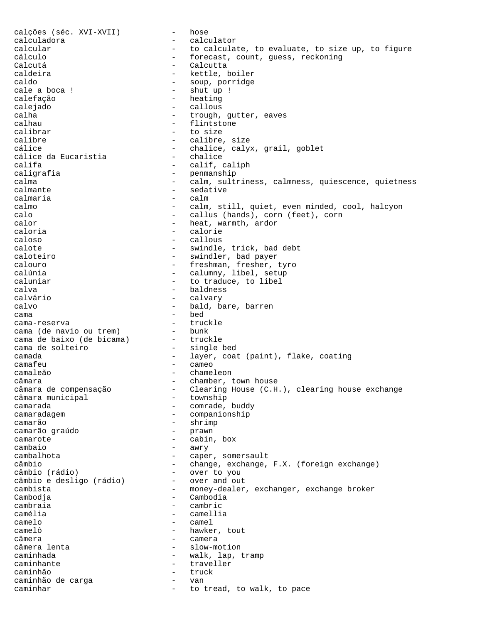calções (séc. XVI-XVII) - hose calculadora - calculator calcular  $-$  to calculate, to evaluate, to size up, to figure cálculo - forecast, count, guess, reckoning Calcutá - Calcutta caldeira - kettle, boiler caldo - soup, porridge - shut up ! calefação - heating calejado - callous - callous<br>calha - calha - calha - trough, gutter, eaves calhau - flintstone calibrar - to size calibre - calibre, size cálice - chalice, calyx, grail, goblet<br>cálice da Eucaristia - chalice - chalice cálice da Eucaristia califa - calif, caliph<br>
caligrafia - caligrafia - penmanship<br>- calm.sult calma - calm, sultriness, calmness, quiescence, quietness calmante - sedative calmaria - calm<br>calmo - calm - calm, still, quiet, even minded, cool, halcyon calo - callus (hands), corn (feet), corn calor - heat, warmth, ardor caloria - calorie caloso - callous calote - swindle, trick, bad debt caloteiro - swindler, bad payer calouro - freshman, fresher, tyro calúnia - calumny, libel, setup caluniar  $-$  to traduce, to libel calva - baldness<br>calvárie - calvary calvário - calvary calvo - bald, bare, barren cama - bed cama-reserva - truckle cama (de navio ou trem) - bunk<br>cama de baixo (de bicama) - truckle cama de baixo (de bicama) - truckle<br>cama de solteiro - single bed cama de solteiro camada - layer, coat (paint), flake, coating camafeu - cameo camaleão - chameleon câmara - chamber, town house - Clearing House (C.H.), clearing house exchange<br>- township câmara municipal camarada <sup>-</sup> comrade, buddy camaradagem - companionship camarão - shrimp camarão graúdo<br>camarote - cabin, box cambaio - awry cambalhota - caper, somersault câmbio - change, exchange, F.X. (foreign exchange) câmbio (rádio) - over to you câmbio e desligo (rádio) cambista <sup>-</sup> money-dealer, exchanger, exchange broker<br>Cambodia - Cambodia - Cambodia Cambodja cambraia - cambraia - cambraia - cambraia - cambraia - cambraia - cambraia - cambraia - cambraia - cambraia - cambraia - cambraia - cambraia - cambraia - cambraia - cambraia - cambraia - cambraia - cambraia - cambraia - ca - camellia camelo - camel - hawker, tout câmera<br>
câmera lenta<br>
câmera lenta - slow-motion caminhada  $-$  walk, lap, tramp caminhante - traveller caminhão - truck caminhão de carga  $\sim$  - van caminhar  $-$  to tread, to walk, to pace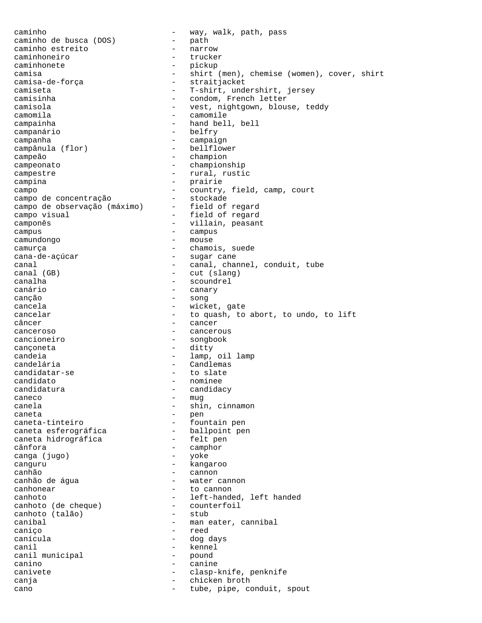caminho de busca (DOS) - way, walk, path, pass<br>caminho de busca (DOS) - path caminho de busca (DOS) - path caminho estreito - narrow caminhoneiro caminhonete - pickup camisa<br>
camisa-de-força<br>
- straitjacket<br>
- straitjacket - straitjacket camiseta - T-shirt, undershirt, jersey - condom, French letter camisola - vest, nightgown, blouse, teddy camomila - camomile campainha - hand bell, bell campanário - belfry campanha - campaign campânula (flor) - bellflower campeão - champion campeonato - championship campestre  $-$  rural, rustic campina - prairie campo<br>
campo de concentração stockade stockade campo de concentração  $-$  stockade<br>campo de observação (máximo) - field of regard campo de observação (máximo) campo visual  $-$  field of regard camponês entre la componência de la componência de la componência de la componência de la componência de la co campus - campus - campus camundongo - mouse camurça  $-$  chamois, suede cana-de-açúcar - sugar cane canal  $\qquad \qquad \qquad -$  canal, channel, conduit, tube canal (GB) - cut (slang) canalha - scoundrel canário - canary canção - song - wicket, gate cancelar  $-$  to quash, to abort, to undo, to lift câncer - cancer - cancerous cancioneiro - songbook cançoneta - ditty candeia - lamp, oil lamp candelária - Candlemas<br>candidatar-se - to slate candidatar-se candidato - nominee candidatura - candidacy caneco - mug canela  $\qquad \qquad \qquad$  - shin, cinnamon caneta - pen caneta-tinteiro - fountain pen<br>
caneta esferográfica - ballpoint pen caneta esferográfica - ballpoint pen caneta hidrográfica cânfora - camphor canga (jugo) - yoke canguru - kangaroo canhão - cannon - water cannon canhonear extended to cannon canhoto<br>
canhoto (de cheque) - left-handed, left handed<br>
- counterfoil canhoto (de cheque) - counterfoil canhoto (talão) canibal  $-$  man eater, cannibal caniço - reed - dog days canil municipal - kennel<br>canil municipal - pound canil municipal - pound - pound - pound - pound - pound - pound - pound - pound - pound - pound - pound - pound - pound - pound - pound - pound - pound - pound - pound - pound - pound - pound - pound - pound - pound - poun canino - canine canivete - clasp-knife, penknife<br>
cania<br>
- chicken broth<br>
- chicken broth canja - chicken broth cano  $-$  tube, pipe, conduit, spout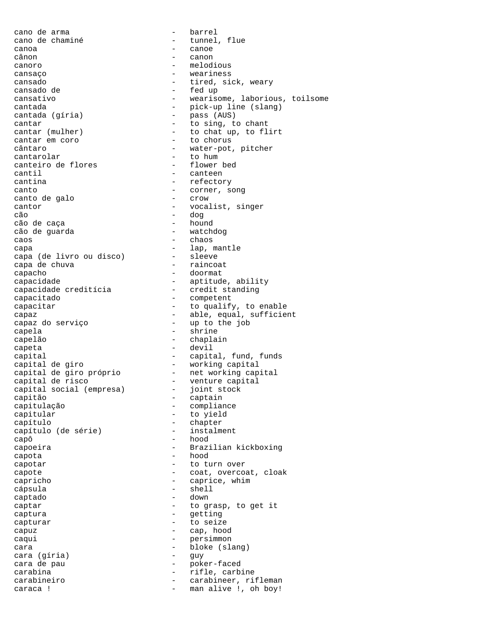cano de arma - barrel cano de chaminé  $\qquad \qquad -$  tunnel, flue canoa - canoe canoro - melodious cansaço - weariness cansado  $-$  tired, sick, weary cansado de  $-$  fed up cantada (gíria) - pass (AUS) cantar  $\overline{\phantom{a}}$  - to sing, to chant<br>cantar (mulher) - to chat up, to fl. cantar em coro  $-$  to chorus cântaro  $-$  water-pot, pitcher cantarolar - to hum<br>
canteiro de flores - flower bed canteiro de flores cantil - canteen cantina  $-$  refectory canto - corner, song canto de galo cantor - vocalist, singer cão - dog cão de caça<br>cão de quarda - hound - hound - cão de quarda cão de guarda caos - chaos - chaos capa  $\qquad \qquad -$  lap, mantle capa (de livro ou disco) - sleeve capa de chuva - raincoat capacho - doormat capacidade - aptitude, ability<br>capacidade creditícia - credit standing capacidade creditícia - credit standing capacitado - competent capaz do serviço - up to the job capela - shrine capelão - chaplain capital de giro - working capital capital de giro próprio - net working capital capital de risco - venture capital capital social (empresa) - joint stock capitão - captain capitulação - compliance capitular - to yield capítulo<br>capítulo (de série) - chapter<br>- instalment capítulo (de série) capô - hood capota - hood capotar - to turn over capricho - caprice, whim cápsula - shell captado - down captar - to grasp, to get it<br>captura - to grasp, to get it capturar - to seize capuz - cap, hood caqui - persimmon cara - bloke (slang) cara (gíria) - guy cara de pau  $-$  poker-faced carabina - rifle, carbine

canon - fed up cansativo - wearisome, laborious, toilsome cantada - pick-up line (slang) - to chat up, to flirt capacitar  $\qquad \qquad -$  to qualify, to enable capaz - able, equal, sufficient capeta - devil capital - capital, fund, funds capoeira - Brazilian kickboxing capote  $\qquad \qquad -$  coat, overcoat, cloak - getting carabineiro - carabineer, rifleman caraca ! - man alive !, oh boy!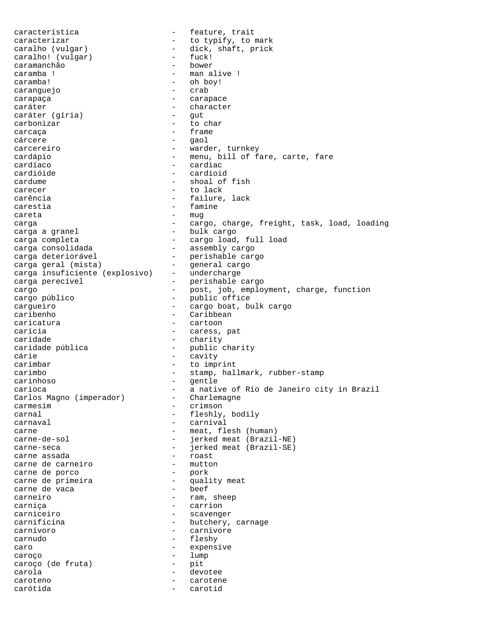característica - Feature, trait caracterizar  $-$  to typify, to mark caralho (vulgar) - dick, shaft, prick<br>caralho! (vulgar) - fuck! caralho! (vulgar) - fuck!<br>caramanchão - bower caramanchão<br>caramba ! - man alive ! caramba! - oh boy!<br> caranquejo - crab caranguejo carapaça  $\overline{\phantom{a}}$  - carapace caráter<br>
caráter (qíria) - character<br>
- gut caráter (gíria) carbonizar - to char carcaca entrancement and the frame cárcere - gaol carcereiro  $-$  warder, turnkey cardápio - menu, bill of fare, carte, fare<br>cardíaco - cardiac cardíaco - cardiac - cardioid cardume  $\qquad \qquad -$  shoal of fish carecer - to lack carência  $-$  failure, lack carestia - famine careta - mug carga - cargo, charge, freight, task, load, loading carga a granel  $\overline{\phantom{a}}$  - bulk cargo carga completa - cargo load, full load carga consolidada - assembly cargo carga deteriorável - assembly cargo<br>
carga deteriorável - perishable cargo<br>
carga geral (mista) - aeneral cargo carga geral (mista) - general cargo carga insuficiente (explosivo) - undercharge carga perecível - perishable cargo cargo - post, job, employment, charge, function cargo público - public office entralizar en la cargo boat, bulk cargo caribenho (en la cargo de la cargo boat, bulk cargo caribenho (en la cargo de la cargo de la cargo de la cargo de la cargo de la cargo de la cargo de la cargo de la cargo de la cargo - Caribbean caricatura - cartoon carícia - caress, pat - charity caridade pública - public charity<br>
cárie - cavity<br>
- cavity cárie - cavity carimbar - to imprint carimbo - stamp, hallmark, rubber-stamp carinhoso - gentle carioca - a native of Rio de Janeiro city in Brazil<br>Carlos Magno (imperador) - Charlemagne Carlos Magno (imperador) carmesim - crimson carnal - fleshly, bodily - carnival carne  $-$  meat, flesh (human) carne-de-sol - jerked meat (Brazil-NE) carne-seca - jerked meat (Brazil-SE)<br>carne assada - carne assada - cast carne assada - roast carne de carneiro carne de porco<br>carne de primeira - pork<br>- quality meat<br>- beef carne de vaca carneiro  $-$  ram, sheep carniça - carrion - scavenger carnificina - butchery, carnage<br>
carnívoro - carnivore carnívoro - carnivore carnudo - fleshy caro  $-$  expensive caroço - lump caroço (de fruta) - pit carola - devotee caroteno - carotene carótida - carotid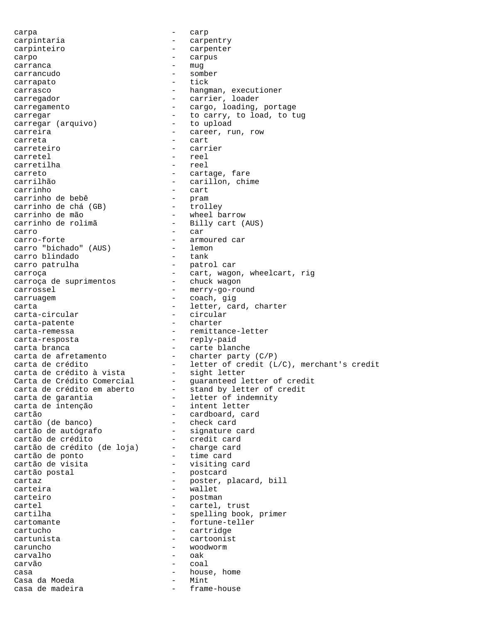carpa - carp carpintaria  $\overline{\phantom{a}}$  - carpentry carpinteiro - carpenter carpo - carpus carranca and the mug carrancudo - somber carrapato - tick carrasco - hangman, executioner carregador  $-$  carrier, loader carregamento - cargo, loading, portage carregar<br>
carregar (arquivo) - to carry, to load, to tug<br>
- to upload carregar (arquivo) carreira - career, run, row carreta - cart carreteiro - carrier carretel - reel<br>carretilha - reel carretilha carreto - cartage, fare carrilhão - carillon, chime - cart<br>- pram carrinho de bebê - pram carrinho de chá (GB) - trolley carrinho de mão - wheel barrow carrinho de rolimã - Billy cart (AUS) carro - car<br>carro-forte - carro-forte - carmo - armoured car<br>- lemon carro "bichado" (AUS) - lemon<br>carro blindado - tank carro blindado carro patrulha - patrol car carroça - cart, wagon, wheelcart, rig carroça de suprimentos - chuck wagon carrossel - merry-go-round carruagem entrancement of the coach, gig carta - letter, card, charter carta-circular - circular<br>
carta-patente - charter carta-patente carta-remessa - remittance-letter carta-resposta - reply-paid carta branca and the carte blanche carta de afretamento - charter party (C/P) carta de crédito - letter of credit (L/C), merchant's credit carta de crédito à vista - sight letter Carta de Crédito Comercial - guaranteed letter of credit carta de crédito em aberto - stand by letter of credit carta de garantia - letter of indemnity carta de intenção - intent letter cartão - cardboard, card cartão (de banco) - check card cartão de autógrafo - signature card cartão de crédito - credit card cartão de crédito (de loja) - charge card cartão de ponto - time card cartão de visita - visiting card cartão postal - postcard cartaz - poster, placard, bill carteira  $-$  wallet carteiro - postman cartel - cartel, trust<br>cartilha - cartel, trust - spelling book, primer cartomante  $-$  fortune-teller cartucho - cartridge cartunista - cartoonist caruncho - woodworm carvalho - oak carvão - coal casa - house, home Casa da Moeda casa de madeira  $-$  frame-house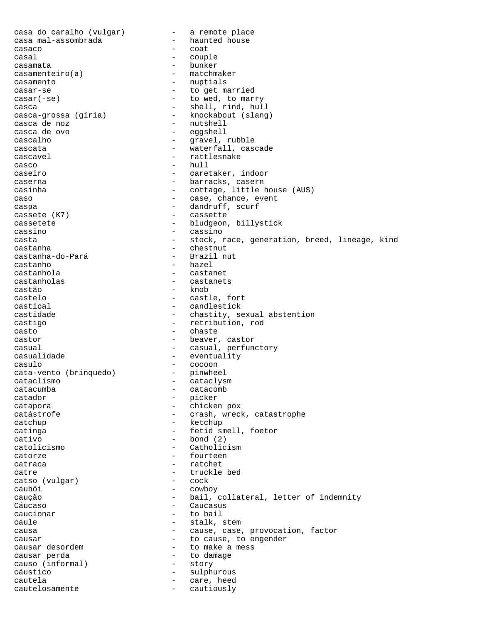casa do caralho (vulgar) - a remote place casa mal-assombrada - haunted house casaco - coat<br>casal - coun casal - couple casamata - bunker casamenteiro(a) - matchmaker casamento - nuptials casar-se - to get married<br>
casar(-se) - to wed, to married - to wed, to marry casca - shell, rind, hull casca-grossa (gíria) - knockabout (slang) casca de noz  $-$  nutshell casca de ovo - eggshell cascalho - gravel, rubble cascata - waterfall, cascade cascavel extracted the cascavel of the cascavel of the cascavel of the cascavel of the cascavel of the cascave casco - hull<br>caseiro - caseiro - caret caseiro - caretaker, indoor caserna - barracks, casern casinha  $-$  cottage, little house (AUS) caso  $-$  case, chance, event caspa - dandruff, scurf cassete (K7) - cassette cassetete - bludgeon, billystick cassino - cassino casta - stock, race, generation, breed, lineage, kind castanha - chestnut castanha-do-Pará castanho - hazel castanhola - castanet castanholas - castanets castão - knob castelo - castle, fort castiçal  $\qquad \qquad -$  candlestick castidade - chastity, sexual abstention castigo - retribution, rod casto - chaste castor  $-$  beaver, castor casual - casual, perfunctory casualidade  $-$  eventuality casulo - cocoon<br>cata-vento (brinquedo) - pinwheel cata-vento (brinquedo) - pinguedo - pinguedo - pinguedo - pinguedo - pinguedo - pinguedo - pinguedo - pinguedo cataclismo - cataclysm catacumba - catacomb catador - picker catapora - chicken pox catástrofe - crash, wreck, catastrophe catchup - ketchup catinga - fetid smell, foetor  $cativo$  - bond (2) catolicismo - Catholicism catorze - fourteen catraca - ratchet catre  $\begin{array}{ccc} \texttt{centre} & \texttt{--} & \texttt{truckle bed} \\ \texttt{catso} & \texttt{(vulgar)} & \texttt{--} & \texttt{cock} \end{array}$ catso (vulgar) caubói - cowboy caução - caução - bail, collateral, letter of indemnity Cáucaso - Caucasus caucionar - to bail caule  $-$  stalk, stem causa - cause, case, provocation, factor causar  $-$  to cause, to engender<br>causar desordem  $-$  to make a mess - to make a mess causar perda - to damage causo (informal) cáustico - sulphurous cautela - care, heed cautelosamente - cautiously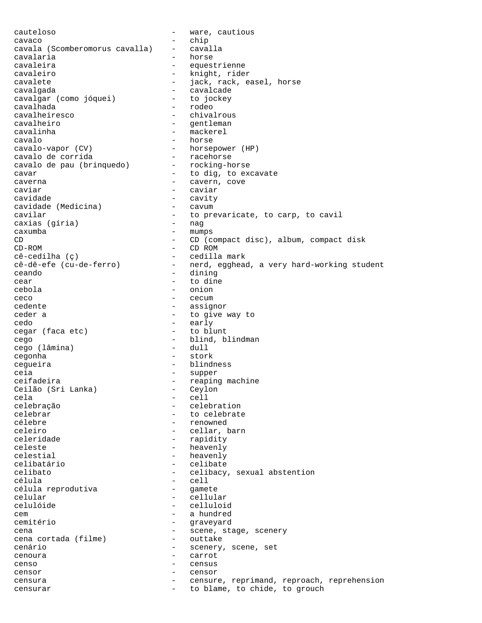cauteloso - ware, cautious cavaco - chip cavala (Scomberomorus cavalla) - cavalla cavalaria - horses - horses - horses - horses - horses - horses - horses - horses - horses - horses - horses cavaleira - equestrienne cavaleiro - knight, rider cavalete - in the state of the state of the state of the state of the state of the state of the state of the s cavalgada - cavalcade<br>cavalgar (como jóquei) - to jockey cavalgar (como jóquei)<br>cavalhada - rodeo cavalheiresco - chivalrous cavalheiro - gentleman cavalinha - mackerel cavalo - horse cavalo-vapor (CV) - horsepower (HP)<br>cavalo de corrida - racehorse cavalo de corrida<br>cavalo de pau (brinquedo) - rocking-horse cavalo de pau (brinquedo) cavar - to dig, to excavate caverna - cavern, cove<br>
caviar - caviar - caviar caviar - caviar cavidade - cavity cavidade (Medicina) - cavum cavilar - to prevaricate, to carp, to cavil<br>
caxias (círia) - nag<br>
- nag caxias (gíria)  $\begin{array}{ccc}\n\text{caxumba} & - & \text{mumps} \\
\text{CD} & - & \text{CD} & \text{cc} \\
\end{array}$ - CD (compact disc), album, compact disk CD-ROM - CD ROM cê-cedilha (ç) - cedilla mark cê-dê-efe (cu-de-ferro) - nerd, egghead, a very hard-working student ceando - dining - dining - dining - to din cear - to dine<br>
cebola - to dine<br>
- onion cebola - oniona - oniona - oniona - oniona - oniona - oniona - oniona - oniona - oniona - oniona - oniona - oni ceco - cecum cedente - assignor ceder a  $-$  to give way to cedo - early cegar (faca etc) cego - blind, blindman<br>cego (lâmina) - dull - dull cego (lâmina) cegonha - stork cegueira  $\qquad \qquad -$  blindness ceia  $-$  supper ceifadeira<br>Ceilão (Sri Lanka) - Ceylon - Ceylon Ceilão (Sri Lanka) cela - cell celebração  $\begin{array}{ccc}\n \text{celebra} & \text{--} & \text{celebrat} \\
 \text{celebrat}\n\end{array}$ - to celebrate célebre  $-$  renowned celeiro - cellar, barn celeridade - rapidity celeste - heavenly celestial  $-$  heavenly celibatário - celibate celibato - celibacy, sexual abstention célula - cell célula reprodutiva - gamete celular - cellular - celluloid cem - a hundred - graveyard cena - scene, stage, scenery cena cortada (filme) cenário  $-$  scenery, scene, set cenoura - carrot censo - census - census censor - censor censura - censure, reprimand, reproach, reprehension censurar  $-$  to blame, to chide, to grouch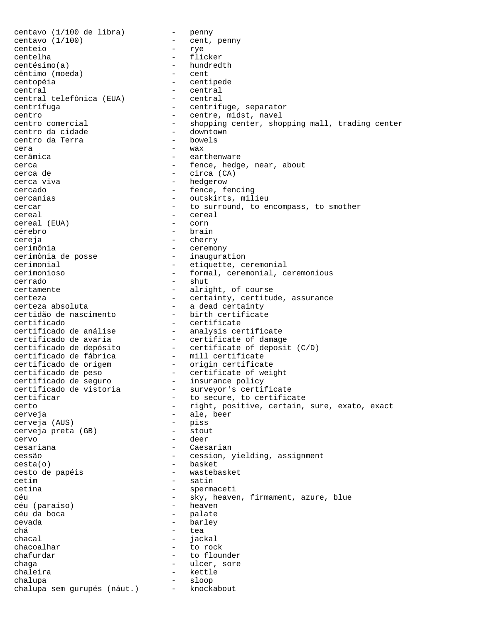centavo (1/100 de libra) - penny<br>centavo (1/100) - cent, penny centavo  $(1/100)$ centeio - rye centelha - flicker centésimo(a) - hundredth<br>
cêntimo (moeda) - cent cêntimo (moeda) centopéia - centipede central - central central telefônica (EUA) - central centrífuga entrifuge, separator centro  $\overline{\phantom{a}}$  centre, midst, navel<br>centro comercial  $\overline{\phantom{a}}$  - shopping center, shop - shopping center, shopping mall, trading center<br>- downtown centro da cidade - downtown centro da Terra cera  $-$  wax cerâmica - earthenware cerca - fence, hedge, near, about<br>cerca de - circa (CA) - circa (CA) cerca viva - hedgerow cercado  $-$  fence, fencing cercanias  $\qquad \qquad \qquad -$  outskirts, milieu cercar entries research to surround, to encompass, to smother cereal - cereal - cereal - cereal - cereal - cereal - cereal - cereal - cereal - cereal - cereal - corn cereal (EUA) cérebro - brain cereja - cherry cerimônia - ceremony cerimônia de posse cerimonial - etiquette, ceremonial cerimonioso - formal, ceremonial, ceremonious cerrado - shut certamente - alright, of course<br>certeza - certainty, certitude, assurance certeza - certainty, certitude, assurance certeza absoluta - a dead certainty certidão de nascimento - birth certificate certificado - certificate certificado de análise - analysis certificate certificado de avaria - certificate of damage certificado de depósito - certificate of deposit (C/D) certificado de fábrica - mill certificate certificado de origem - origin certificate certificado de peso - certificate of weight certificado de seguro - insurance policy certificado de vistoria - surveyor's certificate certificar  $-$  to secure, to certificate certo - right, positive, certain, sure, exato, exact cerveja - ale, beer cerveja (AUS) - piss cerveja preta (GB) cervo - deer cesariana - Caesarian cessão - cession, yielding, assignment cesta(o) - basket cesto de papéis  $-$  wastebasket cetim - satin cetina - spermaceti céu  $-$  sky, heaven, firmament, azure, blue céu (paraíso)  $-$  heaven céu (paraíso)<br>céu da boca - palate cevada - barley  $\begin{array}{ccc}\n\text{chá} & - & \text{tea} \\
\text{chaca} & - & \text{iea}\n\end{array}$ chacal - jackal<br>
chacoalhar - to roc - to rock chafurdar - to flounder<br>
chaga - the same - the same of the same of the same of the same of the same of the same of the same of the same of the same of the same of the same of the same of the same of the same of the same o chaga - ulcer, sore - kettle chalupa - sloop chalupa sem gurupés (náut.) - knockabout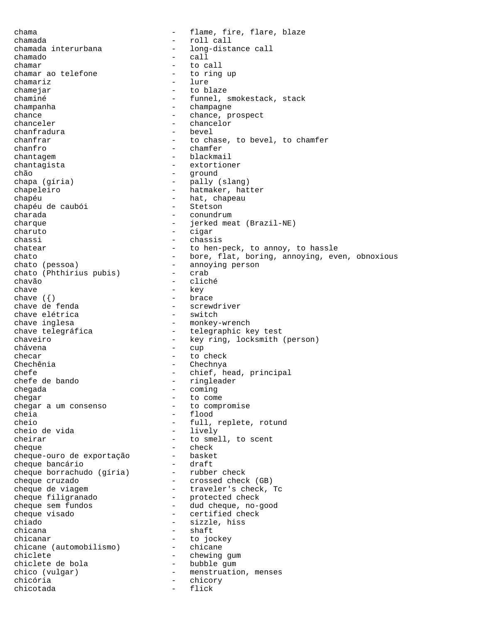chama - flame, fire, flare, blaze chamada - roll call<br>chamada interurbana - long-dista - long-distance call chamado - call chamar<br>
chamar ao telefone  $\qquad \qquad -$  to call<br>  $\qquad \qquad -$  to ring up chamar ao telefone chamariz - lure chamejar - to blaze<br>chaminé - funnel, : - funnel, smokestack, stack champanha  $-$  champagne chance  $\begin{array}{ccc}\n\text{chance} & - & \text{chance, prospect} \\
\text{chanceler} & - & \text{chancedor}\n\end{array}$ - chancelor<br>- bevel chanfradura chanfrar  $\begin{array}{ccc}\n-\end{array}$  to chase, to bevel, to chamfer<br>
chanfro  $\begin{array}{ccc}\n-\end{array}$  chamfer chanfro - chamfer chantagem - blackmail chantagista - extortioner chão - ground chapa (gíria) - pally (slang) chapeleiro - hatmaker, hatter chapéu<br>
chapéu de caubói - hat, chapeau<br>
- Stetson chapéu de caubói charada - conundrum - conundrum charque  $-$  jerked meat (Brazil-NE) charuto - cigar - chassis chatear - to hen-peck, to annoy, to hassle chato - bore, flat, boring, annoying, even, obnoxious chato (pessoa) - annoying person<br>
chato (Phthirius pubis) - crab chato (Phthirius pubis) -<br>chavão chavão - cliché - key<br>- brace chave  $(\{\})$ <br>chave de fenda - screwdriver<br>- switch chave elétrica<br>chave inglesa chave inglesa - monkey-wrench - telegraphic key test chaveiro - key ring, locksmith (person) chávena - cup checar - to check Chechênia - Chechnya chefe - chief, head, principal<br>chefe de bando - ringleader - ringleader chegada - coming chegar  $\begin{array}{ccccccc}\n & - & & \text{to come} \\
\text{thegar} & \text{um consenso} & - & \text{to compromise}\n\end{array}$ chegar a um consenso cheia - flood cheio - full, replete, rotund cheio de vida cheirar - to smell, to scent cheque - check cheque-ouro de exportação - basket cheque bancário - draft cheque borrachudo (gíria) - rubber check cheque cruzado - crossed check (GB) cheque de viagem  $-$  traveler's check, Tc cheque filigranado - protected check cheque sem fundos - dud cheque, no-good cheque visado  $-$  certified check chiado - sizzle, hiss chicana - shaft chicanar - to jockey chicane (automobilismo) chiclete - chewing gum<br>chiclete de bola - bubble gum - bubble gum chico (vulgar) - menstruation, menses<br>chicória - chicory chicória - chicory chicotada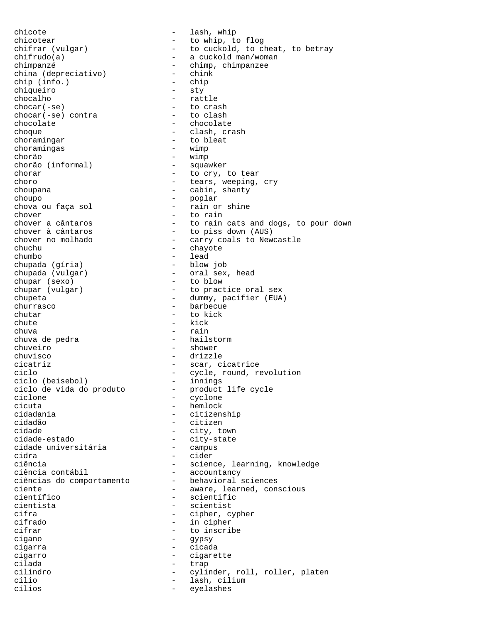chicote - lash, whip chicotear - to whip, to flog chifrar (vulgar) - to cuckold, to cheat, to betray chifrudo(a) - a cuckold man/woman chimpanzé - chimp, chimpanzee - chimp, chimpanzee - chink - chink - chink - chink - chink - chink - chink - chink - chink - chink - chink - chink - chink - chink - chink - chink - chink - chink - chink - chink - chink - ch china (depreciativo) - chin<br>chip (info.) - chip chip (info.)<br>chiqueiro chiqueiro - sty<br>chocalho - sty<br>and - rat chocalho - rattle - to crash<br>- to clash chocar(-se) contra chocolate - chocolate choque - clash, crash choramingar - to bleat<br>choramingas - wimp choramingas chorão - wimp chorão (informal) chorar - to cry, to tear choro  $-$  tears, weeping, cry choupana - cabin, shanty choupo - poplar - poplar<br>chova ou faça sol - rain or - rain or shine chover<br>
chover a cântaros<br>
- to rain<br>
chover a cântaros - to rain cats and dogs, to pour down<br>
chover à cântaros - to piss down (AUS) chover à cântaros  $\begin{array}{ccc} - & + & + \end{array}$  to piss down (AUS) chover no molhado  $\begin{array}{ccc} - & - & + \end{array}$  carry coals to New - carry coals to Newcastle chuchu - chayote chumbo - lead<br>chupada (gíria) - blow job chupada (gíria)<br>chupada (vulgar) - oral sex, head<br>- to blow chupar (sexo)<br>chupar (vulgar) - to practice oral sex chupeta - dummy, pacifier (EUA) - barbecue chutar - to kick chute - kick chuva - rain - hailstorm chuveiro - shower chuvisco - drizzle cicatriz - scar, cicatrice ciclo  $\begin{array}{ccc}\n \text{ciclo} & - & \text{cycle, round, revolution} \\
 \text{ciclo (beisebol)} & - & \text{innings}\n \end{array}$ ciclo (beisebol) - innings ciclo de vida do produto - product life cycle ciclone - cyclone cicuta - hemlock - hemlock<br>cidadania - citizen - citizenship cidadão - citizen cidade  $-$  city, town cidade-estado - city-state cidade universitária cidra - cider ciência - science, learning, knowledge ciência contábil - science, learning, knowledge ciência contábil - accountancy ciências do comportamento - behavioral sciences ciente - aware, learned, conscious científico - scientific cientista - scientist<br>cifra - cipher c - cipher, cypher cifrado - in cipher cifrar  $\begin{array}{ccc} - & + \text{to} & \text{inscribe} \\ - & \text{cigano} & - \text{cigano} \end{array}$ - gypsy cigarra - cicada cigarro - cigarette cilada - trap cilindro - cylinder, roll, roller, platen cílio - lash, cilium - lash, cilium - lash, cilium - lash, cilium - lash, cilium - lash, cilium - lash, cilium eyelashes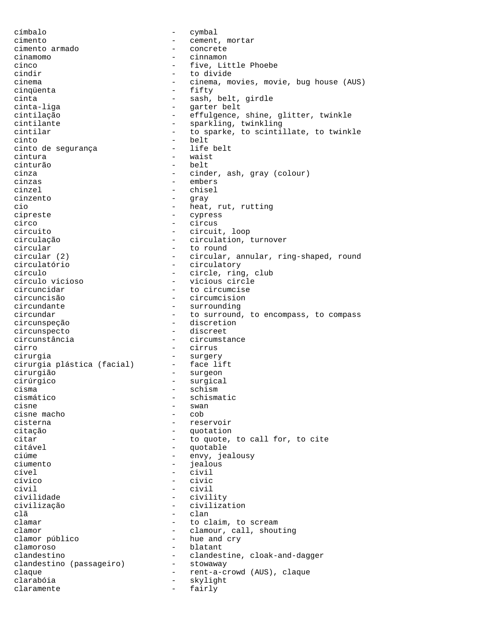címbalo - cymbal cimento - cement, mortar cimento armado - concrete cinamomo - cinnamon five, Little Phoebe cindir  $\overline{\phantom{a}}$  - to divide<br>cinema  $\overline{\phantom{a}}$  - cinema mo cinema - cinema, movies, movie, bug house (AUS) cinqüenta cinta  $-$  sash, belt, girdle cinta-liga - garter belt cintilação - effulgence, shine, glitter, twinkle - sparkling, twinkling cintilar  $-$  to sparke, to scintillate, to twinkle cinto - belt cinto de segurança cintura - waist cinturão en el estado en el estado en el estado en el estado en el estado en el estado en el estado en el estado en el estado en el estado en el estado en el estado en el estado en el estado en el estado en el estado en el cinza - cinder, ash, gray (colour) cinzas - embers cinzel - chisel cinzento - gray - heat, rut, rutting cipreste - cypress circo - circus circuito - circuit, loop circulação - circulation, turnover circular - to round<br>circular (2) - circular, - circular, annular, ring-shaped, round circulatório - circulatory círculo  $\begin{array}{ccc} - & - & \text{circle, ring, club} \\ - & \text{vicious circle} \end{array}$ círculo vicioso<br>circuncidar circuncidar - to circumcise circuncisão - circumcision - surrounding circundar  $-$  to surround, to encompass, to compass circunspeção - discretion circunspecto - discreet circunstância - circumstance cirro - cirrus - cirrus<br>cirurgia - cirurgia - cirurgia cirurgia<br>cirurgia plástica (facial) - face lift cirurgia plástica (facial) cirurgião - surgeon cirúrgico - surgical cisma - schism cismático - schismatic - swan<br>- cob cisne macho cisterna - reservoir citação - quotation citar  $-$  to quote, to call for, to cite citável - quotable ciúme - envy, jealousy<br>ciumento - envy, jealousy ciumento - jealous cível - civil cívico - civic civil - civil civilidade - civility civilização - civilization<br>clã - clan clã - clan clamar - to claim, to scream clamor<br>
clamor público<br>
- hue and cry<br>
- hue and cry - hue and cry clamoroso - blatant clandestino<br>
clandestino (passageiro) - clandestine, cloak-and-dagger<br>
- stowaway clandestino (passageiro) claque  $-$  rent-a-crowd (AUS), claque clarabóia - skylight claramente - fairly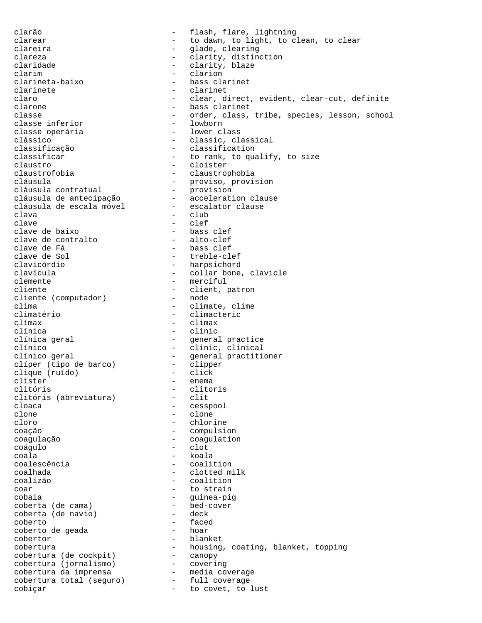clarão - flash, flare, lightning clarear  $-$  to dawn, to light, to clean, to clear<br>clareira  $-$  glade, clearing clareira - glade, clearing - clarity, distinction claridade - clarity, blaze<br>
clarim - clarion<br>
- clarion clarim - clarion clarineta-baixo - bass clarinet clarinete - clarinete - clarinete - clarinete - clarinet claro - clear, direct, evident, clear-cut, definite - bass clarinet classe  $-$  order, class, tribe, species, lesson, school<br>classe inferior  $-$  lowborn classe inferior  $\overline{c}$  - lowborn<br>
classe operária classe operária clássico - classic, classical classificação - classification<br>classificar - classification<br>- to rank, to qua - to rank, to qualify, to size claustro - cloister<br>
claustrofobia - claustrophobia claustrofobia - claustrophobia cláusula - proviso, provision cláusula contratual - provision cláusula de antecipação - acceleration clause cláusula de escala móvel - escalator clause clava - club clave - clef clave de baixo - bass clef clave de contralto<br>clave de Fá clave de Fá - bass clef clave de Sol - treble-clef clavicórdio - harpsichord clavícula - collar bone, clavicle clemente - merciful - client, patron<br>- node cliente (computador)<br>clima clima  $\overline{\text{clima}}$  - climate, clime<br>climatério - climacteric climatério - climacteric clímax - climax - clinic clínica geral  $\qquad \qquad$  - general practice clínico - clinic, clinical clínico geral - general practitioner clíper (tipo de barco) - clippe<br>clique (ruído) - click clique (ruído)<br>clister clister - enema - clitoris<br>- clit clitóris (abreviatura)<br>cloaca cloaca - cesspool - cesspool - cesspool - clone clone - clone cloro - chlorine - compulsion coagulação - coagulation coágulo - clot coala - koala coalescência - coalition coalhada - clotted milk coalizão - coalition coar - to strain cobaia - guinea-pig<br>coberta (de cama) - bed-cover coberta (de cama) - bed-coverta (de navio) - deck coberta (de navio) coberto - faced coberto de geada - hoar cobertor - blanket cobertura - housing, coating, blanket, topping cobertura (de cockpit) - canopy cobertura (jornalismo) - covering cobertura da imprensa - media coverage cobertura total (seguro) - full coverage cobiçar - to covet, to lust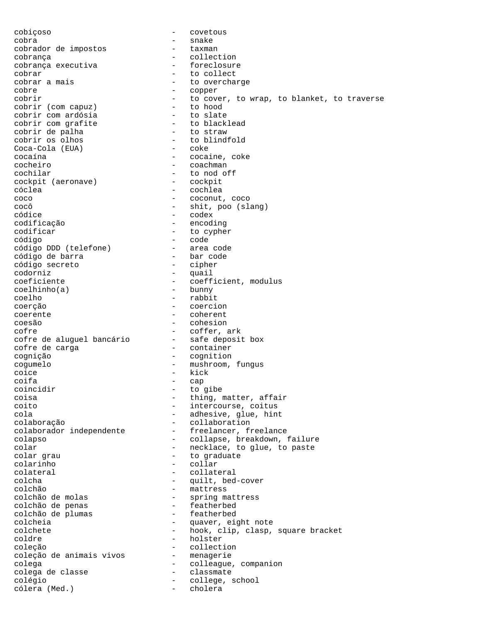cobiçoso - covetous cobra - snake cobrador de impostos cobrança<br>
cobrança executiva<br>
- foreclosure<br>
- foreclosure cobrança executiva cobrar <br>
cobrar a mais  $\begin{array}{ccc} - & + & + \end{array}$  to collect<br>  $\begin{array}{ccc} - & + \end{array}$  to overcha cobrar a mais  $\begin{array}{ccc} - & + & + \text{to} \\ - & - & \text{copper} \end{array}$ cobre - copper - to cover, to wrap, to blanket, to traverse<br>- to hood cobrir (com capuz) - to hood cobrir com ardósia - to slate cobrir com grafite  $-$  to blacklead cobrir de palha - to straw cobrir os olhos - to blindfold  $Coca-Cola$  (EUA) cocaína - cocaine, coke cocheiro - coachman cochilar - to nod off<br>
cockpit (aeronave) - cockpit cockpit (aeronave) cóclea - cochlea - cochlea coco - coconut, coco<br>
coc<sup>ó</sup> - coconut, coco - shit, poo (slang) códice - codex codificação - encoding codificar - to cypher código - code código DDD (telefone) - area code código de barra - bar code código secreto codorniz - quail coeficiente - coefficient, modulus<br>
coelhinho(a) - bunny  $coelhinho(a)$ coelho - rabbit coerção - coercion coerente - coherent coesão - cohesion cofre<br>cofre de aluguel bancário - coffer, ark<br>cofre de aluguel bancário - safe deposit box cofre de aluguel bancário cofre de carga  $\qquad \qquad -$  container cognição - cognition cogumelo - mushroom, fungus coice - kick<br>coifa - can coifa - cap coincidir - to gibe coisa  $-$  thing, matter, affair coito - intercourse, coitus cola - adhesive, glue, hint colaboração - collaboration<br>colaborador independente - freelancer, fr - freelancer, freelance colapso - collapse, breakdown, failure colar  $\qquad \qquad -$  necklace, to glue, to paste colar grau  $-$  to graduate colarinho - collar colateral - collateral colcha  $\qquad \qquad -$  quilt, bed-cover<br>colchão – mattress colchão - mattress - spring mattress<br>- featherbed colchão de penas - featherbed colchão de plumas colcheia - quaver, eight note<br>colchete - hook clip clasp. colchete - hook, clip, clasp, square bracket<br>coldre - holster<br>- holster - holster coleção - collection coleção de animais vivos coleção de animais vivos - menagerie<br>colega - colleague, companion colega de classe  $\qquad \qquad -$  classmate colégio - college, school<br>cólera (Med.) - cholera cólera (Med.)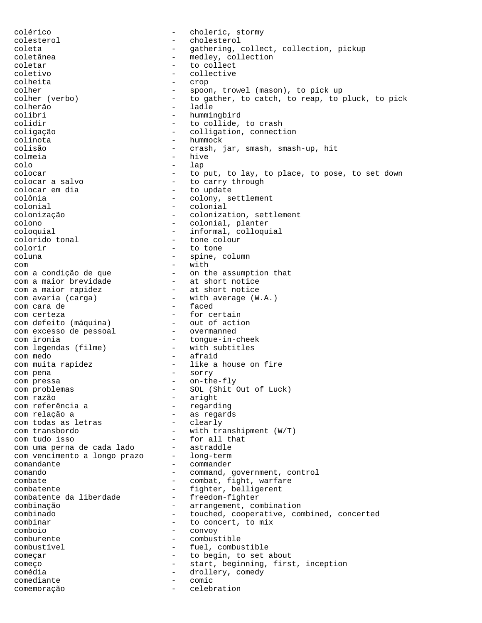colérico - choleric, stormy colesterol - cholesterol coleta - gathering, collect, collection, pickup coletânea - medley, collection coletar  $-$  to collect coletivo - collective colheita - crop colher  $\begin{array}{ccc} - & - & \text{spoon, travel (mason), to pick up} \\ - & \text{to gather, to catch, to reap, to} \end{array}$ - to gather, to catch, to reap, to pluck, to pick colherão - ladle colibri - hummingbird colidir  $-$  to collide, to crash coligação - colligation, connection colinota - hummock colisão - crash, jar, smash, smash-up, hit colmeia - hive colo - lap colocar  $\begin{array}{cccc} - & \text{to put, to lay, to place, to pose, to set down  
colocar a salvo & - & to carry through \end{array}$ colocar a salvo  $\begin{array}{ccc} - & + & + \end{array}$  to carry through colocar em dia colocar em dia  $\begin{array}{ccc} - & + \text{to update} \\ - & \text{colow. se} \end{array}$ colônia  $\begin{array}{ccc}\n\text{colonia} & - & \text{colony, setelement} \\
\text{colonial} & - & \text{colonial}\n\end{array}$ colonial - colonial colonização - colonization, settlement colono - colonial, planter coloquial - informal, colloquial colorido tonal colorir - to tone coluna - spine, column - spine, column - with com - with com a condição de que - on the assumption that com a maior brevidade  $\qquad \qquad$  - at short notice com a maior rapidez  $-$  at short notice com avaria (carga) - with average (W.A.) com a maior represent<br>
com avaria (carga) - with average<br>
com cara de  $\begin{array}{ccc} - &$  faced<br>
com certeza - for certain com certeza  $-$  for certain com defeito (máquina) - out of action com excesso de pessoal - overmanned com ironia  $-$  tongue-in-cheek com legendas (filme) - with subtitles com medo - afraid com muita rapidez  $-$  like a house on fire com pena - sorry com pressa  $-$  on-the-fly com problemas - SOL (Shit Out of Luck) com razão<br>com referência a de la paright<br>com referência a de la parigna de la paright - regarding com relação a  $-$  as regards<br>com todas as letras  $-$  clearly com todas as letras com transbordo - with transhipment (W/T) com tudo isso - for all that com uma perna de cada lado - astraddle com vencimento a longo prazo - long-term comandante - commander comando - command, government, control combate  $\qquad \qquad -$  combat, fight, warfare combatente - fighter, belligerent<br>combatente da liberdade - freedom-fighter combatente da liberdade combinação - arrangement, combination - touched, cooperative, combined, concerted combinar - to concert, to mix comboio - convoy comburente - combustible combustível - fuel, combustible começar - to begin, to set about começo - start, beginning, first, inception comédia  $\overline{\phantom{a}}$  - drollery, comedy<br>comediante - comic comediante - comic comemoração - celebration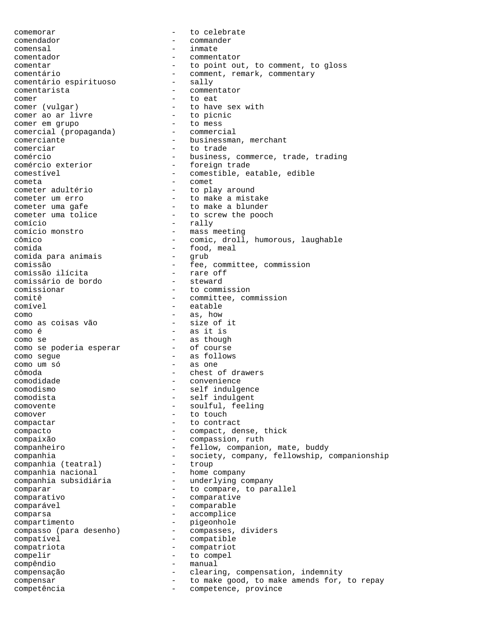comemorar  $\qquad \qquad -$  to celebrate comendador - commander comensal - inmate comentador - commentator comentar - to point out, to comment, to gloss comentário - comment, remark, commentary comentário espirituoso - sally comentário espirituoso comentarista - commentator comer  $\begin{array}{ccc} \text{corner} & & \text{ } & - & \text{to} & \text{eat} \\ \text{corner} & \text{(vulgar)} & & & - & \text{to} & \text{have} \end{array}$ - to have sex with<br>- to picnic comer ao ar livre - to picn<br>
comer em qrupo - to mess comer em grupo - to mess comercial (propaganda) comerciante - businessman, merchant comerciar  $-$  to trade comércio<br>
comércio exterior<br>
- foreign trade<br>
- foreign trade - foreign trade comestível - comestible, eatable, edible cometa - comet cometer adultério  $-$  to play around<br>
cometer um erro  $-$  to make a mista cometer um erro  $-$  to make a mistake<br>
cometer uma gafe  $-$  to make a blunder cometer uma gafe  $\sim$  - to make a blunder<br>cometer uma tolice  $\sim$  - to screw the pooc - to screw the pooch comício - rally comício monstro - mass meeting - comic, droll, humorous, laughable comida<br>
comida para animais<br>
- grub - grub comida para animais comissão<br>
comissão ilícita<br>
- rare off comissão ilícita - rare off comissário de bordo<br>comissionar comissionar - to commission<br>comitê - committee, com comitê de committee, commission<br>
comível – catable<br>
- eatable - eatable como - as, how como as coisas vão<br>como é - as it is como se<br>
como se poderia esperar<br>
- of course como se poderia esperar como segue - as follows como um só - as one cômoda - chest of drawers - convenience comodismo - self indulgence comodista - self indulgent comovente - soulful, feeling comover - to touch compactar  $\qquad \qquad -$  to contract compacto - compact, dense, thick compaixão - compassion, ruth companheiro - fellow, companion, mate, buddy companhia - society, company, fellowship, companionship<br>companhia (teatral) - troup companhia (teatral) companhia nacional - home company companhia subsidiária - underlying company comparar  $-$  to compare, to parallel comparativo - comparative comparável - comparable comparsa - accomplice compartimento - pigeonhole compasso (para desenho) - compasses, dividers compatível<br>
- compatível compatriota - compatriot compelir  $-$  to compel compêndio - manual compensação - clearing, compensation, indemnity compensar  $-$  to make good, to make amends for, to repay competência - competence, province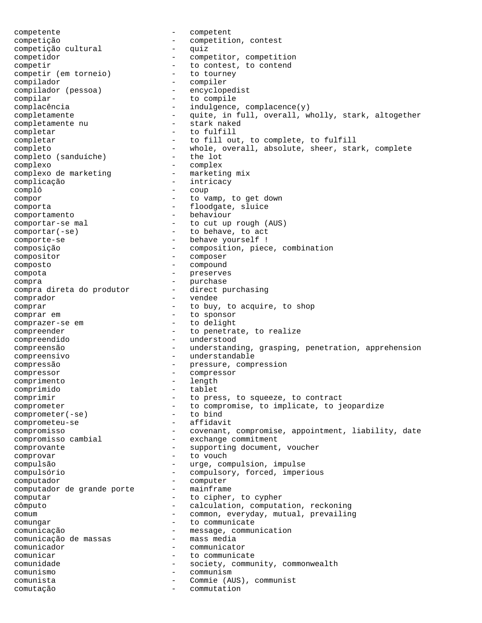competente - competent competição - competition, contest competição cultural competidor - competitor, competition competir  $-$  to contest, to contend competir (em torneio) - to tourney compilador<br>
compilador (pessoa) - encyclope compilador (pessoa) - encyclopedist - to compile complacência  $-\qquad -\qquad$ indulgence, complacence(y) completamente - quite, in full, overall, wholly, stark, altogether<br>completamente nu - stark naked completamente nu completar - to fulfill completar - to fill out, to complete, to fulfill completo  $-$  whole, overall, absolute, sheer, stark, complete complete complete  $-$  the lot completo (sanduíche) - the lot complexo<br>
complexo de marketing<br>
- marketing mix complexo de marketing - marketing mix complicação - interior de la complicación de la complicación de la complicación de la complicación de la complicación de la complicación de la complicación de la complicación de la complicación de la complicación de la com complô - coup compor - to vamp, to get down comporta - floodgate, sluice comportamento - behaviour comportar-se mal - to cut up rough (AUS) comportar(-se) - to behave, to act comporte-se  $\qquad \qquad -$  behave yourself ! composição - composition, piece, combination compositor - composer composto - compound compota - preserves compra<br>compra direta do produtor - direct purchasing compra direta do produtor comprador - vendee comprar - to buy, to acquire, to shop<br>
comprar em - to sponsor<br>
- to sponsor - to sponsor<br>- to delight comprazer-se em compreender - to penetrate, to realize compreendido - understood compreensão - understanding, grasping, penetration, apprehension compreensivo - understandable compressão - pressure, compression<br>compressor - compressor compressor - compressor comprimento - length and - length and - length and - length and - length and - length and - length and - length and comprimido - tablet comprimir  $-$  to press, to squeeze, to contract comprometer - to compromise, to implicate, to jeopardize<br>comprometer(-se) - to bind comprometer(-se) - to bind<br>comprometeu-se - affidavit comprometeu-se compromisso - covenant, compromise, appointment, liability, date compromisso cambial - exchange commitment comprovante  $-$  supporting document, voucher comprovar - to vouch compulsão - urge, compulsion, impulse compulsório - compulsory, forced, imperious computador<br>computador de grande porte mainframe computador de grande porte -<br>computar computar  $\overline{c}$  - to cipher, to cypher<br>
computation computation computation cômputo - calculation, computation, reckoning comum - common, everyday, mutual, prevailing comungar - to communicate comunicação - message, communication<br>comunicação de massas - mass media comunicação de massas  $\overline{\phantom{0}}$  comunicador - communicator comunicar - to communicate<br>
comunidade - society commun comunidade  $-$  society, community, commonwealth comunismo - communism comunista - Commie (AUS), communist comutação - commutation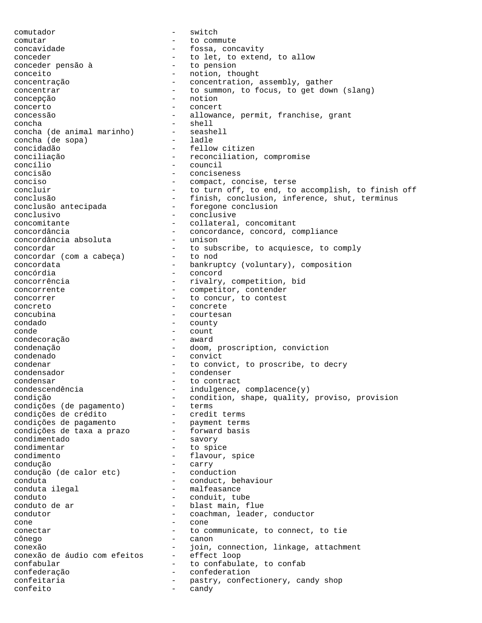comutador - switch comutar - to commute concavidade - fossa, concavity conceder  $\begin{array}{ccc} \texttt{conceder} & \texttt{--} & \texttt{to let, to extend, to allow} \\ \texttt{conceder pensão à} & \texttt{--} & \texttt{to pension} \end{array}$ conceder pensão à conceito - notion, thought concentração - concentration, assembly, gather concentrar  $-$  to summon, to focus, to get down (slang) concepção - notion concerto - concert concessão - allowance, permit, franchise, grant concha<br>concha (de animal marinho) - seashell concha (de animal marinho) - seashell - seashell - seashell - seashell - seashell - seashell - seashell - seash concha (de sopa) concidadão - fellow citizen conciliação - reconciliation, compromise concílio - council concisão - conciseness conciso - compact, concise, terse concluir  $-$  to turn off, to end, to accomplish, to finish off conclusão - finish, conclusion, inference, shut, terminus<br>conclusão antecipada - foregone conclusion - foregone conclusion conclusivo - conclusive concomitante - collateral, concomitant concordância - concordance, concord, compliance<br>concordância absoluta - unison concordância absoluta concordar  $-$  to subscribe, to acquiesce, to comply concordar (com a cabeca)  $-$  to nod concordar (com a cabeça) concordata - bankruptcy (voluntary), composition<br>
- concord<br>
- concord concórdia - concord concorrência  $-$  rivalry, competition, bid concorrente  $\qquad \qquad -$  competitor, contender concorrer  $\qquad \qquad -$  to concur, to contest concreto - concrete concubina - courtesan condado - county conde - count condecoração condenação - doom, proscription, conviction condenado - convict condenar  $-$  to convict, to proscribe, to decry condensador - condenser condensar - to contract<br>
condescendência - indulgence, - indulgence, complacence(y) condição - condition, shape, quality, proviso, provision condições (de pagamento) - terms condições de crédito - credit terms condições de pagamento - payment terms condições de taxa a prazo - forward basis condimentado - savory condimentar - to spice condimento - flavour, spice condução<br>
condução (de calor etc) - conduction condução (de calor etc) conduta - conduct, behaviour conduta ilegal  $-$  malfeasance conduto - conduit, tube conduto de ar  $\qquad \qquad -$  blast main, flue condutor  $\qquad \qquad -$  coachman, leader - coachman, leader, conductor cone - cone conectar  $-$  to communicate, to connect, to tie cônego - canon conexão - join, connection, linkage, attachment conexão de áudio com efeitos - effect loop confabular - to confabulate, to confabulate confederation<br>
- confederation<br>
- confederation confederação - confederation confeitaria  $-$  pastry, confectionery, candy shop confeito - candy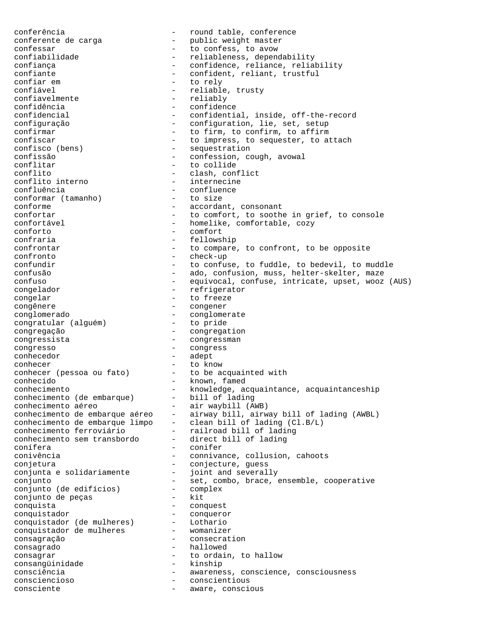conferência - round table, conference conferente de carga  $\hspace{2cm}$  - public weight master confessar  $-$  to confess, to avow confiabilidade - reliableness, dependability confiança - confidence, reliance, reliability<br>
- confident, reliant, trustful<br>
- confident, reliant, trustful confiante - confident, reliant, trustful<br>confiarem - to rely confiar em - to rely confiável - reliable, trusty confiavelmente - reliably - confidence confidencial - confidential, inside, off-the-record configuração - configuration, lie, set, setup<br>
confirmar
- to firm. to confirm. to affirm confirmar  $\begin{array}{cccc} - & \text{to firm, to confirm, to affirm} \\ - & \text{to immress, to sequester. to a} \end{array}$ - to impress, to sequester, to attach confisco (bens) - sequestration confissão - confession, cough, avowal conflitar  $\qquad \qquad -$  to collide<br>conflito  $\qquad \qquad -$  clash, con - clash, conflict<br>- internecine conflito interno<br>confluência - confluence<br>- to size conformar (tamanho)<br>conforme - accordant, consonant confortar  $-$  to comfort, to soothe in grief, to console confortável - homelike, comfortable, cozy conforto - comfort confraria - fellowship confrontar  $-$  to compare, to confront, to be opposite confronto - check-up confundir  $-$  to confuse, to fuddle, to bedevil, to muddle confusão - ado, confusion, muss, helter-skelter, maze<br>
confuso - equivocal, confuse, intricate, upset, wooz - equivocal, confuse, intricate, upset, wooz (AUS) congelador - refrigerator congelar - to freeze congênere - congener conglomerado - conglomerate<br>
congratular (alquém) - to pride congratular (alguém) congregação - congregation congressista - congressman congresso - congress conhecedor - adept conhecer<br>
conhecer (pessoa ou fato) - to be acquainted with conhecer (pessoa ou fato) - to be acquainted with conhecido - known, famed conhecimento - knowledge, acquaintance, acquaintanceship conhecimento (de embarque) - bill of lading conhecimento aéreo - air waybill (AWB) conhecimento de embarque aéreo - airway bill, airway bill of lading (AWBL) conhecimento de embarque limpo - clean bill of lading (Cl.B/L) conhecimento ferroviário - railroad bill of lading conhecimento sem transbordo - direct bill of lading conífera - conifer conivência - connivance, collusion, cahoots conjetura - conjecture, guess conjunta e solidariamente conjunto<br>
conjunto (de edifícios) - set, combo, brace, ensemble, cooperative<br>
conjunto (de edifícios) - complex conjunto (de edifícios) - complex conjunto de peças conquista - conquest<br>
conquistador - conqueror conquistador - conqueror conquistador (de mulheres) - Lothario conquistador de mulheres - womanizer consagração - consecration consagrado - hallowed<br>consagrar - to ordain, to hallow consagrar  $\qquad \qquad$  - to ordain, to hallow consangüinidade - kinship consciência - awareness, conscience, consciousness consciencioso - conscientious consciente  $-$  aware, conscious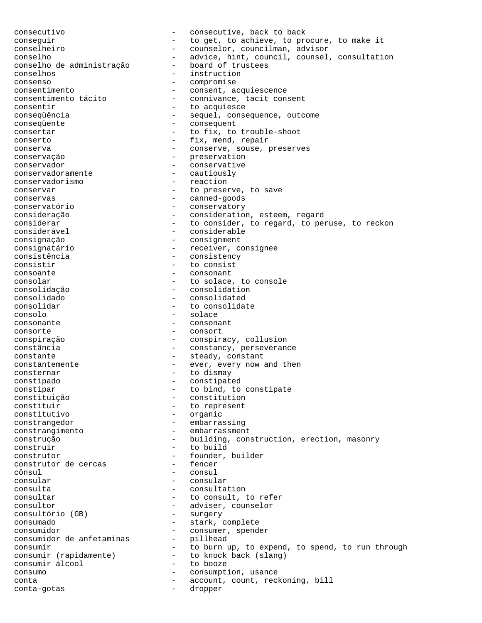consecutivo - consecutive, back to back conseguir - to get, to achieve, to procure, to make it conselheiro - counselor, councilman, advisor conselho<br>
conselho de administração<br>
- board of trustees<br>
- board of trustees conselho de administração conselhos - instruction consenso - compromise consentimento<br>
consentimento tácito<br>
- consivance, tacit con consentimento tácito - connivance, tacit consent - to acquiesce consequência - sequel, consequence, outcome conseqüente - consequent consertar  $-$  to fix, to trouble-shoot conserto  $-$  fix, mend, repair conserva - conserve, souse, preserves conservação - preservation conservador - conservative<br>
conservadoramente - cautiously conservadoramente conservadorismo - reaction conservar extending the conservar of the preserve, to save conservas - canned-goods conservatório - conservatory consideração - consideration, esteem, regard considerar - to consider, to regard, to peruse, to reckon considerável - considerable consignação - consignment consignatário - receiver, consignee consistência - consistency consistir  $-$  to consist consoante - consonant consolar  $-$  to solace, to console consolidação - consolidation consolidado - consolidated - to consolidate consolo - solace consonante - consonant consorte - consort conspiração - conspiracy, collusion constância  $-$  constancy, perseverance constante  $-$  steady, constant constantemente - ever, every now and then consternar - to dismay constipado - constipated<br>
constipar - to bind, to constipar  $-$  to bind, to constipate<br>
constituição  $-$  constitution - constitution constituir  $-$  to represent<br>constitutivo  $-$  organic - organic constrangedor - embarrassing constrangimento - embarrassment construção - building, construction, erection, masonry construir - to build construtor  $-$  founder, builder<br>construtor de cercas  $-$  fencer construtor de cercas cônsul - consul consular - consular consulta - consultation consultar  $-$  to consult, to refer consultor - adviser, counselor consultório (GB) consumado - stark, complete consumidor<br>
consumidor de anfetaminas<br>
- pillhead<br>
- pillhead consumidor de anfetaminas consumir - to burn up, to expend, to spend, to run through consumir (rapidamente) - to knock back (slang) - compose consumo - consumption, usance conta - account, count, reckoning, bill conta-gotas - dropper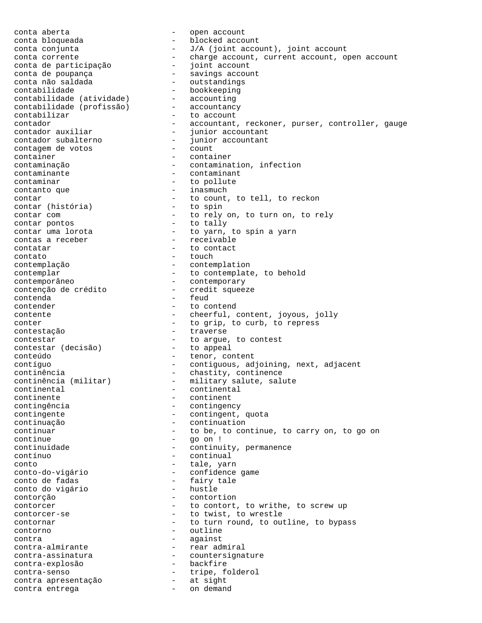conta aberta - open account conta bloqueada <br />
- blocked account<br />
- blocked account conta conjunta  $-J/A$  (joint account), joint account conta corrente - charge account, current account, open account conta de participação conta de poupança  $\overline{\phantom{a}}$  - savings account conta não saldada - outstandings<br>contabilidade - bookkeeping contabilidade - bookkeeping contabilidade (atividade) - accounting contabilidade (profissão) - accountancy contabilizar  $-$  to account contador  $-$  accountant, reckoner, purser, controller, gauge<br>contador auxiliar  $-$  iunior accountant contador auxiliar - junior accountant contador subalterno - junior accountant contagem de votos<br>contador subalterno<br>contagem de votos container - container contaminação - contamination, infection contaminante - contaminant contaminar  $-$  to pollute contanto que  $-$  inasmuch contar  $\frac{1}{100}$  - to count, to tell, to reckon contar (história) - to spin contar (história)<br>contar com - to rely on, to turn on, to rely contar pontos and to tally contar uma lorota - to yarn, to spin a yarn contas a receber - receivable contatar  $-$  to contact contato - touch contemplação - contemplation contemplar - to contemplate, to behold contemporâneo<br>
contenção de crédito<br>
- credit squeeze contenção de crédito contenda - feud contender - to contend contente - cheerful, content, joyous, jolly conter - to grip, to curb, to repress contestação - traverse contestar  $-$  to argue, to contest<br>contestar (decisão)  $-$  to appeal contestar (decisão) conteúdo  $-$  tenor, content contíguo - contiguous, adjoining, next, adjacent continência - chastity, continence continência (militar) - military salute, salute continental - continental continente - continent contingência - contingency contingente  $\qquad \qquad -$  contingent, quota continuação - continuation continuar  $-$  to be, to continue, to carry on, to go on continue - go on ! continuidade  $\qquad \qquad -$  continuity, permanence contínuo - continual conto  $-$  tale, yarn conto-do-vigário - confidence game conto de fadas - fairy tale<br>
conto do vigário - hustle conto do vigário - hustle contorção - contortion contorcer - to contort, to writhe, to screw up contorcer-se  $-$  to twist, to wrestle contornar and the toturn round, to outline, to bypass contorno - outline contra - against contra-almirante - rear admiral contra-assinatura - countersignature<br>
contra-explosão - backfire contra-explosão - backfire contra-senso - tripe, folderol contra apresentação - at sight contra entrega - on demand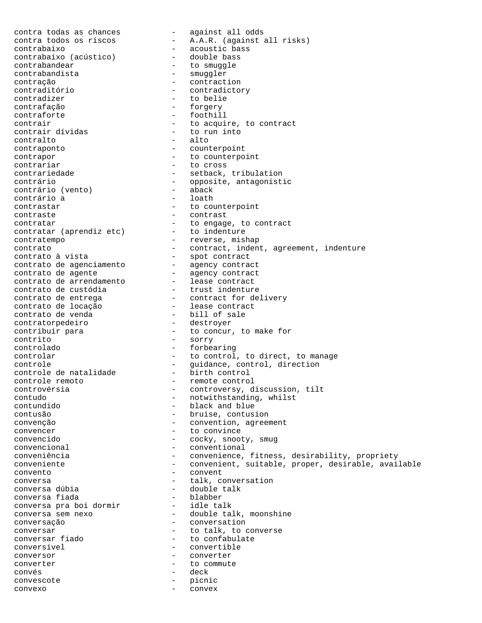contra todas as chances and the sequence of a against all odds contra todos os riscos - A.A.R. (against all risks) contrabaixo - acoustic bass contrabaixo (acústico) - double bass contrabandear extending to smuggle contrabandista - smuggler contração - contraction contraditório - contradictory - to belie contrafação - forgery - foothill contrair<br>
contrair dívidas
entrair dívidas
idio entract
contrair dívidas
idio entract
idio entract
contrair
contrair
contrair
contrair
contrair
contrair
contrair
contrair
contrair
contrair
contrair
contrair
contrair
contra contrair dívidas contralto - alto contraponto - counterpoint contrapor - to counterpoint<br>
contrariar
- to cross - to cross contrariedade - setback, tribulation contrário<br>
contrário (vento) - opposite, antagonistic<br>
- aback contrário (vento) contrário a  $\qquad \qquad -$  loath<br>contrastar  $\qquad \qquad -$  to com - to counterpoint contraste<br>
contratar
contratar
to engage, to contract
<sub>contratar</sub>
to engage,
to contract
to engage,
to contract
<sub>contract</sub>
<sub>contract</sub>
<sub>contract</sub> contratar  $\qquad \qquad \qquad -$  to engage, to contract contratar (aprendiz etc) - to indenture contratempo - reverse, mishap contrato - contract, indent, agreement, indenture contrato à vista - spot contract contrato de agenciamento - agency contract contrato de agente  $\overline{\phantom{a}}$  - agency contract contrato de arrendamento - lease contract contrato de custódia - trust indenture contrato de entrega  $\hskip1cm -\hskip1cm -\hskip1cm -\hskip1cm -\hskip1cm$  contract for delivery contrato de locação - lease contract contrato de venda  $\qquad \qquad -$  bill of sale contratorpedeiro - destroyer contribuir para - to concur, to make for contrito - sorry controlado - forbearing controlar - to control, to direct, to manage<br>controle - guidance, control, direction controle - Good - guidance, control, direction controle de natalidade  $\qquad \qquad$  - birth control controle remoto - remote control controvérsia - controversy, discussion, tilt contudo - notwithstanding, whilst contundido - black and blue contusão - bruise, contusion convenção  $\qquad \qquad -$  convention, agreement convencer  $\qquad \qquad -$  to convince convencer  $\qquad \qquad -$  to convince<br>convencido  $\qquad \qquad -$  cocky snoot - cocky, snooty, smug convencional - conventional conveniência - convenience, fitness, desirability, propriety conveniente - convenient, suitable, proper, desirable, available convento - convent conversa  $\begin{array}{ccc} - & \text{talk, conversation} \\ \text{conversa dúbia} & - & \text{double talk} \end{array}$ conversa dúbia - double talk conversa fiada blabber conversa pra boi dormir idle talk conversa sem nexo - double talk, moonshine conversação - conversation conversar  $\frac{1}{100}$  - to talk, to converse<br>conversar fiado - to confabulate - to confabulate conversível - convertible conversor - converter converter  $-$  to commute convés - deck convescote - picnic convexo - convex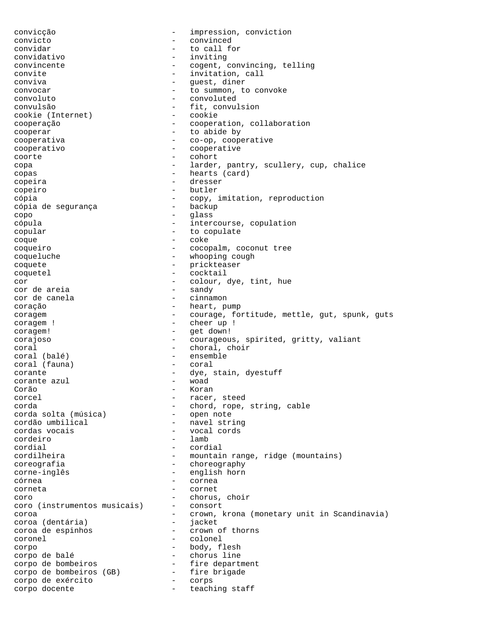convicção - impression, conviction convicto - convinced convidar  $-$  to call for convidativo - inviting convincente  $\qquad \qquad -$  cogent, convincing, telling convite  $\qquad \qquad -$  invitation, call conviva - guest, diner convocar entries a convoke to summon, to convoke convoluto - convoluted convulsão - fit, convulsion cookie (Internet) cooperação - cooperation, collaboration cooperar  $\qquad \qquad$  - to abide by cooperativa - co-op, cooperative cooperativo - cooperative coorte - cohort copa - larder, pantry, scullery, cup, chalice copas - hearts (card) copeira - dresser copeiro - butler cópia - copy, imitation, reproduction<br>cópia de sequrança - - backup cópia de segurança copo - glass cópula - intercourse, copulation copular  $\qquad \qquad -$  to copulate coque - coke coqueiro - cocopalm, coconut tree coqueluche - whooping cough coquete - prickteaser coquetel - cocktail cor  $\overline{c}$  - colour, dye, tint, hue<br>
cor de areia  $\overline{c}$  - sandy cor de areia<br>cor de canela - cinnamon coração - heart, pump coragem - courage, fortitude, mettle, gut, spunk, guts coragem ! - cheer up ! coragem! - get down! corajoso - courageous, spirited, gritty, valiant coral  $\qquad \qquad -$  choral, choir coral (balé) - ensemble coral (fauna) corante  $\frac{1}{2}$  corante azul  $\frac{1}{2}$  - dye, stain, dyestuff corante azul Corão - Koran corcel  $\qquad \qquad -$  racer, steed corda<br>
corda solta (música) - chord, rope, string, cable<br>
- open note corda solta (música)<br>cordão umbilical cordão umbilical  $\overline{c}$  - navel string<br>cordas vocais - vocal cords cordas vocais - vocal cords cordeiro - lamb cordial - cordial cordilheira - mountain range, ridge (mountains) coreografia - choreography corne-inglês - english horn córnea - cornea corneta - cornet coro - chorus, choir coro (instrumentos musicais) - consort coroa - crown, krona (monetary unit in Scandinavia) coroa (dentária) - jacket coroa de espinhos - crown of thorns coronel - colonel corpo - body, flesh corpo de balé - chorus line corpo de bombeiros - fire department corpo de bombeiros (GB) - fire brigade corpo de exército - corps corpo docente  $\qquad \qquad -$  teaching staff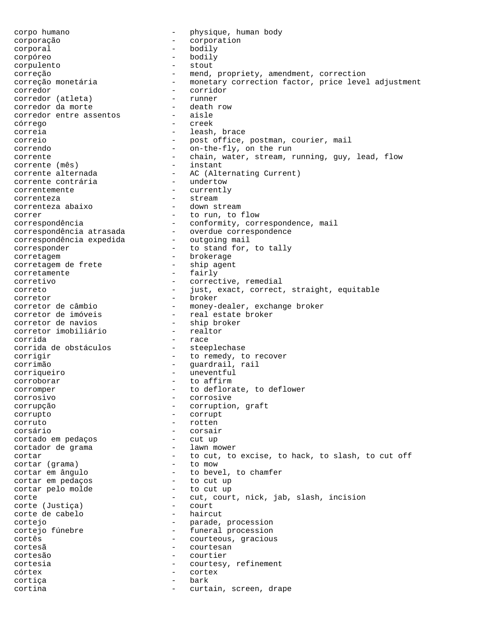corpo humano  $\begin{array}{ccc} - & \text{physical} & - \\ - & \text{physical} & - \\ \text{corporación} & - & \text{corporation} \end{array}$ corporação - corporation corporal - bodily corpóreo - bodily corpulento - stout correção - mend, propriety, amendment, correction correção monetária - monetary correction factor, price level adjustment corredor<br>
corredor (atleta) - corridor<br>
- runner corredor (atleta) - runner corredor da morte - death row corredor entre assentos - aisle córrego - creek correia - leash, brace correio - post office, postman, courier, mail correndo - on-the-fly, on the run corrente - chain, water, stream, running, guy, lead, flow<br>corrente (mês) - instant corrente (mês)<br>corrente alternada - AC (Alternating Current)<br>- undertow corrente contrária correntemente - currently correnteza - stream correnteza abaixo - down stream correr  $-$  to run, to flow correspondência - conformity, correspondence, mail correspondência atrasada - overdue correspondence correspondência expedida - outgoing mail corresponder  $\qquad \qquad$  - to stand for, to tally corretagem - brokerage corretagem de frete corretamente - fairly<br>corretivo - corrective, remedial corretivo - corrective, remedial correto - just, exact, correct, straight, equitable corretor - broker corretor de câmbio - money-dealer, exchange broker corretor de imóveis - real estate broker corretor de navios - ship broker corretor imobiliário - realtor corrida - race corrida de obstáculos corrigir - to remedy, to recover<br>corrigir - to remedy, to recover corrimão - guardrail, rail corriqueiro - uneventful corroborar - to affirm corromper - to deflorate, to deflower corrosivo - corrosive corrupção - corruption, graft corrupto - corrupt - rotten corsário - corsair<br>cortado em pedacos - cut up cortado em pedaços cortador de grama - lawn mower cortar  $-$  to cut, to excise, to hack, to slash, to cut off<br>cortar (grama)  $-$  to mow cortar (grama)<br>cortar em ângulo - to bevel, to chamfer cortar em pedaços - to cut up cortar pelo molde  $-$  to cut up corte  $\begin{array}{ccc} - & \text{cut}, & \text{court}, & \text{nick}, & \text{jab}, & \text{slash}, & \text{incision} \\ \text{corte} & (\text{Justica}) & & - & \text{court} & \end{array}$ corte (Justiça) - court corte de cabelo cortejo - parade, procession - funeral procession cortês  $-$  courteous, gracious cortesã - courtesan cortesão - courtier cortesia - courtesy, refinement<br>
córtex - cortex córtex - cortex cortiça - bark cortina - curtain, screen, drape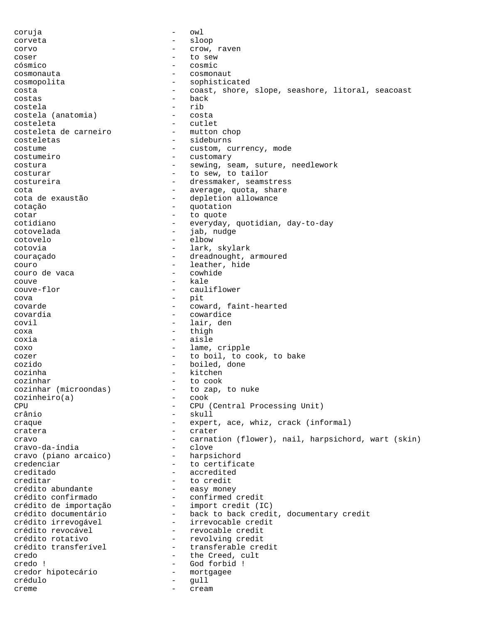coruja - owl corveta - sloop corvo - crow, raven coser - to sew cósmico - cosmic cosmonauta - cosmonaut cosmopolita - sophisticated costa - coast, shore, slope, seashore, litoral, seacoast costas - back costela - rib costela (anatomia)<br>costeleta - cutlet<br>- mutton chop costeleta de carneiro costeletas - sideburns costume - custom, currency, mode costumeiro - customary costura - sewing, seam, suture, needlework costurar  $-$  to sew, to tailor costureira  $\qquad \qquad -$  dressmaker, seamstress cota<br>cota de exaustão de exectão de depletion allowance - depletion allowance cotação - quotation cotar - to quote cotidiano - everyday, quotidian, day-to-day cotovelada - iab, nudge cotovelo - elbow cotovia - lark, skylark couraçado  $\qquad \qquad -$  dreadnought, armoured couro  $\begin{array}{ccc}\n & - & \text{leather, hide} \\
\text{couro de vaca} & - & \text{cwhide$ couro de vaca - cowhide couve the couve the couve of the couve that is not the couve of the caul:<br>
couve flor the caul: cauliflower cova - pit<br>covarde - pit covarde - coward, faint-hearted covardia - cowardice covil - lair, den coxa - thigh coxia - aisle coxo - lame, cripple cozer extending to boil, to cook, to bake cozido - boiled, done cozinha - kitchen cozinhar<br>cozinhar (microondas) - to zap, to nuke cozinhar (microondas)  $-$  to zap, to nucleon to  $-$  to  $\infty$ cozinheiro(a)<br>CPU - CPU (Central Processing Unit) crânio - skull craque - expert, ace, whiz, crack (informal) cratera  $\overline{\phantom{a}}$  - crater cravo - carnation (flower), nail, harpsichord, wart (skin)<br>cravo-da-índia - clove - clove cravo-da-índia<br>cravo (piano arcaico) - harpsichord cravo (piano arcaico) credenciar - to certificate creditado - accredited creditar - to credit crédito abundante - easy money crédito confirmado - confirmed credit crédito de importação - import credit (IC) crédito documentário - back to back credit, documentary credit crédito irrevogável - irrevocable credit crédito revocável (a crédito revocable credit<br>
crédito rotativo (a crédito revolving credit crédito rotativo - revolving credit - transferable credit<br>- the Creed. cult credo  $-$  the Creed, cult credo ! - God forbid ! credor hipotecário - mortgagee crédulo - gull creme - cream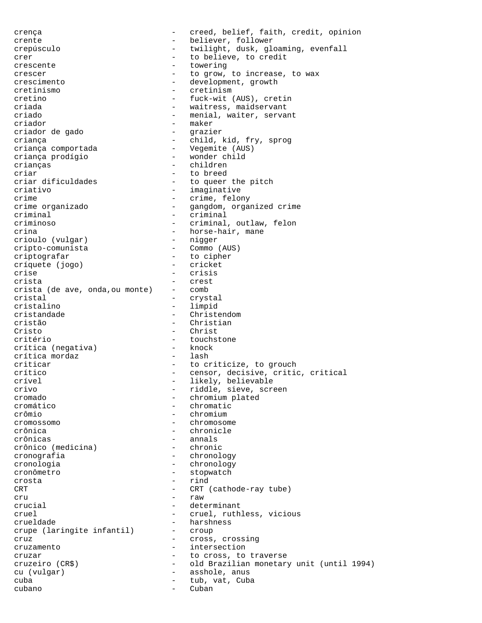crença - creed, belief, faith, credit, opinion crente - believer, follower crepúsculo - twilight, dusk, gloaming, evenfall crer  $-$  to believe, to credit crescente - towering crescer - to grow, to increase, to wax crescimento - development, growth<br>
cretinismo<br>
- cretinism cretinismo - cretinismo - cretinismo - cretinismo - cretinismo - cretinismo - cretinismo - cretinismo - cretinismo - cretinismo - cretinismo - cretinismo - cretinismo - cretinismo - cretinismo - cretinismo - cretinismo - c - fuck-wit (AUS), cretin criada - waitress, maidservant criado  $-$  menial, waiter, servant criador - maker criador de gado criança - child, kid, fry, sprog criança comportada - Vegemite (AUS) criança prodígio - wonder child crianças - children criar  $\frac{1}{2}$  - to breed<br>criar dificuldades - to queer criar dificuldades - to queer the pitch<br>criativo<br>- imaginative criativo - imaginative crime  $\frac{1}{2}$  crime, felony crime organizado  $\frac{1}{2}$  - gangdom, organ crime organizado - gangdom, organized crime criminal  $\overline{c}$  - criminal  $\overline{c}$  - criminal  $\overline{c}$ - criminal, outlaw, felon crina - horse-hair, mane<br>crioulo (vulqar) - nigger crioulo (vulgar) cripto-comunista - Commo (AUS) - integrafar - to cipher<br>
críquete (jogo) - cricket críquete (jogo) crise - crisis crista - crest crista (de ave, onda,ou monte) - comb cristal - crystal - crystal<br>
cristalino - limpid - limpid - limpid cristandade - Christendom cristão - Christian Cristo - Christ<br>critério - Christ - touchstone<br>- knock crítica (negativa) - knock crítica mordaz criticar  $-$  to criticize, to grouch crítico - censor, decisive, critic, critical crível  $\qquad \qquad -$  likely, believable crivo - riddle, sieve, screen cromado - chromium plated cromático - chromatic - chromium cromossomo - chromosome crônica - chronicle crônicas - annals<br>crônico (medicina) - chronic crônico (medicina) cronografia - chronology cronologia - chronology cronômetro - stopwatch crosta - rind CRT CRT (cathode-ray tube) cru - raw crucial - determinant cruel - cruel, ruthless, vicious crueldade - harshness<br>crupe (laringite infantil) - croup crupe (laringite infantil) cruz  $-$  cross, crossing cruzamento - intersection cruzar  $-$  to cross, to traverse cruzeiro (CR\$) - old Brazilian monetary unit (until 1994) cu (vulgar) - asshole, anus<br>cuba - tub vat Cubi cuba - tub, vat, Cuba cubano - Cuban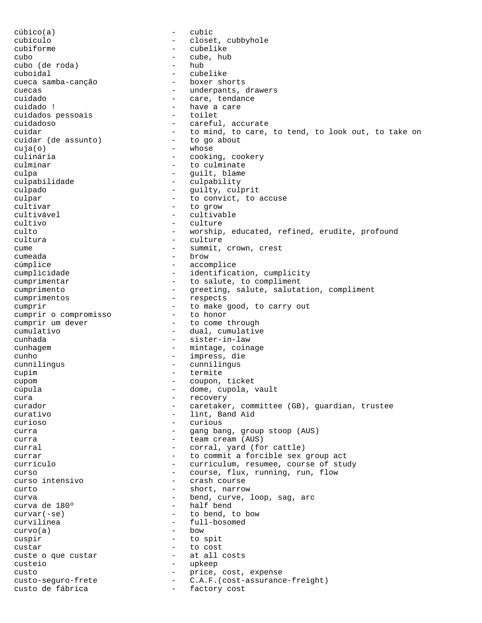cúbico(a) - cubic cubículo - closet, cubbyhole cubiforme - cubelike cubo - cube, hub cubo (de roda) cuboidal - cubelike cueca samba-canção - boxer shorts cuecas - underpants, drawers<br>cuidado - care, tendance - care, tendance cuidado ! - have a care cuidados pessoais cuidadoso - careful, accurate cuidar  $-$  to mind, to care, to tend, to look out, to take on cuidar (de assunto)  $-$  to go about cuidar (de assunto) cuja(o) - whose culinária  $-$  cooking, cookery culminar  $-$  to culminate culpa - guilt, blame culpabilidade - culpability culpado - guilty, culprit culpar  $\qquad \qquad -$  to convict, to accuse cultivar - to grow cultivável - cultivable cultivo - culture culto - worship, educated, refined, erudite, profound cultura - culture cume - summit, crown, crest cumeada - brow cúmplice - accomplice cumplicidade  $-$  identification, cumplicity cumprimentar  $-$  to salute, to compliment cumprimento - greeting, salute, salutation, compliment cumprimentos - respects cumprir<br>
cumprir o compromisso<br>
- to honor<br>
to honor cumprir o compromisso<br>cumprir um dever - to come through cumulativo - dual, cumulative cunhada - sister-in-law cunhagem entry coinage, coinage cunho - impress, die cunnilingus - cunnilingus cupim - termite cupom - coupon, ticket cúpula - dome, cupola, vault cura - recovery curador - caretaker, committee (GB), guardian, trustee curativo - lint, Band Aid curioso - curious curra - gang bang, group stoop (AUS) curra  $-$  team cream (AUS) curral  $-$  corral, yard (for cattle) currar  $-$  to commit a forcible sex group act currículo - curriculum, resumee, course of study curso  $-$  course, flux, running, run, flow<br>curso intensivo  $-$  crash course - crash course curto - short, narrow curva  $\begin{array}{ccc} {\rm curva} & & - & {\rm bend, curve, loop, sag, arc} \\ {\rm curva de 180^{\circ}} & \hspace{2.5cm} & - & {\rm half bend} \end{array}$ curva de 180º - half bend - to bend, to bow  $\begin{array}{ccc}\n\text{curvilinea} & - & \text{full-bosomed} \\
\text{curvola)} & - & \text{bow} & -\n\end{array}$  $curvo(a)$ cuspir - to spit custar - to cost custe o que custar - at all costs custeio - upkeep<br>
custo<br>
custo-seguro-frete - c.A.F.<br>
custo de fíle custo - price, cost, expense custo-seguro-frete - C.A.F.(cost-assurance-freight) custo de fábrica  $-$  factory cost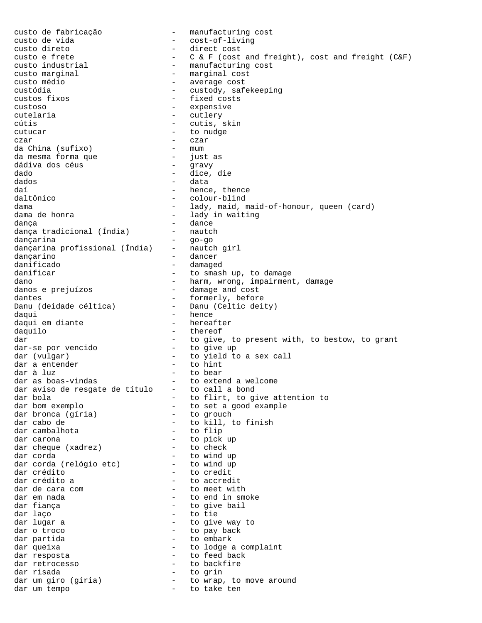custo de fabricação - manufacturing cost custo de vida - cost-of-living custo direto - direct cost custo e frete - C & F (cost and freight), cost and freight (C&F)<br>custo industrial - manufacturing cost - manufacturing cost custo marginal  $-$  marginal cost custo médio - average cost custódia - custody, safekeeping custos fixos  $-$  fixed costs custoso - expensive cutelaria  $-$  cutlery cútis - cutis, skin cutucar - to nudge czar - czar - czar da China (sufixo) - mum<br>da mesma forma que - inst da mesma forma que - just as dádiva dos céus dado - dice, die dados - data daí  $\begin{array}{ccc} \text{da} & \text{de} \\ \text{da} & \text{de} \\ \text{de} \end{array}$  and  $\begin{array}{ccc} \text{de} \\ \text{de} \\ \text{de} \end{array}$  and  $\begin{array}{ccc} \text{de} \\ \text{de} \\ \text{de} \end{array}$ - colour-blind dama  $-$  lady, maid, maid-of-honour, queen (card) dama de honra  $\qquad \qquad$  - lady in waiting dança - dance dança tradicional (Índia) - nautch<br>dancarina - go-go dançarina - go-go dançarina profissional (Índia) - nautch girl dançarino - dancer danificado - damaged danificar  $-$  to smash up, to damage dano  $-$  harm, wrong, impairment, damage danos e prejuízos  $-$  damage and cost dantes<br>Danu (deidade céltica) - formerly, before<br>Danu (Celtic dei - Danu (Celtic deity) daqui - hence<br>daqui em diante - hereafter daqui em diante<br>daquilo - thereof dar - to give, to present with, to bestow, to grant dar-se por vencido - to give up dar-se por vencido dar (vulgar) - to yield to a sex call<br>dar a entender - to hint dar a entender<br>dar à luz dar à luz - to bear dar as boas-vindas  $\qquad \qquad$  - to extend a welcome dar aviso de resgate de título - to call a bond dar bola - to flirt, to give attention to dar bom exemplo<br>dar bronca (qíria) - to set a good example<br>- to grouch dar bronca (gíria) dar cabo de  $\overline{\phantom{a}}$  - to kill, to finish dar cambalhota - to flip dar carona<br>dar cheque (xadrez) - to check<br>- to check dar cheque (xadrez) - to check<br>dar corda - to wind up dar corda - to wind up dar corda (relógio etc) - to wind up dar crédito<br>dar crédito a de la partida dar crédito a de la partida de la partida de la partida de la partida de la parti<br>dar crédito a de la partida de la partida de la partida de la partida de la partida de la partida de dar crédito a  $-$  to accredit<br>dar de cara com  $-$  to meet wit dar de cara com - to meet with dar em nada<br>dar fiança dar en to end in smoke dar fiança - to give bail - to tie dar lugar a  $-$  to give way to dar o troco  $-$  to pay back dar partida  $-$  to embark dar queixa  $\qquad \qquad -$  to lodge a complaint dar resposta - to feed back dar retrocesso - to backfire dar risada - to grin dar um giro (gíria) - to wrap, to move around dar um tempo subsequent to take ten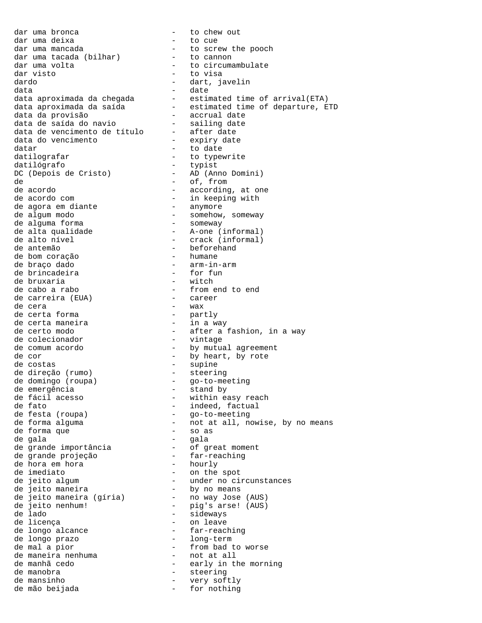dar uma bronca - to chew out dar uma deixa - to cue dar uma mancada  $\qquad \qquad -$  to screw the pooch dar uma tacada (bilhar) - to cannon dar uma tacada (bilhar) - to cannon<br>dar uma volta - to circumambulate<br>dar visto - to visa dardo - dart, javelin data - date data da provisão - accrual date data de saída do navio - sailing date data de vencimento de título - after date data do vencimento - expiry date datar  $-$  to date datilografar - to typewrite datilógrafo - typist DC (Depois de Cristo) - AD (Anno Domini) de  $-$  of, from de acordo - according, at one de acordo com - in keeping with de agora em diante - anymore de algum modo - somehow, someway de alguma forma - someway de alta qualidade  $-$  A-one (informal) de alto nível - crack (informal) de antemão - beforehand de bom coração - humane de braço dado - arm-in-arm de brincadeira - for fun de bruxaria - witch de cabo a rabo - from end to end de carreira (EUA) - career de cera - wax de certa forma - partly de certa maneira de colecionador - vintage de comum acordo - by mutual agreement de cor - by heart, by rote de costas - supine de direção (rumo) - steering de domingo (roupa) - go-to-meeting de emergência  $-$  stand by de fácil acesso - within easy reach de fato - indeed, factual de festa (roupa) - go-to-meeting de forma que  $-$  so as de gala - gala de grande importância - of great moment de grande projeção - far-reaching de hora em hora - hourly de imediato  $\overline{a}$  - on the spot de jeito maneira by no means de jeito maneira (gíria) - no way Jose (AUS) de jeito nenhum! - pig's arse! (AUS) de lado<br>de lado - sideways<br>de licença - on leave de licença<br>de longo alcance de longo alcance de longo alcance - far-reaching de longo prazo de mal a pior  $-$  from bad to worse de mai a pior<br>de maneira nenhuma - not at all<br>de manhã cedo - early in th de manobra - steering de mansinho  $-$  very softly de mão beijada  $-$  for nothing

- to visa data aproximada da chegada estimated time of arrival(ETA) data aproximada da saída estimated time of departure, ETD de certo modo - after a fashion, in a way de forma alguma - not at all, nowise, by no means de jeito algum - under no circunstances - early in the morning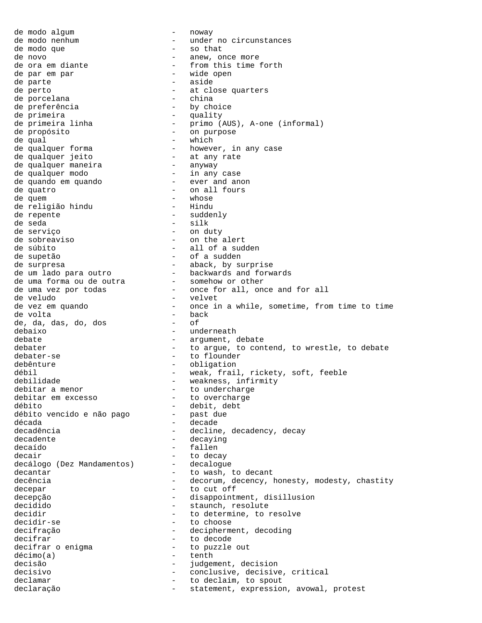de modo algum - noway de modo nenhum - view - under no circunstances de modo que  $-$  so that de novo  $-$  anew, or de novo - anew, once more - from this time forth<br>- wide open de par em par de parte  $\overline{\phantom{a}}$  - aside de perto - at close quarters de porcelana  $\begin{array}{ccc} - & - \\ - & - \end{array}$  china de preferência  $\begin{array}{ccc} - & - \\ - & \end{array}$  by choice de preferência de primeira<br>de primeira linha - quality<br>- primo ( - primo (AUS), A-one (informal)<br>- on purpose de propósito - on purpose de qual - which de qualquer forma however, in any case de qualquer jeito - at any rate de qualquer jeies<br>de qualquer maneira<br>- any modo de qualquer modo - in any case de quando em quando  $-$  ever and anon de quatro - on all fours de quem entre total de volt de volt de volt de volt de volt de volt de volt de volt de volt de volt de volt de de religião hindu - Hindu de repente  $-$  suddenly de seda - silk de serviço - on duty - on the alert de súbito - all of a sudden de supetão - of a sudden de surpresa - aback, by surprise de um lado para outro - backwards and forwards de uma forma ou de outra - somehow or other de uma vez por todas  $\qquad \qquad -$  once for all, once and for all de veludo - velvet de vez em quando  $\begin{array}{r} - \\ - \end{array}$  once in a while, sometime, from time to time de volta - back<br>- of de, da, das, do, dos debaixo - underneath debate  $\qquad \qquad -$  argument, debate debater extending to argue, to contend, to wrestle, to debate debater-se  $-$  to flounder debênture - obligation débil  $-$  weak, frail, rickety, soft, feeble debilidade - weakness, infirmity debitar a menor<br>debitar em excesso  $-$  to overcharge<br>- to overcharge debitar em excesso  $-$  to overcharge<br>débito  $-$  debit, debt - debit, debt<br>- past due débito vencido e não pago década - decade decadência  $\qquad \qquad -$  decline, decadency, decay decadente  $\qquad \qquad -$  decaying decaído - fallen decair - to decay decálogo (Dez Mandamentos) decantar  $\qquad \qquad -$  to wash, to decant decência - decorum, decency, honesty, modesty, chastity decepar - to cut off decepção - disappointment, disillusion decidido  $-$  staunch, resolute decidir extended to determine, to resolve decidir-se  $-$  to choose decifração  $-$  decipherment, decoding decifrar<br>decifrar o enigma<br>decifrar o enigma<br>decifrar o enigma - to puzzle out décimo(a) - tenth<br>decisão - iudoen decisão - judgement, decision<br>decisivo - - conclusive decisivo decisivo - conclusive, decisive, critical declamar  $\qquad \qquad -$  to declaim, to spout declaração  $-$  statement, expression, avowal, protest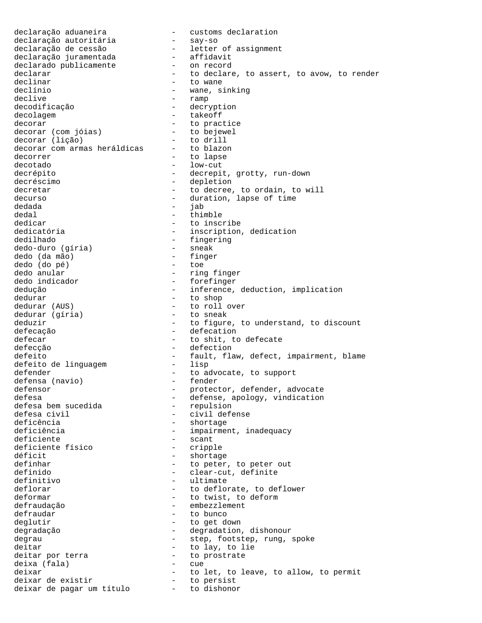declaração aduaneira - customs declaration declaração autoritária - say-so declaração de cessão - letter of assignment declaração juramentada - affidavit declarado publicamente - on record declarar - to declare, to assert, to avow, to render declinar  $-$  to wane declínio - wane, sinking declive - ramp - decryption decolagem extensive takeoff decorar<br>decorar (com jóias) - to bejewel decorar (com jóias) - to bejew<br>decorar (lição) - to drill decorar (lição) - to drill decorar com armas heráldicas -<br>decorrer decorrer - to lapse decotado - low-cut decrépito  $-$  decrepit, grotty, run-down decréscimo - depletion decretar  $-$  to decree, to ordain, to will decurso - duration, lapse of time<br>dedada dedada - jab dedal - thimble dedicar - to inscribe dedicatória  $-$  inscription, dedication dedilhado - fingering<br>dedo-duro (gíria) - sneak dedo-duro (gíria) - sneak dedo (da mão) - fing<br>dedo (do pé) - toe dedo (do pé)<br>dedo anular - ring finger<br>- forefinger dedo indicador dedução - inference, deduction, implication dedurar  $\begin{array}{ccc} - & \text{to shop} \\ \text{dedurar} & \text{(AUS)} \end{array}$  - to shop - to roll over<br>- to sneak dedurar (gíria) deduzir  $-$  to figure, to understand, to discount defecação  $-$  defecation defecar defecate to shit, to defecate defecção  $-$  defection defeito  $-$  fault, flaw, defect, impairment, blame defeito de linguagem  $-$  lisp defeito de linguagem defender - to advocate, to support<br>defensa (navio) - fender defensa (navio)<br>defensor defensor - protector, defender, advocate<br>defesa - defense, apology, vindication - defense, apology, vindication<br>- repulsion defesa bem sucedida<br>defesa civil defesa civil - civil defense - shortage deficiência  $-$  impairment, inadequacy deficiente  $\overline{a}$  - scant<br>deficiente físico - cripple deficiente físico déficit - shortage definhar  $\begin{array}{cccc} - &$  to peter, to peter out definido  $\begin{array}{cccc} - &$  clear-cut, definite definido - clear-cut, definite<br>definitivo - clear-cut, definite - ultimate deflorar  $\qquad \qquad -$  to deflorate, to deflower deformar - to twist, to deform defraudação embezzlement defraudar extending to bunco deglutir - to get down degradação - degradation, dishonour degrau - step, footstep, rung, spoke deitar  $-$  to lay, to lie deitar por terra - to prostrate deixa (fala) - cue deixar - to let, to leave, to allow, to permit<br>deixar de existir - to persist deixar de existir deixar de pagar um título - to dishonor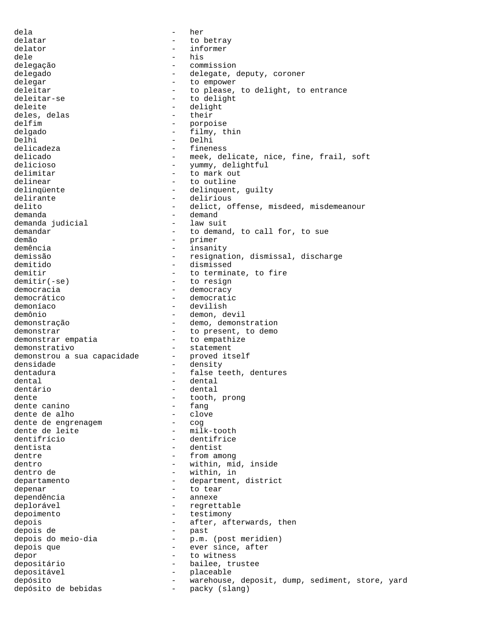dela - her delatar - to betray delator - informer dele - his delegação - commission delegado - - delegate, deputy, coroner delegar - to empower deleitar  $-$  to please, to delight, to entrance deleitar-se - to delight deleite - delight<br>deles delas - their<br>- their deles, delas delfim - porpoise delgado - filmy, thin Delhi - Delhi delicadeza - fineness delicado  $-$  meek, delicate, nice, fine, frail, soft delicioso - yummy, delightful delimitar - to mark out delinear  $-$  to outline delinqüente - delinquent, guilty<br>delirante - delirious delirante delirante delirious<br>delito - delicto delito - delict, offense, misdeed, misdemeanour demanda - demand demanda judicial demandar  $-$  to demand, to call for, to sue demão - primer demência - insanity - resignation, dismissal, discharge demitido - dismissed demitir<br>demitir(-se) - to terminate, to fire<br>to resign - to resign - to resign democracia  $\qquad \qquad -$  democracy<br>democrático  $\qquad \qquad -$  democrati democrático  $\qquad \qquad -$  democratic demoníaco  $\qquad \qquad -$  devilish - devilish demônio - demon, devil<br>demonstração - demon, demons - demo, demonstration demonstrar  $-$  to present, to demo<br>demonstrar empatia  $-$  to empathize - to empathize demonstrativo - statement<br>demonstrou a sua capacidade - proved itself demonstrou a sua capacidade -<br>densidade densidade - density dentadura - false teeth, dentures dental - dental dentário - dental dente  $\begin{array}{ccc} - & + \text{tooth, prong} \\ - & \text{fang} \end{array}$ dente canino - fang dente de alho - clove dente de engrenagem and the cognation of the cognation of the dental end of the cost of the cost of the cost o<br>
dente de leite the cost of the cost of the cost of the cost of the cost of the cost of the cost of the cost o dente de leite dentifrício - dentifrice dentista - dentist dentre  $-$  from among dentro  $\begin{array}{ccc}\n\text{dentro} & - & \text{within, mid, inside} \\
\text{dentro} & - & \text{within, in} \\
\end{array}$ dentro de  $-$  within, in departamento  $\qquad -$  department, district depenar and to tear to tear dependência en externa dependência en externa de la annexe deplorável  $\qquad \qquad -$  regrettable depoimento - testimony depois  $-$  after, afterwards, then depois de - past - p.m. (post meridien) depois que  $-$  ever since, after depor - to witness depositário - bailee, trustee depositável - placeable depósito - warehouse, deposit, dump, sediment, store, yard depósito de bebidas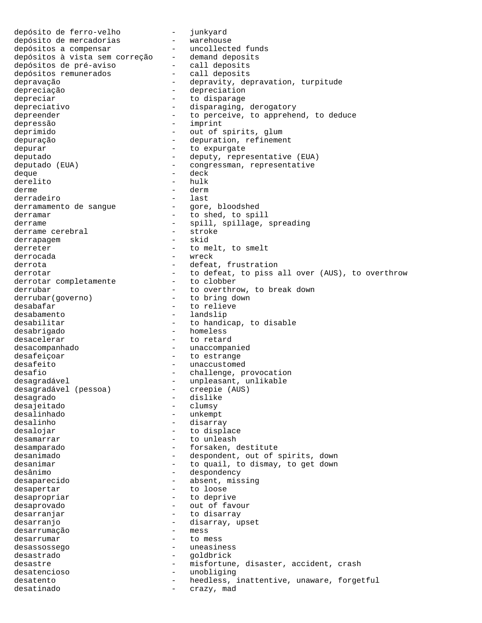depósito de ferro-velho - junkyard depósito de mercadorias - warehouse depósitos a compensar - uncollected funds depósitos à vista sem correção - demand deposits depósitos de pré-aviso - call deposits depósitos remunerados - call deposits depravação  $-$  depravity, depravation, turpitude depreciação - depreciation depreciar  $\qquad \qquad -$  to disparage depreciativo  $-$  disparaging, derogatory depreender extended to perceive, to apprehend, to deduce depressão - imprint deprimido - out of spirits, glum depuração  $-$  depuration, refinement depurar expurate to expurgate deputado  $-$  deputy, representative (EUA) deputado (EUA) - congressman, representative deque - deck derelito - hulk<br>derme - derm derme - derm derradeiro<br>derramamento de sangue  $\qquad \qquad -$  gore, bloodshed derramamento de sangue derramar  $-$  to shed, to spill derrame  $\begin{array}{ccc} - & \text{spill, spillage, spreading} \\ + & \text{stroke} \end{array}$ derrame cerebral - stroker<br>derrapagem - skid derrapagem derreter - to melt, to smelt derrocada - wreck derrota - defeat, frustration derrotar  $-$  to defeat, to piss all over (AUS), to overthrow derrotar completamente<br>derrubar derrubar - to overthrow, to break down derrubar(governo) - to bring down desabafar  $\overline{\phantom{a}}$  - to relieve desabamento - landslip desabilitar - to handicap, to disable desabrigado - homeless desacelerar - to retard desacompanhado - unaccompanied desafeiçoar  $\overline{\phantom{a}}$  - to estrange desafeito  $-$  unaccustomed desafio  $-$  challenge, provocation desagradável - unpleasant, unlikable<br>desagradável (pessoa) - creepie (AUS) desagradável (pessoa) desagrado - dislike desajeitado - clumsy - unkempt desalinho - disarray desalojar - to displace desamarrar - to unleash desamparado  $-$  forsaken, destitute desanimado  $-$  despondent, out of spirits, down desanimar extending the control of the quail, to dismay, to get down desânimo - despondency desaparecido  $\qquad \qquad -$  absent, missing desapertar - to loose desapropriar  $-$  to deprive desaprovado - out of favour desarranjar  $-$  to disarray desarranjo<br>desarrumacão - disarray, upset<br>desarrumacão - mess desarrumação desarrumar - to mess desassossego - uneasiness desastrado - goldbrick desastre - misfortune, disaster, accident, crash<br>desatencioso - - - - - - - unobliging desatencioso - unobliging desatento  $-$  heedless, inattentive, unaware, forgetful desatinado  $-$  crazy, mad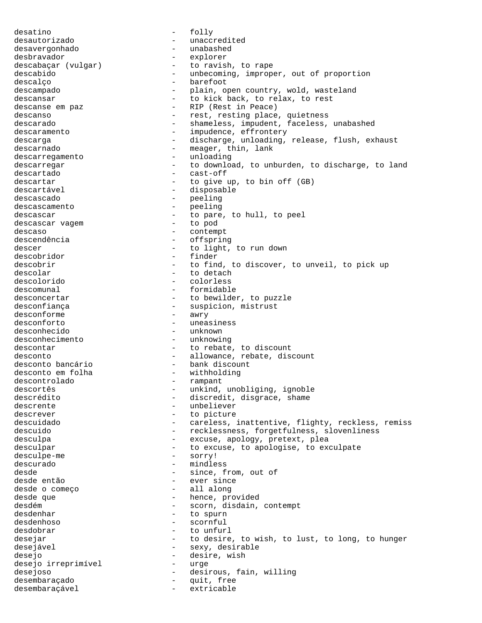desatino - folly desautorizado - unaccredited desavergonhado - unabashed desbravador - explorer descabaçar (vulgar) - to ravish, to rape descabido - unbecoming, improper, out of proportion descalço  $-$  barefoot descampado  $-$  plain, open country, wold, wasteland descansar - to kick back, to relax, to rest<br>descanse em paz - RIP (Rest in Peace) - RIP (Rest in Peace) descanso - rest, resting place, quietness descarado - shameless, impudent, faceless, unabashed descaramento  $-$  impudence, effrontery descarga - discharge, unloading, release, flush, exhaust descarnado  $-$  meager, thin, lank descarregamento - unloading descarregar  $-$  to download, to unburden, to discharge, to land descartado - cast-off descartar  $-$  to give up, to bin off (GB) descartável  $\qquad \qquad \qquad -$  disposable descascado - peeling descascamento - peeling descascar  $-$  to pare, to hull, to peel<br>descascar vagement of the to pod descascar vagem descaso - contempt descendência - offspring descer - to light, to run down descobridor - finder descobrir  $-$  to find, to discover, to unveil, to pick up descolar - to detach<br>descolorido - colorless descolorido - colorless descomunal - formidable<br>desconcertar - to bewilde: desconcertar  $-$  to bewilder, to puzzle<br>desconfianca  $-$  suspicion, mistrust - suspicion, mistrust<br>- awry desconforme<br>desconforto - uneasiness desconhecido - unknown desconhecimento descontar  $-$  to rebate, to discount desconto  $-$  allowance, rebate, discount desconto bancário  $-$  bank discount - bank discount<br>- withholding desconto em folha descontrolado - rampant descortês - unkind, unobliging, ignoble descrédito  $-$  discredit, disgrace, shame descrente  $\qquad \qquad -$  unbeliever descrever - to picture descuidado - careless, inattentive, flighty, reckless, remiss descuido - recklessness, forgetfulness, slovenliness - excuse, apology, pretext, plea desculpar  $-$  to excuse, to apologise, to exculpate desculpe-me - sorry! descurado - mindless desde  $\begin{array}{ccc}\n & - & \text{since, from, out of} \\
\text{desde então} & - & \text{ever since}\n\end{array}$ - ever since<br>- all along desde o começo desde que  $-$  hence, provided desdém  $\overline{\phantom{a}}$  - scorn, disdain, contempt<br>desdembar - to spurn - to spurn desdenhoso - scornful desdobrar  $-$  to unfurl desejar - to desire, to wish, to lust, to long, to hunger desejável - sexy, desirable desejo - desire, wish desejo irreprimível - urge desejoso - - - - - - - - - - - - - - desirous, fain, willing desembaraçado - quit, free desembaraçável - extricable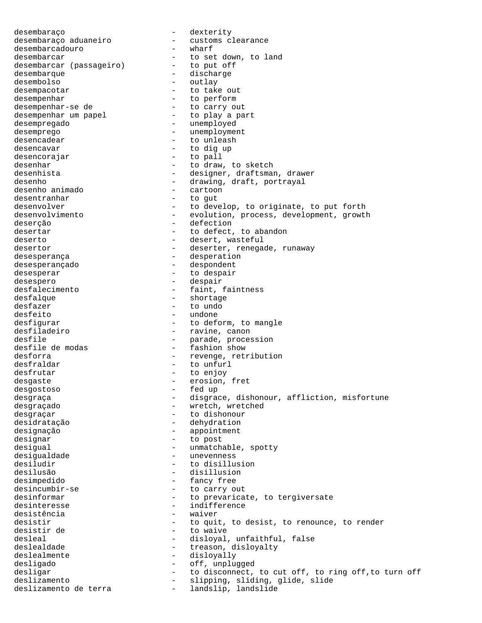desembaraço - dexterity desembaraço aduaneiro - customs clearance<br>desembarcadouro - wharf desembarcadouro desembarcar<br>desembarcar (passageiro) - to put off desembarcar (passageiro) desembarque - discharge desembolso - outlay - to take out desempenhar - to perform desempenhar-se de - to carry out desempenhar um papel desempregado - unemployed desemprego - unemployment desencadear - to unleash desencavar  $-$  to dig up desencorajar - to pall desenhar - to draw, to sketch desenhista - designer, draftsman, drawer desenho  $\overline{\phantom{a}}$  - drawing, draft, portrayal desenho animado  $\overline{\phantom{a}}$  - cartoon desenho animado<br>desentranhar desentranhar  $\qquad \qquad -$  to gut<br>desenvolver  $\qquad \qquad -$  to deve - to develop, to originate, to put forth desenvolvimento - evolution, process, development, growth<br>deserção - defection - defection desertar extended to defect, to abandon deserto - desert, wasteful desertor - deserter, renegade, runaway desesperança  $\qquad \qquad \qquad -$  desperation desesperançado - despondent desesperar extended to despair desespero - despair desfalecimento - faint, faintness desfalque - shortage - to undo desfeito - undone desfigurar  $-$  to deform, to mangle<br>desfiladeiro  $-$  ravine, canon desfiladeiro - ravine, canon desfile  $\qquad \qquad \qquad -$  parade, procession desfile de modas  $\qquad \qquad -$  fashion show - fashion show desforra  $-$  revenge, retribution desfraldar - to unfurl desfrutar - to enjoy desgaste - erosion, fret desgostoso - fed up desgraça - disgrace, dishonour, affliction, misfortune desgraçado  $-$  wretch, wretched desgraçar - to dishonour desidratação - dehydration designação  $-$  appointment designar - to post desigual - unmatchable, spotty desigualdade - unevenness desiludir - to disillusion desilusão - disillusion desimpedido - fancy free desincumbir-se  $-$  to carry out desinformar extended to prevaricate, to tergiversate desinteresse - indifference desistência desistir  $-$  to quit, to desist, to renounce, to render desistir de  $-$  to waive desleal - disloyal, unfaithful, false<br>deslealdade - - - - - - - treason, disloyalty - treason, disloyalty deslealmente <br/> - disloyally desligado - off, unplugged desligar  $-$  to disconnect, to cut off, to ring off, to turn off deslizamento - slipping, sliding, glide, slide deslizamento de terra - landslip, landslide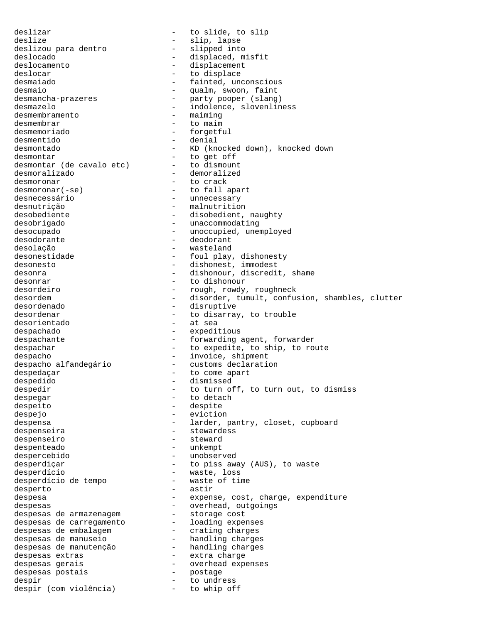deslizar - to slide, to slip deslize - slip, lapse deslizou para dentro deslocado  $-$  displaced, misfit deslocamento - displacement deslocar - to displace<br>desmaiado - fainted, un - fainted, unconscious desmaio - qualm, swoon, faint<br>desmancha-prazeres - party pooper (slang desmancha-prazeres - party pooper (slang) desmazelo - indolence, slovenliness desmembramento - maiming desmembrar  $-$  to maim desmemoriado - forgetful desmentido - denial desmontado - KD (knocked down), knocked down<br>desmontar - to get off desmontar  $-$  to get off desmontar (de cavalo etc) - to dismount desmoralizado - demoralized desmoronar - to crack<br>desmoronar(-se) - to fall a - to fall apart desnecessário - unnecessary - malnutrition desobediente - disobedient, naughty desobrigado - unaccommodating desocupado - unoccupied, unemployed desodorante deodorante deodorant desolação - wasteland desonestidade - foul play, dishonesty desonesto  $-$  dishonest, immodest desonra  $-$  dishonour, discredit, shame desonrar extensive to dishonour to dishonour desordeiro  $-$  rough, rowdy, roughneck desordem - disorder, tumult, confusion, shambles, clutter<br>desordenado - disruptive - disruptive desordenar  $-$  to disarray, to trouble<br>desorientado  $-$  at sea desorientado despachado - expeditious despachante  $\qquad -$  forwarding agent, forwarder despachar - to expedite, to ship, to route despacho<br>despacho alfandegário - invoice, shipment<br>despacho alfandegário - customs declaratio - customs declaration despedaçar  $-$  to come apart despedido - dismissed despedir  $-$  to turn off, to turn out, to dismiss despegar - to detach despeito - despite despejo - eviction despensa - larder, pantry, closet, cupboard despenseira - stewardess despenseiro despenteado - unkempt despercebido - unobserved desperdiçar - to piss away (AUS), to waste desperdício - waste, loss desperdício de tempo desperto - astir despesa - expense, cost, charge, expenditure despesas - expenditure - overhead, outgoings despesas - overhead, outgoings despesas de armazenagem - storage cost despesas de carregamento - loading expenses despesas de embalagem - crating charges despesas de manuseio - handling charges despesas de manutenção - handling charges despesas extras - extra charge despesas gerais - overhead expenses despesas postais  $-$  postage<br>despir  $-$  to undre despir  $-$  to undress despir (com violência) - to whip off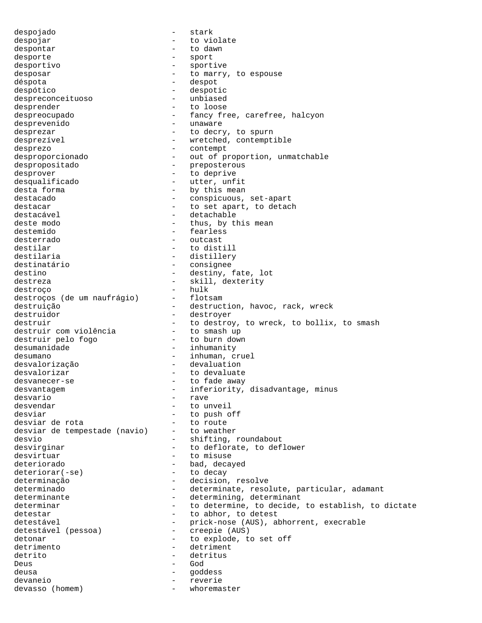despojado - stark despojar  $-$  to violate despontar  $-$  to dawn desporte - sport desportivo - sportive desposar  $-$  to marry, to espouse déspota  $\overline{\phantom{a}}$  despot despótico - despotic despreconceituoso desprender - to loose despreocupado - fancy free, carefree, halcyon desprevenido - unaware desprezar  $-$  to decry, to spurn desprezível  $\qquad \qquad \qquad -$  wretched, contemptible desprezo - contempt desproporcionado - - out of proportion, unmatchable despropositado - preposterous desprover  $\qquad$  - to deprive desqualificado - utter, unfit<br>desta forma - by this mean - by this mean destacado  $\qquad \qquad -$  conspicuous, set-apart destacar extended to set apart, to detach destacável - detachable deste modo  $-$  thus, by this mean destemido - fearless desterrado - outcast destilar  $-$  to distill destilaria  $-$  distillery destinatário - consignee destino  $-$  destiny, fate, lot destreza - skill, dexterity<br>destroco - hulk - hulk destroço<br>destrocos (de um naufrágio) - flotsam destroços (de um naufrágio) destruição  $-$  destruction, havoc, rack, wreck destruidor - destroyer destruir<br>destruir com violência - to destroy, to wreck, to bollix, to smash<br>destruir com violência - to smash up destruir com violência - to smash up<br>destruir pelo fogo - to burn down destruir pelo fogo desumanidade  $-$  inhumanity desumano  $-$  inhuman, cruel desvalorização - devaluation desvalorizar entitled and to devaluate desvanecer-se - to fade away desvantagem entity, disadvantage, minus desvario - rave desvendar - to unveil desviar  $\begin{array}{ccc} - & + \\ - & + \end{array}$  to push off desviar de rota desviar de rota<br>desviar de tempestade (navio) - to weather desviar de tempestade (navio) desvio  $-$  shifting, roundabout desvirginar  $-$  to deflorate, to deflower desvirtuar - to misuse deteriorado - bad, decayed<br>deteriorar(-se) - to decay  $deteriorar(-se)$ determinação  $-$  decision, resolve determinado - determinate, resolute, particular, adamant determinante - determining, determinant<br>determinar - to determine, to decide, - to determine, to decide, to establish, to dictate detestar - to abhor, to detest detestável - prick-nose (AUS), abhorrent, execrable detestável (pessoa) - creepie (AUS) detonar - to explode, to set off detrimento - detriment detrito - detritus Deus - God deusa - goddess devaneio - reverie devasso (homem) - whoremaster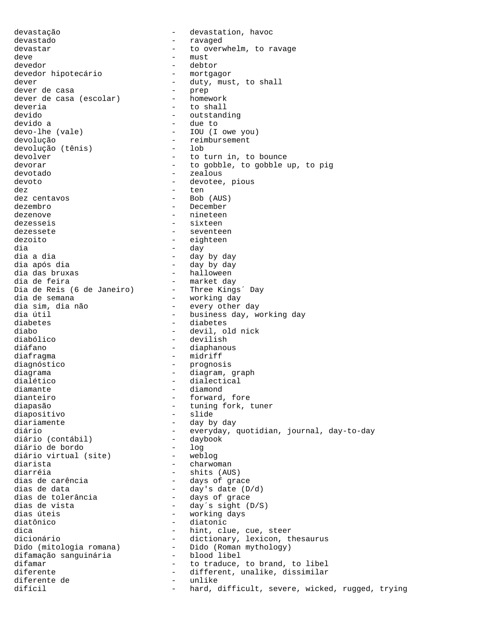devastação - devastation, havoc devastado - ravaged devastar extended to overwhelm, to ravage deve - must devedor - debtor devedor hipotecário dever - duty, must, to shall dever de casa<br>dever de casa (escolar) - homework dever de casa (escolar) deveria  $-$  to shall devido<br>devido a devido a devido a devido a devido a devido a de de de to devido a - due to - IOU (I owe you) devolução - reimbursement devolução (tênis) devolver - to turn in, to bounce devorar extended to gobble, to gobble up, to pig devotado - zealous devoto  $-$  devotee, pious dez - ten dez centavos<br>dezembro - December dezenove - nineteen dezesseis - sixteen dezessete - seventeen dezoito - eighteen dia - day dia a dia - day by day - day by day<br>- halloween dia das bruxas - halloween dia de feira - market day Dia de Reis (6 de Janeiro) - Three Kings´ Day dia de semana - working day dia de semana<br>dia sim, dia não - every other day<br>dia útil - business day. w dia útil  $-$  business day, working day<br>diabetes  $-$  diabetes diabetes - diabetes<br>diabo - diabetes<br>diabo - devil o diabo - devil, old nick - devilish diáfano - diaphanous diafragma - midriff diagnóstico - prognosis diagrama - diagram, graph dialético - dialectical diamante diamond - diamond<br>dianteiro - forward, dianteiro - forward, fore diapasão - tuning fork, tuner - slide diariamente - day by day - everyday, quotidian, journal, day-to-day<br>- daybook diário (contábil) - daybook diário de bordo<br>diário virtual (site) - weblog diário virtual (site) diarista - charwoman - shits (AUS)<br>- days of grace dias de carência<br>dias de data dias de data<br>dias de tolerância - day's date (D/d)<br>- days of grace dias de tolerância - days of grace dias de vista - day´s sight (D/S) dias úteis - working days diatônico - diatonic<br>dica - diatonic - diatonic dica - hint, clue, cue, steer<br>dicionário - dictionary. lexicon. tl - dictionary, lexicon, thesaurus dictionario<br>Dido (mitologia romana) - Dido (Roman mythology)<br>difamação sanguinária - blood libel Dido (mitologia romana)<br>difamação sanguinária difamar - to traduce, to brand, to libel<br>diferente - different, unalike, dissimilar - different, unalike, dissimilar<br>- unlike diferente de<br>difícil - hard, difficult, severe, wicked, rugged, trying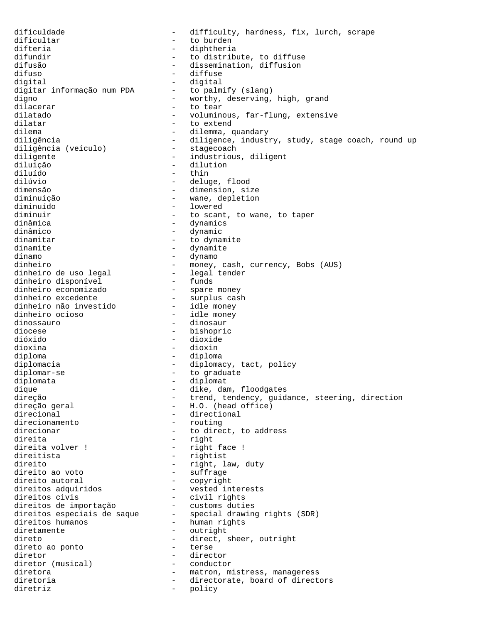dificuldade - difficulty, hardness, fix, lurch, scrape dificultar - to burden difteria  $-$  diphtheria difundir  $-$  to distribute, to diffuse difuse difusion  $-$  dissemination, diffusion difusão - dissemination, diffusion<br>difuso - diffuse - diffuse difuso - diffuse - digital<br>- to palmify (slang) digitar informação num PDA digno - worthy, deserving, high, grand dilacerar  $-$  to tear dilatado  $-$  voluminous, far-flung, extensive<br>dilatar  $-$  to extend - to extend dilema - dilemma, quandary diligência - diligence, industry, study, stage coach, round up<br>diligência (veículo) - stagecoach diligência (veículo) diligente - industrious, diligent diluição - dilution diluído - thin dilúvio - deluge, flood dimensão - dimension, size diminuição - wane, depletion - lowered diminuir  $\begin{array}{ccc}\n\text{diam } & - & \text{t} & \text{scant, to wane, to taper} \\
\text{diam } & - & \text{dvar } & \text{t} & \text{t} & \text{t} \\
\end{array}$ - dynamics dinâmico - dynamic dinamitar  $-$  to dynamite dinamite - dynamite dínamo - dynamo dinheiro - money, cash, currency, Bobs (AUS)<br>dinheiro de uso legal - legal tender dinheiro de uso legal legal tender dinheiro disponível<br>dinheiro economizado dinheiro economizado - spare money dinheiro excedente - surplus cash dinheiro não investido - idle money dinheiro ocioso dinossauro - dinosaur diocese - bishopric<br>dióxido - dioxide - dioxide dióxido - dioxide dioxina - dioxin diploma - diploma diplomacia  $-$  diplomacy, tact, policy diplomar-se  $\qquad \qquad -$  to graduate diplomata  $\qquad \qquad -$  diplomat dique  $\qquad \qquad -$  dike, dam, floodgates direção - trend, tendency, guidance, steering, direction<br>direção geral - H.O. (head office) direção geral  $-$  H.O. (head office)<br>direcional  $-$  directional - directional<br>- routing direcionamento direcionar and to direct, to address direita - right direita volver ! - right face ! direitista - rightist direito<br>
direito ao voto<br>
- suffrage<br>
- suffrage direito ao voto - suffrage direito autoral - copyright direitos adquiridos - vested interests direitos civis - civil rights direitos de importação - customs duties direitos especiais de saque - special drawing rights (SDR) direitos humanos - human rights diretamente - outright direto<br>direto ao ponto<br>- direto ao ponto<br>- terse direto ao ponto - terse diretor - director diretor (musical) - conductor diretora - matron, mistress, manageress diretoria  $\qquad \qquad -$  directorate, board of directors<br>diretriz diretriz - policy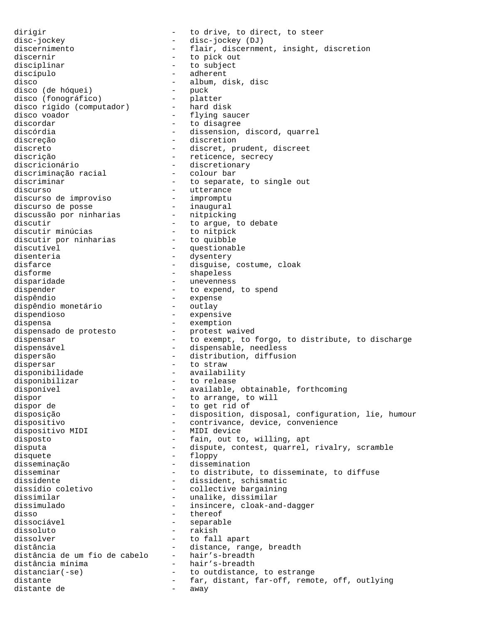dirigir  $-$  to drive, to direct, to steer disc-jockey  $-$  disc-jockey (DJ) discernimento - flair, discernment, insight, discretion discernir - to pick out disciplinar - to subject<br>discípulo - adherent discípulo - adherent - album, disk, disc disco (de hóquei) - puck disco (fonográfico) - platter disco rígido (computador) - hard disk disco voador - flying saucer discordar  $\overline{\phantom{a}}$  - to disagree discórdia  $\overline{\phantom{a}}$  - dissension. - dissension, discord, quarrel discreção - discretion discreto - discret, prudent, discreet discrição  $-$  reticence, secrecy discricionário - discretionary<br>discriminação racial - colour bar discriminação racial<br>discriminar discriminar - to separate, to single out discurso - to separate and the discurso discurso<br>discurso de improviso - impromptu discurso de improviso - impromptu discurso de posse - inaugural discussão por ninharias nitpicking discutir  $\qquad \qquad -$  to argue, to debate discutir minúcias to nitpick discutir por ninharias - to quibble discutível extending to the contract of the questionable disenteria  $-$  dysentery disfarce  $\qquad \qquad -$  disguise, costume, cloak disforme - shapeless disparidade - unevenness dispender - to expend, to spend<br>dispêndio - expense - expense<br>- outlay dispêndio monetário<br>dispendioso - expensive<br>- exemption dispensa - exemption dispensado de protesto - protest waived dispensar - to exempt, to forgo, to distribute, to discharge dispensável - dispensable, needless dispersão - distribution, diffusion dispersar  $\overline{\phantom{a}}$  - to straw disponibilidade - availability disponibilizar - to release<br>disponível - available, - to fercase<br>- available, obtainable, forthcoming dispor - to arrange, to will<br>dispor de - to get rid of dispor de  $\begin{array}{ccc} - & + \text{to get rid of} \\ - & \text{disposition,} \end{array}$ - disposition, disposal, configuration, lie, humour dispositivo - contrivance, device, convenience dispositivo MIDI - MIDI device disposto  $-$  fain, out to, willing, apt disputa - dispute, contest, quarrel, rivalry, scramble disquete  $\qquad -$  floppy disseminação - dissemination disseminar  $-$  to distribute, to disseminate, to diffuse dissidente dissidente<br>dissídio coletivo - dissident, schismatic<br>dissídio coletivo - collective bargaining dissídio coletivo - collective bargaining dissimilar - unalike, dissimilar<br>dissimulado - - insincere, cloak-an dissimulado  $\begin{array}{ccc}\n - & \text{insince} \\
 - & \text{there} \\
 \end{array}$  cloak-and-dagger disso - thereof<br>dissociável - thereof - thereof - separable dissoluto - rakish<br>dissolver - rakish - rakish - to fall apart distância - distance, range, breadth distância de um fio de cabelo - hair's-breadth distância mínima - hair's-breadth distanciar(-se) - to outdistance, to estrange distante - far, distant, far-off, remote, off, outlying<br>distante de - away distante de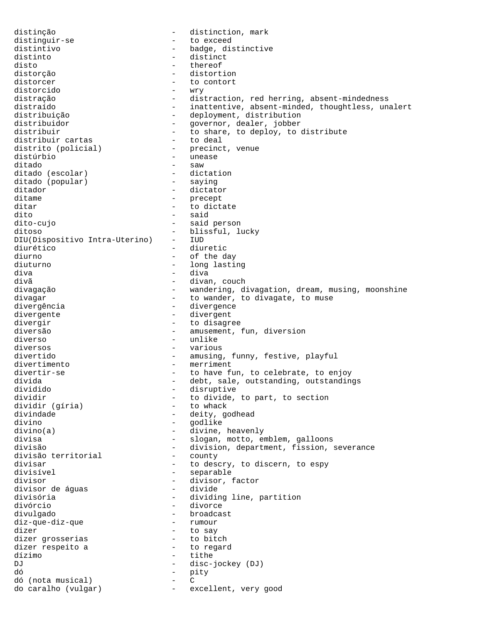distinção - distinction, mark distinguir-se - to exceed distintivo  $-$  badge, distinctive distinto - distinct disto - thereof - thereof - thereof - thereof - thereof - thereof - thereof - thereof - thereof - thereof - thereof - thereof - thereof - thereof - thereof - thereof - thereof - there is the state of the state of the state distorção - distortion - to contort<br>- wry distorcido<br>distração - distraction, red herring, absent-mindedness distraído **como estecuto de la contracta entrarce** distraído entre estecto entre inattentive, absent-minded, thoughtless, unalert distribuição  $\begin{array}{ccc}\n\text{distribuiqão} \\
\text{distribuiqor} \\
\end{array}$  - deployment, distribution distribuidor - governor, dealer, jobber<br>distribuir - to share, to deploy, to - to share, to deploy, to distribute<br>- to deal distribuir cartas distrito (policial) - precinct, venue<br>distúrbio - unease distúrbio - unease - saw<br>- dictation ditado (escolar) - dictation - dictation - dictation - dictation - dictation - saying ditado (popular)<br>ditador ditador - dictator - dictator - dictator - dictator - dictator - dictator - dictator - dictator - dictator - dictator - dictator - dictator - dictator - dictator - dictator - dictator - dictator - dictator - dictator - dic ditame - precept<br>ditar - to dict. - to dictate dito - said dito-cujo - said person ditoso - blissful, lucky DIU(Dispositivo Intra-Uterino) diurético - diuretic diurno - of the day diuturno - long lasting diva - diva divã - divan, couch<br>divagação - divan, couch - divan, couch - divan, d - wandering, divagation, dream, musing, moonshine divagar  $-$  to wander, to divagate, to muse<br>divergência divergência - divergence<br>divergente - divergent - divergent divergir  $\qquad -$  to disagree<br>diversão  $\qquad -$  amusement diversão - amusement, fun, diversion - unlike diversos - various divertido  $-$  amusing, funny, festive, playful divertimento - merriment divertir-se - to have fun, to celebrate, to enjoy<br>divida - debt, sale, outstanding, outstanding dívida - debt, sale, outstanding, outstandings<br>dividido - disruptive dividido - disruptive - to divide, to part, to section<br>- to whack dividir (gíria)<br>divindade divindade  $\begin{array}{ccc} - & \text{deity, godhead} \\ - & \text{oodlike} \end{array}$ divino - godlike - godlike - godlike - godlike - godlike - godlike - godlike - godlike - godlike - godlike - godlike - godlike - godlike - godlike - godlike - godlike - godlike - godlike - godlike - godlike - godlike - god - divine, heavenly divisa  $-$  slogan, motto, emblem, galloons divisão - division, department, fission, severance divisão territorial - county divisão territorial divisar  $-$  to descry, to discern, to espy divisível - separable divisor - divisor, factor divisor de águas<br>divisória divisória - dividing line, partition divórcio - divorce - broadcast<br>- rumour diz-que-diz-que dizer - to say dizer grosserias - to bitch dizer respeito a dízimo - tithe DJ - disc-jockey (DJ)<br>dó - pity dó (nota musical) – pity<br>dó (nota musical) – C<br>do caralho (wilcox) dó (nota musical) - C do caralho (vulgar) - excellent, very good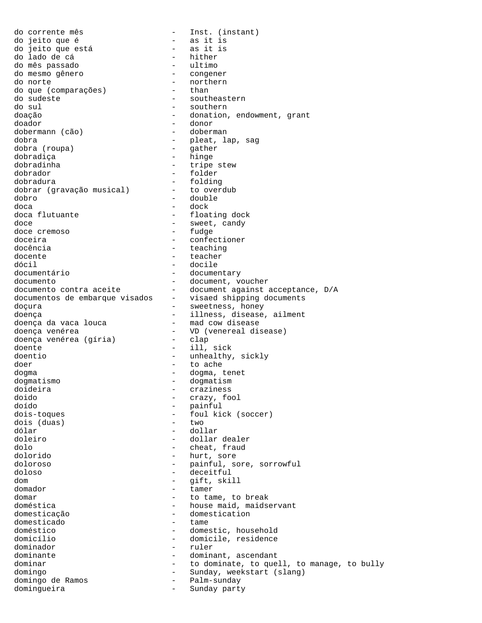do corrente mês  $-$  Inst. (instant) do jeito que é - as it is do jeito que está<br>do lado de cá do lado de cá do lado de cá - hither do mês passado - ultimo do mesmo gênero<br>do norte - northern<br>- than do que (comparações)<br>do sudeste do sudeste  $\begin{array}{ccc} - & - & - & - \\ - & - & - & - \\ - & - & - & - \\ \end{array}$  southeastern - southern doação - donation, endowment, grant doador - donor dobermann (cão) dobra (1992)<br>dobra - pleat, lap, sag<br>dobra (roupa) - pleat, lap, sag<br>dobra (roupa) dobra (roupa) dobradiça - hinge<br>dobradinha - hinge<br>- tripe dobradinha - tripe stew - folder dobradura<br>dobrar (qravação musical) - to overdub dobrar (gravação musical) dobro - double<br>doca - dock - dock - dock doca flutuante  $\qquad \qquad -$  floating dock doce  $\overline{\phantom{0}}$  doce  $\overline{\phantom{0}}$  andy  $\overline{\phantom{0}}$  - sweet, candy  $\overline{\phantom{0}}$  -  $\overline{\phantom{0}}$  sweet, candy doce cremoso doceira  $\qquad \qquad -$  confectioner docência  $\qquad \qquad -$  teaching docente  $\qquad \qquad -$  teacher dócil - docile - documentary<br>- document, voucher documento<br>documento contra aceite<br>documento - document against acceptance, D/A<br>- visaed shipping documents documentos de embarque visados - visaed shipping documents doçura - sweetness, honey doença<br>doença da vaca louca - illness, disease, ailment<br>- mad cow disease doença da vaca louca doença venérea<br>doenca venérea (qíria) - VD (venereal disease) doença venérea (gíria) doente - ill, sick doentio - unhealthy, sickly doer - to ache dogma - dogma, tenet dogmatismo - dogmatism doideira - craziness doido - crazy, fool doído - painful - foul kick (soccer)<br>- two dois (duas)<br>dólar dólar - dollar - dollar dealer dolo - cheat, fraud dolorido - hurt, sore doloroso - painful, sore, sorrowful doloso - deceitful dom - gift, skill domador - tamer domar - to tame, to break<br>doméstica - house maid, maids doméstica - house maid, maidservant<br>domesticação - domestication - domestication<br>- tame domesticado doméstico - domestic, household domicílio - domicile, residence dominador - ruler dominante  $\sim$  dominant, ascendant dominar  $-$  to dominate, to quell, to manage, to bully domingo<br>
domingo de Ramos<br>
- Palm-sunday<br>
Palm-sunday domingo de Ramos  $-$  Palm-sunday domingueira - Sunday party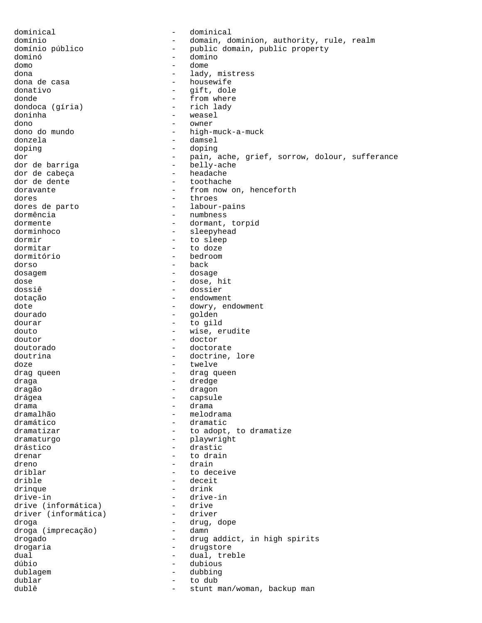dominical - dominical domínio - domain, dominion, authority, rule, realm domínio público  $-$  public domain, public property dominó - domino domo - dome dona - lady, mistress dona de casa - housewife<br>donativo - dift, dole donativo - gift, dole - from where<br>- rich lady dondoca (gíria) doninha - weasel dono - owner - high-muck-a-muck donzela - damsel doping - doping - doping dor - pain, ache, grief, sorrow, dolour, sufferance<br>dor de barriga - belly-ache - belly-ache<br>- headache dor de cabeça<br>dor de dente dor de dente  $\begin{array}{ccc} - & + \end{array}$  toothache doravante doravante - from now on, henceforth<br>dores - throes dores - throes - labour-pains dormência - numbness dormente  $\qquad \qquad -$  dormant, torpid dorminhoco - sleepyhead dormir - to sleep dormitar - to doze dormitório - bedroom dorso - back dosagem entre entre entre entre dosage dose<sup>-</sup> - dose, hit<br>dossiê - dose, hit<br>dossiê - dossier - dossier dotação endowment dote - dowry, endowment<br>dourado - dowry, endowment - golden dourar - to gild douto - wise, erudite doutor - doctor doutorado - doctorate doutrina  $\qquad \qquad -$  doctrine, lore doze - twelve drag queen en entre la commune de la drag queen draga - dredge - dredge dragão - dragon drágea - capsule drama - drama - melodrama dramático - dramatic dramatizar  $\begin{array}{ccc} - & + & + \end{array}$  to adopt, to dramatize dramaturgo - playwright drástico - drastic drenar - to drain dreno - drain driblar - to deceive drible - deceit drinque - drink drive-in - drive-in drive (informática) - drive<br>driver (informática) - driver driver (informática) droga (imprecação) - drug, dope droga (imprecação) - damn droga (imprecação) drogado - drug addict, in high spirits drogaria  $\overline{a}$  - drugstore dual dual, treble dúbio - dubious dublagem - dubbing<br>dublar - to dub dublar - to dub - stunt man/woman, backup man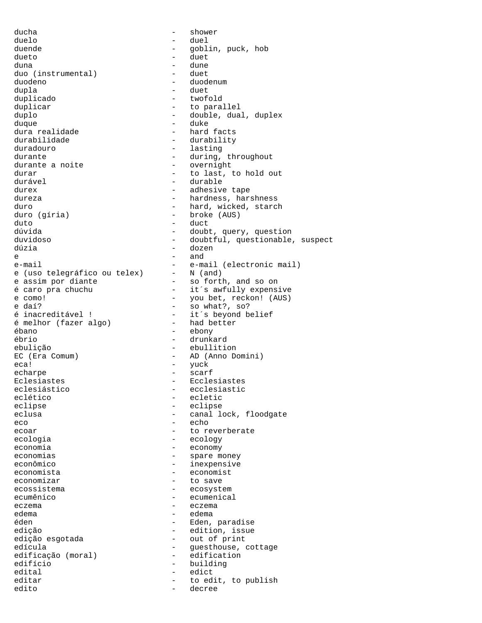ducha - shower duelo - duel duende  $\qquad \qquad -$  goblin, puck, hob dueto - duet duna - dune duo (instrumental) duodeno - duodenum dupla - duet duplicar - to parallel duplo  $\qquad \qquad -$  double, dual, duplex duque - duke dura realidade - hard facts durabilidade - durability duradouro - lasting durante <br>durante a noite <br>durante a noite <br>durante <br>durante <br>durante <br>durante <br>durante <br>durante <br>durante <br>durante <br>durante <br>durante <br>durante <br>durante <br>durante <br>durante <br>durante <br>durante <br>durante <br>durante <br>durante <br>durante durante a noite durar  $-$  to last, to hold out durável  $-$  durable durável - durable durex - adhesive tape duro  $\begin{array}{ccc} \text{duro} & - & \text{hard, wicked, starch} \\ \text{duro (gfria)} & - & \text{broken (AUS)} \end{array}$ duto - duct e  $-$  and  $-$  and  $-$  and  $$ e-maii<br>e (uso telegráfico ou telex) e assim por diante<br>  $e$  assim por diante<br>  $e$  are pra chuchu<br>  $-$  it's awfully expens e daí? - so what?, so? é inacreditável ! - it´s beyond belief<br>é melhor (fazer algo) - had better é melhor (fazer algo) ébano - ebony ebulição - ebullition EC (Era Comum) - AD (Anno Domini) eca! - yuck echarpe - scarf Eclesiastes - Ecclesiastes eclético - ecletico - ecletico<br>eclipse - eclipse - eclipse eclipse - eclipse eco - echo - echo - echo ecoar ecoar - to reverberate ecologia - ecology economia  $\qquad \qquad -$  economy economias - spare money econômico - inexpensive economista - economist economizar - to save ecossistema - ecosystem ecumênico - ecumenical eczema – eczema – eczema – eczema – eczema – eczema – eczema – eczema – eczema – eczema – eczema – eczema – eczema – eczema – eczema – eczema – eczema – eczema – eczema – eczema – eczema – eczema – eczema – eczema – eczema éden  $\qquad \qquad -$  Eden, paradise edição - edition, issue<br>edição esgotada - edition, issue edícula - contrage - guesthouse, cottage edificação (moral) - edification<br>edifício edifício  $-$  building edital - edict editar  $-$  to edit, to publish edito - decree

- twofold - hardness, harshness - broke (AUS) - doubt, query, question duvidoso - doubtful, questionable, suspect - dozen e-mail  $-$  e-mail (electronic mail)<br>e (uso telegráfico ou telex) - N (and) é caro pra chuchu  $-$  it´s awfully expensive<br>e como! - you bet, reckon! (AUS) e como! - you bet, reckon! (AUS) - drunkard - ecclesiastic - canal lock, floodgate edema - edema - out of print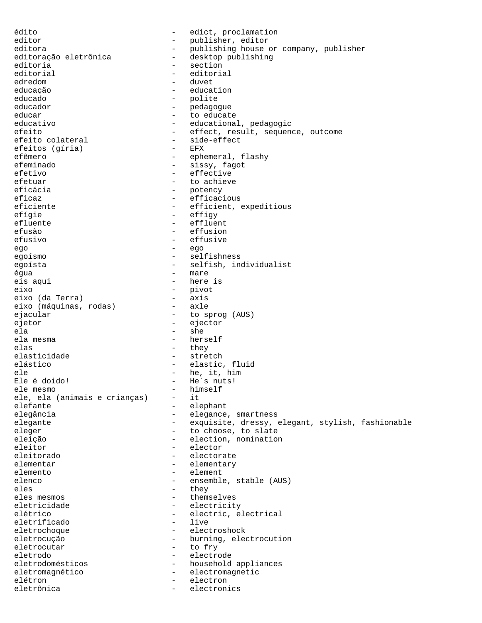édito - edict, proclamation editor - publisher, editor<br>
editora<br>
- publishing house editora - publishing house or company, publisher editora<br>editoração eletrônica - desktop publishing editoria - section<br>editorial - editoria editorial - editorial edredom educação - education educado - polite educador - pedagogue educar educate to educate the educate to educate the educate of  $\sim$ educativo - educational, pedagogic efeito - effect, result, sequence, outcome efeito colateral - side-effect efeitos (gíria) efêmero - ephemeral, flashy efeminado - sissy, fagot efetivo - effective efetuar - to achieve eficácia - potency eficaz - efficacious - efficient, expeditious efígie  $-$  effigy efluente - effluent efusão - effusion efusivo - effusive ego - ego egoísmo - selfishness egoísta - selfish, individualist égua - mare eis aqui  $-$  here is eixo - pivot<br>eixo (da Terra) - axis eixo (da Terra) - axis eixo (máquinas, rodas) ejacular - to sprog (AUS) ejetor - ejector ela - she - herself elas - they elasticidade - stretch elástico - elastic, fluid ele - he, it, him - He´s nuts!<br>- himself ele mesmo - himself ele, ela (animais e crianças) elefante - elephant - elegance, smartness elegante - exquisite, dressy, elegant, stylish, fashionable eleger - to choose, to slate eleição - election, nomination eleitor - elector eleitorado electorate electorate elementar - elementary elemento - elementary - elementary - elementary - elementary - element - element elenco - ensemble, stable (AUS) eles eles - they<br>eles mesmos - thems eles mesmos - themselves eletricidade - electricity<br>elétrico - electric.e - electric, electrical<br>- live eletrificado eletrochoque - electroshock eletrocução  $-$  burning, electrocution eletrocutar - to fry eletrodo - electrode eletrodomésticos - household appliances eletromagnético - electromagnetic elétron - electron eletrônica - electronics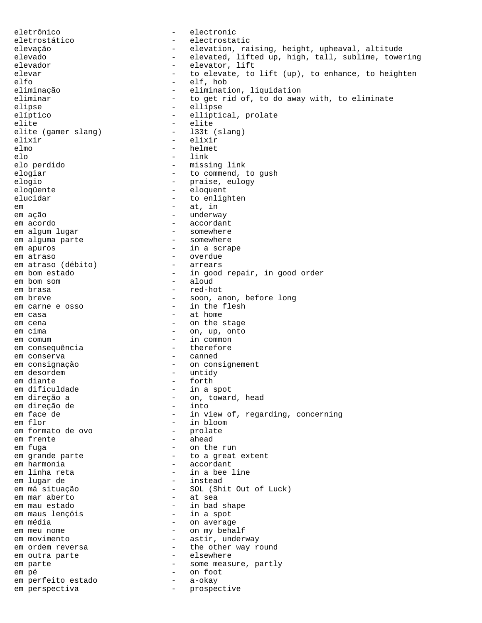eletrônico - electronic eletrostático - electrostatic elevação - elevation, raising, height, upheaval, altitude elevado  $-$  elevated, lifted up, high, tall, sublime, towering elevador - elevator, lift elevar elevar - to elevate, to lift (up), to enhance, to heighten elfo - elf, hob eliminação  $-$  elimination, liquidation<br>eliminar - to get rid of, to do awa - to get rid of, to do away with, to eliminate elipse - ellipse elíptico - elliptical, prolate elite - elite - elite<br>elite (gamer slang) - - - - - - - 133t (slang) elite (gamer slang) elixir - elixir elmo - helmet elo - link elo perdido - missing link elogiar - to commend, to gush elogio - praise, eulogy eloqüente - eloquent elucidar - to enlighten em  $-$  at, in em ação  $-$  underway em acordo - accordant em algum lugar - somewhere<br>
em alguma parte - somewhere em alguma parte em apuros  $-$  in a scrape em atraso <br>em atraso (débito) - overdue - arrears em atraso (débito) em bom estado  $-$  in good repair, in good order<br>
em bom som  $-$  aloud em bom som em brasa  $-$  red-hot em breve  $\sim$  - soon, anon, before long em carne e osso  $-$  in the flesh em casa  $-$  at home em cena - on the stage em cima - on, up, onto em comum - in common em consequência  $-$  therefore em conserva <br/>  $\hfill$  - canned em consignação - on consignement em desordem  $-$  untidy em diante  $-$  forth  $-$  forth  $-$  forth  $-$  in a - in a spot em direção a - on, toward, head em direção de<br>em face de - in view of, regarding, concerning em flor - in bloom em formato de ovo em frente  $\qquad$  - ahead em fuga  $-$  on the run em grande parte  $-$  to a great extent em harmonia  $-$  accordant em linha reta  $-$  in a bee line em lugar de  $-$  instead em má situação - SOL (Shit Out of Luck)<br>
em mar aberto - at sea em mar aberto em mau estado - in bad shape em maus lençóis em média  $-$  on average em meu nome  $\qquad \qquad -$  on my behalf em movimento  $-$  astir, underway em ordem reversa - the other way round em outra parte  $\qquad \qquad -$  elsewhere em parte  $-$  some measure, partly  $-$  some measure, partly  $-$  on foot em pé - on foot em perfeito estado em perspectiva and a control of the prospective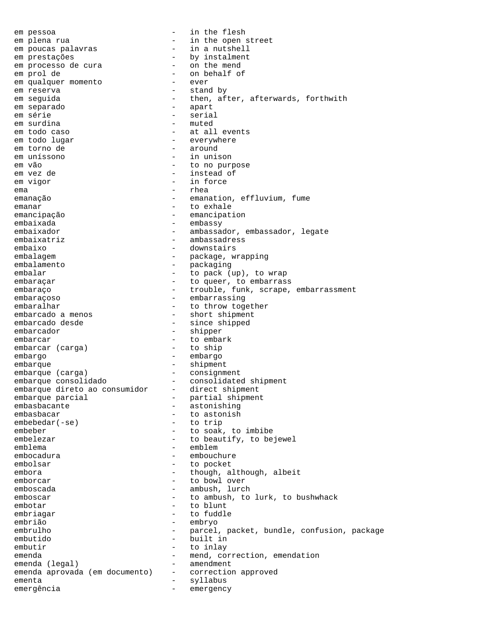em pessoa - in the flesh em plena rua - in the open street em poucas palavras em prestações - by instalment<br>em processo de cura - on the mend em processo de cura em prol de - on behalf of em qualquer momento em reserva - stand by - then, after, afterwards, forthwith<br>- apart em separado em série - serial em surdina em todo caso  $-$  at all events em todo lugar - everywhere em torno de  $-$  around em uníssono - in unison em vão - to no purpose - instead of<br>- in force em vigor  $-$  in force ema - rhea emanação  $-$  emanation, effluvium, fume emanar - to exhale emancipação - emancipation embaixada - embassy embaixador - ambassador, embassador, legate embaixatriz - ambassadress embaixo - downstairs embalagem - package, wrapping embalamento - packaging embalar  $-$  to pack (up), to wrap embaraçar  $-$  to queer, to embarrass embaraço  $-$  trouble, funk, scrape, embarrassment embaraçoso - embarrassing embaralhar - to throw together embarcado a menos  $\qquad \qquad -$  short shipment embarcado desde  $-$  since shipped embarcador - shipper embarcar - to embark embarcar (carga) embargo - embargo embarque - shipment embarque (carga) - consignment embarque consolidado - consolidated shipment<br>embarque direto ao consumidor - direct shipment embarque direto ao consumidor<br>embarque parcial embarque parcial  $-$  partial shipment embasbacante - astonishing embasbacar - to astonish<br>embebedar(-se) - to trip  $embededar(-se)$ embeber - to soak, to imbibe embelezar - to beautify, to bejewel emblema - emblem embocadura - embouchure embolsar - to pocket embora - though, although, albeit emborcar - to bowl over emboscada - ambush, lurch<br>emboscar - ambush, lurch emboscar - to ambush, to lurk, to bushwhack embotar - to blunt embriagar - to fuddle embrião - embryo embrulho - parcel, packet, bundle, confusion, package embutido - built in embutir - to inlay emenda  $\begin{array}{ccc} - & mend, \text{correction, emendation}$ <br>emenda (legal) - amendment emenda (legal)<br>emenda aprovada (em documento) - correction emenda aprovada (em documento) - correction approved ementa - syllabus emergência emergency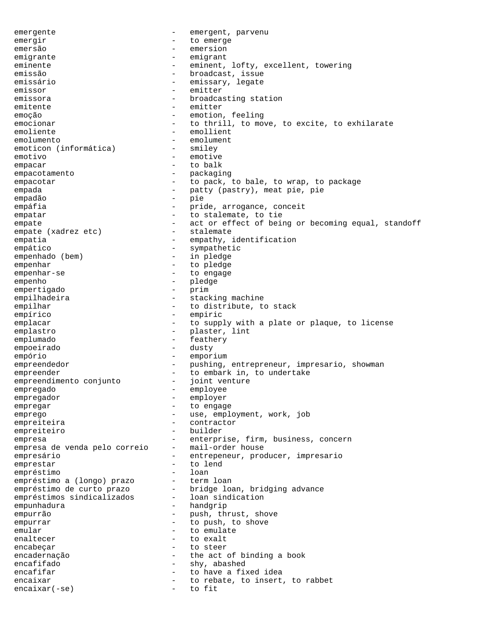emergente - emergent, parvenu emergir - to emerge emersão - emersion emigrante - emigrant eminente - eminent, lofty, excellent, towering emissão - broadcast, issue<br>emissário - emissary legate emissário - emissary, legate<br>
emissor - emister emissor - emitter - broadcasting station<br>- emitter emitente - emitter<br>emocão - emotion emoção - emotion, feeling<br>
emocionar
- to thrill, to mov - to thrill, to move, to excite, to exhilarate emoliente  $-$  emollient emolumento - emolument emoticon (informática) - smiley emotivo - emotive empacar - to balk<br>empacatamento - packagi empacotamento - packaging empacotar - to pack, to bale, to wrap, to package empada - patty (pastry), meat pie, pie<br>
- pie empadão - pie empáfia  $-$  pride, arrogance, conceit empatar  $-$  to stalemate, to tie empate  $-$  act or effect of being or becoming equal, standoff empate (xadrez etc)  $-$  stalemate empate (xadrez etc) empatia  $-$  empathy, identification empático - sympathetic empenhado (bem) - in pledge empenhar<br>empenhar-se entitled to pledge empenhar-se - to engage empenho - pledge empertigado - prim empilhadeira - stacking machine empilhar  $-$  to distribute, to stack empírico - empiric emplacar  $-$  to supply with a plate or plaque, to license emplastro  $-$  plaster, lint emplumado - feathery empoeirado - dusty empório - emporium empreendedor - pushing, entrepreneur, impresario, showman<br>empreender - to embark in to undertake empreender - to embark in, to undertake empreendimento conjunto - joint venture empreendimento conjunto - joint venture venture venture venture venture venture venture venture venture ventur<br>empregado - employee empregador employer - employer empregar - to engage<br>emprego emprego - use, employment, work, job<br>emprejteira empreiteira - contractor empreiteiro empresa<br>empresa de venda pelo correio - mail-order house<br>mail-order house empresa de venda pelo correio empresário  $-$  entrepeneur, producer, impresario emprestar - to lend empréstimo de la proposition de la proposition de la proposition de la proposition de la proposition de la pro empréstimo a (longo) prazo - term loan empréstimo de curto prazo - bridge loan, bridging advance<br>empréstimos sindicalizados - loan sindication empréstimos sindicalizados empunhadura - handgrip empurrão - push, thrust, shove<br>empurrar empurrar - to push, to shove emular - to emulate<br>enaltecer - to exalt enaltecer - to exalt<br>encabecar - to steer encabeçar - to steer encadernação  $-$  the act of binding a book encafifado - shy, abashed<br>encafifar - shy, abashed<br>- to have a fi encafifar  $-$  to have a fixed idea encaixar - to rebate, to insert, to rabbet<br>encaixar(-se) - to fit encaixar(-se) - to fit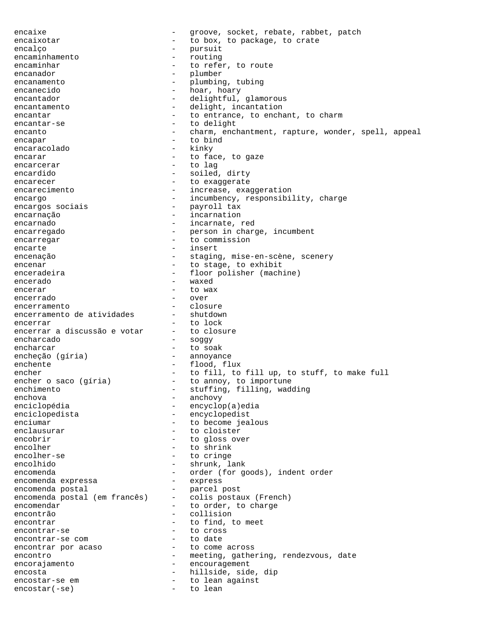encaixe - groove, socket, rebate, rabbet, patch encaixotar  $-$  to box, to package, to crate encalço - pursuit encaminhamento - pursuit encaminhamento - pursuit - pursuit encaminhamento - pursuit encamin encaminhamento encaminhar  $-$  to refer, to route encanador - plumber encanamento - plumbing, tubing encanecido  $\qquad \qquad -$  hoar, hoary encantador - delightful, glamorous encantamento - delight, incantation encantar  $\qquad \qquad -$  to entrance, to enchant, to charm encantar-se - to delight encanto  $-$  charm, enchantment, rapture, wonder, spell, appeal encapar - to bind encaracolado encarar encarar - to face, to gaze encarcerar - to lag encardido - soiled, dirty encarecer encarecer - to exaggerate encarecimento  $\qquad \qquad -$  increase, exaggeration encargo - incumbency, responsibility, charge<br>encargos sociais - payroll tax - payroll tax encarnação - incarnation encarnado  $-$  incarnate, red encarregado - person in charge, incumbent encarregar - to commission encarte  $\qquad \qquad - \quad \text{insert}$ encenação  $-$  staging, mise-en-scène, scenery encenar - to stage, to exhibit enceradeira - floor polisher (machine) encerado - waxed encerar  $-$  to wax encerrado - over encerramento<br>encerramento de atividades - shutdown encerramento de atividades encerrar<br>encerrar a discussão e votar - to closure encerrar a discussão e votar encharcado - soggy encharcar - to soak encheção (gíria) enchente  $\qquad \qquad -$  flood, flux encher - to fill, to fill up, to stuff, to make full encher o saco (gíria) - to annoy, to importune enchimento <sup>-</sup> stuffing, filling, wadding enchova - anchovy - encyclop(a)edia enciclopedista - encyclopedist enciumar - to become jealous<br>
enclausurar - to cloister - to cloister encobrir  $-$  to gloss over encolher - to shrink encolher-se  $-$  to cringe encolhido - shrunk, lank encomenda - order (for goods), indent order encomenda expressa - express encomenda postal (em francês) - parcel post<br>encomenda postal (em francês) - colis postaux (French) encomenda postal (em francês) encomendar encomendar - to order, to charge encontrão - collision encontrar encontrar - to find, to meet encontrar-se extended to cross<br>encontrar-se cometar and to date encontrar-se com encontrar por acaso and to come across encontro  $-$  meeting, gathering, rendezvous, date<br>encorajamento  $-$  encouragement encorajamento - encouragement encosta<br>
encostar-se em entre and to lean against<br>
- to lean against encostar-se em  $\qquad \qquad -$  to lean against<br>encostar(-se)  $\qquad \qquad -$  to lean  $encostar(-se)$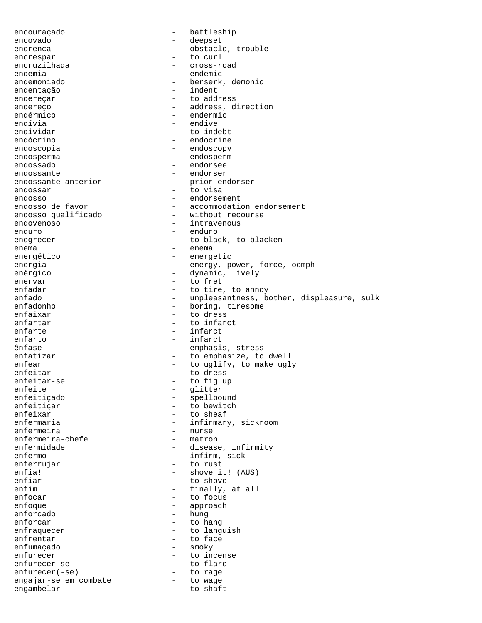encouraçado - battleship encovado - deepset encrenca - obstacle, trouble encrespar - to curl encruzilhada - cross-road endemia - endemic<br>endemoniado - berserk endemoniado  $\begin{array}{ccc} - & \text{berserk, demonic} \\ - & \text{index} \end{array}$ endentação - indent - to address endereço  $\overline{\phantom{a}}$  - address, direction endérmico - endermic<br>endívia - endive endívia - endive - to indebt endócrino - endocrine endoscopia - endoscopy endosperma - endosperm endossado - endorsee endossante<br>
endossante anterior<br>
- prior endorser<br>
- prior endorser endossante anterior - prior endossar - prior endossar - prior en en el prior en el prior en el prior en el pri<br>
endossar - prior en el prior en el prior en el prior en el prior en el prior en el prior en el prior en el pr endossar - to visa endosso de favor de contra endorsement de endorsement de la commodation de la commodation de la commodation de<br>
endosso de favor de la commodation de la commodation de la commodation de la commodation de la commodation de - accommodation endorsement endosso qualificado - without recourse endovenoso - intravenous enduro - enduro enegrecer - to black, to blacken enema - enema energético  $-$  energetic energia - energy, power, force, oomph enérgico - dynamic, lively enervar - to fret enfadar  $-$  to tire, to annoy<br>enfado  $-$  unpleasantness, b enfado - unpleasantness, bother, displeasure, sulk<br>enfadonho - boring, tiresome enfadonho  $-$  boring, tiresome enfaixar  $-$  to dress - to dress enfartar  $-$  to infarct enfarte - infarct enfarto - infarct ênfase - emphasis, stress enfatizar  $-$  to emphasize, to dwell enfear - to uglify, to make ugly enfeitar - to dress enfeitar-se - to fig up enfeite - glitter - glitter<br>enfeiticado - spellbo enfeitiçado - spellbound enfeitiçar - to bewitch - to sheaf enfermaria - infirmary, sickroom<br>enfermeira - enfermeira - entermeira - nurse<br>- matron enfermeira-chefe enfermidade - disease, infirmity enfermo - infirm, sick enferrujar - to rust enfia! - shove it! (AUS)<br>enfiar - to shove enfiar - to shove<br>enfim - to shove<br>- finally. finally, at all enfocar - to focus enfoque - approach - hung enforcar and to hang the set of the hange of the hange of the hange of the hange of the hange of the hange of the hange of the hange of the hange of the hange of the hange of the hange of the hange of the hange of the hang enfraquecer enfraquecer - to languish enfrentar  $-$  to face enfumaçado - smoky enfurecer - to incense enfurecer-se enfurecer(-se) - to flare<br>enfurecer(-se) - to rage enfurecer(-se) - to rage<br>engajar-se em combate - to wage engajar-se em combate engambelar - to shaft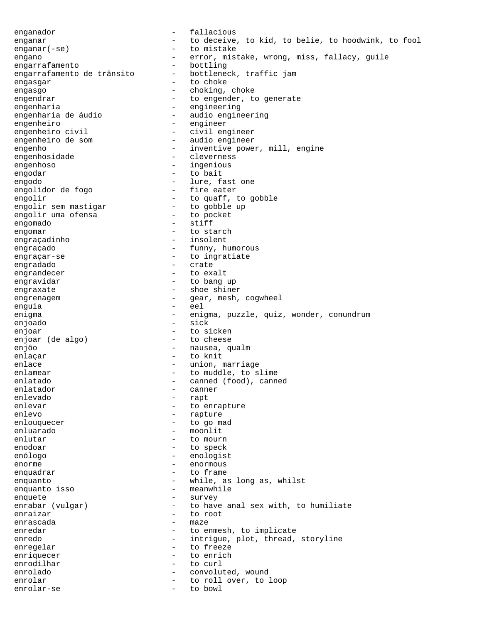enganador - fallacious enganar and the contract to deceive, to kid, to belie, to hoodwink, to fool enganar(-se) - to mistake engano - error, mistake, wrong, miss, fallacy, guile<br>engarrafamento - bottling engarrafamento<br>engarrafamento de trânsito bottleneck, traffic jam engarrafamento de trânsito engasgar - to choke engasgo - choking, choke engendrar engender, to generate engenharia  $-$  engineering engenharia de áudio - audio engineering engenheiro<br>engenheiro civil - engineer<br>- civil engenheiro civil - civil engineer engenheiro de som en engenheiro de som engenho - inventive power, mill, engine engenhosidade - cleverness engenhoso - ingenious engodar - to bait<br>engodo - 1ure, f - lure, fast one<br>- fire eater engolidor de fogo engolir<br>engolir sem mastigar and to quaff, to gobble<br>- to gobble up engolir sem mastigar - to gobble up engolir uma ofensa engomado - stiff engomar - to starch<br>
engracadinho - insolent engraçadinho engraçado  $-$  funny, humorous engraçar-se - to ingratiate engradado - crate engrandecer - to exalt engravidar  $-$  to bang up engraxate - shoe shiner engrenagem - gear, mesh, cogwheel<br>enguia - eel enguia - eel enigma - enigma, puzzle, quiz, wonder, conundrum enjoado - sick enjoar - to sicken<br>enjoar (de algo) - to cheese enjoar (de algo) enjôo  $-$  nausea, qualm enlaçar - to knit - union, marriage enlamear  $-$  to muddle, to slime enlatado  $\qquad \qquad -$  canned (food), canned enlatador - canner enlevado - rapt enlevar - to enrapture<br>
enlevo - to enrapture<br>
- rapture - rapture enlouquecer - to go mad enluarado - moonlit enlutar - to mourn enodoar - to speck enólogo - enologist enorme - enormous enquadrar  $-$  to frame enquanto - while, as long as, whilst enquanto isso  $-$  meanwhile enquete - survey - to have anal sex with, to humiliate enraizar  $-$  to root enrascada - maze enredar  $-$  to enmesh, to implicate enredo - intrigue, plot, thread, storyline enregelar - to freeze enriquecer - to enrich enrodilhar - to curl enrolado  $-$  convoluted, wound enrolar  $-$  to roll over, to loop enrolar-se - to bowl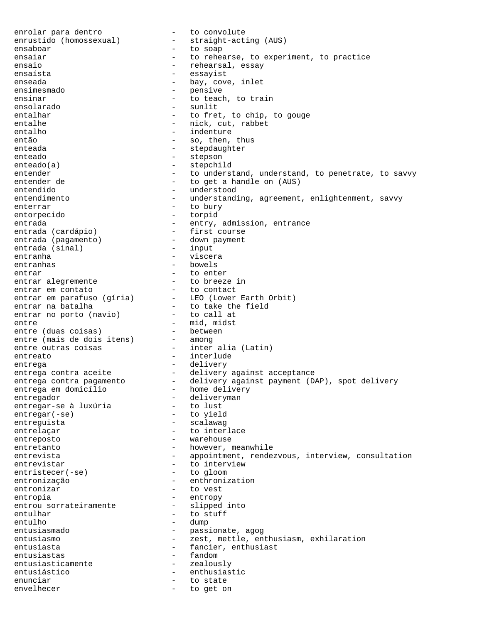enrolar para dentro - to convolute enrustido (homossexual) ensaboar - to soap ensaiar ensaiar - to rehearse, to experiment, to practice ensaio - rehearsal, essay<br>ensaísta - essayist ensaísta - essayist enseada - bay, cove, inlet - pensive ensinar - to teach, to train ensolarado - sunlit entalhar - to fret, to chip, to gouge entalhe  $-$  nick, cut, rabbet entalho  $-$  indenture então - so, then, thus enteada - stepdaughter - stepdaughter enteado - stepson enteado(a) - stepchild entender  $-$  to understand, understand, to penetrate, to savvy entender de  $-$  to get a handle on (AUS) entender de  $-$  to get a handle on (AUS) entendido entendido - understood - understanding, agreement, enlightenment, savvy enterrar - to bury entorpecido - torpid entrada - entry, admission, entrance entrada (cardápio) - first course entrada (pagamento) - down payment<br>entrada (sinal) - input entrada (sinal) - input entranha - viscera entranhas - bowels entrar  $-$  to enter entrar alegremente  $\qquad \qquad$  - to breeze in entrar em contato  $\qquad \qquad$  - to contact entrar em parafuso (gíria) - LEO (Lower Earth Orbit) entrar na batalha to take the field entrar no porto (navio) - to call at entre  $-$  mid, midst entre (duas coisas) - between entre (mais de dois itens) - among entre outras coisas - inter alia (Latin) entreato  $-$  interlude entrega - delivery entrega contra aceite - delivery against acceptance entrega contra pagamento delivery against payment (DAP), spot delivery entrega em domicílio - home delivery entregador - deliveryman entregar-se à luxúria  $-$  to lust<br>entregar(-se)  $-$  to yiel – to lust<br>– to yield entreguista - scalawag entrelaçar - to interlace entreposto  $-$  warehouse entretanto  $-$  however, meanwhile entrevista <a>>
-<br/>
-<br/>
-<br/>  $\qquad \qquad \mbox{appointment, rendezvous, interview, consultation}$ entrevistar - to interview<br>entristecer(-se) - to gloom entristecer(-se) entronização - enthronization entronizar - to vest entropia - entropy entrou sorrateiramente entulhar - to stuff entulho - dump entusiasmado  $-$  passionate, agog<br>entusiasmo  $-$  zest, mettle, en entusiasmo - zest, mettle, enthusiasm, exhilaration<br>entusiasta - fancier, enthusiast - fancier, enthusiast entusiastas - fandom entusiasticamente - zealously entusiástico - enthusiastic enunciar - to state envelhecer - to get on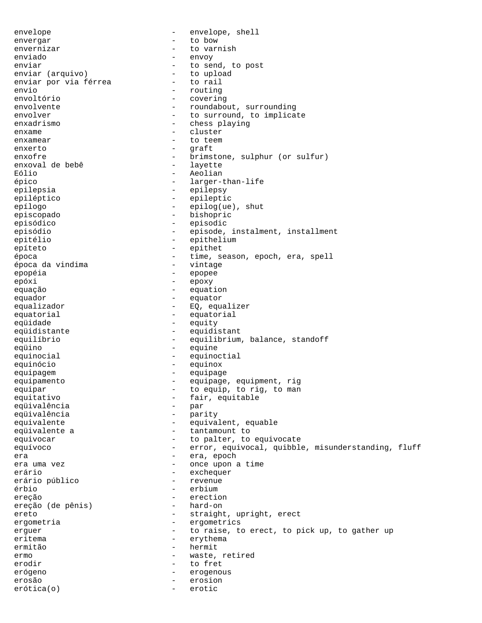envelope - envelope, shell envergar - to bow envernizar  $-$  to varnish enviado - envoy enviar  $\begin{array}{ccc} \text{enviar} & & - & \text{to send, to post} \\ \text{enviar} & \text{arquiv} & & - & \text{to upload} \end{array}$ enviar (arquivo) - to uplo<br>enviar por via férrea - to rail enviar por via férrea envio - routing<br>envoltório - routing - routing<br>- coverin - covering envolvente - roundabout, surrounding<br>envolver - roundabout, surround. to implies - to surround, to implicate enxadrismo - chess playing enxame - cluster enxamear - to teem enxerto - graft enxofre - brimstone, sulphur (or sulfur)<br>
enxoval de bebê - layette enxoval de bebê de la serve de la serve de la serve de la serve de la serve de la serve de la serve de la ser<br>En la serve de la serve de la serve de la serve de la serve de la serve de la serve de la serve de la serve de Eólio - Aeolian épico - larger-than-life epilepsia - epilepsy epiléptico - epileptic epílogo - epilog(ue), shut<br>episcopado - bishopric - bishopric episódico - episodic episódio - episode, instalment, installment epitélio - epithelium epíteto - epithet época - time, season, epoch, era, spell época da vindima - vintage epopéia - epopee epóxi - epoxy equação - equation equador - equator - EQ, equalizer equatorial equatorial equatorial equidade equity equidistante equidistant equilíbrio - equilibrium, balance, standoff eqüino - equine equinocial equinoctial equinoctial equinócio - equinox equipagem equipage equipamento  $-$  equipage, equipment, rig equipar  $-$  to equip, to rig, to man equitativo - fair, equitable eqüivalência - par eqüivalência<br>equivalente - equivalent, equable equivalente a  $-$  tantamount to equivocar and the set of the palter, to equivocate equívoco en externa error, equivocal, quibble, misunderstanding, fluff era - era, epoch - once upon a time erário  $-$  exchequer<br>erário público  $-$  revenue erário público - revenue érbio - erbium ereção - erection ereção (de pênis) ereto - straight, upright, erect ergometria  $-$  ergometrics erguer - to raise, to erect, to pick up, to gather up eritema - erythema ermitão - hermit ermo - waste, retired erodir and the serodic serodic serodic serodic series are to free the series of the series of the series of the series of the series of the series of the series of the series of the series of the series of the series of th erógeno - erogenous erosão - erosion erótica(o) - erotic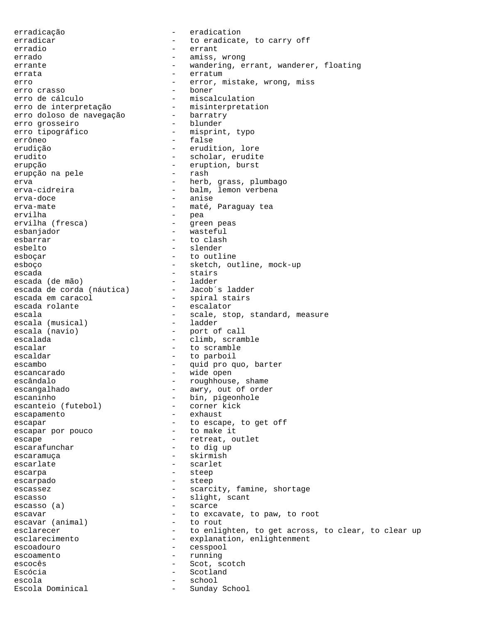erradicação - eradication erradicar  $-$  to eradicate, to carry off erradio - errant errado - amiss, wrong errante - wandering, errant, wanderer, floating errata - erratum - erratum erro  $-$  error, mistake, wrong, miss<br>erro crasso  $-$  boner erro crasso<br>erro de cálculo - miscalculation<br>- misinterpretation erro de interpretação - misinterpretation erro doloso de navegação - barratry erro grosseiro - blunder erro tipográfico  $-$  misprint, typo errôneo - false erudição - erudition, lore erudito - scholar, erudite erupção - eruption, burst<br>erupcão na pele - - - - - - - - - rash erupção na pele erva - 1999 - 1999 - 1999 - 1999 - 1999 - 1999 - 1999 - 1999 - 1999 - 1999 - 1999 - 1999 - 1999 - 1999 - 1999 erva-cidreira - balm, lemon verbena erva-doce - anise - maté, Paraguay tea ervilha - pea - green peas esbanjador - wasteful esbarrar - to clash esbelto - slender esboçar - to outline esboço - sketch, outline, mock-up escada - stairs escada (de mão) - ladder escada de corda (náutica) - Jacob´s ladder escada em caracol spiral stairs escada rolante  $-$  escalator escala - scale, stop, standard, measure<br>escala (musical) - ladder escala (musical)<br>escala (navio) escala (navio)  $\overline{a}$  - port of call<br>escalada - climb scram - climb, scramble escalar - to scramble escaldar  $-$  to parboil escambo - quid pro quo, barter escancarado - wide open escândalo - roughhouse, shame escangalhado - awry, out of order escaninho<br>
escanteio (futebol) - bin, pigeonhole<br>
- corner kick escanteio (futebol) escapamento - exhaust escapar<br>
escapar por pouco<br>
- to make it<br>
- to make it escapar por pouco escape  $\overline{\phantom{a}}$  - retreat, outlet escarafunchar - to dig up escaramuça - skirmish escarlate - scarlet escarpa - steep escarpado - steep escassez - scarcity, famine, shortage escasso  $-$  slight, scant escasso (a) - scarce escavar  $-$  to excavate, to paw, to root escavar (animal)  $-$  to rout escavar (animal) esclarecer - to enlighten, to get across, to clear, to clear up esclarecimento - explanation, enlightenment escoadouro - cesspool escoamento - running escocês - Scot, scotch Escócia  $-$  Scotland escola - school - Sunday School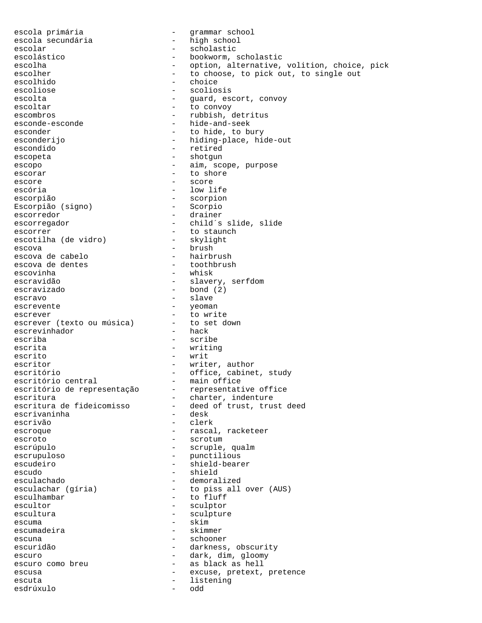escola primária  $-$  qrammar school escola secundária  $-$  high school escolar - scholastic - bookworm, scholastic escolha - option, alternative, volition, choice, pick escolher  $-$  to choose, to pick out, to single out<br>escolhido  $-$  choice escolhido - choice - scoliosis escolta - guard, escort, convoy escoltar - to convoy escombros - rubbish, detritus esconde-esconde - hide-and-seek esconder  $-$  to hide, to bury esconderijo - hiding-place, hide-out escondido - retired escopeta - shotgun - shotgun escopo  $-$  aim, scope, purpose escorar - to shore escore  $-$  score escória  $-$  low life escorpião<br>Escorpião (signo) - scorpion - Scorpio Escorpião (signo) escorredor - drainer escorregador - child´s slide, slide escorrer - to staunch<br>escotilha (de vidro) - skylight escotilha (de vidro) escova - brush escova de cabelo - hairbrush escova de dentes<br>escovinha - whisk escravidão  $-$  slavery, serfdom escravizado - bond (2) escravo - slave escrevente  $-$  yeoman escrever<br>
escrever (texto ou música) - to set down escrever (texto ou música) - to set downloader to set of the downloader to set of the downloader to set of the downloader to set of the downloader to set of the downloader to set of the downloader to set of the downloader escrevinhador escriba - scribe escrita - writing escrito - writ escritor - writer, author escritório - office, cabinet, study escritório central - nain office escritório central - main office<br>escritório de representação - representative office escritório de representação<br>escritura escritura <sup>-</sup> charter, indenture<br>escritura de fideicomisso - deed of trust, trus escritura deed of trust, trust deed<br>- desk escrivaninha escrivão - clerk escroque escroue - rascal, racketeer escroto - scrotum - scrotum escrúpulo - scruple, qualm escrupuloso - punctilious escudeiro - shield-bearer escudo - shield<br>esculachado - demoral esculachado - demoralized<br>esculachar (gíria) - to piss all esculachar (gíria) - to piss all over (AUS)<br>esculhambar - to fluff esculhambar - to fluff<br>escultor - sculptor - sculptor escultor - sculptor - sculpture escuma<br>escumadeira - skimmer<br>escumadeira - skimmer escumadeira escuna - schooner escuridão - darkness, obscurity escuro - dark, dim, gloomy escuro como breu  $\qquad \qquad$  - as black as hell escusa escuse, pretext, pretence escuta - listening esdrúxulo - odd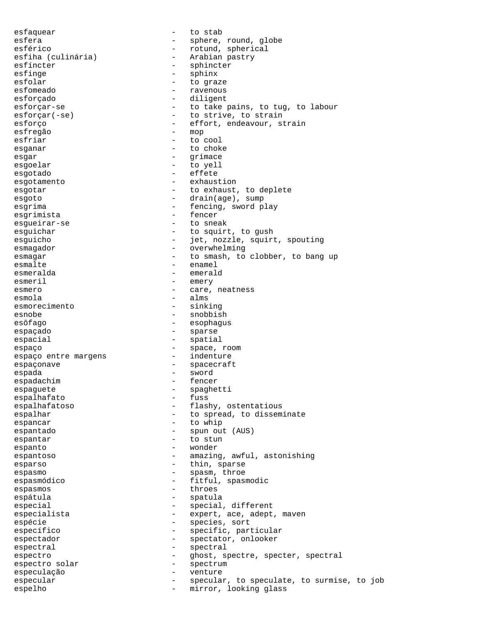esfaquear - to stab esfera - sphere, round, globe esférico - rotund, spherical<br>esfiha (culinária) - Arabian pastry - Arabian pastry esfíncter - sphincter<br>esfince - sphinx<br>- sphinx esfinge - sphinx esfolar - to graze esfomeado - ravenous - diligent esforçar-se - to take pains, to tug, to labour esforçar(-se) - to strive, to strain esforço - effort, endeavour, strain<br>
esfreqão - - - - - mop esfregão esfriar - to cool esganar - to choke<br>esgar - to choke esgar - grimace esgoelar - to yell<br>esgotado - effete esgotado - effete esgotamento esgotar - to exhaust, to deplete<br>esgoto - drain(age), sump - drain(age), sump esgrima - fencing, sword play<br>esgrimista - fencer - fencer esgrimista - fencer esgueirar-se esguichar - to squirt, to gush esguicho - jet, nozzle, squirt, spouting esmagador - overwhelming esmagar esmagar - to smash, to clobber, to bang up esmalte - enamel esmeralda - emerald<br>esmeril - emery esmeril - emery esmero - care, neatness esmola - alms esmorecimento esnobe - snobbish esôfago - esophagus espaçado  $-$  sparse espacial - spatial - spatial espaço<br>
espaço entre margens<br>
- indenture<br>
- indenture espaço entre margens espaçonave  $\overline{\phantom{0}}$  - spacecraft espada - sword espadachim - fenceral particular and the feature of the fence of the fence of the fence of the fence of the fe<br>
espagnete espaguete - spaghetti espalhafato espalhafatoso  $-$  flashy, ostentatious espalhar - to spread, to disseminate espancar - to whip espantado - spun out (AUS)<br>espantar - to stun espantar espantar - to stun espanto - wonder espantoso - amazing, awful, astonishing esparso  $-$  thin, sparse espasmo - spasm, throe espasmódico - fitful, spasmodic<br>espasmos - fitful, spasmodic espasmos - throes espátula - spatula - spatula especial  $-$  special, different especialista - expert, ace, adept, maven espécie  $-$  species, sort específico  $-$  specific, particular espectador - spectator, onlooker espectral - spectral espectro<br>espectro solar espectrum espectrum<br>espectro solar espectrum espectro solar - spectrum especulação - venture especular and the specular, to speculate, to surmise, to job espelho - mirror, looking glass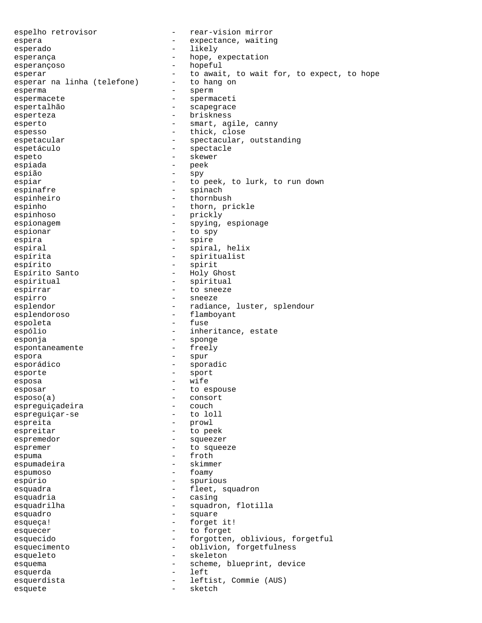espelho retrovisor - rear-vision mirror espera  $-$  expectance, waiting esperado  $-$  likely esperança  $\qquad \qquad -$  hope, expectation esperançoso - hopeful esperar<br>
esperar na linha (telefone) - to await, to wait for, to expect, to hope<br>
- to hang on esperar na linha (telefone) esperma - sperm espermacete - spermaceti espertalhão  $-$  scapegrace esperteza - briskness esperto - smart, agile, canny espesso - thick, close espetacular - spectacular, outstanding espetáculo - spectacle espeto - skewer<br>espiada - skewer espiada - peek espião - spy<br>espiar - to - to peek, to lurk, to run down espinafre  $-$  spinach espinheiro  $-$  thornbush espinho  $-$  thorn, prickle espinhoso - prickly espionagem - spying, espionage espionar - to spy espira - spire - spire espiral - spiral, helix espírita - spiritualist espírito - spirit - Holy Ghost espiritual - spiritual espirrar - to sneeze espirro - sneeze esplendor and the radiance, luster, splendour esplendoroso - flamboyant espoleta - fuse espólio - inheritance, estate esponja - sponge espontaneamente espora - spur esporádico  $-$  sporadic esporte - sport esposa - wife esposar esposar - to espouse esposo(a) - consort espreguiçadeira - couch espreguiçar-se espreita - prowl espreitar - to peek espremedor - squeezer espremer end and to squeeze espuma - froth espumadeira - skimmer espumoso - foamy espúrio - spurious esquadra  $-$  fleet, squadron esquadria  $\overline{\phantom{a}}$  - casing esquadrilha  $-$  squadron, flotilla esquadro esquadro esquadro esquadro esquadro esquante esquante esquante esquante esquante esquante e esqueça! - forget it! esquecer - to forget esquecido - forgotten, oblivious, forgetful esquecimento - oblivion, forgetfulness esqueleto - skeleton esquema - scheme, blueprint, device esquerda - left esquerdista - leftist, Commie (AUS) esquete - sketch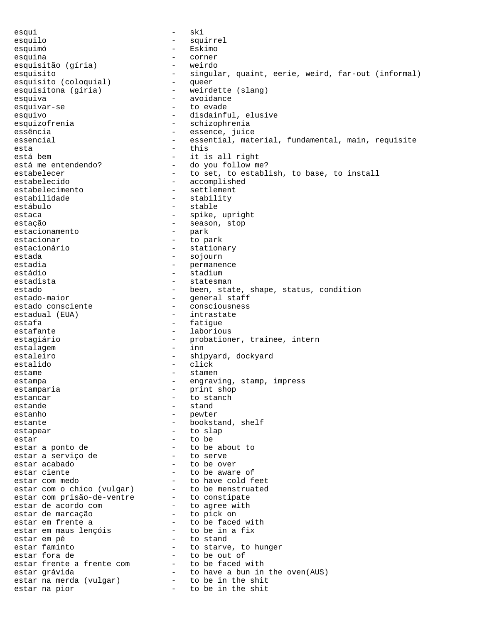esqui - ski esquilo - squirrel esquimó - Eskimo esquina - corner esquisitão (gíria) - weirdo - singular, quaint, eerie, weird, far-out (informal)<br>- queer esquisito (coloquial) esquisitona (gíria) - weirdette (slang) esquiva - avoidance esquivar-se - to evade esquivo - disdainful, elusive esquizofrenia - schizophrenia essência - essence, juice essencial essential, material, fundamental, main, requisite esta  $-$  this está bem  $-$  it is all right está me entendendo?  $-$  do you follow me? estabelecer - to set, to establish, to base, to install estabelecido - accomplished<br>estabelecimento - settlement estabelecimento estabilidade - stability<br>estábulo - stable - stable estábulo - stable estaca - spike, upright estação - season, stop<br>estacionamento - park - park estacionamento estacionar - to park estacionário  $-$  stationary estada - sojourn - sojourn estadia  $-$  permanence estádio - stadium estadista  $-$  statesman estado  $-$  been, state, shape, status, condition estado-maior - general staff<br>estado consciente - consciousness - consciousness estadual (EUA) - intrastate estafa - fatigue - fatigue estafante - laborious estagiário - probationer, trainee, intern estalagem estaleiro  $-$  shipyard, dockyard estalido - click estame - stamen estampa - engraving, stamp, impress estamparia - print shop<br>estancar - to stanch estancar - to stanch estande stand estanho - pewter estante - bookstand, shelf estapear - to slap  $\frac{1}{2}$  estar  $\frac{1}{2}$  - to be estar a ponto de  $-$  to be about to estar a serviço de  $-$  to serve estar a serviço de estar acabado  $-$  to be over estar ciente  $-$  to be aware of estar com medo  $-$  to have cold feet estar com o chico (vulgar) - to be menstruated estar com prisão-de-ventre  $\qquad \qquad$  - to constipate estar de acordo com and the settle to agree with estar de marcação - to pick on estar em frente a<br>
estar em maus lençóis - to be in a fix estar em maus lençóis estar em pé - to stand - to starve, to hunger<br>- to be out of estar fora de  $-$  to be out of estar frente a frente com a state to be faced with estar grávida - to have a bun in the oven(AUS) estar na merda (vulgar) - to be in the shit estar na pior  $-$  to be in the shit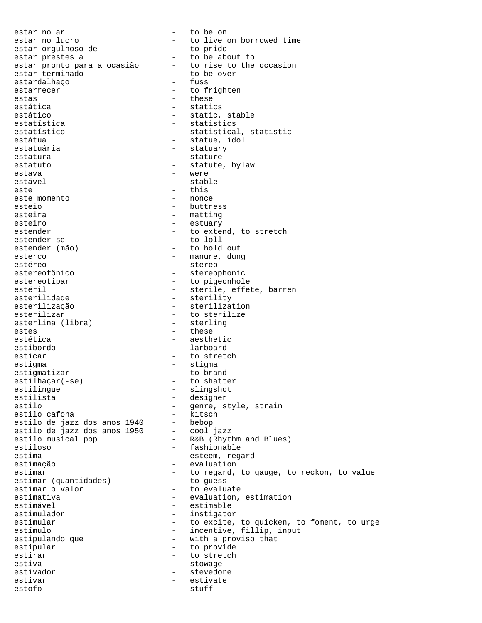estar no ar  $-$  to be on estar no lucro  $-$  to live on borrowed time<br>estar orgulhoso de  $-$  to pride estar orgulhoso de estar prestes a<br>estar pronto para a ocasião - to rise to the occasion estar pronto para a ocasião  $-$  to rise to estar terminado  $-$  to be over estar terminado - to be over estardalhaço estarrecer - to frighten estas - these estática - statics estático  $-$  static, stable estatística - statistics estatístico  $-$  statistical, statistic estátua  $-$  statue, idol estatuária  $-$  statuary estatura - stature - stature estatuto  $-$  statute, bylaw estava - were estável - stable - stable este  $\overline{ }$  - this este momento  $\overline{ }$  - this  $\overline{ }$  - nonce este momento esteio - buttress esteira  $-$  matting esteiro - estuary estender - estuary - estuary - estuary - estuary - estuary - estuary - estuary - estuary - estuary - estuary - estuary - estuary - estuary - estuary - estuary - estuary - estuary - estuary - estuary - est - to extend, to stretch<br>- to loll estender-se estender (mão) - to hold out esterco - manure, dung estéreo - stereo - stereo - stereo - stereo - stereo - stereophonic estereotipar  $-$  to pigeonhole estéril <sup>-</sup> sterile, effete, barren<br>
esterilidade sterility esterilidade - sterility<br>esterilização - steriliza esterilização - sterilization - to sterilize<br>- sterling esterlina (libra) estes - these estética - aesthetic estibordo - larboard esticar - to stretch estigma - stigma estigmatizar - to brand estilhaçar(-se) - to shatter estilingue - slingshot<br>estilista - designer estilista - designer estilo  $-$  genre, style, strain estilo cafona  $-$  kitsch estilo cafona - kitsch estilo de jazz dos anos 1940 - bebop estilo de jazz dos anos 1950 - cool jazz estilo musical pop - R&B (Rhythm and Blues) estiloso - fashionable estima - esteem, regard estimação - evaluation estimar<br>estimar (quantidades) - to regard, to gauge, to reckon, to value<br>estimar (quantidades) - to guess estimar (quantidades) - to guess<br>estimar o valor - to evaluate estimar o valor<br>estimativa estimativa - evaluation, estimation estimável - estimable - instigator estimular estimular - to excite, to quicken, to foment, to urge estímulo - incentive, fillip, input - with a proviso that estipular - to provide estirar - to stretch<br>estiva - to stretch<br>- stowage estiva - stowage - stowage estivador estivador estivadore estivadore estivadore estevedore estevedore estevedore estevedore estevedore es estivar - estivate estofo - stuff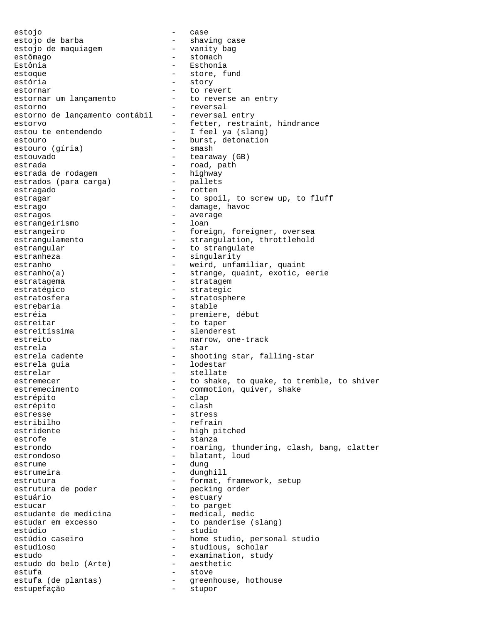estojo - case estojo de barba - shaving case estojo de maquiagem<br>estômago - stomach Estônia - Esthonia estoque - store, fund estória  $-$  story estornar - to revert estornar um lançamento - to reverse an entry estorno - reversal estorno de lançamento contábil - reversal entry estorvo - fetter, restraint, hindrance estou te entendendo - I feel ya (slang) estouro  $\left( \text{gíria} \right)$  - burst, detonation estouro (gíria) - smash estouro (gíria) estouvado - tearaway (GB) estrada<br>estrada de rodagemento de la pathestrada de rodagemento de la pathestrada de rodagemento de la patencia<br>en la patencia de rodagemento de la patencia de la patencia de la patencia de la patencia de la patencia de la estrada de rodagem - highway estrados (para carga) estragado - rotten estragar - to spoil, to screw up, to fluff estrago  $-$  damage, havoc estragos - average<br>estrangeirismo - loan - loan estrangeirismo estrangeiro  $-$  foreign, foreigner, oversea estrangulamento - strangulation, throttlehold estrangular - to strangulate estranheza - singularity estranho  $-$  weird, unfamiliar, quaint estranho(a) - strange, quaint, exotic, eerie estratagema - stratagem estratégico  $-$  strategic estratosfera - stratosphere - stratosphere<br>estrebaria - stable - stable - stable estréia  $-$  premiere, début estreitar  $-$  to taper estreitíssima estreitíssima estreitíssima estreitíssima estreitístic $\sim$  esteritístic $\sim$  estreitístic $\sim$  esteritístic $\sim$  estreitístic $\sim$  esteritístic $\sim$  esteritístic $\sim$  esteritístic $\sim$  esteritístic $\sim$  esteritísticestreito  $-$  narrow, one-track estrela - star estrela cadente - shooting star, falling-star estrela guia  $-$  lodestar estrelar - stellate estremecer - to shake, to quake, to tremble, to shiver estremecimento - commotion, quiver, shake estrépito - chap - chap - chap - chap - chap - chap - chap - chap - chap - chap - chap - chap - chap - chap - chap - chap - chap - chap - chap - chap - chap - chap - chap - chap estrépito - clap estrépito estresse - stress estribilho - refrain estridente  $-$  high pitched estrofe - stanza estrondo estrondo - roaring, thundering, clash, bang, clatter estrondoso  $-$  blatant, loud estrume - dung estrumeira - dunghill estrutura - format, framework, setup estrutura de poder  $-$  pecking order<br>estuário  $-$  estuary estuário - estuary estucar - to parget<br>estudante de medicina - medical, estudante de medicina medical, medic estudar em excesso  $\qquad \qquad$  - to panderise (slang) estúdio - studio - home studio, personal studio estudioso - studious, scholar estudo<br>
estudo do belo (Arte) - examination, study<br>
- aesthetic estudo do belo (Arte) estufa - stove - stutta (de plantas) - greenhouse, hothouse estupefação - stupor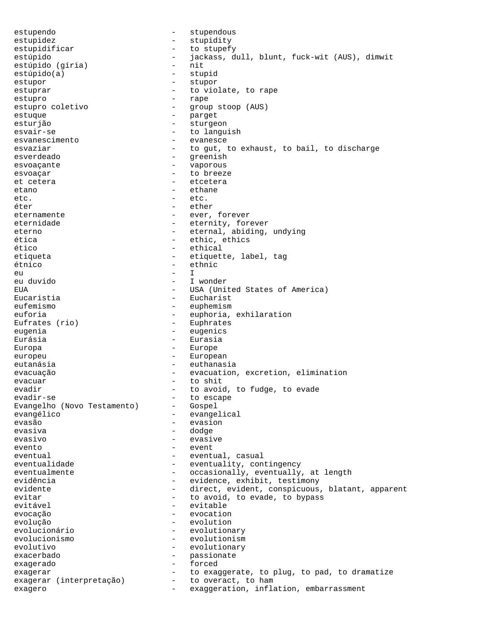estupendo  $-$  stupendous estupidez - stupidity estupidificar - to stupefy<br>estúpido - tarkasse d estúpido - jackass, dull, blunt, fuck-wit (AUS), dimwit<br>estúpido (qíria) - nit estúpido (gíria) -<br>estúpido (a) - nitto - n estúpido(a) - stupid<br>estupor - stupor - stupor estupor - stupor - stupor estuprar  $-$  to violate, to rape estupro - rape estupro coletivo  $-$  group stoop (AUS) estuque - parget esturjão - sturgeon - to languish esvanescimento - evanesce esvaziar external to gut, to exhaust, to bail, to discharge esverdeado - greenish esvoaçante - vaporous esvoaçar - to breeze et cetera  $\overline{ }$  etcetera  $\overline{ }$  etcetera  $\overline{ }$  etcetera  $\overline{ }$  etcetera  $\overline{ }$ etano - ethane - ethane etc.  $\frac{1}{2}$  etc.  $\frac{1}{2}$  etc. - ether eternamente  $-$  ever, forever eternidade - eternity, forever eterno - eternal, abiding, undying ética - ethic, ethics ético - ethical etiqueta - etiquette, label, tag étnico - ethnic eu - I eu duvido - I wonder EUA - USA (United States of America)<br>Eucaristia - Eucharist - Eucharist Eucaristia - Eucharist eufemismo - euphemismo - euphemismo - euphemismo - euphemismo - euphemismo - euphemismo - euphemismo - euphemismo - euphemismo - euphemismo - euphemismo - euphemismo - euphemismo - euphemismo - euphemismo - euphemismo - eu - euphoria, exhilaration Eufrates (rio) - Euphrates eugenia - eugenics Eurásia - Eurasia Europa - Europe europeu - European eutanásia  $-$  euthanasia evacuação  $-$  evacuation, excretion, elimination evacuar - to shit evadir  $-$  to avoid, to fudge, to evade<br>evadir-se  $-$  to escape - to escape<br>- Gospel Evangelho (Novo Testamento) evangélico - evangelical evasão - evasion evasiva - dodge evasivo - evasive evento - event eventual eventual, casual eventualidade - eventuality, contingency eventualmente - occasionally, eventually, at length evidência  $-$  evidence, exhibit, testimony evidente - direct, evident, conspicuous, blatant, apparent evitar  $-$  to avoid, to evade, to bypass evitável – evitable<br>
evecseão – evitable evocação - evocation evolução - evolution evolucionário - evolutionary evolucionismo - evolutionism evolutivo - evolutionary exacerbado - passionate exagerado - forced exagerar  $-$  to exaggerate, to plug, to pad, to dramatize<br>exagerar (interpretação) - to overact, to ham exagerar (interpretação) exagero exaggeration, inflation, embarrassment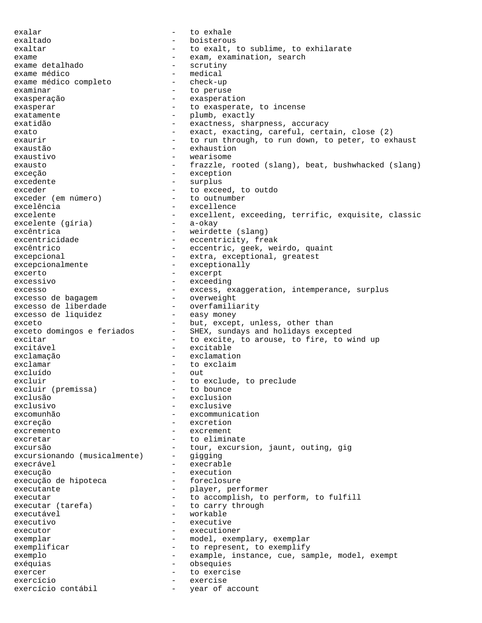exalar  $-$  to exhale exaltado - boisterous exaltar  $-$  to exalt, to sublime, to exhilarate exame - exam, examination, search exame detalhado - scrutiny exame médico<br>exame médico completo exame médico completo - check-up<br>examinar - to perus - to peruse exasperação - exasperation exasperar  $-$  to exasperate, to incense exatamente  $\qquad \qquad -$  plumb, exactly exatidão - exactness, sharpness, accuracy exato - exact, exacting, careful, certain, close (2) exaurir exaurir - to run through, to run down, to peter, to exhaust exaustão - exhaustion exaustivo - wearisome exausto - frazzle, rooted (slang), beat, bushwhacked (slang) exceção - exception excedente - surplus exceder  $\leftarrow$  to exceder (em número)  $\leftarrow$  to outnumber exceder (em número)<br>excelência - excellence excelente - excellent, exceeding, terrific, exquisite, classic<br>excelente (qíria) - a-okay excelente (gíria) excêntrica - weirdette (slang) excentricidade - eccentricity, freak excêntrico  $-$  eccentric, geek, weirdo, quaint excepcional - extra, exceptional, greatest excepcionalmente - exceptionally<br>excerto - exceptionally excerto - excerpt excessivo - exceeding excesso - excess, exaggeration, intemperance, surplus<br>excesso de baqaqem - overweight excesso de bagagem - overweight excesso de liberdade - overfamilia<br>excesso de liquidez - easy money excesso de liquidez exceto - but, except, unless, other than exceto domingos e feriados - SHEX, sundays and holidays excepted excitar excite, to arouse, to fire, to wind up excitável - excitable exclamação - exclamation exclamar - to exclaim excluído - out excluir (premissa) - to exclude, to preclude excluir (premissa) excluir (premissa) exclusão - exclusion exclusivo - exclusive excomunhão - excommunication excreção - excretion<br>excremento excremento - excrement excretar  $-$  to eliminate excursão - tour, excursion, jaunt, outing, gig<br>excursionando (musicalmente) - qiqqinq excursionando (musicalmente) - gigging<br>execrável - execrab execrável - execrable execução<br>execução de hipoteca de execution - execução de hipoteca execução de hipoteca executante  $\qquad \qquad -$  player, performer executar - to accomplish, to perform, to fulfill<br>executar (tarefa) - to carry through - to carry through executável – workable<br>executivo – executivo executivo - executive executor executioner exemplar - model, exemplary, exemplary exemplificar  $-$  to represent, to exemplify exemplo  $-$  example, instance, cue, sample, model, exempt exéquias - obsequies exercer  $\qquad \qquad -$  to exercise exercício - exercise exercício contábil - year of account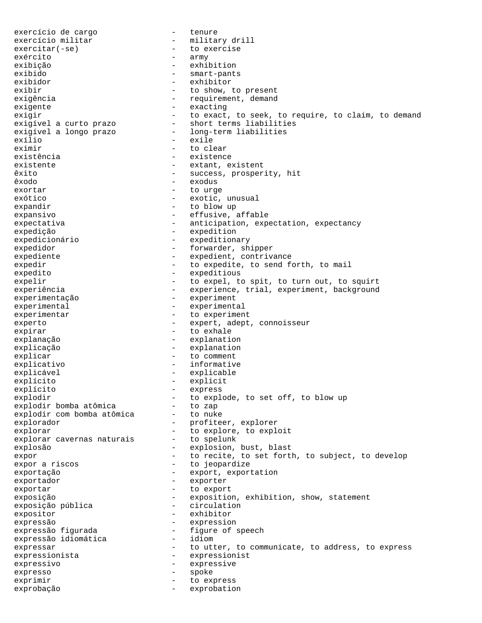exercício de cargo  $-$  tenure exercício militar - military drill<br>exercitar(-se) - to exercise - to exercise exército - army exibição - exhibition exibido - smart-pants exibidor - exhibitor exibir  $-$  to show, to present exigência  $-$  requirement, demand exigente  $-$  exacting exigir - to exact, to seek, to require, to claim, to demand exigível a curto prazo - short terms liabilities exigível a longo prazo - long-term liabilities exílio - exile eximir - to clear existência existence existence existente  $-$  extant, existent êxito - success, prosperity, hit êxodo - exodus exortar - to urge exótico - exotic, unusual expandir  $-$  to blow up expansivo - effusive, affable expectativa - anticipation, expectation, expectancy expedição - expedition expedicionário - expeditionary expedidor - forwarder, shipper expediente - expedient, contrivance expedir  $-$  to expedite, to send forth, to mail expedito  $-$  expeditious expelir  $-$  to expel, to spit, to turn out, to squirt experiência  $-$  experience, trial, experiment, background experimentação - experiment experimental experimental - experimental experimentar  $\qquad \qquad -$  to experiment experto - expert, adept, connoisseur expirar  $\qquad$  - to exhale explanação - explanation explicação - explanation explicar - to comment explicativo - informative explicável - explicable explícito - explicit<br>explícito - express explícito - express explodir  $\qquad \qquad -$  to explode, to set off, to blow up explodir bomba atômica - to zap explodir com bomba atômica - to nuke explorador - profiteer, explorer explorar  $-$  to explore, to exploit explorar cavernas naturais - to spelunk explosão - explosion, bust, blast expor  $-$  to recite, to set forth, to subject, to develop expor a riscos and the second to jeopardize exportação - export, exportation exportador - exporter exportar  $\qquad$  - to export exposição<br>exposição pública - exposition, exhibition, show, statement<br>exposição pública - circulation exposição pública expositor - exhibitor expressão - expression expressão figurada - figure of speech<br>expressão idiomática - idiom expressão idiomática expressar  $-$  to utter, to communicate, to address, to express expressionista - expressionist expressivo - expressive expresso - spoke exprimir<br>exprobacão de contra exprobation de contra exprobation exprobação - exprobation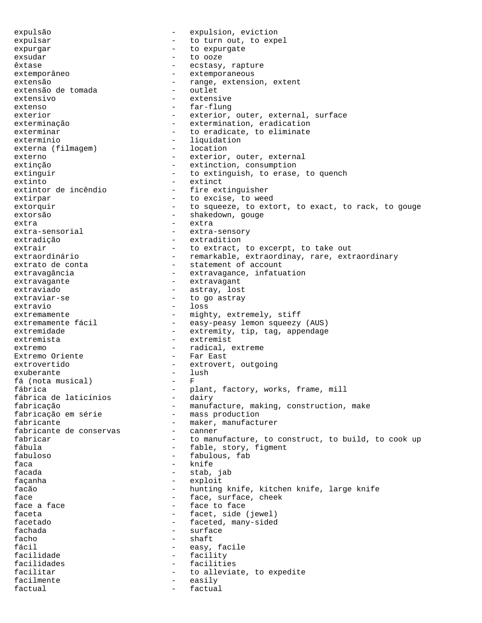expulsão - expulsion, eviction expulsar  $-$  to turn out, to expel expurgar expurgate to expurgate exsudar - to ooze êxtase - ecstasy, rapture<br>extemporâneo - extemporaneous - extemporaneous - extemporaneous extensão e tomada e a range, extension, extentextensão de tomada e a referência e outlet extensão de tomada extensivo - extensive extenso - far-flung exterior - exterior, outer, external, surface exterminação extermination, eradication exterminar and the contracter of the exterminate to eradicate, to eliminate extermínio - liquidation<br>externa (filmaqem) - location externa (filmagem) externo - exterior, outer, external extinção  $-$  extinction, consumption extinguir  $-$  to extinguish, to erase, to quench extinto - extinct<br>extintor de incêndio - fire ext - fire extinguisher extirpar  $-$  to excise, to weed extorquir  $-$  to squeeze, to extort, to exact, to rack, to gouge extorsão - shakedown, gouge extra extra extra extra-sensorial - extra-sensory extradição - extradition extrair  $-$  to extract, to excerpt, to take out<br>extraordinário  $-$  remarkable, extraordinay, rare, ext - remarkable, extraordinay, rare, extraordinary extrato de conta  $\qquad \qquad -$  statement of account extravagância extravagance, infatuation extravagante extravagant extraviado - astray, lost extraviar-se  $-$  to go astray extravio - loss extremamente - mighty, extremely, stiff extremamente fácil - easy-peasy lemon squeezy (AUS) extremidade - extremity, tip, tag, appendage extremista - extremist extremo  $-$  radical, extreme  $\text{Extremo}$  oriente  $\text{Extremo}$ Extremo Oriente - Far East extrovertido  $-$  extrovert, outgoing exuberante - lush fá (nota musical) fábrica - plant, factory, works, frame, mill fábrica de laticínios<br>fabricação fabricação - manufacture, making, construction, make<br>fabricação em série - mass production - mass production fabricante - maker, manufacturer fabricante de conservas fabricar  $-$  to manufacture, to construct, to build, to cook up fábula - fable, story, figment fabuloso - fabulous, fab faca - knife facada - stab, jab façanha - exploit facão  $-$  hunting knife, kitchen knife, large knife face  $\begin{array}{cccc} \text{face} & \text{frac} & - & \text{face, surface, check} \\ \end{array}$ - face to face faceta  $-$  facet, side (jewel) facetado  $-$  faceted, many-sided fachada - surface facho - shaft fácil  $-$  easy, facile facilidade  $-$  facility facilidades - facilities facilitar  $\begin{array}{ccc}\n & - & \text{to alleviate, to expect} \\
\text{facilmente} & - & \text{easily}\n\end{array}$ facilmente - easily factual  $\qquad \qquad -$  factual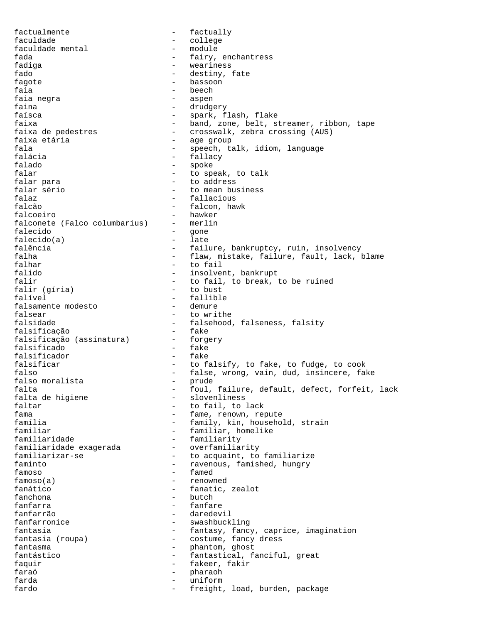factualmente  $\qquad \qquad -$  factually faculdade mental - college <br/> faculdade mental - module faculdade mental fada  $-$  fairy, enchantress fadiga - weariness fado  $-$  destiny, fate fagote - bassoon faia - beech - beech - beech - beech - beech - beech - beech - beech - beech - beech - beech - beech - beech -- aspen faina  $\qquad \qquad -$  drudgery faísca - spark, flash, flake faixa - band, zone, belt, streamer, ribbon, tape - crosswalk, zebra crossing (AUS) faixa etária  $-$  age group fala  $-$  speech, talk, idiom, language falácia  $-$  fallacy falado - spoke falar  $-$  to speak, to talk falar para - to address falar sério  $-$  to mean business<br>falaz  $-$  fallacious falaz - fallacious - falcon, hawk falcoeiro - hawker<br>falconete (Falco columbarius) - merlin falconete (Falco columbarius) falecido - gone  $falecido(a)$ falência  $-$  failure, bankruptcy, ruin, insolvency falha  $-$  flaw, mistake, failure, fault, lack, blame falhar - to fail falido  $-$  insolvent, bankrupt falir  $f$ alir (qíria)  $f$  - to fail, to break, to be ruined falir (qíria) falir (gíria) falível - fallible falsamente modesto falsear - to writhe falsidade - falsehood, falseness, falsity<br>falsificação - fake - fake falsificação - fake falsificação (assinatura) - forgendidade e forgentidade e fake<br>falsificado falsificado - fake falsificador falsificar  $-$  to falsify, to fake, to fudge, to cook falso  $-$  false, wrong, vain, dud, insincere, fake falso moralista  $-$  prude falso moralista falta<br>foul, failure, default, defect, forfeit, lack<br>falta de higiene<br>falta de higiene<br>falta de higiene - slovenliness faltar  $\begin{array}{ccc} - & + \text{to fail, to lack} \\ \text{fama} & - & + \text{fame} & \text{renum} & \text{ref} \end{array}$ - fame, renown, repute família  $-$  family, kin, household, strain familiar - familiar, homelike familiaridade - familiarity - familiarity<br>- overfamiliarity familiaridade exagerada familiarizar-se  $\qquad \qquad$  - to acquaint, to familiarize faminto  $-$  ravenous, famished, hungry famoso - famed famoso(a) - renowned fanático  $-$  fanatic, zealot fanchona - butch fanfarra - fanfare fanfarrão - daredevil - swashbuckling fantasia  $-$  fantasy, fancy, caprice, imagination fantasia (roupa)  $-$  costume, fancy dress fantasia (roupa) - costume, fancy dress - phantom, ghost fantástico - fantastical, fanciful, great faquir  $-$  fakeer, fakir faraó - pharaoh farda - uniform fardo  $-$  freight, load, burden, package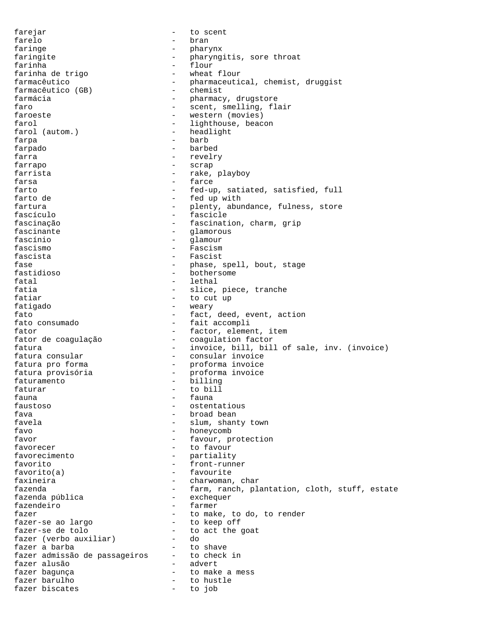farejar - to scent farelo - bran faringe  $-$  pharynx faringite  $-$  pharyngitis, sore throat farinha<br>farinha de trigo  $\begin{array}{ccc} - & \text{float} \\ - & \text{when} \\ \end{array}$ farinha de trigo farmacêutico - pharmaceutical, chemist, druggist<br>farmacêutico (GB) - chemist farmacêutico (GB) - chemist farmácia - pharmacy, drugstore faro  $-$  scent, smelling, flair faroeste  $-$  western (movies) farol  $\begin{array}{ccc} \text{farol} & & \text{if} \\ \text{farol} & & \text{if} \\ \end{array}$  (autom.)  $\begin{array}{ccc} \text{if} & \text{if} \\ \text{if} & \text{if} \\ \end{array}$ farol (autom.) farpa - barb farpado - barbed farra  $-$  revelry farrapo - scrap farrista - rake, playboy<br>farsa - rake, playboy farsa - farce - farce - farce - farce - farce - farce - farce - farce - farce - farce - farce - farce - farce - farce - farce - farce - farce - farce - farce - farce - farce - farce - farce - farce - farce - farce - farce farto  $-$  fed-up, satiated, satisfied, full farto de  $-$  fed up with - fed up with fartura - plenty, abundance, fulness, store<br>fascículo - fascicle - fascicle - fascicle fascinação - fascination, charm, grip fascinante  $\qquad \qquad -$  glamorous fascínio - glamour fascismo - Fascism fascista - Fascist fase  $-$  phase, spell, bout, stage fastidioso - bothersome - lethal fatia  $-$  slice, piece, tranche fatiar - to cut up fatigado - weary fato  $-$  fact, deed, event, action<br>fato consumado  $-$  fait accompli - fait accompli fator  $-$  factor, element, item fator de coagulação - coagulation factor fatura  $-$  invoice, bill, bill of sale, inv. (invoice)<br>fatura consular  $-$  consular invoice fatura consular - consular invoice fatura pro forma - proforma invoice fatura provisória - proforma invoice faturamento - billing faturar - to bill fauna - fauna - fauna - fauna - fauna - fauna - fauna - fauna - fauna - fauna - fauna - fauna - fauna - fauna - fauna - fauna - fauna - fauna - fauna - fauna - fauna - fauna - fauna - fauna - fauna - fauna - fauna - fauna faustoso - ostentatious fava - broad bean favela  $-$  slum, shanty town favo - honeycomb favor  $-$  favour, protection favorecer - to favour favorecimento - partiality favorito - front-runner favorito(a) - favourite faxineira  $-$  charwoman, char fazenda  $-$  farm, ranch, plantation, cloth, stuff, estate fazenda pública  $-$  exchequer fazenda pública fazendeiro - farmer fazer<br>fazer-se ao largo  $-$  to make, to do, to render<br>to keep off fazer-se ao largo fazer-se de tolo  $-$  to act the goat<br>fazer (verbo auxiliar) - do fazer (verbo auxiliar) fazer a barba  $-$  to shave fazer admissão de passageiros - to check in fazer alusão - advert fazer bagunça  $\overline{\phantom{a}}$  - to make a mess fazer barulho  $-$  to hustle fazer biscates and the set of to job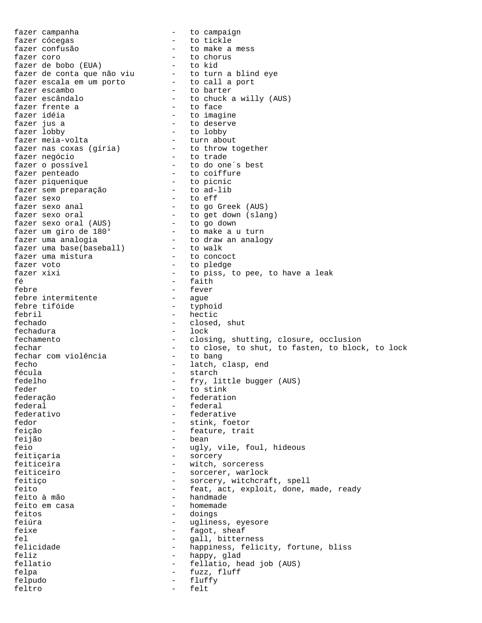fazer campanha  $-$  to campaign fazer cócegas en el estado - to tickle fazer confusão  $-$  to make a mess<br>fazer coro  $-$  to chorus fazer coro  $-$  to chorus fazer de bobo (EUA) - to kid fazer de conta que não viu - to turn a blind eye fazer escala em um porto - to call a port fazer escambo - to barter fazer escândalo - to chuck a willy (AUS) fazer frente a<br>fazer frente a - to face<br>fazer idéia - to imagine fazer idéia - to imagine fazer jus a  $\overline{a}$  - to deserve fazer lobby - to lobby fazer meia-volta - turn about fazer nas coxas (gíria) - to throw together fazer negócio - to trade fazer o possível - to do one´s best fazer penteado  $\qquad \qquad$  - to coiffure fazer piquenique - to picnic fazer sem preparação - to ad-lib fazer sexo - to eff fazer sexo anal  $\qquad \qquad$  - to go Greek (AUS) fazer sexo oral  $-$  to get down (slang) fazer sexo oral (AUS) - to go down fazer um giro de 180° - to make a u turn fazer uma analogia - to draw an analogy fazer uma base(baseball) - to walk fazer uma mistura  $\qquad \qquad$  - to concoct fazer voto - to pledge fazer xixi  $\begin{array}{ccc} - & \text{to } \text{piss, to pec, to have a leak} \\ - & \text{faith} \end{array}$ fé - faith<br>febre - fever - fever – fever<br>– ague febre intermitente - ague febre tifóide febril - hectic fechado - closed, shut fechadura - lock fechamento - closing, shutting, closure, occlusion fechar  $-$  to close, to shut, to fasten, to block, to lock fechar com violência  $-$  to bang fechar com violência fecho - latch, clasp, end<br>fécula - latch - starch - starch fedelho - fry, little bugger (AUS) feder - to stink federação - federation federal - federal<br>federativo - federativo - federati federativo - federative fedor - stink, foetor feição - feature, trait feijão - bean feio - ugly, vile, foul, hideous feitiçaria - sorcery feiticeira - witch, sorceress feiticeiro - sorcerer, warlock feitiço - sorcery, witchcraft, spell feito - feat, act, exploit, done, made, ready - handmade<br>- homemade feito em casa feitos - doings feiúra - ugliness, eyesore feixe  $-$  fagot, sheaf fel  $-$  gall, bitterness felicidade - happiness, felicity, fortune, bliss feliz - happy, glad fellatio - fellatio, head job (AUS) felpa - fuzz, fluff felpudo - fluffy feltro - felt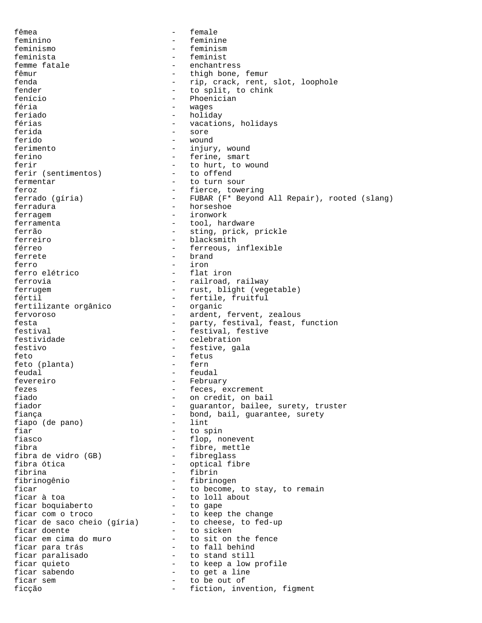fêmea - female feminino - feminine feminismo - feminism - feminist femme fatale  $\begin{array}{ccc} 1 & - & - & - \\ 0 & - & - & - \\ 0 & - & - & - \\ 0 & - & - & - \\ 0 & - & - & - \end{array}$ fêmur - thigh bone, femur<br>fenda fenda - rip, crack, rent, slot, loophole<br>fender - to split, to chink fender  $-$  to split, to chink fenício - Phoenician féria  $-$  wages feriado - holiday férias - vacations, holidays ferida - sore ferido - wound ferimento - injury, wound ferino - ferine, smart ferir  $f$  - to hurt, to wound<br>ferir (sentimentos) - to offend ferir (sentimentos) fermentar  $-$  to turn sour feroz - fierce, towering - FUBAR (F\* Beyond All Repair), rooted (slang) ferradura<sup>7</sup> and the set of the set of the horseshoe ferragem - ironwork ferramenta - tool, hardware ferrão - sting, prick, prickle ferreiro - blacksmith férreo  $-$  ferreous, inflexible ferrete brand - brand ferro  $-$  iron  $-$  iron  $-$  flat iron  $-$  flat iron  $-$  flat iron  $$ ferro elétrico ferrovia - railroad, railway ferrugem - rust, blight (vegetable) fértil<br>fertilizante orgânico - fertile, fruitful<br>fertilizante orgânico - organic fertilizante orgânico<br>fervoroso - ardent, fervent, zealous festa - party, festival, feast, function festival  $-$  festival, festive festividade - celebration festivo - festive, gala feto - fetus feto (planta) feudal - feudal - February fezes - feces, excrement<br>fiado - on credit on ba fiado  $\begin{array}{ccc} - & \text{on credit, on ball} \\ - & \text{quarantor, balance} \end{array}$ fiador - guarantor, bailee, surety, truster - bond, bail, guarantee, surety<br>- lint fiapo (de pano)<br>fiar fiar - to spin<br>fiasco - flop, no - flop, nonevent fibra - fibre, mettle fibra de vidro (GB)<br>fibra ótica fibra ótica - optical fibre fibrina - fibrin<br>fibrinogênio - fibrinc fibrinogênio - fibrinogen<br>ficar - to become, ficar  $\overline{a}$  - to become, to stay, to remain<br>ficar  $\overline{a}$  to  $\overline{a}$  to  $\overline{b}$  to  $\overline{c}$  to  $\overline{c}$ - to loll about<br>- to gape ficar boquiaberto  $-$  to gape<br>ficar com o troco  $-$  to keep the change ficar com o troco  $\hspace{1cm}$  - to keep the change ficar de saco cheio (gíria) - to cheese, to fed-up ficar doente  $\qquad \qquad$  - to sicken ficar em cima do muro - to sit on the fence<br>ficar para trás - to fall behind ficar para trás ficar paralisado - to stand still ficar quieto  $-$  to keep a low profile<br>ficar sabendo  $-$  to get a line ficar sabendo  $-$  to get a line<br>ficar sem  $-$  to be out of - to be out of ficção - fiction, invention, figment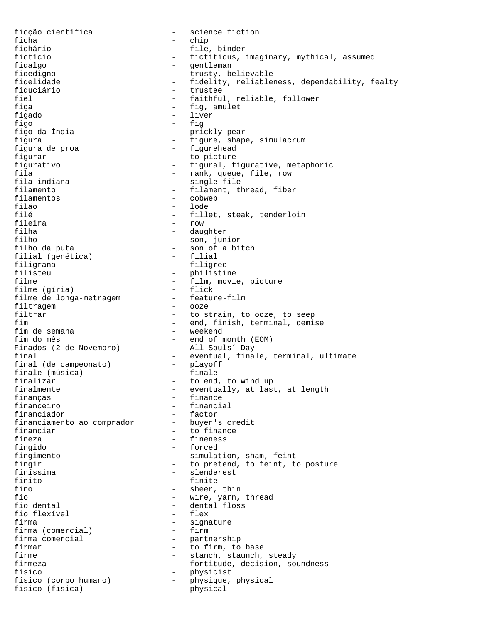ficção científica - science fiction ficha - chip - file, binder fictício - fictitious, imaginary, mythical, assumed fidalgo  $-$  gentleman fidedigno - trusty, believable fidelidade - fidelity, reliableness, dependability, fealty<br>fiduciário fiduciário - trustee - faithful, reliable, follower figa  $-$  fig, amulet fígado - liver figo - fig - prickly pear figura  $-$  figure, shape, simulacrum figura de proa  $-$  figurehead figurar - to picture figurativo - figural, figurative, metaphoric fila - rank, queue, file, row<br>fila indiana - rank, queue, file, row fila indiana and the single file filament.<br>filamento diana and the filament. filamento  $\begin{array}{ccc} - & - \\ - & \text{filament, thread, fiber} \end{array}$ filamentos - cobweb filão - lode<br>filá - lode - lode filé - fillet, steak, tenderloin<br>fileira - row - row fileira - row filha - daughter - son, junior filho da puta<br>filial (genética) - son of a bitch<br>- filial filial (genética) filigrana - filigree filisteu - philistine - philistine - philistine - philistine - philistine - philistine - philistine - philistine - philistine - philistine - philistine - philistine - philistine - philistine - philistine - philistine - phi - film, movie, picture<br>- flick filme (gíria) - flick<br>filme de longa-metragem - feature-film filme de longa-metragem  $-$  feature-filtragem  $-$  00ze filtragem<br>filtrar filtrar  $\qquad \qquad -$  to strain, to ooze, to seep<br>fim  $\qquad \qquad -$  end finish terminal demi - end, finish, terminal, demise<br>- weekend fim de semana<br>fim do mês - end of month (EOM)<br>- All Souls´ Day Finados (2 de Novembro) final  $-$  eventual, finale, terminal, ultimate final (de campeonato)  $-$  playoff final (de campeonato) - playof:<br>finale (música) - finale finale (música)<br>finalizar finalizar  $\begin{array}{ccc} - & + \text{to end, to wind up} \\ - & + \text{eventually, at last} \end{array}$ finalmente - eventually, at last, at length<br>financas - finance - finance finanças - finance financeiro - financial - factor<br>- buyer's credit financiamento ao comprador financiar - to finance<br>fineza - to finenses - fineness fingido - forced fingimento - simulation, sham, feint fingir  $-$  to pretend, to feint, to posture finíssima - slenderest finito  $\overline{f}$  - finite  $\overline{f}$  - finite  $\overline{f}$  - sheer, fino  $\begin{array}{ccc} - & \text{sheer, thin} \\ - & \text{wire, varn.} \end{array}$ fio  $\begin{array}{ccc} - & \text{wire, yarn, thread} \\ - & \text{dental floss} \end{array}$ - dental floss<br>- flex fio flexível firma<br>firma (comercial) - signature<br>- firm firma (comercial)<br>firma comercial - partnership firmar  $-$  to firm, to base firme - stanch, staunch, steady<br>firmeza - - - - - - - - - - - fortitude, decision, so - fortitude, decision, soundness<br>- physicist físico<br>físico (corpo humano) - physicist<br>físico (físico (físico de novembro) - physicular físico (corpo humano) - physique, physical físico (física) - physical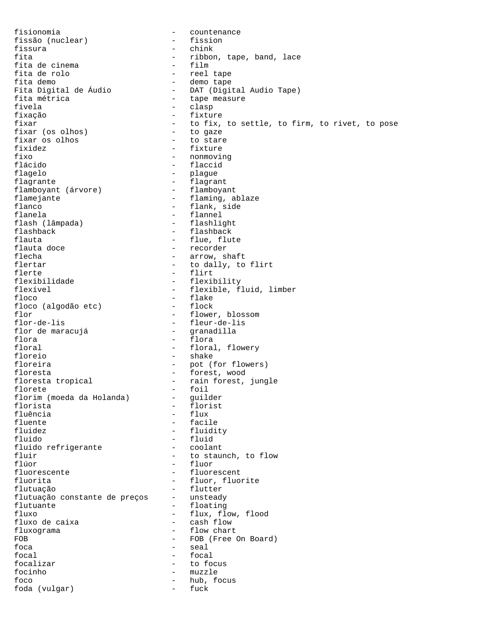fisionomia<br>fissão (nuclear) - fission - fission fissão (nuclear) fissura - chink - ribbon, tape, band, lace<br>- film fita de cinema<br>fita de rolo fita de rolo  $\begin{array}{ccc} - & - & - \\ - & - & - \end{array}$  tape fita demo fita demo<br>Fita Digital de Áudio - DAT (Digit - DAT (Digital Audio Tape)<br>- tape measure fita métrica<br>fivela fivela - clasp fixação - fixture<br>fixar - fortixar - fortixar - to fix, to settle, to firm, to rivet, to pose<br>- to gaze fixar (os olhos) - to gaze<br>fixar os olhos - to stare fixar os olhos fixidez - fixture fixo - nonmoving - nonmoving - nonmoving - flaccid - flaccid flagelo - plague - flagrant<br>- flamboyant flamboyant (árvore)<br>flamejante flamejante - flaming, ablaze<br>flanco - flank, side flanco - flank, side<br>flanela - flannel - flannel<br>- flashlight flash (lâmpada)<br>flashback flashback - flashback<br>flauta - flue flue flue flauta - flue, flute - recorder flecha - arrow, shaft<br>flertar - arrow, shaft<br>to dally, to flertar  $-$  to dally, to flirt<br>flerte  $-$  flirt flerte - flirt flexibilidade - flexibility<br>flexível - flexible, fl flexível - flexible, fluid, limber<br>floco - flake - flake - flake<br>- flock floco (algodão etc) flor<br>flor-de-lis - flower, blossom<br>flor-de-lis - fleur-de-lis - fleur-de-lis<br>- granadilla flor de maracujá flora  $\overline{\phantom{a}}$  - flora floral  $-$  floral, flowery floreio - shake floreira - pot (for flowers) floresta - forest, wood floresta tropical - rain forest, jungle<br>florete - foil - foil<br>- guilder florim (moeda da Holanda)<br>florista florista - florist<br>fluência - flux - flux fluência en la provincia de la flux de la flux de la flux de la flux de la flux de la flux de la flux de la flu<br>En la fluente de la fluidade de la fluidade de la fluidade de la fluidade de la fluidade de la fluidade de la - facile fluidez - fluidity fluido - fluid fluido refrigerante fluir  $\begin{array}{ccc} - & + & + \\ - & + & + \end{array}$  to staunch, to flow fluor flúor - fluor - fluorescent fluorita - fluor, fluorite flutuação<br>flutuação constante de preços - unsteady flutuação constante de preços<br>flutuante flutuante - floating - flux, flow, flood<br>- cash flow fluxo de caixa fluxograma  $\qquad \qquad -$  flow chart FOB - FOB (Free On Board)<br>foca - seal - seal - seal  $\begin{tabular}{ccc} focal & & & \multicolumn{2}{c|}{-} & focal \\ \end{tabular}$ focalizar  $-$  to focus focinho - muzzle - hub, focus<br>- fuck foda (vulgar)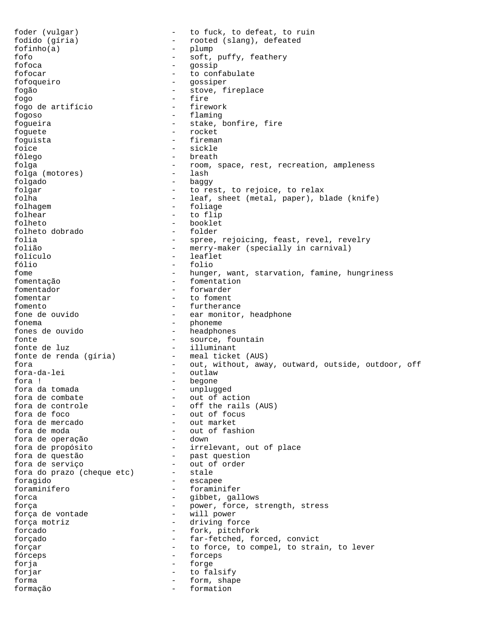foder (vulgar) - to fuck, to defeat, to ruin fodido (gíria) - rooted (slang), defeated  $fofinho(a)$ fofo - soft, puffy, feathery<br>fofoca - soft, puffy, feathery - gossip fofocar - to confabulate fofoqueiro - gossiper fogão - stove, fireplace fogo - fire fogo de artifício fogoso - flaming fogueira  $-$  stake, bonfire, fire foguete - rocket foguista - fireman foice - sickle fôlego - breath folga - room, space, rest, recreation, ampleness folga (motores) folgado - baggy folgar  $\qquad \qquad -$  to rest, to rejoice, to relax<br>folha  $\qquad \qquad -$  leaf, sheet (metal, paper), b. folha - leaf, sheet (metal, paper), blade (knife)<br>folhaqem - foliaqe - foliaqe - foliage folhear - to flip folheto  $\begin{array}{ccc} - & \text{booklet} \\ \text{folheto dobrado & - & folder} \end{array}$ folheto dobrado folia  $-$  spree, rejoicing, feast, revel, revelry folião - merry-maker (specially in carnival)<br>folículo - leaflet folículo fólio - folio fome  $-$  hunger, want, starvation, famine, hungriness fomentação  $f$ omentador  $f$ omentador  $f$ omentador  $f$ orwarder  $f$ orwarder  $f$ orwarder  $f$ orwarder  $f$ orwarder  $f$ fomentador  $\begin{array}{ccc} - & + \text{forwarder} \\ - & + \text{to foment} \end{array}$ fomentar  $\begin{array}{ccc} - & + \text{to foment} \\ - & + \text{further} \\ \end{array}$ - furtherance fone de ouvido - ear monitor, headphone fonema - phoneme - headphones fonte  $\qquad \qquad -$  source, fountain fonte de luz<br>fonte de renda (gíria) - illuminant<br>- meal ticket (AUS) fonte de renda (gíria) fora - out, without, away, outward, outside, outdoor, off fora-da-lei - outlaw fora ! - begone fora da tomada  $\begin{array}{ccc} - & \text{unplugged} \\ - & \text{out of act} \end{array}$ fora de combate  $\qquad \qquad$  - out of action fora de controle - off the rails (AUS) fora de foco - out of focus fora de mercado<br>fora de moda - out of fashion<br>- down fora de operação fora de propósito  $-$  irrelevant, out of place fora de questão - past question fora de serviço - out of order fora do prazo (cheque etc) - stale<br>foragido - escape foragido - escapee foraminífero - foraminifer forca - gibbet, gallows força  $\begin{array}{ccc} - & - & \text{power, force, strength, stress} \\ - & \text{will power} \end{array}$ força de vontade força motriz  $-$  driving force forcado - fork, pitchfork forçado - far-fetched, forced, convict forçar - to force, to compel, to strain, to lever fórceps - forceps forja - forge forjar - to falsify forma - form, shape<br>formacão - formation formação - formation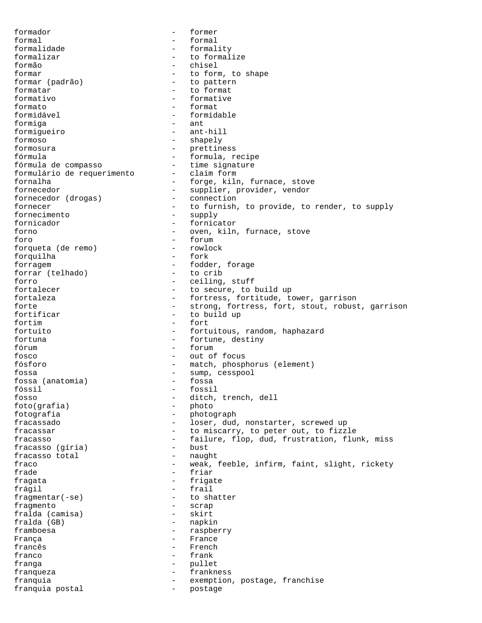formador - former formal  $-$  formal formalidade - formality formalizar  $-$  to formalize formão - chisel formar  $\left( \text{padrão} \right)$  - to form, to shape<br>formar (padrão) - to pattern - to pattern formatar  $\qquad \qquad -$  to formative<br>formative  $\qquad \qquad -$  formative formativo - formative - formative - formative - formative - formative - formative - formative - formative - formative - formative - formative - formative - formative - formative - formative - formative - formative - format - format formidável - formidable formiga - ant formigueiro - ant-hill formoso - shapely formosura - prettiness fórmula - formula, recipe fórmula de compasso - time signature formulário de requerimento fornalha - forge, kiln, furnace, stove<br>fornecedor - supplier, provider, vendor - supplier, provider, vendor<br>- connection fornecedor (drogas) fornecer - to furnish, to provide, to render, to supply fornecimento - supply fornicador  $-$  fornicator forno - oven, kiln, furnace, stove foro - forum - forum - forum - forum - forum - forum - forum - forum - forum - forum - forum - forum - forum - forum - forum - forum - forum - forum - forum - forum - forum - forum - forum - forum - forum - forum - forum forqueta (de remo) - rowlock - rowlock<br>forquilha - fork forquilha forragem - fodder, forage<br>forrar (telhado) - to crib forrar (telhado) forro - ceiling, stuff fortalecer - to secure, to build up fortaleza  $-$  fortress, fortitude, tower, garrison forte - strong, fortress, fort, stout, robust, garrison<br>fortificar - to build up - to build up fortim - fort fortuito - fortuitous, random, haphazard fortuna  $-$  fortune, destiny fórum - forum fosco - out of focus fósforo - match, phosphorus (element) fossa (anatomia) - sump, cesspool<br>fossa (anatomia) - fossa fossa (anatomia) fóssil - fossil fosso - ditch, trench, dell foto(grafia) -<br>fotografia - photografia fotografia - photograph fracassado - loser, dud, nonstarter, screwed up fracassar The Commiscarry, to peter out, to fizzle<br>fracasso The Telecompone of the failure, flop, dud, frustration, flument - failure, flop, dud, frustration, flunk, miss<br>- bust fracasso (gíria) - bust fracasso total - naught fraco **1983** - weak, feeble, infirm, faint, slight, rickety frade  $-$  friar fragata - frigate - frigate<br>frágil - frail frágil - frail fragmentar $(-se)$ fragmento - scrap<br>fralda (camisa) - skirt fralda (camisa) fralda (GB) - napkin framboesa - raspberry França - France - French franco - frank franga - pullet franqueza - frankness franquia  $-$  exemption, postage, franchise franquia postal and the postage of the postage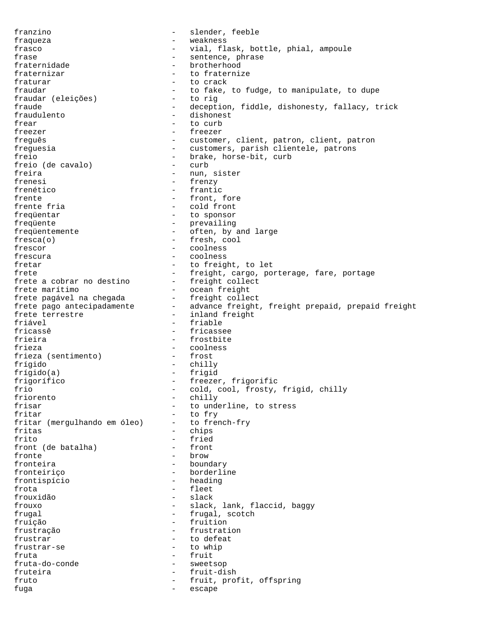franzino - slender, feeble fraqueza - weakness frasco - vial, flask, bottle, phial, ampoule frase  $\qquad \qquad -$  sentence, phrase fraternidade - brotherhood fraternizar  $-$  to fraternize fraturar  $-$  to crack fraudar - to fake, to fudge, to manipulate, to dupe<br>fraudar (eleições) - to rig fraudar (eleições) fraude  $-$  deception, fiddle, dishonesty, fallacy, trick fraudulento - dishonest frear  $-$  to curb freezer - freezer freguês - customer, client, patron, client, patron freguesia - customers, parish clientele, patrons freio<br>freio (de cavalo) - brake, horse-bit, curb<br>- curb freio (de cavalo) freira  $-$  nun, sister frenesi - frenzy<br>frenético - frantic - frantic frente  $f$ rente fria  $\begin{array}{ccc} - &$  front, fore frente fria  $\end{array}$ - cold front frequentar  $\begin{array}{ccc} - & + & + \end{array}$  to sponsor<br>frequente  $\begin{array}{ccc} - & + & + \end{array}$  prevailing - prevailing frequentemente - often, by and large fresca(o) - fresh, cool frescor - coolness frescura - coolness fretar  $-$  to freight, to let frete  $-$  freight, cargo, porterage, fare, portage<br>frete a cobrar no destino  $-$  freight collect frete a cobrar no destino<br>frete marítimo - ocean freight<br>- freight collect frete pagável na chegada frete pagaver ha enegada<br>frete pago antecipadamente - advance freight, freight prepaid, prepaid freight<br>frete terrestre - inland freight - inland freight friável - friable fricassê  $\overline{\phantom{a}}$  - fricassee<br>frieira - frostbite - frostbite frieza - coolness<br>frieza (sentimento) - frost frieza (sentimento) frígido - chilly frígido(a) - frigid frigorífico - freezer, frigorific frio - cold, cool, frosty, frigid, chilly<br>friorento - chilly<br>- chilly friorento  $\begin{array}{ccc} - & \text{chilly} \\ \text{frisar} & - & \text{to und} \end{array}$ frisar  $-$  to underline, to stress<br>fritar  $-$  to frv - to fry<br>- to french-fry fritar (mergulhando em óleo) -<br>fritas fritas - chips frito - fried<br>front (de batalha) - front front (de batalha) fronte - brow fronteira  $\qquad \qquad$  - boundary fronteiriço - borderline frontispício - heading frota - fleet frouxidão - slack - slack, lank, flaccid, baggy frugal  $-$  frugal, scotch fruição - fruition frustração - frustration frustrar  $-$  to defeat frustrar-se  $-$  to whip fruta - fruit - fruit - fruit - fruit - fruit - fruit - fruit - fruit - fruit - fruit - fruit - fruit - fruit - fruit - fruit - fruit - fruit - fruit - fruit - fruit - fruit - fruit - fruit - fruit - fruit - fruit - fruit fruta-do-conde - sweetsop<br>fruteira - fruit-di fruteira - fruit-dish fruto - fruit, profit, offspring fuga - escape - escape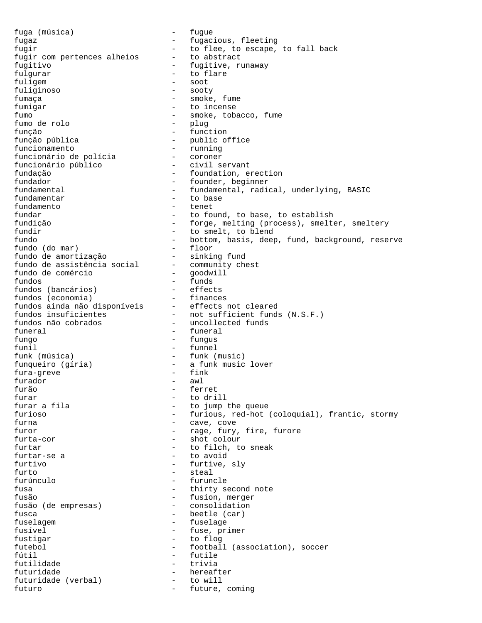fuga (música) - fugue fugaz - fugacious, fleeting fugir<br>fugir com pertences alheios - to flee, to escape, to fall back<br>fugir com pertences alheios - to abstract fugir com pertences alheios fugitivo - fugitive, runaway fulgurar  $-$  to flare fuligem - soot fuliginoso - sooty fumaça - smoke, fume fumigar - to incense fumo - smoke, tobacco, fume fumo de rolo função - function função pública  $-$  public office<br>funcionamento  $-$  running funcionamento - running funcionário de polícia - coroner funcionário público - civil servant fundação - foundation, erection fundador  $-$  founder, beginner fundamental  $-$  fundamental, radical, underlying, BASIC fundamentar  $\qquad \qquad -$  to base<br>fundamento  $\qquad \qquad -$  tenet - tenet fundar  $-$  to found, to base, to establish fundição - forge, melting (process), smelter, smeltery fundir  $-$  to smelt, to blend fundo - bottom, basis, deep, fund, background, reserve fundo (do mar) - floor fundo de amortização - sinking fund fundo de assistência social - community chest fundo de comércio - goodwill fundos - funds fundos (bancários) - effects fundos (economia) - finances fundos ainda não disponíveis - effects not cleared fundos insuficientes - not sufficient funds (N.S.F.) fundos não cobrados - uncollected funds funeral  $-$  funeral fungo - fungus funil - funnel funk (música) - funk (music) funqueiro (gíria) - a funk music lover<br>fura-greve - fink fura-greve furador - awl furão - ferret furar  $\frac{1}{2}$  furar a fila - to jump the queue furioso - furious, red-hot (coloquial), frantic, stormy furna - cave, cove furor  $-$  rage, fury, fire, furore furta-cor - shot colour furtar  $-$  to filch, to sneak furtar-se a  $-$  to avoid furtar-se a  $-$  to avoid furtivo - furtive, sly furto - steal furúnculo - furuncle fusa  $-$  thirty second note fusão - fusion, merger fusão (de empresas) - consolidation fusca  $\qquad \qquad -$  beetle (car) fuselagem entry and the fuselage fusível - fuse, primer fustigar - to flog futebol - football (association), soccer fútil - futile futilidade - trivia futuridade - hereafter<br>futuridade (verbal) - to will<br>future futuridade (verbal) - to will futuro  $-$  future, coming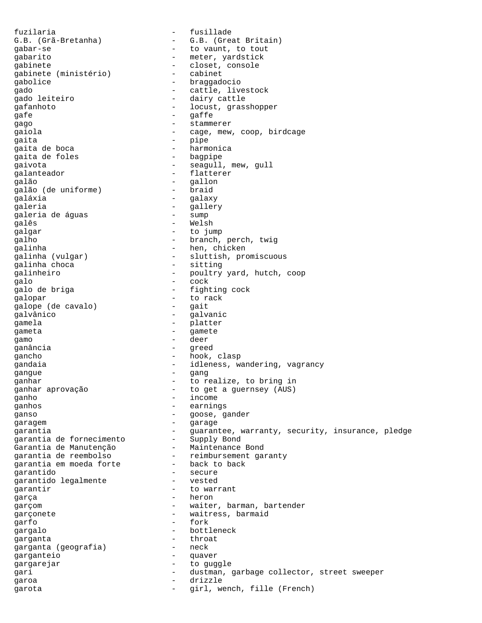fuzilaria - fusillade G.B. (Grã-Bretanha) - G.B. (Great Britain) gabar-se  $-$  to vaunt, to tout gabarito - meter, yardstick gabinete - closet, console gabinete (ministério) - cabinet gabolice - braggadocio gado - cattle, livestock - dairy cattle gafanhoto - locust, grasshopper qafe - gaffe -<br>gago - stammerer gaiola - cage, mew, coop, birdcage gaita - pipe gaita de boca - harmonica gaita de foles gaivota <a>
->
seagull, mew, gull<br/>  $\,$  - seagull, mew, gull - flatterer<br>galão - flatterer<br>galão - gallon - gallon<br>- braid galão (de uniforme) galáxia - galaxy galeria<br>
galeria de águas (1999) - gallery<br>
galeria de águas (1999) - sump galeria de águas galês - Welsh qalqar - to jump qalho - branch, perch, twig galinha - hen, chicken galinha (vulgar) - sluttish, promiscuous qalinha choca - sitting galinha choca galinheiro - poultry yard, hutch, coop<br>alo galo - cock galo de briga  $-$  fighting cock -<br>galopar - to rack<br>qalope (de cavalo) - gait galope (de cavalo) galvânico - galvanic gamela - platter qameta - gamete gamo - deer ganância - greed gancho - hook, clasp gandaia - idleness, wandering, vagrancy gangue - gang ganhar - to realize, to bring in ganhar aprovação - to get a guernsey (AUS) ganho - income ganhos - earnings ganso - goose, gander -<br>garagem - Garage garantia - Guarantee, warranty, security, insurance, pledge garantia de fornecimento - Supply Bond Garantia de Manutenção - Maintenance Bond garantia de reembolso - reimbursement garanty garantia em moeda forte - back to back garantido - secure garantido legalmente  $\overline{a}$  - vested  $\overline{a}$ garantir  $-$  to warrant garça - heron garçom - waiter, barman, bartender garçonete  $\qquad \qquad \qquad -$  waitress, barmaid garfo - fork gargalo - bottleneck garganta<br>
garganta (geografia) - heck<br>
- neck garganta (geografia) garganteio - quaver gargarejar - to guggle gari  $-$  dustman, garbage collector, street sweeper garoa - drizzle garota - girl, wench, fille (French)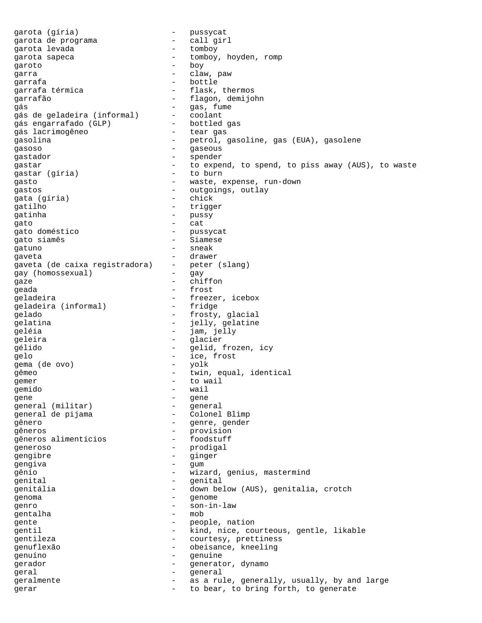garota (gíria) - pussycat garota de programa - call girl garota levada garota sapeca - tomboy, hoyden, romp aroto - tomboy - boy garoto - boy garra  $-$  claw, paw garrafa - bottle - flask, thermos garrafão - flagon, demijohn gás - gas, fume gás de geladeira (informal) - coolant<br>gás engarrafado (GLP) - bottled gas gás engarrafado (GLP) - bottled q<br>qás lacrimogêneo - tear gas gás lacrimogêneo gasolina - petrol, gasoline, gas (EUA), gasolene gasoso - gaseous gastador - spender gastar  $-$  to expend, to spend, to piss away (AUS), to waste astar (qíria)  $-$  to burn gastar (gíria) gasto - waste, expense, run-down gastos - outgoings, outlay gata (gíria) gatilho - trigger gatinha  $-\text{passy}$ <br> $\begin{array}{ccc}\n\text{gation} & - & \text{passy} \\
\text{gation} & - & \text{cath} \\
\end{array}$ gato - cat gato doméstico - pussycat gato siamês - Siamese gatuno - sneak gaveta - drawer gaveta (de caixa registradora) - peter (slang) gay (homossexual) - gay qaze - chiffon geada - frost geladeira<br>
qeladeira (informal) - fridge<br>
- fridge geladeira (informal) gelado - frosty, glacial gelatina  $-$  jelly, gelatine geléia - jam, jelly qeleira - glacier gélido - gelid, frozen, icy gelo - ice, frost gema (de ovo) - yolk twin, equal, identical sum and the set of the set of the set of the set of the set of the set of the set of the set of the set of the<br>Set of the set of the set of the set of the set of the set of the set of the set of the set of the set of the<br>S gemido – wail – wail – wail – wail – wail – wail – wail – wail – wail – wail – wail – wail – wail – wail – wail – wail – wail – wail – wail – wail – wail – wail – wail – wail – wail – wail – wail – wail – wail – wail – wai gene<br>general (militar) - general general (militar) - general<br>
general de pijama - Colonel Blimp general de pijama gênero - genre, gender gêneros<br>
gêneros alimentícios<br>
- foodstuff gêneros alimentícios generoso - prodigal gengibre - ginger<br>gengiva - ginger<br>- gum gengiva - gum gênio - wizard, genius, mastermind genital - genital - genital<br>
genitália - down he genitália - down below (AUS), genitalia, crotch<br>
- down below (AUS), genitalia, crotch<br>
- genome genoma - genome genro - son-in-law<br>qentalha - son-in-law<br>- mob gentalha - mobility is a mobility of the set of the set of the set of the set of the set of the set of the set o<br>The set of the set of the set of the set of the set of the set of the set of the set of the set of the set of gente  $-$  people, nation gentil - kind, nice, courteous, gentle, likable qentileza - courtesy, prettiness genuflexão - obeisance, kneeling genuíno - genuine gerador  $-$  generator, dynamo geral - general geralmente - as a rule, generally, usually, by and large gerar  $-$  to bear, to bring forth, to generate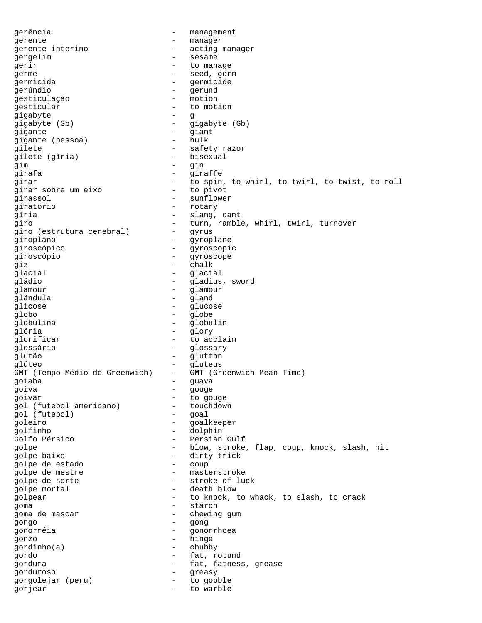gerência - management gerente  $-$  manager gerente interino  $-$  acting manager gergelim entry the sesame sessame gerir  $-$  to manage erme - seed, germe - seed, germ germicida - germicide gerúndio - gerund gesticulação gesticular  $\overline{\phantom{a}}$  - to motion  $\overline{\phantom{a}}$  -  $\overline{\phantom{a}}$ gigabyte - g gigabyte (Gb) - gigabyte (Gb) gigante - giant gigante (pessoa) qilete<br>
qilete (gíria) - safety razor<br>
- bisexual gilete (gíria) gim - gin girafa - giraffe girar  $-$  to spin, to whirl, to twirl, to twist, to roll qirar sobre um eixo  $-$  to pivot girar sobre um eixo girassol - sunflower giratório - rotary qíria  $\qquad \qquad -$  slang, cant giro - turn, ramble, whirl, twirl, turnover giro (estrutura cerebral) giroplano - gyroplane giroscópico - gyroscopic giroscópio - gyroscope giz - chalk glacial - glacial gládio - gladius, sword glamour - glamour<br>
glamour - glamour<br>
- gland glândula - gland<br>
glicose - glucose - glucose glicose - glucose globo - globe globulina - globulina - globulina - globulina - globulina - globulina - globulina - globulina - globulina - globulina - globulina - globulina - globulina - globulina - globulina - globulina - globulina - globulina - globul glória - glory qlorificar - to acclaim glossário - glossary glutão - glutton glúteo - gluteus<br>GMT (Tempo Médio de Greenwich) - GMT (Gre - GMT (Greenwich Mean Time) goiaba - guava goiva - gouge goivar - to gouge gol (futebol americano) - toucl<br>qol (futebol) - goal gol (futebol) –<br>goleiro – goleiro - goalkeeper golfinho - dolphin Golfo Pérsico - Persian Gulf golpe - blow, stroke, flap, coup, knock, slash, hit golpe baixo<br>
aolpe de estado<br>
- coup golpe de estado golpe de mestre  $\qquad \qquad -$  masterstroke golpe de sorte  $\qquad \qquad -$  stroke of luck golpe mortal  $\qquad \qquad -$  death blow golpear - to knock, to whack, to slash, to crack goma - starch goma de mascar  $\qquad -$  chewing gum gongo - gong gonorréia - gonorrhoea gonzo - hinge  $\gamma$ gordinho $(a)$ gordo - fat, rotund gordura - fat, fatness, grease gorduroso - greasy gorgolejar (peru) - to gobble gorjear - to warble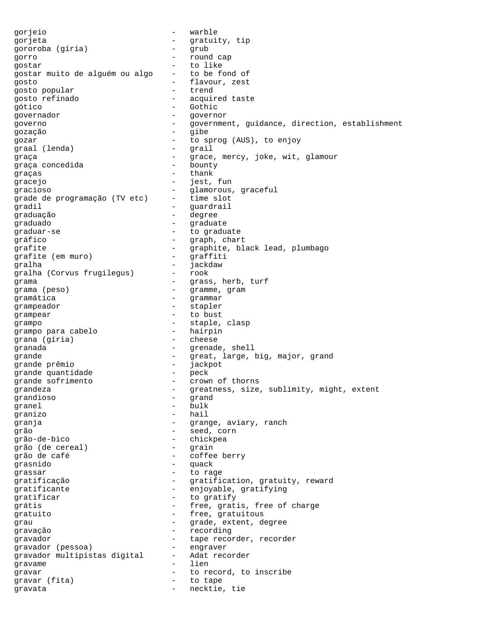gorjeio - warble gorjeta - gratuity, tip gororoba (gíria) - grub gorro - round cap gostar  $-$  to like<br>gostar muito de alquém ou algo  $-$  to be f gostar muito de alguém ou algo - to be fond of gosto - flavour, zest gosto popular and trend gosto refinado - acquired taste gótico - Gothic governador en el estador de la escritoria de la escritoria de la escritoria de la escritoria de la escritoria governo - government, guidance, direction, establishment gozação - gibe gozar - to sprog (AUS), to enjoy graal (lenda) - grail graça - grace, mercy, joke, wit, glamour<br>qraca concedida - bounty - bounty graça concedida - bounty graças - thank gracejo  $-$  jest, fun gracioso - glamorous, graceful grade de programação (TV etc) gradil  $\qquad \qquad$  - guardrail graduação - degree graduado - graduate -<br>graduar-se - to graduate gráfico - graph, chart grafite - graphite, black lead, plumbago<br>
grafite (em muro) - graffiti grafite (em muro) - graffiti gralha - jackdaw gralha (Corvus frugilegus) -<br>grama grama  ${\rm (pess)}$   $-$  grass, herb, turf grama (peso)  $-$  gramme, gram<br>gramática  $-$  grammar gramática - grammar grampeador - stapler grampear - to bust grampo - staple, clasp grampo para cabelo - hairpin grana (gíria) granada - grenade, shell grande - great, large, big, major, grand<br>grande prêmio - iackpot grande prêmio - jackpot grande quantidade - pecasion - pecasional - pecasional - pecasional - pecasional - pecasional - pec<br>distribution - pecasional - pecasional - pecasional - pecasional - pecasional - pecasional - pecasional - peca grande sofrimento - crown of thorns grandeza - greatness, size, sublimity, might, extent grandioso - grand granel - bulk granizo - hail granja - Grange, aviary, ranch grão - seed, corn grão-de-bico - chickpea grão (de cereal) grão de café - coffee berry grasnido - quack grassar - to rage gratificação  $-$  gratification, gratuity, reward<br>
gratificante  $-$  enjoyable gratifying gratificante - enjoyable, gratifying<br>
entificar
- to gratify gratificar  $-$  to gratify grátis - free, gratis, free of charge gratuito  $-$  free, gratuitous grau  $\qquad \qquad$  - grade, extent, degree gravação - recording gravador **-** tape recorder, recorder gravador (pessoa) - engraver gravador multipistas digital - Adat recorder gravame - lien gravar  $-$  to record, to inscribe gravar (fita) - to tape gravata - necktie, tie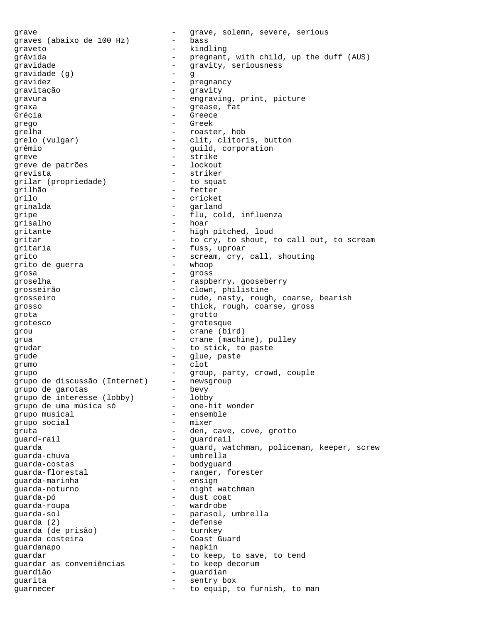grave - grave, solemn, severe, serious<br>
graves (abaixo de 100 Hz) - bass graves (abaixo de 100 Hz) graveto - kindling grávida - pregnant, with child, up the duff (AUS) gravidade  $\qquad \qquad \qquad -$  gravity, seriousness gravidade (g) - g gravidez - pregnancy gravitação - gravity gravura - engraving, print, picture qraxa - grease, fat Grécia de la component de la Greece de la Greece de la Greece de la Greece de la Greece de la Greece de la Greece de la Greece de la Greece de la Greece de la Greece de la Greece de la Greece de la Greece de la Greece de l grego - Greek grelha - roaster, hob grelo (vulgar) - clit, clitoris, button grêmio - guild, corporation greve - strike greve de patrões en lockoute de patrões grevista - striker<br>grilar (propriedade) - - to squa grilar (propriedade) - to squat<br>grilhão - fetter grilhão - fetter grilo - cricket<br>
grinalda - cricket<br>
- carland grinalda - garland qripe  $-$  flu, cold, influenza grisalho - hoar gritante - high pitched, loud gritar  $-$  to cry, to shout, to call out, to scream gritaria - fuss, uproar grito - scream, cry, call, shouting grito de guerra - whoop grosa - gross groselha - raspberry, gooseberry grosseirão - clown, philistine grosseiro  $-$  rude, nasty, rough, coarse, bearish grosso  $-$  thick, rough, coarse, gross grota - grotto grotesco - grotesque grou - crane (bird) grua  $\qquad \qquad -$  crane (machine), pulley grudar  $-$  to stick, to paste grude - glue, paste grumo - clot grupo - group, party, crowd, couple grupo de discussão (Internet) - newsgroup grupo de garotas - bevy grupo de interesse (lobby) - lobby<br>qrupo de uma música só - one-hit wonder grupo de uma música só  $-$  one-hit wonder the musical solution of the semble grupo musical and the contract of the ensemble of the ensemble of the ensemble of the ensemble of the ensemble grupo social gruta - den, cave, cove, grotto quard-rail  $\qquad \qquad$  - guardrail guarda - guard, watchman, policeman, keeper, screw guarda-chuva - umbrella guarda-costas - bodyguard guarda-florestal - ranger, forester guarda-marinha - ensign guarda-noturno - night watchman<br>cuarda-nó guarda-pó - dust coat guarda-roupa - wardrobe guarda-sol - parasol, umbrella guarda (2) - defense guarda (de prisão) guarda costeira - Coast Guard guardanapo - napkin guardar<br>guardar as conveniências - to keep decorum guardar as conveniências guardião - guardian guarita - sentry box guarnecer  $\qquad \qquad -$  to equip, to furnish, to man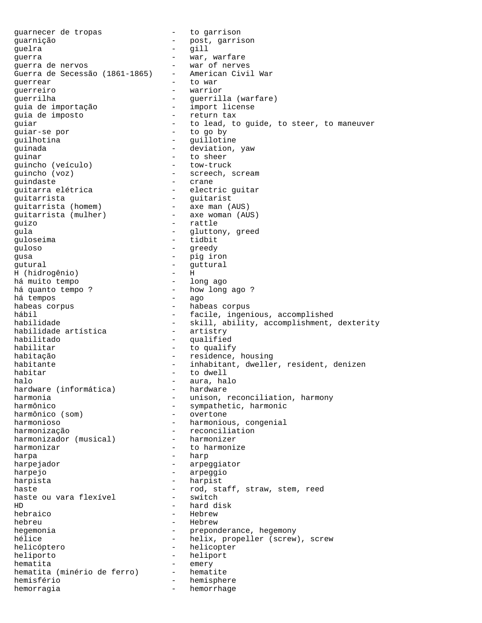guarnecer de tropas and the set of the garrison guarnição - post, garrison guelra - gill guerra - war, warfare guerra de nervos - war of nerves Guerra de Secessão (1861-1865) - American Civil War guerrear extensive to war guerreiro - warrior guerrilha - guerrilla (warfare)<br>guia de importação - - import license guia de importação - import license guia de imposto quiar  $-$  to lead, to guide, to steer, to maneuver guiar-se por - to go by quilhotina - guillotine guinada - deviation, yaw - to sheer<br>- tow-truck guincho (veículo) - tow-truck guincho (voz) - screech, scream guindaste - crane<br>guitarra elétrica - - electi - electric guitar - guitarrista<br>quitarrista (homem) - axe man (AUS) guitarrista (homem) guitarrista (mulher) - axe woman (AUS) quizo - rattle qula  $\qquad \qquad -$  gluttony, greed guloseima - tidbit guloso - greedy - pig iron = pig iron = pig iron = pig iron = pig iron = pig iron = pig iron = pig iron = pig iron = pig iron = pig iron = pig iron = pig iron = pig iron = pig iron = pig iron = pig iron = pig iron = pig iron = pig iron = gutural - guttural H (hidrogênio) - H há muito tempo<br>há quanto tempo ? - how long ago ?<br>- ago há tempos<br>habeas corpus habeas corpus - habeas corpus<br>hábil - facile ingen hábil - facile, ingenious, accomplished<br>habilidade - skill ability accomplishment - skill, ability, accomplishment, dexterity<br>- artistry habilidade artística<br>habilitado - qualified habilitar  $-$  to qualify habitação  $-$  residence, housing habitante - inhabitant, dweller, resident, denizen - to dwell halo - aura, halo hardware (informática)<br>harmonia harmonia - unison, reconciliation, harmony<br>harmônico - - sympathetic, harmonic - sympathetic, harmonic<br>- overtone harmônico (som) harmonioso - harmonious, congenial harmonização - reconciliation harmonizador (musical) harmonizar extended to harmonize harpa - harp harpejador - arpeggiator harpejo - arpeggio - harpist haste  $-$  rod, staff, straw, stem, reed haste ou vara flexivel  $-$  switch haste ou vara flexível HD - hard disk - Hebrew hebreu - Hebrew hegemonia  $-$  preponderance, hegemony hélice  $h$ - helix, propeller (screw), screw helicóptero - helicopter heliporto - heliport hematita<br>hematita (minério de ferro) - hematite hematita (minério de ferro) hemisfério - hemisphere<br>hemisfério - hemisphere<br>hemorragia - hemorrhage hemorragia  $-$  hemorrhage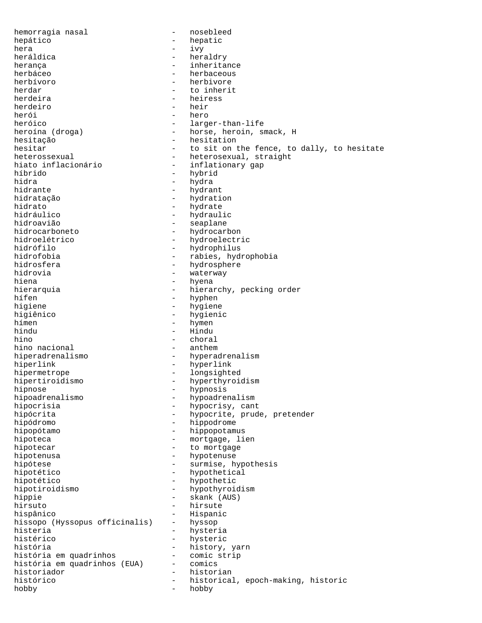hemorragia nasal and the mosebleed hepático - hepatic hera - ivy - heraldry herança - inheritance herbáceo - herbaceous herbívoro - herbivore herdar - to inherit<br>herdeira - heiress - heiress herdeiro - heir herói - hero<br>heróico - large heróico - larger-than-life<br>heroína (droga) - larger-than-life<br>- horse, heroin, su - horse, heroin, smack, H hesitação - hesitation - hesitation hesitar  $-$  to sit on the fence, to dally, to hesitate ncsicar<br>heterossexual - heterosexual, straight<br>hiato inflacionário - inflationary gap hiato inflacionário inflationary gap<br>híbrido hybrid híbrido - hybrid hidra - hydra - hydra - hydra - hydra - hydra - hydra - hydra - hydra - hydra - hydra - hydra - hydra - hydra<br>hydra - hydra - hydra - hydra - hydra - hydra - hydra - hydra - hydra - hydra - hydra - hydra - hydra - hydra hidrante - hydrant - hydrant<br>hidratação - - hydrati hidratação - hydration hidrato - hydrate - hydrate - hydrate - hydraul - hydraul - hydraul - hydraul - hydraul - hydraul - hydraul - hydraul - hydraul - hydraul - hydraul - hydraul - hydraul - hydraul - hydraul - hydraul - hydraul - hydraul - hy hidráulico - hydraulico<br>hidroavião - seaplane hidroavião - seaplane hidrocarboneto - hydrocarbon<br>hidroelétrico - hydroelectr - hydroelectric hidrófilo - hydrophilus hidrofobia - rabies, hydrophobia hidrosfera - hydrosphere hidrovia - hydrosphere - hydrosphere - hydrosphere - hydrosphere - hydrosphere - hydrosphere - hydrosphere - hydrosphere - hydrosphere - hydrosphere - hydrosphere - hydrosphere - hydrosphere - hydr waterway hiena  $-$  hyena hierarquia  $-$  hierarchy, pecking order hífen - hyphen - hyphen<br>higiene - hygiene higiene - hygiene - hygiene - hygiene - hygiene - hygiene - hygiene - hygiene - hygiene - hygiene - hygiene - <br>- hygieni - hygienic hímen - hymen - hymen - hymen - hymen - hymen - hymen - hymen - hymen - hymen - hymen - hymen - hymen - hymen - hymen - hymen - hymen - hymen - hymen - hymen - hymen - hymen - hymen - hymen - hymen - hymen - hymen - hymen hindu - Hindu - choral<br>- anthem hino nacional hiperadrenalismo - hyperadrenalism hiperlink - hyperlink hipermetrope - longsighted hipertiroidismo - hyperthyroidism hipnose - hypnosis - hypoadrenalism hipocrisia - hypocrisy, cant<br>hipócrita - hypocrite, prude - hypocrite, prude, pretender hipódromo - hippodrome hipopótamo  $-$  hippopotamus hipoteca - mortgage, lien hipotecar - to mortgage hipotenusa - hypotenuse hipótese - surmise, hypothesis hipotético  $-$  hypothetical hipotético - hypothetic hipotiroidismo - hypothyroidism hippie - skank (AUS) hirsuto - hirsute - Hispanic<br>- hyssop hissopo (Hyssopus officinalis) histeria - hysteria<br>histérico - hysteric - hysteric história - history, yarn história em quadrinhos - comic strip história em quadrinhos (EUA) historiador - historian histórico  $-$  historical, epoch-making, historic hobby - hobby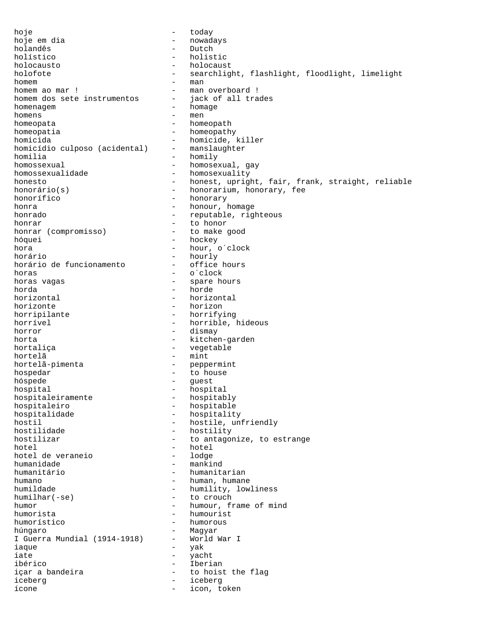hoje - today - today hoje em dia and a component and a nowadays holandês - Dutch holístico - holistic holocausto - holocaust holofote - searchlight, flashlight, floodlight, limelight homem ao mar! – man homem ao mar! – man – man – man – man – man – man – man – man – man – man – man – man – man – man – man – man – man – man – man – man – man – man – man – man – man – man – man – man – man – man – man – - man overboard !<br>- jack of all trades homem dos sete instrumentos homenagem entry and the homage homenagem and the homage homens - men homeopata - homeopath homeopatia  $-$  homeopathy homicida - homicide, killer<br>homicídio culposo (acidental) - manslaughter homicídio culposo (acidental) homilia - homily homossexual - homosexual, gay homossexualidade - homosexuality honesto - honest, upright, fair, frank, straight, reliable<br>honorário(s) - honorarium, honorary, fee - honorarium, honorary, fee honorífico - honorary honra  $\qquad \qquad -$  honour, homage honrado  $-$  reputable, righteous honrar<br>honrar (compromisso) - to honor<br>- to make good honrar (compromisso) hóquei - hockey hora  $-$  hour, o´clock horário - hourly horário de funcionamento horas - o´clock - spare hours horda - horde horizontal - horizontal - horizontal - horizontal - horizontal - horizontal - horizontal - horizontal - horizon horizonte - horizon - horrifying horrível  $\overline{\phantom{a}}$  - horrible, hideous horror - dismay - dismay horta - kitchen-garden hortaliça  $-$  vegetable hortelã - mint hortelã-pimenta - peppermint hospedar - to house hóspede - guest - hospital<br>- hospitably hospitaleiramente hospitaleiro - hospitable hospitalidade - hospitality hostil - hostile, unfriendly<br>hostilidade - hostility - hostility hostilidade - hostility<br>hostilizar - to antagon - to antagonize, to estrange hotel - hotel hotel de veraneio humanidade - mankind humanitário - humanitarian humano  $-$  human, humane humildade  $-$  humility, lowliness humilhar(-se) - to crouch humor - humour, frame of mind - humourist humorístico - humorous húngaro - Magyar I Guerra Mundial (1914-1918)  $-$ <br>iaque iaque - yak iate - yacht<br>ibérico - component - yacht<br>ibérico - Theri ibérico - Iberian içar a bandeira - to hoist the flag iceberg - iceberg ícone - icon, token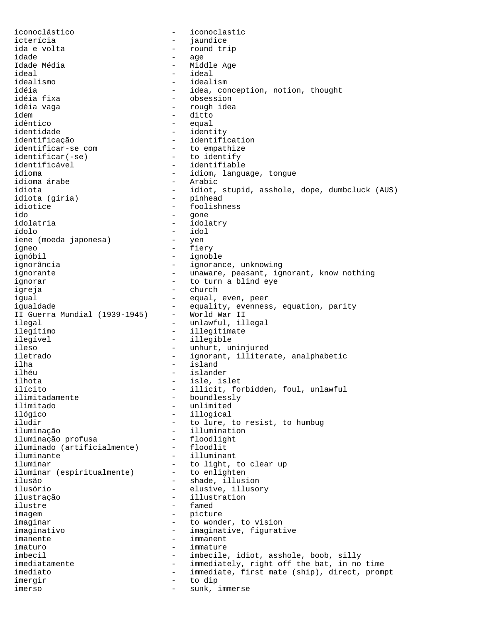iconoclástico - iconoclastic icterícia - jaundice ida e volta<br>idade - round trip<br>idade - age idade - age - age - age - age - age - age - age - age - age - age - age - age - age - age - age - age - age - Idade Média - Middle Age ideal - ideal idealismo - idealism idéia - idea, conception, notion, thought<br>idéia fixa - conception, notion, thought - obsession idéia vaga  $\overline{\phantom{a}}$  - rough idea idem - ditto idêntico - equal<br>identidade - equal - identity identificação - identification identificar-se com - to empathize identificar(-se) - to identify identificável - identifiable - idiom, language, tongue<br>- Arabic idioma árabe<br>idiota - idiot, stupid, asshole, dope, dumbcluck (AUS)<br>- pinhead idiota (gíria)<br>idiotice - foolishness ido - gone - idolatry ídolo - idol iene (moeda japonesa) ígneo - fiery ignóbil - ignoble ignorância - ignorance, unknowing ignorante extending the contraction of the unaware, peasant, ignorant, know nothing ignorar  $-$  to turn a blind eye igreja - church igual - equal, even, peer - equality, evenness, equation, parity<br>- World War II II Guerra Mundial (1939-1945) ilegal - unlawful, illegal ilegítimo - illegitimate ilegível - illegible ileso - unhurt, uninjured iletrado - ignorant, illiterate, analphabetic ilha - island ilhéu - islander ilhota - isle, islet ilícito - illicit, forbidden, foul, unlawful ilimitadamente - boundlessly ilimitado - unlimited - illogical iludir  $-$  to lure, to resist, to humbug iluminação<br>iluminação profusa (1999) - illumination<br>- floodlight iluminação profusa floodlightiluminado (artificialmente) floodlit iluminado (artificialmente) iluminante - illuminant iluminar<br>iluminar (espiritualmente) - to light, to clear up<br>- to enlighten iluminar (espiritualmente) ilusão - shade, illusion<br>ilusório - shade, illusion<br>elusive, illuso ilusório - elusive, illusory<br>ilustração - elusive, illustration - illustration ilustre - famed - picture imaginar  $-$  to wonder, to vision imaginativo - imaginative, figurative imanente - immanent imaturo - immature imbecil - imbecile, idiot, asshole, boob, silly imediatamente  $-$  immediately, right off the bat, in no time imediato - immediate, first mate (ship), direct, prompt imergir - to dip imerso - sunk, immerse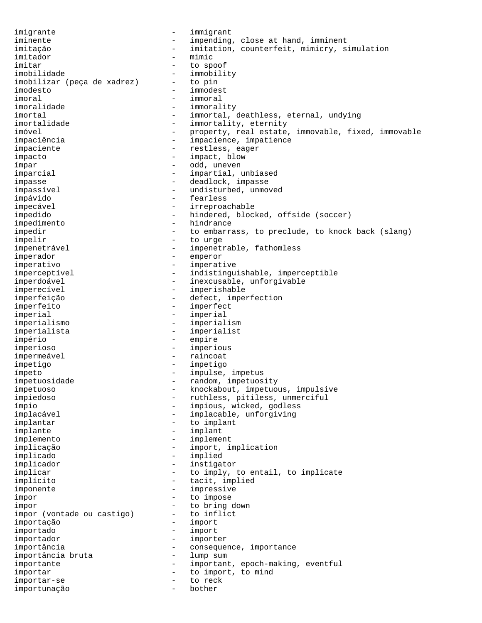imigrante - immigrant iminente - impending, close at hand, imminent imitação - imitation, counterfeit, mimicry, simulation imitador - mimic imitar - to spoof imobilidade - immobility<br>imobilizar (peca de xadrez) - to pin imobilizar (peça de xadrez) - to pin imodesto - immodest imoral - immoral - immorality imortal - immortal, deathless, eternal, undying<br>imortalidade - immortality, eternity - immortality, eternity imóvel - property, real estate, immovable, fixed, immovable impaciência - impacience, impatience impaciente  $-$  restless, eager impacto - impact, blow ímpar - odd, uneven imparcial  $\qquad \qquad \qquad -$  impartial, unbiased impasse - deadlock, impasse impassível external terminal and the undisturbed, unmoved impávido - fearless impecável  $\qquad \qquad -$  irreproachable impedido - hindered, blocked, offside (soccer) impedimento - hindrance impedir  $-$  to embarrass, to preclude, to knock back (slang) impelir - to urge impenetrável - impenetrable, fathomless imperador - emperor imperativo - imperative imperceptível - indistinguishable, imperceptible imperdoável  $\qquad \qquad -$  inexcusable, unforgivable imperecível - imperishable imperfeição - defect, imperfection imperfeito - imperfect imperial - imperial imperialismo - imperialism imperialista - imperialist império - empire imperioso - imperious impermeável  $-$  raincoat impetigo - impetigo ímpeto - impulse, impetus impetuosidade - random, impetuosity impetuoso - knockabout, impetuous, impulsive impiedoso - ruthless, pitiless, unmerciful ímpio - impious, wicked, godless implacável - implacable, unforgiving<br>implantar - to implant - to implant implante - implant - implement implicação - import, implication implicado - implied implicador - instigator implicar  $-$  to imply, to entail, to implicate implícito  $\begin{array}{ccc} - & \text{tacit, implied} \\ \text{imponent} & - & \text{impressed} \\ \end{array}$ imponente - impressive<br>impor - to impose impor - to impose impor<br>impor (vontade ou castigo) - to inflict impor (vontade ou castigo) importação - import importado - import importador - importer importância - consequence, importance importance importance - consequence, importance importância bruta importante - important, epoch-making, eventful importar  $-$  to import, to mind importar-se - to reck importunação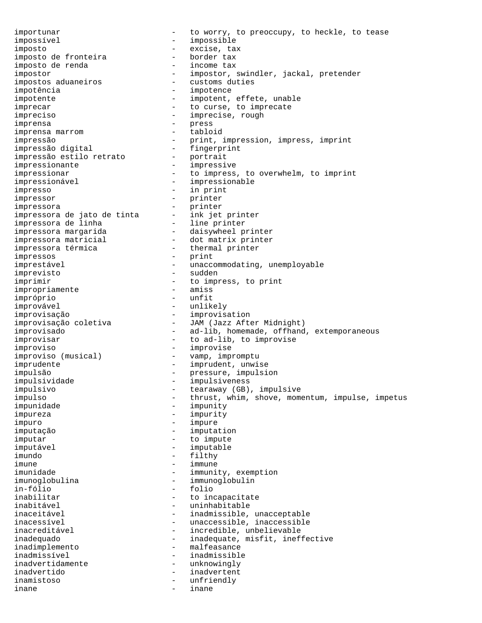importunar  $\qquad \qquad -$  to worry, to preoccupy, to heckle, to tease<br>impossivel impossível - impossible imposto - excise, tax imposto de fronteira border tax<br>imposto de renda income tax imposto de renda impostor - impostor, swindler, jackal, pretender<br>impostos aduaneiros - customs duties - customs duties impotência - impotence impotente  $\qquad \qquad -$  impotent, effete, unable imprecar  $-$  to curse, to imprecate impreciso - imprecise, rough imprensa - press imprensa marrom impressão - print, impression, impress, imprint<br>impressão digital - fingerprint impressão digital - fingerprint impressão estilo retrato impressionante - impressive impressionar **compress**, to overwhelm, to imprint impressionável - impressionable impresso - in print impressor - printer impressora<br>impressora de jato de tinta ink jet printer impressora de jato de tinta  $-$  ink jet printer impressora de linha - line printer impressora margarida - daisywheel printer impressora matricial - dot matrix printer impressora térmica  $-$  thermal printer impressos - print imprestável  $\qquad \qquad -$  unaccommodating, unemployable imprevisto - sudden imprimir - to impress, to print<br>impropriamente - amiss impropriamente - amiss impróprio improvável - unlikely - improvisation improvisação coletiva - JAM (Jazz After Midnight) improvisado  $-$  ad-lib, homemade, offhand, extemporaneous improvisar  $-$  to ad-lib, to improvise improviso - improvise improviso (musical) - vamp, impromptu imprudente  $-$  imprudent, unwise impulsão - pressure, impulsion impulsividade - impulsiveness impulsivo - tearaway (GB), impulsive impulso - thrust, whim, shove, momentum, impulse, impetus impunidade - impunity impureza - impurity impuro - impure imputação - imputation imputar - to impute imputável - imputable imundo - filthy imune - immune imunidade  $-$  immunity, exemption imunoglobulina - immunoglobulin in-fólio - folio inabilitar - to incapacitate inabitável - uninhabitable - inadmissible, unacceptable inacessível external contractors and the unaccessible, inaccessible inacreditável en el controllo de la incredible, unbelievable inadequado - inadequate, misfit, ineffective inadimplemento - malfeasance inadmissível - inadmissible inadvertidamente - unknowingly inadvertido - inadvertent inamistoso - unfriendly inane - inane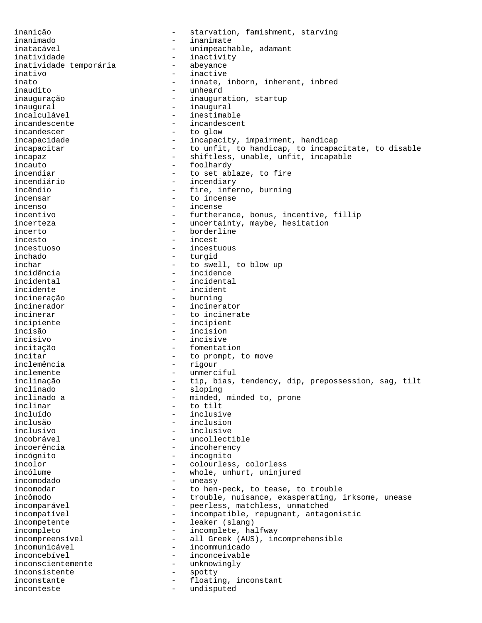inanição - starvation, famishment, starving inanimado - inanimate inatacável **- unimpeachable, adamant** inatividade - inactivity<br>inatividade temporária - abeyance inatividade temporária - abevances - abevances - abevances - abevances - abevances - abevances - abe inativo - inactive inato  $\begin{array}{ccc}\n\text{inato} & - & \text{innate, inborn, inherent, inbred} \\
\text{inaudito} & - & \text{unheard}\n\end{array}$ - unheard inauguração - inauguration, startup inaugural - inaugural - inestimable incandescente - incandescent incandescer  $-$  to glow incapacidade - incapacity, impairment, handicap incapacitar  $-$  to unfit, to handicap, to incapacitate, to disable incapaz - shiftless, unable, unfit, incapable incauto - foolhardy incendiar - to set ablaze, to fire incendiário - incendiary - fire, inferno, burning incensar - to incense incense - to incense incense incenso - incense incentivo - furtherance, bonus, incentive, fillip incerteza - uncertainty, maybe, hesitation incerto - borderline incesto - incest incestuoso - incestuous inchado - turgid inchar - to swell, to blow up incidência - incidence<br>incidental - incidental incidental - incidental incidente - incident incineração - burning incinerador - incinerator - to incinerate incipiente - incipient incisão - incision incisivo - incisive incitação - fomentation incitar  $-$  to prompt, to move inclemência - rigour<br>inclemente - unmerci inclemente - unmerciful inclinação - tip, bias, tendency, dip, prepossession, sag, tilt inclinado - sloping inclinado a  $\begin{array}{ccc}\n & - & \text{minded, minded to, prone} \\
\text{inclinar} & - & \text{to tilt}\n\end{array}$ inclinar - to tilt - inclusive inclusão - inclusion inclusivo - inclusive incobrável - uncollectible incoerência - incoherency incógnito - incognito - colourless, colorless incólume - whole, unhurt, uninjured incomodado - uneasy incomodar and to hen-peck, to tease, to trouble incômodo e a controlle, nuisance, exasperating, irksome, unease incomparável - peerless, matchless, unmatched incompatível - incompatible, repugnant, antagonistic incompetente  $\qquad -$  leaker (slang) incompleto - incomplete, halfway<br>incompreensivel - all Greek (AUS), inc - all Greek (AUS), incomprehensible incomunicável - incommunicado inconcebível - inconceivable inconscientemente - unknowingly inconsistente - spotty inconstante  $\qquad \qquad -$  floating, inconstant inconteste - undisputed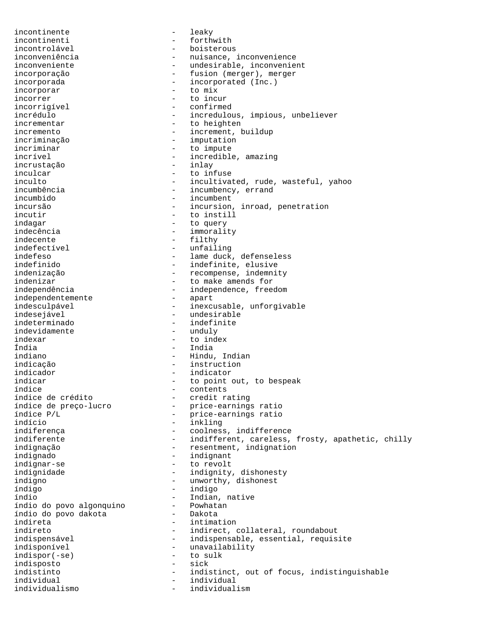incontinente - leaky incontinenti - forthwith incontrolável - boisterous inconveniência  $\qquad \qquad -$  nuisance, inconvenience inconveniente  $\qquad \qquad -$  undesirable, inconvenient incorporação - fusion (merger), merger incorporada  $\qquad \qquad -$  incorporated (Inc.) incorporar - to mix incorrer - to incur incorrigível - confirmed incrédulo - incredulous, impious, unbeliever - to heighten incremento - increment, buildup incriminação - imputation incriminar  $-$  to impute incrível - incredible, amazing<br>incrustacão - inlay - inlay incrustação inculcar - to infuse inculto - incultivated, rude, wasteful, yahoo<br>incumbência - incumbency, errand incumbência  $\begin{array}{ccc}\n\text{incumbino} \\
\text{incumbido} \\
\end{array}$  - incumbency, errand incumbido - incumbent - incursion, inroad, penetration incutir  $-$  to instill indagar - to query indecência  $-$  immorality indecente - filthy indefectível - unfailing indefeso  $-$  lame duck, defenseless indefinido - indefinite, elusive indenização - recompense, indemnity indenizar - to make amends for<br>independência - independence, free - independence, freedom<br>- apart independentemente<br>indesculpável - inexcusable, unforgivable indesejável - undesirable indeterminado - indefinite indevidamente indexar - to index Índia - India indiano - Hindu, Indian indicação - instruction indicador - indicator indicar  $\begin{array}{ccc}\n\text{indicar} & - & \text{to point out, to be speak} \\
\text{indice} & - & \text{contents}\n\end{array}$ índice<br>
indice de crédito<br>
indice de crédito índice de crédito<br>
índice de preço-lucro<br>
- price-earnings índice de preço-lucro - price-earnings ratio índice  $P/L$  - price-earnings ratio indício - inkling indiferença entre entre coolness, indifference indiferente - indifferent, careless, frosty, apathetic, chilly indignação  $-$  resentment, indignation indignado - indignant indignar-se  $-$  to revolt indignidade - indignity, dishonesty indigno  $-$  unworthy, dishonest índigo - indigo índio - Indian, native índio do povo algonquino - Powhatan índio do povo dakota indireta - intimation indireto - indirect, collateral, roundabout<br>indispensável - indispensable, essential, requis - indispensable, essential, requisite indisponível - unavailability<br>indispor(-se) - to sulk indispor(-se) - to sulfunctional to substitution of the set of the set of the set of the set of the set of the<br>
indisposto indisposto - sick indistinto - indistinct, out of focus, indistinguishable individual - individual<br>
individualismo<br>
- individualismo individualismo - individualism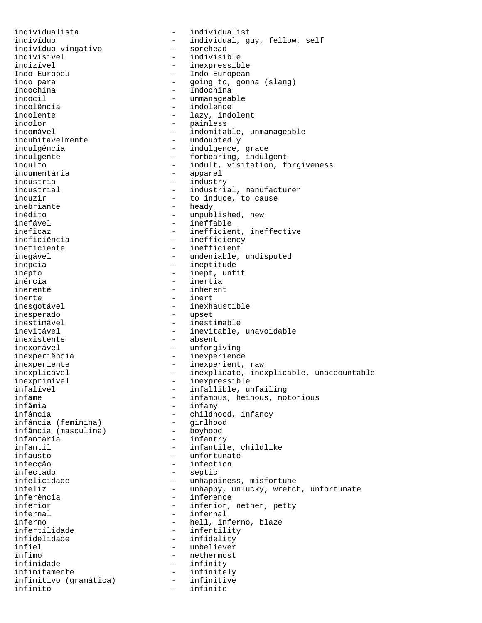individualista - individualist indivíduo vingativo indivisível - indivisible indizível - inexpressible Indo-Europeu - Indo-European Indochina - Indochina indolência - indolence indolente  $-$  lazy, indolent indolor - painless indubitavelmente - undoubtedly indústria - industry inefável - ineffable ineficiente  $-$  inefficient inépcia - ineptitude inepto - inept, unfit inércia - inertia inerente - inherent inerte - inert inesperado - upset inestimável - inestimable inexistente - absent inexorável - unforgiving inexperiência - inexperience inexprimível - inexpressible infâmia - infamy infância (feminina) - girlhood<br>infância (masculina) - boyhood infância (masculina)<br>infantaria infausto - unfortunate infectado - septic inferência  $\qquad \qquad - \qquad \qquad \text{inference}$ <br>inferior infertilidade - infertility<br>infidelidade - infidelity infidelidade - infidelity<br>infiel - unbeliever ínfimo - nethermost infinitamente - infinitely infinitivo (gramática) - infinitive infinito - infinite

indivíduo - individual, guy, fellow, self indo para  $\begin{array}{cccc} - & \text{going to, gonna (slang)} \\ \text{Indochina} & - & \text{Indochina} \end{array}$ - unmanageable indomável  $\qquad \qquad - \qquad \text{indomitable, unmanageable}$ indulgência en energie en la control de la indulgence, grace indulgente - forbearing, indulgent indulto - indult, visitation, forgiveness<br>indumentária - - - - - - - apparel - apparel industrial  $\begin{array}{ccc} - & i \text{industrial}, \text{ manufacturer} \\ - & \text{to induce}, \text{ to cause} \end{array}$ induzir  $-$  to induce, to cause<br>inebriante  $-$  heady - heady inédito - unpublished, new<br>inefável - inefáble ineficaz - inefficient, ineffective<br>ineficiência - inefficiency - inefficiency inegável  $\qquad \qquad \qquad -$  undeniable, undisputed - inexhaustible inevitável  $-$  inevitable, unavoidable inexperiente - inexperient, raw inexplicável - inexplicate, inexplicable, unaccountable infalível - infallible, unfailing<br>infame - infamous heinous no infame - infamous, heinous, notorious<br>infâmia - infamv - infamv - childhood, infancy<br>- qirlhood - infantry infantil  $-$  infantile, childlike - infection - unhappiness, misfortune infeliz - unhappy, unlucky, wretch, unfortunate<br>inferência - inference inferior  $-$  inferior, nether, petty<br>infernal  $-$  infernal infernal - infernal inferno - hell, inferno, blaze<br>infertilidade - infertility - unbeliever - infinity<br>- infinitely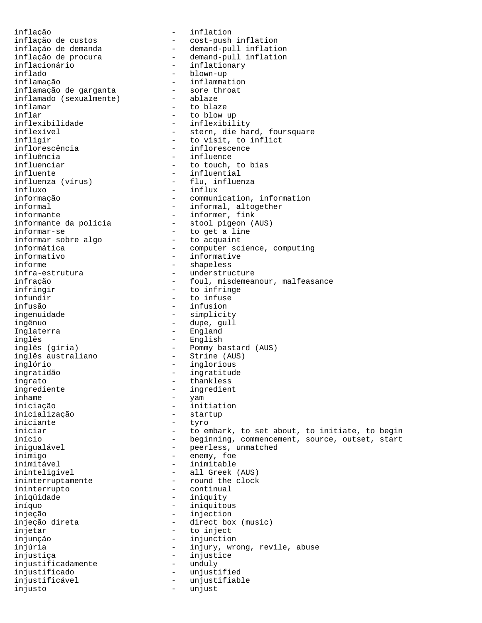inflação - inflation inflação de custos - cost-push inflation inflação de demanda - - demand-pull inflation inflação de procura - demand-pull inflation inflacionário - inflationary inflado - blown-up inflamação - inflammation inflamação de garganta - sore throat inflamado (sexualmente) - ablaze inflamar  $-$  to blaze inflar - to blow up inflexibilidade - inflexibility<br>inflexível - stern, die ha - stern, die hard, foursquare infligir - to visit, to inflict inflorescência - inflorescence<br>influência - influence - influence influenciar  $\begin{array}{ccc} - & + & + \end{array}$  to touch, to bias influente influente<br>
influenza (vírus) - influential<br>
- flu, influen influenza (vírus) - flu, influenza influxo - influx<br>informação - communi informação  $\qquad \qquad -$  communication, information<br>informal  $\qquad \qquad -$  informal, altogether - informal, altogether informante<br>informante da polícia (informante da polícia (informante da polícia (informante de estableceu en la estableceu<br>informante da polícia (informante de estableceu en la estableceu en la estableceu en la estableceu e informante da polícia - stool pigeon (AUS) informar-se - to get a line informar sobre algo - to acquaint informática  $-$  computer science, computing informativo - informative informe - shapeless infra-estrutura - understructure infração  $-$  foul, misdemeanour, malfeasance infringir  $\begin{array}{ccc} - & + \text{to } \text{infinite} \\ - & + \text{to } \text{infinite} \end{array}$ infundir - to infuse infusão - infusion - simplicity ingênuo - dupe, gull Inglaterra - England inglês<br>inglês (gíria) - English<br>- Pommy ba inglês (gíria) - Pommy bastard (AUS) inglês australiano - Strine (AUS) inglório - inglorious ingratidão - ingratitude ingrato - thankless ingrediente  $\qquad \qquad -$  ingredient inhame - yam iniciação - initiation inicialização - startup iniciante - tyro iniciar entirely noticelly to embark, to set about, to initiate, to begin início - beginning, commencement, source, outset, start inigualável - peerless, unmatched inimigo - enemy, foe inimitável - inimitable - inimitable ininteligível - all Greek (AUS) ininterruptamente - round the clock ininterrupto - continual iniqüidade - iniquity iníquo - iniquitous - iniquitous injeção - injection injeção direta - direct box (music) injetar - to inject injunção - injunction injúria - injury, wrong, revile, abuse injustiça - injustice injustificadamente injustificado - unjustified injustificável - unjustifiable injusto - unjust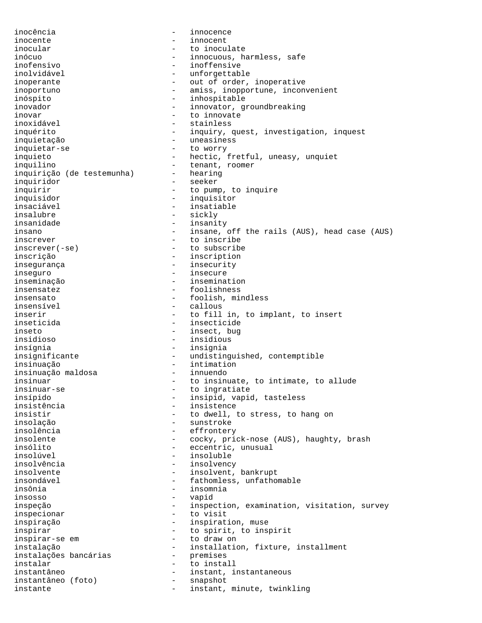inocência - innocence inocente - innocent inocular  $-$  to inoculate inócuo - innocuous, harmless, safe inofensivo - inoffensive inolvidável - unforgettable inoperante  $\qquad \qquad -$  out of order, inoperative inoportuno - amiss, inopportune, inconvenient inóspito - inhospitable inovador - innovator, groundbreaking inovar - to innovate inoxidável - stainless inquérito - inquiry, quest, investigation, inquest inquietação - uneasiness inquietar-se - to worry inquieto - hectic, fretful, uneasy, unquiet inquilino - tenant, roomer<br>inquirição (de testemunha) - hearing inquirição (de testemunha) -<br>inquiridor inquiridor - seeker inquirir  $-$  to pump, to inquire inquisidor - inquisitor - insatiable insalubre - sickly insanidade - insanity insano - insane, off the rails (AUS), head case (AUS) inscrever - to inscribe inscrever(-se) - to subscribe inscrição - inscription insegurança - insecurity inseguro - insecure inseminação - insemination insensatez - foolishness insensato - foolish, mindless - callous inserir and the state of the fill in, to implant, to insert inseticida - insecticide inseto - insect, bug insidioso - insidious insígnia - insignia insignificante - undistinguished, contemptible insinuação - intimation insinuação maldosa<br>insinuar - to insinuate, to intimate, to allude insinuar-se extended to ingratiate insípido - insipid, vapid, tasteless insistência - insistence insistir  $-$  to dwell, to stress, to hang on insolação - sunstroke insolência - effrontery insolente - cocky, prick-nose (AUS), haughty, brash insólito - eccentric, unusual insolúvel - insoluble insolvência - insolvency insolvente  $\qquad \qquad \text{insolvent, bankrupt}$ insondável - fathomless, unfathomable - insomnia<br>- vapid insosso - vapid inspeção - inspection, examination, visitation, survey inspecionar - to visit inspiração - inspiration, muse inspirar and the spirit, to inspirit inspirar-se em  $-$  to draw on instalação - installation, fixture, installment<br>instalações bancárias - premises instalações bancárias - premises instalar - to install instantâneo - instant, instantaneous instantâneo (foto) instante - instant, minute, twinkling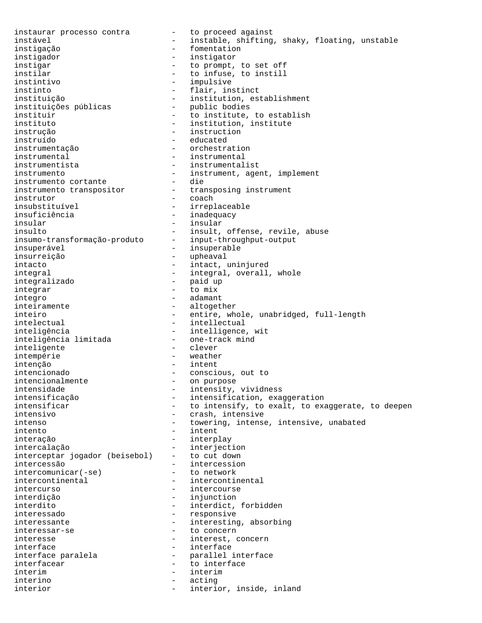instaurar processo contra - to proceed against instável **1988** - instable, shifting, shaky, floating, unstable instigação - fomentation instigador - instigator instigar - to prompt, to set off instilar  $-$  to infuse, to instill<br>instintivo  $-$  impulsive instintivo - impulsive instinto - flair, instinct - institution, establishment<br>- public bodies instituições públicas instituir  $-$  to institute, to establish instituto - institution, institute instrução - instruction instruído - educated instrumentação - orchestration instrumental - instrumental instrumentista - instrumentalist instrumento - instrument, agent, implement instrumento cortante<br>instrumento transpositor<br>instantor instrumento transpositor - transposing instrument instrutor - coach insubstituível - irreplaceable insuficiência - inadequacy insular - insular - insular insulto  $-$  insult, offense, revile, abuse insumo-transformação-produto - input-throughput-output insuperável - insuperable insurreição - upheaval intacto - intact, uninjured integral  $-$  integral, overall, whole integralizado - paid up integrar íntegro - adamant inteiramente  $\qquad \qquad -$  altogether inteiro - entire, whole, unabridged, full-length intelectual extended to the intellectual state of  $\sim$ inteligência<br>inteligência limitada - intelligence, wit<br>- one-track mind inteligência limitada inteligente  $\overline{\phantom{a}}$  - clever intempérie - weather intenção - intent intencionado - conscious, out to intencionalmente<br>intensidade intensidade - intensity, vividness<br>intensificação - intensification, exa intensificação  $\overline{a}$  - intensification, exaggeration<br>intensificar - to intensify, to exalt, to exa intensificar  $\begin{array}{ccc}\n & - & \text{to intensity, to exalt, to exagger, to deeper} \\
\text{intensity, to exalt, to exagger, to deepness} \\
\end{array}$ - crash, intensive intenso - towering, intense, intensive, unabated - intent interação - interplay intercalação - interjection interceptar jogador (beisebol) - to cut down intercessão - intercession intercomunicar(-se) - to network intercontinental  $\qquad \qquad -$  intercontinental intercurso - intercourse interdição - injunction interdito - interdict, forbidden interessado - responsive interessante - interesting, absorbing<br>interessar-se - - to concern interessar-se - to concern<br>interesse - to concern<br>- interest, c - interest, concern interface  $\qquad \qquad -$  interface interface paralela  $\overline{a}$  - parallel interface<br>interfacear interfacear and the state of the interface ínterim - interim interino - acting interior and the settle of the interior, inside, inland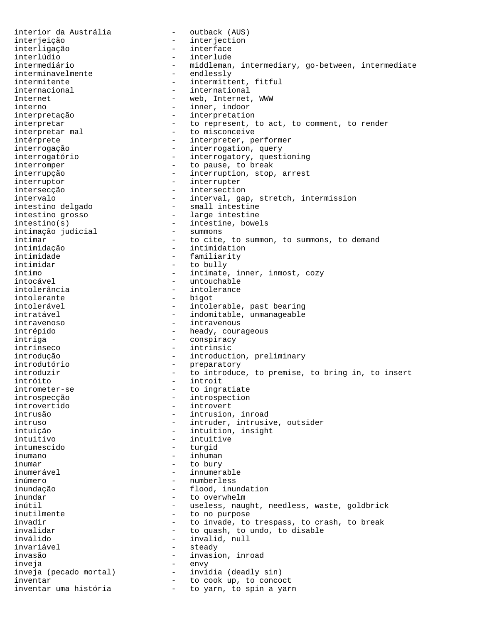interior da Austrália (interior da Austrália de Austrália e de Austrália e Austrália e de Austrália e Austráli interjeição - interjection interligação - interface interlúdio - interlude intermediário - middleman, intermediary, go-between, intermediate interminavelmente<br>intermitente - intermittent, fitful internacional extensional the international Internet  $-$  web, Internet, WWW interno - inner, indoor interpretação - interpretation interpretar  $-$  to represent, to act, to comment, to render interpretar mal  $\qquad -$  to misconceive intérprete  $-$  interpreter, performer interrogação - interrogation, query interrogatório - interrogatory, questioning interromper  $-$  to pause, to break interrupção - interruption, stop, arrest interruptor - interrupter intersecção - intersection intervalo - interval, gap, stretch, intermission intestino delgado - small intestine intestino grosso - large intestine intestino(s) - intestine, bowels intimação judicial intimar  $-$  to cite, to summon, to summons, to demand intimidação - intimidation intimidade - familiarity intimidar - to bully íntimo - intimate, inner, inmost, cozy intocável - untouchable intolerância en externa de intolerance<br>intolerante de la pigot intolerante - bigot - intolerable, past bearing intratável en el estadounidade de indomitable, unmanageable intravenoso - intravenous intrépido - heady, courageous intriga  $\overline{\phantom{a}}$  - conspiracy intrínseco - intrinsic introdução - introduction, preliminary introdutório - introduction - introduction - introduction - introduction - introduction - introduction - introduction - introduction - introduction - introduction - introduction - introduction - introduction - introduction introduzir  $\qquad \qquad -$  to introduce, to premise, to bring in, to insert intróito - introit intrometer-se  $-$  to ingratiate introspecção - introspection introvertido - introvert - intrusion, inroad intruso - intruder, intrusive, outsider intuição - intuition, insight intuitivo - intuitive intumescido - turgid inumano - inhuman inumar - to bury inumerável  $\qquad \qquad -$  innumerable inúmero - numberless inundação - flood, inundation inundar - to overwhelm inútil - useless, naught, needless, waste, goldbrick<br>inutilmente - to no purpose - to no purpose invadir  $-$  to invade, to trespass, to crash, to break invalidar  $-$  to quash, to undo, to disable inválido - invalid, null invariável - steady invasão - invasion, inroad inveja - envy inveja (pecado mortal) - invidia (deadly sin) inventar and the cook up, to concoct inventar uma história - to yarn, to spin a yarn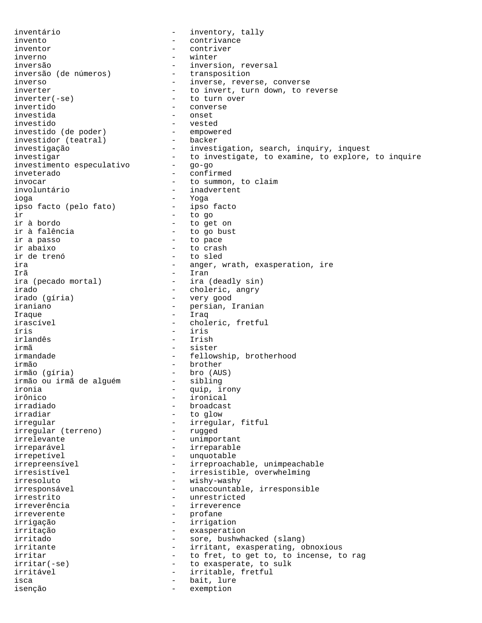inventário - inventory, tally invento - contrivance inventor  $\qquad \qquad -$  contriver inverno - winter inversão (de números) - inversion, reversal<br>inversão (de números) - transposition inversão (de números) inverso - inverse, reverse, converse inverter  $-$  to invert, turn down, to reverse<br>inverter(-se)  $-$  to turn over inverter(-se) - to turn over - converse investida - onset investido<br>investido (de poder) - empowered investido (de poder) - empowered - empowered and the power of the power of the series of the empower of the ser<br>investidor (teatral) - backer investidor (teatral) investigação - investigation, search, inquiry, inquest investigar<br>investimento especulativo - do investigate, to examine, to explore, to inquire<br>qo-go investimento especulativo inveterado - confirmed invocar - to summon, to claim - inadvertent ioga - Yoga ipso facto (pelo fato) ir - to go ir à bordo<br>ir à falência de la component de la component de la component de la component de la component de la component<br>quantum de la component de la component de la component de la component de la component de la compone - to go bust ir a passo  $-$  to pace ir abaixo - to crash ir de trenó - to sled ira  $-$  anger, wrath, exasperation, ire Irã - Iran - ira (deadly sin) irado<br>irado (gíria) - choleric, angry<br>- very good irado (gíria) - very good - persian, Iranian Iraque - Iraq irascível - choleric, fretful íris - iris - Irish irmã - sister irmandade - fellowship, brotherhood irmão - brother irmão (gíria) - bro (AUS) irmão ou irmã de alguém ironia - quip, irony<br>irônico - ironical irônico - ironical irradiado - broadcast - to glow irregular - irregular, fitful<br>irregular (terreno) - rugged irregular (terreno) irrelevante - unimportant irreparável - irreparable irrepetível - unquotable irrepreensível - irreproachable, unimpeachable irresistível - irresistible, overwhelming irresoluto - wishy-washy irresponsável - unaccountable, irresponsible irrestrito - unrestricted irreverência - irreverence irreverente - profane irrigação - irrigation irritação - exasperation irritado - sore, bushwhacked (slang) irritante - irritant, exasperating, obnoxious irritar and the state of the first, to get to, to incense, to rag irritar(-se)  $-$  to exasperate, to sulk irritável - irritable, fretful isca  $-$  bait, lure isenção - exemption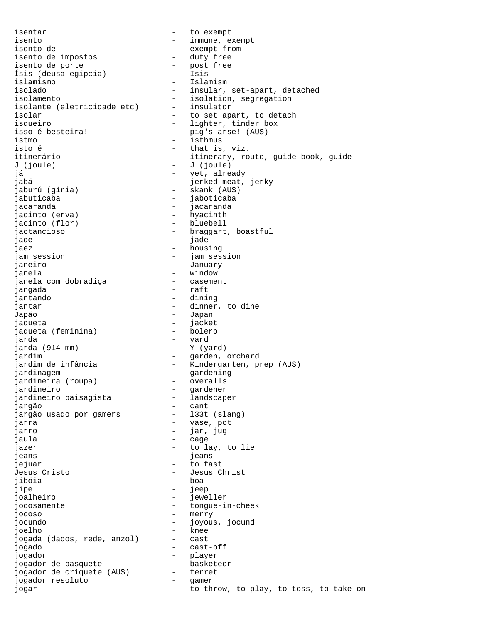isentar - to exempt isento - immune, exempt isento de  $\qquad \qquad -$  exempt from<br>isento de impostos  $\qquad \qquad -$  duty free isento de impostos - duty free isento de porte - post free Ísis (deusa egípcia) - Isis islamismo - Islamismo - Islamismo - Islamismo<br>isolado - insular, isolado - insular, set-apart, detached<br>isolamento - isolation, segregation isolante (eletricidade etc) isolar  $-$  to set apart, to detach isqueiro - lighter, tinder box isso é besteira! - pig's arse! (AUS)<br>istmo - isthmus istmo - isthmus isto é  $\overline{\phantom{a}}$  - that is, viz. J (joule) - J (joule) já - yet, already jabá - jerked meat, jerky jaburú (gíria) - skank (AUS) jabuticaba - jaboticaba jacarandá - jacaranda jacinto (erva) - hyacinth jacinto (flor) jactancioso - braggart, boastful jade - jade jaez - housing jam session - jam session janeiro - January janela - window janela com dobradiça jangada - raft jantando - dining jantar  $-$  dinner, to dine Japão - Japan jaqueta - jacket jaqueta (feminina) jarda - yard jarda (914 mm) - Y (yard) jardim - garden, orchard jardim de infância - Kindergarten, prep (AUS) jardinagem<br>
iardineira (roupa) - gardening<br>
- overalls jardineira (roupa) jardineiro<br>iardineiro paisagista (m. 1988)<br>1980 - Landscaper jardineiro paisagista jargão - cant jargão usado por gamers jarra  $-$  vase, pot jarro - iar, jug jaula - cage - cage - cage jazer  $-$  to lay, to lie jeans - jeans - jeans<br>ieiuar - fo fa jejuar - to fast Jesus Cristo - Jesus Christ jibóia - boa jipe - jeep<br>joalheiro - - jeep - jeep joalheiro - jeweller jocosamente en extension de la congue-in-cheek jocoso - merry jocundo - joyous, jocund joelho - knee jogada (dados, rede, anzol) jogado - cast-off jogador - player jogador de basquete basket<br>jogador de críquete (AUS) ferret jogador de críquete (AUS) -<br>iogador resoluto - jogador resoluto - gamer jogar  $\qquad \qquad -$  to throw, to play, to toss, to take on

- isolation, segregation<br>- insulator itinerário  $-$  itinerary, route, guide-book, guide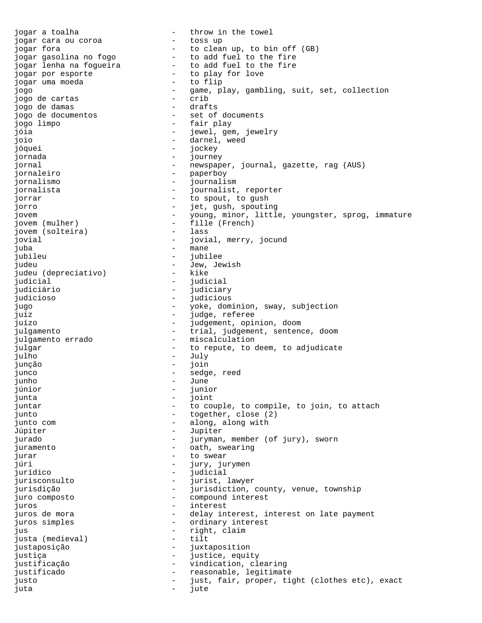jogar a toalha - throw in the towel<br>jogar cara ou coroa - toss up jogar cara ou coroa jogar fora<br>jogar gasolina no fogo  $\begin{array}{cccc} - &$  to clean up, to bin off (GB) jogar gasolina no fogo  $-$  to add fuel to the fire<br>jogar lenha na fogueira  $-$  to add fuel to the fire<br>jogar por esporte  $-$  to play for love - to add fuel to the fire<br>- to add fuel to the fire<br>- to play for love jogar por esporte<br>iogar uma moeda<br>- to flip jogar uma moeda jogo - game, play, gambling, suit, set, collection jogo de cartas - crib jogo de damas<br>jogo de documentos - set of documents jogo limpo - fair play jóia - jewel, gem, jewelry joio - darnel, weed jóquei - jockey jornada - journey jornal - newspaper, journal, gazette, rag (AUS)<br>iornaleiro - comparent - paperboy jornaleiro - paperboy jornalismo - journalism jornalista - journalist, reporter jorrar  $\qquad \qquad -$  to spout, to gush<br>iorro jorro - jet, gush, spouting jovem - young, minor, little, youngster, sprog, immature jovem (mulher) - fille (French)<br>iovem (solteira) - lass jovem (solteira) jovial  $-$  jovial, merry, jocund juba - mane jubileu - jubilee - jubilee<br>judeu - - Jew Jew Jew judeu - Jew, Jewish judeu (depreciativo) –<br>iudicial judicial - judicial judiciário - judiciary judicioso - judicious jugo - yoke, dominion, sway, subjection juiz - judge, referee juízo - judgement, opinion, doom julgamento - trial, judgement, sentence, doom julgamento errado  $-$  miscalculation julgar  $-$  to repute, to deem, to adjudicate julho - July junção - join junco - sedge, reed junho - June júnior - junior junta - joint juntar  $\qquad \qquad -$  to couple, to compile, to join, to attach junto  $-$  together, close (2) junto com  $\qquad \qquad -$  along, along with Júpiter - Jupiter<br>iurado - Juruman jurado - juryman, member (of jury), sworn juramento  $-$  oath, swearing jurar - to swear - jury, jurymen jurídico - judicial jurisconsulto - jurist, lawyer<br>iurisdicão - - iurisdiction jurisdição - - jurisdiction, county, venue, township<br>juro composto - - compound interest juro composto - compound interest juros - interest juros de mora e e e e e e delay interest, interest on late payment juros simples  $\qquad \qquad -$  ordinary interest jus - right, claim justa (medieval) - tilt justaposição - juxtaposition justiça - justice, equity justificação - vindication, clearing justificado  $-$  reasonable, legitimate justo - just, fair, proper, tight (clothes etc), exact juta - jute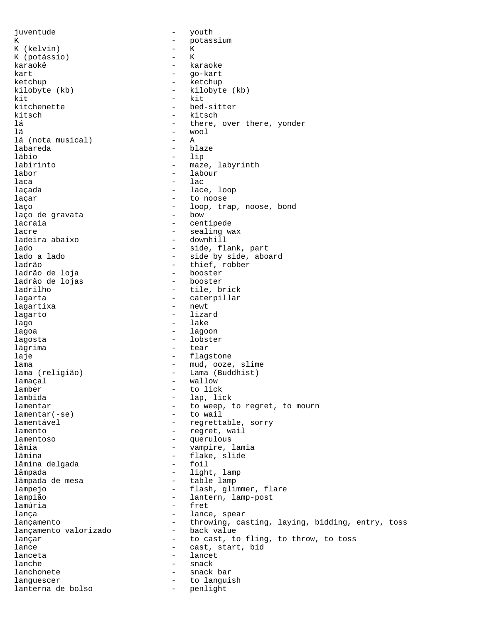juventude - youth K - potassium K (kelvin) - K K (potássio) – ktoré – ktoré – ktoré – ktoré – ktoré – ktoré – ktoré – ktoré – ktoré – ktoré – ktoré – ktoré – karaokê  $-$  karaoke kart - go-kart ketchup - ketchup - ketchup - ketchup - ketchup - ketchup - ketchup - ketchup - ketchup - ketchup - ketchup kilobyte (kb) - kilobyte (kb)  $kit$  -  $kit$ kitchenette - bed-sitter kitsch - kitsch lá - there, over there, yonder - wool<br>- A lá (nota musical) labareda - blaze lábio - lip labirinto  $-$  maze, labyrinth labor - labour  $laca$  - lac laçada  $\qquad \qquad -$  lace, loop laçar  $\qquad \qquad -$  to noose laço - loop, trap, noose, bond<br>laco de gravata - loom - bow laço de gravata lacraia  $\qquad \qquad -$  centipede lacre - sealing wax<br>ladeira abaixo - - downhill ladeira abaixo lado - side, flank, part - side by side, aboard ladrão - thief, robber ladrão de loja booster<br>ladrão de lojas booster ladrão de lojas ladrilho - tile, brick lagarta - caterpillar lagartixa lagarto - lizard lago - lake lagoa - lagoon lagosta - lobster lágrima  $-$  tear laje - flagstone lama - mud, ooze, slime lama (religião) - Lama (Buddhist) lamaçal  $\overline{\phantom{a}}$  wallow lamber - to lick lambida - lap, lick lamentar - to weep, to regret, to mourn<br>
lamentar(-se) - to wail  $lamentar(-se)$ lamentável  $-$  regrettable, sorry lamento  $-$  regret, wail lamentoso - querulous lâmia  $-$  vampire, lamia lâmina<br>1âmina delqada - 1980 - 1981 - 1982 - 1983 - 1984 - 1988 - 1988 - 1988 - 1988 - 1988 - 1988 - 1988 - 1988 - 1 lâmina delgada lâmpada - light, lamp<br>lâmpada de mesa - - light, lamp - table lamp lampejo - flash, glimmer, flare<br>
1ampião - flash, glimmer, flare lampião - lantern, lamp-post lamúria - fret lança  $-$  lance, spear lançamento - throwing, casting, laying, bidding, entry, toss<br>lançamento valorizado - back value lançamento valorizado lançar and the cast, to fling, to throw, to toss lance  $\qquad \qquad -$  cast, start, bid lanceta - lancet lanche - snack lanchonete languescer - to languish lanterna de bolso  $-$  penlight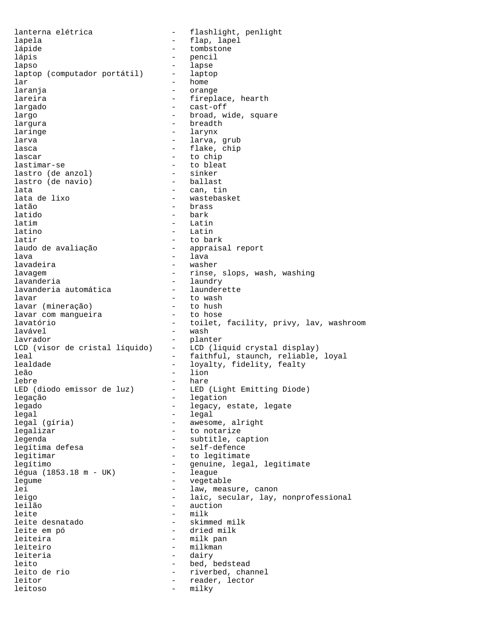lanterna elétrica - Flashlight, penlight lapela  $-$  flap, lapel lápide  $-$  tombstone lápis - pencil lapso - lapse laptop (computador portátil) -<br>lar lar - home<br>laranja - home laranja - orange lareira  $-$  fireplace, hearth largado - cast-off largo  $\overline{\phantom{a}}$  - broad, wide, square largura - breadth laringe - larynx larva - larva, grub lasca <br/> - flake, chip <br/> - flake, chip + flake, chip + flake, chip + flake, chip + flake<br/> - flake, chip + flake, chip + flake, chip + flake, chip + flake, chip + flake, chip + flake, chip + flake, chip + flake, lascar - to chip lastimar-se - to bleat lastro (de anzol) - sinker lastro (de navio) lata - can, tin lata de lixo - wastebasket - brass latido - bark latim - Latin latino - Latin latir  $-$  to bark laudo de avaliação  $\qquad \qquad$  - appraisal report lava - lava lavadeira - washer lavagem - rinse, slops, wash, washing lavanderia<br>lavanderia automática - launderette lavanderia automática lavar - to wash lavar (mineração) to hush<br>lavar com manqueira to hose lavar com mangueira lavatório - toilet, facility, privy, lav, washroom lavável - wash lavrador - planter LCD (visor de cristal líquido) - LCD (liquid crystal display) leal - faithful, staunch, reliable, loyal lealdade - loyalty, fidelity, fealty leão - lion lebre - hare - LED (Light Emitting Diode) legação  $-$  legation legado  $-$  legacy, estate, legate legal - legal legal (gíria) - awesome, alright legalizar  $-$  to notarize legenda - subtitle, caption legítima defesa  $-$  self-defence legitimar - to legitimate<br>legítimo - aenuine lega legítimo - genuine, legal, legitimate légua (1853.18 m - UK) -<br>legume vegetable lei  $-$  law, measure, canon leigo - laic, secular, lay, nonprofessional<br>leilão - auction - auction leilão - auction<br>leite - milk - milk - milk<br>- skimmed\_milk leite desnatado leite em pó  $-$  dried milk leiteira  $-$  milk pan leiteiro  $-$  milkman leiteria - dairy leito  $-$  bed, bedstead leito de rio - riverbed, channel leitor - reader, lector leitoso - milky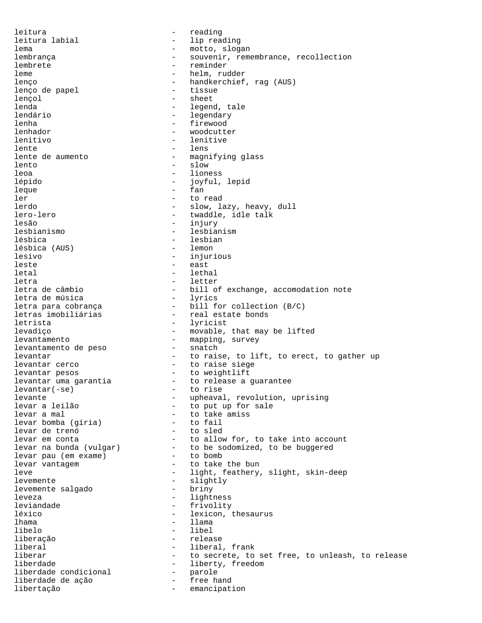leitura - reading leitura labial  $-$  lip reading lema - motto, slogan lembrança  $-$  souvenir, remembrance, recollection lembrete - reminder leme - helm, rudder lenço - handkerchief, rag (AUS) lenço de papel lencol - sheet lenda  $-$  legend, tale lendário  $-$  legendary lenha  $-$  firewood lenhador extended to the woodcutter lenitivo - lenitive lente - lens lente de aumento - magnifying glass - slow leoa - lioness lépido - joyful, lepid leque - fan ler - to read - slow, lazy, heavy, dull lero-lero  $-$  twaddle, idle talk lesão - injury lesbianismo - lesbianism lésbica - lesbian lésbica (AUS) lesivo - injurious leste  $-$  east letal - lethal letra - letter - bill of exchange, accomodation note<br>- lyrics letra de música<br>letra para cobrança - bill for collection (B/C)<br>- real estate bonds letras imobiliárias letrista - lyricist levadiço - movable, that may be lifted levantamento<br>
levantamento de peso  $-$  mapping, survey<br>
- snatch levantamento de peso levantar  $\begin{array}{ccc} - & \text{to raise, to lift, to erect, to gather up} \\ - & \text{to raise size} \end{array}$ - to raise siege levantar pesos  $-$  to weightlift levantar uma garantia - to release a guarantee levantar(-se) - to rise<br>levante - upheaval levante - upheaval, revolution, uprising levar a leilão  $-$  to put up for sale<br>levar a mal  $-$  to take amiss - to take amiss<br>- to fail levar bomba (gíria) - to fail levar de trenó to sled<br>levar em conta to allow for, to take into account levar em conta to allow for, to take into account levar na bunda (vulgar) - to be sodomized, to be buggered levar pau (em exame) - to bomb levar vantagem  $-$  to take the bun leve  $-$  light, feathery, slight, skin-deep levemente<br>
levemente salqado<br>
- briny<br>
- priny levemente salgado leveza - lightness leviandade - frivolity - lexicon, thesaurus lhama - llama libelo - libel liberação - release liberal - liberal, frank liberar  $-$  to secrete, to set free, to unleash, to release liberdade - liberty, freedom<br>liberdade condicional - parole liberdade condicional - parole liberdade de ação libertação emancipation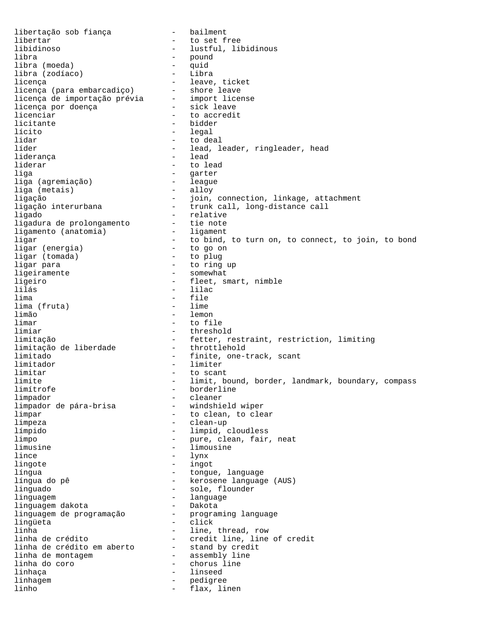libertação sob fiança (1998) - bailment libertar  $-$  to set free libidinoso - lustful, libidinous libra - pound libra (moeda) - quid libra (zodíaco) - Libra licença - leave, ticket licença (para embarcadiço) - shore leave licença de importação prévia - import license licença por doença - sick leave licenciar  $\qquad \qquad$  - to accredit licitante - bidder lícito - legal - to deal líder - lead, leader, ringleader, head<br>liderança - lead - lead liderança liderar - to lead liga - garter liga (agremiação) - league liga (metais) ligação - join, connection, linkage, attachment ligação interurbana trunk call, long-distance call ligado - relative ligadura de prolongamento - tie note ligamento (anatomia) - ligament ligar - to bind, to turn on, to connect, to join, to bond ligar (energia) - to go on ligar (tomada) - to plug ligar para - to ring up ligeiramente - somewhat ligeiro - fleet, smart, nimble lilás - lilac lima - file lima (fruta) limão - lemon<br>limar - lemon - lemon - to file limiar - threshold limitação - fetter, restraint, restriction, limiting limitação de liberdade limitado - finite, one-track, scant limitador - limiter limitar - to scant limite - limit, bound, border, landmark, boundary, compass - borderline limpador - cleaner limpador de pára-brisa limpar  $\frac{1}{2}$  - to clean, to clear limpeza - clean-up límpido - limpid, cloudless limpo - pure, clean, fair, neat limusine - limousine lince - lynx lingote - ingot língua - tongue, language - kerosene language (AUS) linguado <sup>-</sup> sole, flounder linguagem - language linguagem dakota - Dakota linguagem danssa<br>linguagem de programação lingüeta - click - click linha - line, thread, row linha de crédito - credit line, line of credit linha de crédito em aberto - stand by credit linha de montagem - assembly line linha do coro  $\qquad \qquad -$  chorus line linhaça - linseed linhagem entry and the pedigree linho  $\overline{\phantom{a}}$  - flax, linen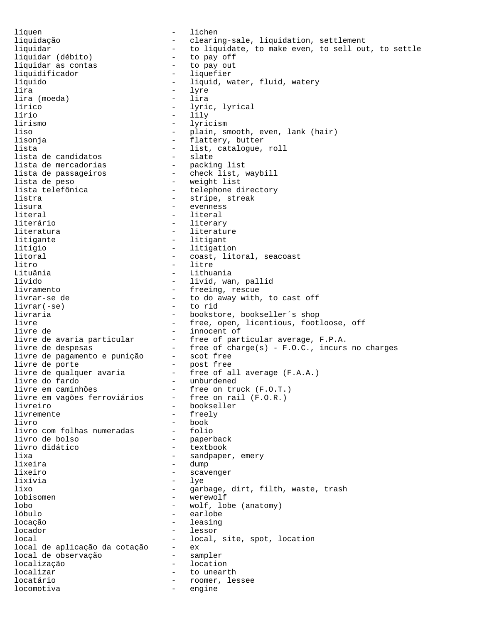líquen - lichen liquidação - clearing-sale, liquidation, settlement liquidar to liquidate, to make even, to sell out, to settle liquidar (débito) to pay off liquidar (débito) - to pay off liquidar as contas<br>liquidificador - liquefier líquido - liquid, water, fluid, watery<br>lira - lyre - lyre lira - lyre lira (moeda) lírico - lyric, lyrical lírio - lily lirismo - lyricism liso - plain, smooth, even, lank (hair)<br>lisonja - flattery, butter<br>lista - list, catalogue, roll lisonja - flattery, butter lista - list, catalogue, roll lista de candidatos - slate lista de mercadorias - packing list lista de passageiros - check list, waybill lista de peso - weight list lista telefônica - telephone directory listra - stripe, streak lisura - evenness literal - literal literário  $-$  literary literatura - literature litigante - litigant litígio - litigation litoral  $-$  coast, litoral, seacoast litro - litre - litre - litre - litre - litre - litre - litre - litre - litre - litre - litre - litre - litre -Lituânia - Lithuania lívido - livid, wan, pallid - freeing, rescue livrar-se de  $-$  to do away with, to cast off livrar(-se) - to rid livraria - bookstore, bookseller´s shop livre - free, open, licentious, footloose, off livre de  $-$  innocent of livre de avaria particular - free of particular average, F.P.A. livre de despesas - free of charge(s) - F.O.C., incurs no charges livre de pagamento e punição - scot free livre de porte  $\hspace{1cm}$  - post free livre de qualquer avaria  $\qquad \qquad -$  free of all average (F.A.A.) livre do fardo  $\qquad \qquad -$  unburdened livre em caminhões - free on truck (F.O.T.) livre em vagões ferroviários - free on rail (F.O.R.) livre em vagões ferroviários - free on rail (F.O.R.)<br>livreiro - bookseller<br>livremente - freely livremente - free<br>livro - book - book livro - book livro com folhas numeradas - folio livro de bolso  $-$  paperback livro didático  $-$  textbook lixa  $-$  sandpaper, emery lixeira - dump lixeiro  $-$  scavenger lixívia - lye lixo - garbage, dirt, filth, waste, trash lobisomen - werewolf lobo - wolf, lobe (anatomy)<br>lóbulo - earlobe - earlobe earlobe locação  $-$  leasing locador - lessor local  $\qquad \qquad -$  local, site, spot, location local de aplicação da cotação - ex local de observação - sampler localização - location localizar - to unearth locatário  $-$  roomer, lessee locomotiva - engine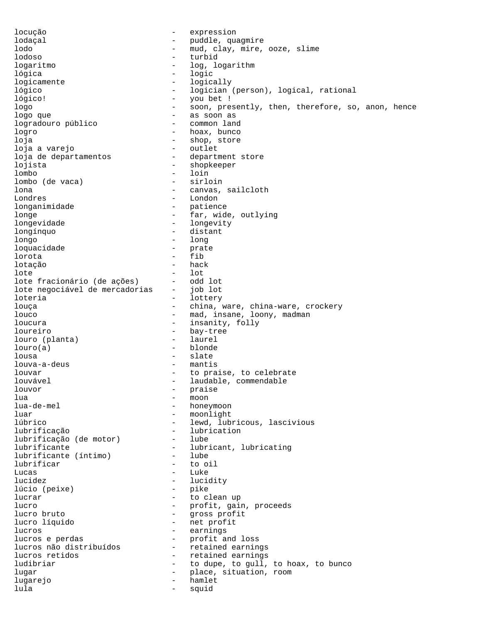locução - expression lodaçal - puddle, quagmire lodo - mud, clay, mire, ooze, slime lodoso - turbid logaritmo - log, logarithm lógica - logic logicamente - logically lógico - logician (person), logical, rational lógico! - you bet ! logo - soon, presently, then, therefore, so, anon, hence logo que - as soon as logradouro público logro - hoax, bunco loja - shop, store loja a varejo loja de departamentos - department store lojista - shopkeeper lombo<br>lombo (de vaca) - loin<br>- sirloin lombo (de vaca)<br>lona - canvas, sailcloth Londres - London<br>1onganimidade - Patienc - patience longe  $\qquad \qquad -$  far, wide, outlying longevidade - longevity longínquo - distant longo - long<br>loquacidade - prate loquacidade lorota - fib lotação - hack lote - lot lote fracionário (de ações) - odd lot<br>lote negociável de mercadorias - job lot lote negociável de mercadorias loteria<sup> -</sup> lottery - lottery louça  $-$  china, ware, china-ware, crockery louco - mad, insane, loony, madman loucura - insanity, folly loureiro - bay-tree<br>
louro (planta) - laurel louro (planta)  $louro(a)$  - blonde lousa - slate louva-a-deus louvar  $-$  to praise, to celebrate louvável <br/>  $\hfill\mbox{\tt \char'41}$  - laudable, commendable louvor - praise  $\begin{tabular}{ll} \texttt{\texttt{lua}} & \texttt{\texttt{---}} & \texttt{\texttt{mono}} \\ \texttt{\texttt{---}} & \texttt{\texttt{mono}} \\ \end{tabular}$ lua-de-mel - honeymoon - moonlight lúbrico - lewd, lubricous, lascivious lubrificação lubrication<br>lubrificação (de motor) lube lubrificação (de motor) lubrificante<br>
lubrificante (íntimo) - lube<br>
- lube<br>
- lube lubrificante (íntimo) - lube lubrificar Lucas - Luke lucidez - lucidity<br>lúcio (peixe) - pike - pike lúcio (peixe) lucrar  $\qquad \qquad$  - to clean up lucro  $\begin{array}{ccc} - & \text{profit, gain, proceeds} \\ \end{array}$ - gross profit lucro líquido - net profit lucros - earnings - profit and loss lucros não distribuídos - retained earnings lucros retidos  $\qquad \qquad -$  retained earnings ludibriar  $-$  to dupe, to gull, to hoax, to bunco lugar - place, situation, room lugarejo - hamlet lula - squid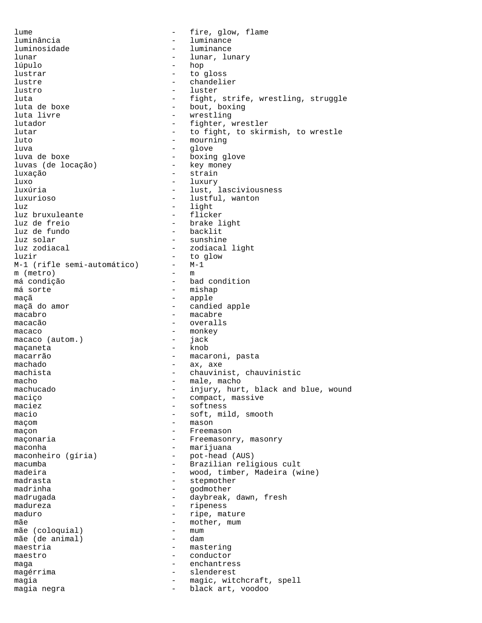lume  $-$  fire, glow, flame luminância - luminance luminosidade lunar - lunar, lunary - lunar, lunary - lunary - lunary - lunary - lunary - lunary - lunary - lunary - lunary - lunary - lunary - lunary - lunary - lunary - lunary - lunary - lunary - lunary - lunary - lunary - lunary - lu lúpulo - hopes - hopes - hopes - hopes - hopes - hopes - hopes - hopes - hopes - hopes - hopes - hopes - hopes - hopes - hopes - hopes - hopes - hopes - hopes - hopes - hopes - hopes - hopes - hopes - hopes - hopes - hopes lustrar - to gloss<br>lustre - chandeli lustre - chandelier lustro - luster luta - fight, strife, wrestling, struggle<br>luta de boxe - bout, boxing luta de boxe  $\qquad \qquad -$  bout, boxing<br>
luta livre  $\qquad \qquad -$  wrestling - wrestling lutador - fighter, wrestler lutar  $-$  to fight, to skirmish, to wrestle luto - mourning luva - glove luva de boxe - boxing glove luvas (de locação) luxação - strain luxo - luxury - luxury - luxury - luxury - luxury - luxury - luxury - luxury - luxury - luxury - luxury - luxu luxúria - lust, lasciviousness luxurioso - lustful, wanton - light<br>- flicker luz bruxuleante<br>luz de freio luz de freio  $\overline{\phantom{a}}$  - brake light<br>luz de fundo  $\overline{\phantom{a}}$  - backlit luz de fundo  $\begin{array}{ccc} - & - \\ - & \end{array}$  backlit luz solar - sunshine - zodiacal light luzir - to glow M-1 (rifle semi-automático) - M-<br>m (metro) - m m (metro) má condição  $-$  bad condition<br>má sorte  $-$  mishap - mishap maçã - apple - candied apple macabro - macabre macacão  $-$  overalls macaco - monkey<br>macaco (autom.) - iack macaco (autom.) – jack maçaneta - knob macarrão - macaroni, pasta machado  $-$  ax, axe machista - chauvinist, chauvinistic macho  $-$  male, macho machucado - injury, hurt, black and blue, wound maciço - compact, massive - compact, massive - compact, massive - compact and the massive - compact and the massive - compact and  $\sim$  compact and  $\sim$  compact and  $\sim$  compact and  $\sim$  compact and  $\sim$  compact and  $\sim$  co - softness macio - soft, mild, smooth maçom entre entre entre entre entre entre entre entre entre entre entre entre entre entre entre entre entre en maçon - Freemason maçonaria  $-$  Freemasonry, masonry maconha  $-$  marijuana maconheiro (gíria) - pot-head (AUS) macumba - Brazilian religious cult madeira  $-$  wood, timber, Madeira (wine) madrasta - stepmother madrinha  $-$  godmother madrugada - component - daybreak, dawn, fresh madureza - ripeness - ripe, mature mãe  $\left(\text{colomial}\right)$  - mother, mum mãe (coloquial) - mum<br>mãe (de animal) - dam mãe (de animal) maestria entre entre entre entre entre mastering maestro - conductor<br>maga - enchantre maga - enchantress magérrima - slenderest<br>magia - situación - magic wit magia  $-$  magic, witchcraft, spell magia negra  $\qquad \qquad$  - black art, voodoo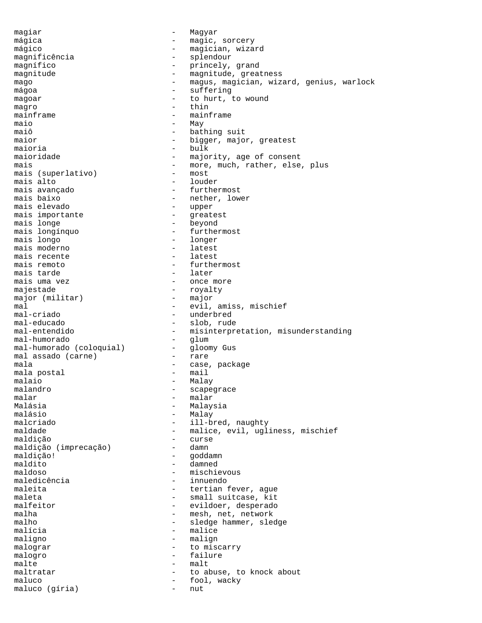magiar - Magyar mágica  $\qquad \qquad -$  magic, sorcery mágico - magician, wizard magnificência - splendour magnífico  $-$  princely, grand magnitude - magnitude, greatness mago  $-$  magus, magician, wizard, genius, warlock mágoa - suffering magoar - to hurt, to wound magro - thin mainframe - mainframe maio - May<br>maiô - batl - bathing suit maior  $-$  bigger, major, greatest maioria - bulk maioridade  $-$  majority, age of consent mais  $-$  more, much, rather, else, plus mais (superlativo)  $-$  most mais (superlativo) mais alto - louder mais avançado - furthermost - nether, lower<br>- upper mais elevado - upper mais importante mais longe  $\qquad$  - beyond mais longínquo - furthermost mais longo - longer mais moderno - latest mais recente mais remoto  $-$  furthermost  $-$  ater mais tarde<br>mais uma vez - once more majestade - royalty<br>major (militar) - major major (militar) mal - evil, amiss, mischief mal-criado - underbred<br>mal-educado - slob rude mal-educado - slob, rude<br>mal-entendido - misinterpre - misinterpretation, misunderstanding<br>- qlum mal-humorado<br>mal-humorado (coloquial) - gloomy Gus mal-humorado (coloquial) - gloomal assado (carne) - rare mal assado (carne) mala  $\begin{array}{ccc}\n & - & \text{case, package} \\
 & - & \text{mail}\n\end{array}$ mala postal malaio - Malay - Malay - Malay - Malay - Malay - Malay - Malay - Malay - Malay - Malay - Malay - Malay - Malay malandro - scapegrace malar - malar Malásia - Malaysia - Malay malcriado - ill-bred, naughty maldade - malice, evil, ugliness, mischief maldição - curse maldição (imprecação) - damniero - damniero - damniero - damniero - damniero - damniero - damniero - damniero<br>- damniero - damniero - damniero - damniero - damniero - damniero - damniero - damniero - damniero - damniero maldição! - goddamn maldito - damned maldoso - mischievous maledicência - innuendo maleita  $-$  tertian fever, ague maleta - small suitcase, kit<br>malfeitor - evildoer, desperado malfeitor - evildoer, desperado<br>malha - evildoer, desperado - mesh, net, network malho  $-$  sledge hammer, sledge malícia en el estado en el estado en el estado en el estado en el estado en el estado en el estado en el estado en el estado en el estado en el estado en el estado en el estado en el estado en el estado en el estado en el maligno - malign malograr  $-$  to miscarry malogro - failure malte - malt maltratar  $-$  to abuse, to knock about maluco - fool, wacky maluco (gíria) - nut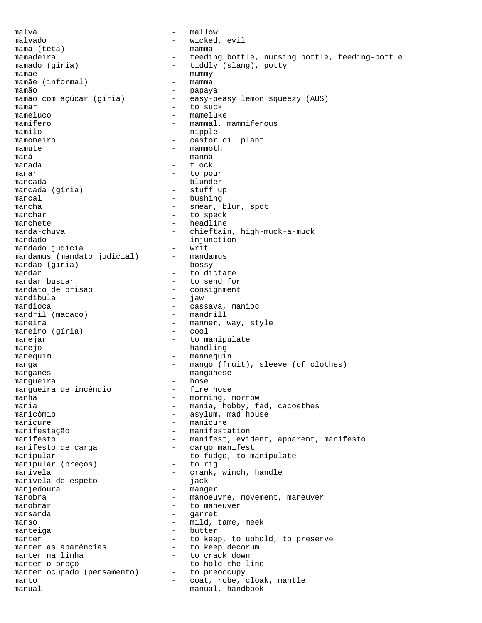$m$ alva  $m$ allow malvado - wicked, evil mama (teta)  $-$  mamma mamadeira - feeding bottle, nursing bottle, feeding-bottle mamado (gíria) - tiddly (slang), potty<br>mamãe - mummy mamãe - mummy mamãe (informal) - mamma mamão<br>mamão com açúcar (gíria) - easy-p easy-peasy lemon squeezy (AUS) mamar  $-$  to suck mameluco - mameluke mamífero  $-$  mammal, mammiferous mamilo - nipple mamoneiro - castor oil plant mamute - mammoth maná - manna manada  $-$  flock manar - to pour mancada - blunder mancada (gíria) mancal - bushing - bushing<br>mancha - smear i - smear, blur, spot manchar - to speck manchete  $-$  headline manda-chuva - chieftain, high-muck-a-muck mandado  $_{\text{mandedo}}$  injunction  $_{\text{mandedo}}$  judicial  $_{\text{mulatedo}}$ mandado judicial<br>mandamus (mandato judicial) - mandamus mandamus (mandato judicial) - mandamus (gíria) - bossy mandão (gíria) mandar  $\frac{1}{2}$  mandar buscar  $\frac{1}{2}$  - to dictate  $\frac{1}{2}$  to send for  $\frac{1}{2}$ - to send for<br>- consignment mandato de prisão - consignment mandíbula<br>mandioca - cassava, manioc<br>- mandrill mandril (macaco) maneira - manner, way, style<br>maneiro (qíria) - cool maneiro (gíria) manejar - to manipulate manejo - handling manequim extending the mannequin term of the mannequin manga - mango (fruit), sleeve (of clothes) manganês<br>
manganês<br>
mangueira<br>
- hose<br>
- hose mangueira - hose mangueira de incêndio manhã - morning, morrow<br>mania mania - mania, hobby, fad, cacoethes - asylum, mad house manicure  $-$  manicure manifestação - manifestation manifesto  $-$  manifest, evident, apparent, manifesto manifesto de carga  $-$  cargo manifest manipular - to fudge, to manipulate<br>manipular (preços) - to rig manipular (preços) manivela<br>manivela de espeto de contra entre espeto de contra entre espeto de contra entre entre entre entre entre entre e<br>de contra entre entre entre entre entre entre entre entre entre entre entre entre entre entre entre manivela de espeto - jack manjedoura - manger manobra - manoeuvre, movement, maneuver manobrar - to maneuver mansarda  $\qquad \qquad -$  garret manso  $-$  mild, tame, meek manteiga  $-$  butter manter  $-$  to keep, to uphold, to preserve manter as aparências - to keep decorum manter na linha  $\begin{array}{ccc} - & + & + \end{array}$  to crack down manter o preco manter o preço  $-$  to hold the line manter ocupado (pensamento) manter ocupado (pensamento) - to preoccupy<br>manto - coat, robe, cloak, mantle<br>manual - manual handbook manual manual, handbook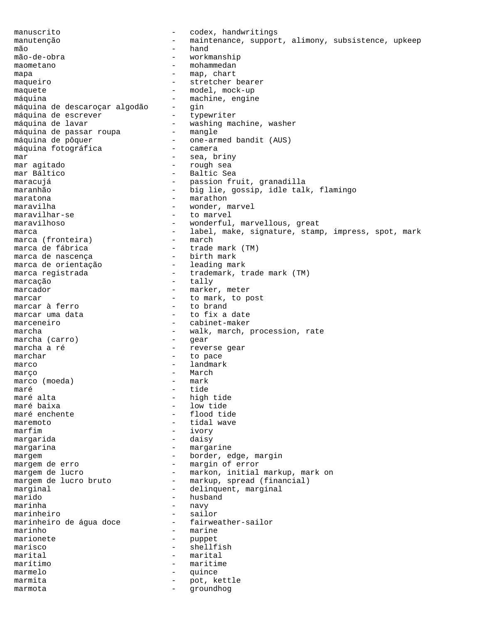manuscrito - codex, handwritings manutenção - maintenance, support, alimony, subsistence, upkeep<br>- hand mão - hand workmanship maometano  $-$  mohammedan mapa  $-$  map, chart maqueiro - stretcher bearer maquete - model, mock-up máquina - machine, engine máquina de descaroçar algodão - gin máquina de escrever typewriter máquina de lavar - washing machine, washer máquina de passar roupa - mangle máquina de pôquer  $\qquad \qquad -$  one-armed bandit (AUS) máquina fotográfica - camera mar - sea, briny mar  $\begin{array}{cccc}\n & - & \text{sea, bring} \\
 & - & \text{sea, bring} \\
 & - & \text{rough sea} \\
 & - & \text{Baltic Sea}\n\end{array}$ - Baltic Sea maracujá  $-$  passion fruit, granadilla maranhão  $-$  big lie, gossip, idle talk, flamingo maratona  $-$  marathon maravilha  $-$  wonder, marvel maravilhar-se - to marvel maravilhoso  $\qquad \qquad -$  wonderful, marvellous, great marca - label, make, signature, stamp, impress, spot, mark<br>marca (fronteira) - march marca (fronteira) marca de fábrica - trade mark (TM) marca de nascença - birth mark marca de orientação marca registrada  $-$  trademark, trade mark (TM) marcação - tally marcador and the marker, meter marcar  $\overline{a}$  = to mark, to post marcar  $\overline{a}$  ferro = to brand = to brand marcar à ferro<br>marcar uma data - to fix a date marceneiro - cabinet-maker marcha - walk, march, procession, rate<br>marcha (carro) - gear<br>- gear marcha (carro) marcha a ré  $\overline{a}$  - reverse gear marchar - to pace marco - landmark março - March marco (moeda) – mark<br>maré – tide maré - tide maré alta<br>maré baixa - high tide - high tide maré baixa<br>maré enchente de louis d'any de louis d'any de louis d'any de louis d'any de louis d'any de louis d'any de lou<br>de louis d'any de louis d'any de louis d'any de louis d'any de louis d'any de louis d'any de louis d - flood tide maremoto - tidal wave - ivory margarida - daisy margarina  $-$  margarine margem  $\qquad \qquad -$  border, edge, margin margem de erro  $-$  margin of error margem de lucro markon, initial markup, mark on margem de lucro bruto markup, spread (financial) - markup, spread (financial) marginal - delinquent, marginal<br>marido - husband - husband marido - husband - navy marinheiro - sailor marinheiro de água doce marinho  $-$  marine marionete  $-$  puppet marisco - shellfish marital - marital marítimo - maritime marmelo - quince marmita  $-$  pot, kettle marmota - groundhog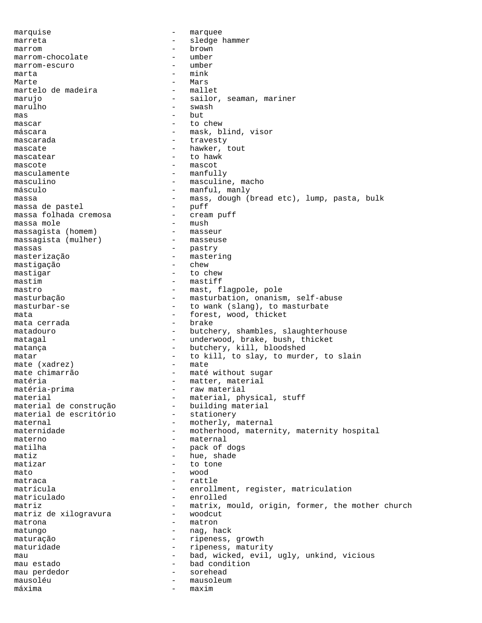marquise - marquee marreta - sledge hammer<br>marrom - brown marrom - brown marrom-chocolate - umber marrom-escuro - umber  $\mathfrak{m}$ arta  $\qquad \qquad$  -  $\mathfrak{m}$ ink Marte - Mars martelo de madeira marujo - sailor, seaman, mariner<br>marulho - swash - swash - swash  $\mathsf{mas}$  - but mascar  $-$  to chew máscara - mask, blind, visor mascarada - travesty mascate  $-$  hawker, tout mascatear - to hawk mascote - mascot masculamente - manfully masculino - masculine, macho - masculine, macho - manful, maniv - manful, manly massa <br/> - mass, dough (bread etc), lump, pasta, bulk massa de pastel - puff massa de pastel - puff massa folhada cremosa massa mole<br>massaqista (homem) - masseur - masseur massagista (homem) - masseur massagista (mulher) massas - pastry masterização - mastering mastigação - chew mastigar - to chew mastim - mastiff mastro - mast, flagpole, pole masturbação  $-$  masturbation, onanism, self-abuse masturbar-se  $-$  to wank (slang), to masturbate mata<br>mata cerrada - forest, wood, thicket<br>- brake mata cerrada matadouro - butchery, shambles, slaughterhouse matagal - underwood, brake, bush, thicket matança - butchery, kill, bloodshed matar - to kill, to slay, to murder, to slain<br>mate (xadrez) - mate mate (xadrez)<br>mate chimarrão - maté without sugar matéria - matter, material - raw material material<br>
material de construção<br>
- building material<br>
- building material material de construção  $-$  building material de escritório  $-$  stationery material de escritório maternal  $-$  motherly, maternal maternidade - motherhood, maternity, maternity hospital materno - maternal<br>matilha - mack of matilha  $-$  pack of dogs matiz - hue, shade matizar  $-$  to tone mato - wood matraca - rattle matrícula - enrollment, register, matriculation<br>matriculado - enrolled - enrolled matriz<br>matriz de xilogravura - matrix, mould, origin, former, the mother church<br>- woodcut matriz de xilogravura matrona  $-$  matron matungo  $-$  nag, hack maturação  $-$  ripeness, growth maturidade  $-$  ripeness, maturity mau  $-$  bad, wicked, evil, ugly, unkind, vicious mau estado  $-$  bad condition mau perdedor and the sorehead mausoléu - mausoleum máxima - maxim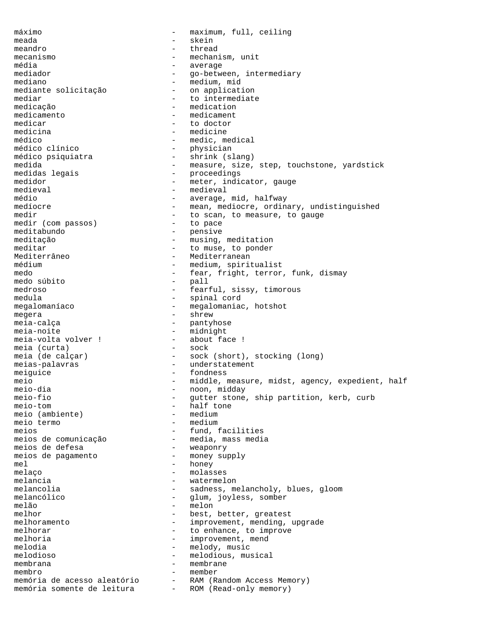máximo - maximum, full, ceiling meada - skein meandro entre thread thread mecanismo - mechanism, unit média - average mediador - go-between, intermediary<br>mediano - medium, mid - medium, mid<br>- on application mediante solicitação<br>mediar - to intermediate medicação entre entre entre entre entre entre entre entre entre entre entre entre entre entre entre entre entre entre entre entre entre entre entre entre entre entre entre entre entre entre entre entre entre entre entre en medicamento - medicament medicar - to doctor<br>medicina - medicine medicina - medicine médico  $-$  medic, medical médico clínico - physician médico psiquiatra - shrink (slang) medida - measure, size, step, touchstone, yardstick<br>medidas legais - proceedings - proceedings medidor - meter, indicator, gauge<br>medieval - medieval - medieval medieval - medieval<br>médio - medieval - medieval médio - average, mid, halfway - mean, mediocre, ordinary, undistinguished medir  $-$  to scan, to measure, to gauge<br>medir (com passos) - to pace medir (com passos) meditabundo - pensive meditação - musing, meditation meditar  $-$  to muse, to ponder Mediterrâneo  $-$  Mediterranean médium  $-$  medium, spiritualist medo - fear, fright, terror, funk, dismay<br>medo súbito - pall - pall medo súbito<br>medroso medroso - fearful, sissy, timorous medula - spinal cord - megalomaniac, hotshot megera - shrew meia-calça - pantyhose meia-noite<br>meia-volta volver ! - midnight<br>- about face ! meia-volta volver ! - about meia (curta) - sock meia (curta) meia (de calçar) - sock (short), stocking (long) meias-palavras - understatement meiguice entry the fondness meio - middle, measure, midst, agency, expedient, half<br>meio-dia - noon, middav meio-dia - noon, midday meio-fio - gutter stone, ship partition, kerb, curb - half tone<br>- medium meio (ambiente) - medium<br>meio termo - medium meio termo meios<br>meios de comunicação de entre a media, mass media - media, mass media<br>- weaponry meios de defesa meios de pagamento  $-$  money supply mel - honey melaço - molasses melancia - watermelon - sadness, melancholy, blues, gloom melancólico - glum, joyless, somber melão – melon – melon – melon – melon – melon – melon – melon – melon – melon – melon – melon – melon – melon – melon – melon – melon – melon – melon – melon – melon – melon – melon – melon – melon – melon – melon – melon - best, better, greatest melhoramento - improvement, mending, upgrade<br>melhorar - to enhance, to improve - to enhance, to improve melhoria  $-$  improvement, mend melodia  $-\qquad -\qquad$  melody, music melodioso - melodious, musical membrana - membrane membro - member memória de acesso aleatório - RAM (Random Access Memory) memória somente de leitura - ROM (Read-only memory)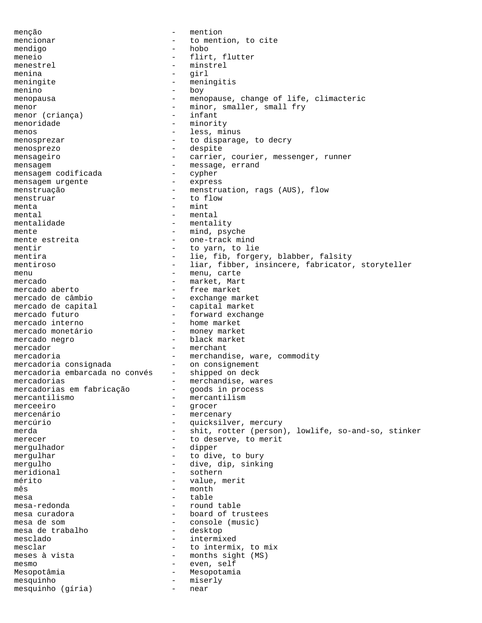menção - mention mencionar  $-$  to mention, to cite mendigo - hobo meneio - flirt, flutter menestrel – minstrel<br>menina – minstrel<br>dirl menina - girl meningite - meningitis menino - boy menopausa - menopause, change of life, climacteric menor  $\rho$  - minor, smaller, small fry menor (crianca) - infant menor (criança) menoridade - minority menos  $-$  less, minus menosprezar  $-$  to disparage, to decry menosprezo - despite mensageiro  $-$  carrier, courier, messenger, runner mensagem - message, errand<br>mensagem codificada - cypher mensagem codificada - cypher mensagem urgente - express mensagem urgente menstruação - menstruation, rags (AUS), flow menstruar - to flow menta  $-$  mint mental  $-$  mental mentalidade - mentality mente<br>mente estreita and the mind, psyche<br>one-track mind - one-track mind mentir  $-$  to yarn, to lie mentira  $-$  lie, fib, forgery, blabber, falsity mentiroso **1988** - liar, fibber, insincere, fabricator, storyteller menu - menu, carte mercado  $\overline{a}$  - market, Mart<br>mercado aberto - free market mercado aberto - free market mercado de câmbio - exchange market mercado de capital - capital market mercado futuro - forward exchange mercado interno  $\overline{a}$  - home market<br>mercado monetário - money market mercado monetário<br>mercado negro - black market mercador - merchant - merchandise, ware, commodity<br>- on consignement mercadoria consignada mercadoria embarcada no convés - shipped on deck mercadorias - merchandise, wares mercadorias<br>
mercadorias em fabricação - qoods in process<br>
mercantilismo - mercantilismo<br>
- mercantilismo - mercantilism merceeiro - grocer - mercenary mercúrio  $-$  quicksilver, mercury merda - shit, rotter (person), lowlife, so-and-so, stinker<br>merecer - to deserve, to merit - to deserve, to merit mergulhador - dipper mergulhar - to dive, to bury mergulho - dive, dip, sinking meridional - sothern<br>
mérito - value, r mérito - value, merit - month<br>- table mesa  $-$  table mesa-redonda - round table - board of trustees mesa de som<br>mesa de trabalho de entre desktop - desktop mesa de trabalho mesclado - intermixed mesclar  $-$  to intermix, to mix meses à vista  $-$  months sight (MS)<br>mesmo  $-$  even. self mesmo - even, self Mesopotâmia  $-$  Mesopotamia  $\begin{array}{ccc}\n \text{mesquinho} & - & \text{miserly} \\
 \text{mesquinho} & \text{ofria} & - & \text{near}\n \end{array}$ mesquinho (gíria) - near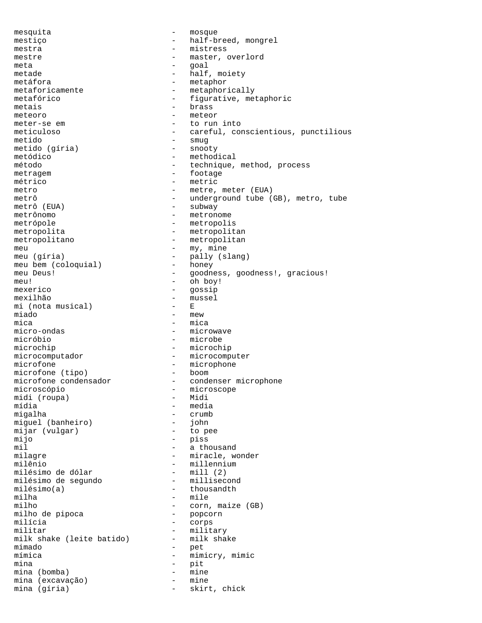mesquita - mosque mestiço  $-$  half-breed, mongrel mestra - mistress mestre – master, overlord<br>meta – master, overlord<br>– master meta - goal metade - half, moiety metáfora - metaphor<br>metaforicamente - metaphor metaforicamente - metaphorically<br>metafórico - figurative, me - figurative, metaphoric metais **brass** meteoro - meteor meter-se em external to run into meticuloso - careful, conscientious, punctilious metido - smug<br>metido (gíria) - snooty metido (gíria) metódico - methodical<br>
método - methodical<br>
- technique, método  $-$  technique, method, process metragem - footage métrico - metric metro - metre, meter (EUA) metrô (EUA) - underground tube (GB), metro, tube metrô (EUA) - subway metrô (EUA) - subway<br>metrônomo - metrono - metronome metrópole  $-$  metropolis metropolita - metropolitan metropolitano - metropolitan meu  $\begin{array}{ccc}\n\text{meu} & - & \text{my, mine} \\
\text{meu} & (\text{qíria}) & - & \text{pallv (s)}\n\end{array}$ meu (gíria) - pally (slang)<br>meu bem (coloquial) - honey meu bem (coloquial) meu Deus! - goodness, goodness!, gracious! meu! - oh boy! mexerico - gossip - mussel<br>- E mi (nota musical)<br>miado miado – mew – mew – mew – mew – mew – mew – mica mica - mica<br>micro-ondas - micro-ondas - micromicro-ondas - microwave<br>micróbio - microbe - microbe microchip - microchip microcomputador - microcomputer microfone  $\frac{1}{2}$  - microphone microfone (tipo) - boom microfone (tipo)<br>microfone condensador microfone condensador - condenser microphone<br>microscópio - microscope - microscope<br>- Midi midi (roupa)<br>mídia mídia - media - media - media<br>migalha - crumb - crumb<br>- john miguel (banheiro) - john mijar (vulgar) mijo - piss mil  $-$  a thousand milagre  $-$  miracle, wonder milênio - millennium<br>milésimo de dólar - mill (2) milésimo de dólar - mill (2) milésimo de segundo<br>milésimo(a) milésimo(a) - thousandth<br>milha - mile milha - mile<br>milho - corn - corn, maize (GB)<br>- popcorn milho de pipoca milícia - corps militar - military<br>milk shake (leite batido) - milk shake milk shake (leite batido) mimado - pet mímica - mimicry, mimic mina - pit mina (bomba) - mine mina (excavação) mina (gíria) - skirt, chick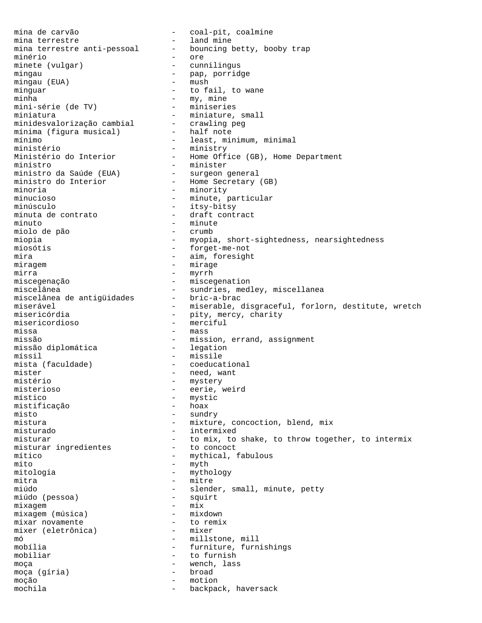mina de carvão - coal-pit, coalmine mina terrestre - land mine - bouncing betty, booby trap minério - ore minete (vulgar) - cunnilingus mingau - pap, porridge mingau (EUA) - mush - mush mingau (EUA) minguar - to fail, to wane<br>minha - my, mine - my, mine<br>- miniseries mini-série (de TV) - miniseries<br>miniatura - miniature, small miniatura - miniature, small minidesvalorização cambial - crawling peg mínima (figura musical) - half note mínimo - least, minimum, minimal ministério - ministry - Home Office (GB), Home Department<br>- minister ministro - minister ministro da Saúde (EUA) - surgeon general ministro do Interior - Home Secretary (GB) minoria - minority minucioso - minute, particular - itsy-bitsy minuta de contrato  $\overline{\phantom{a}}$  - draft contract minuto - minute miolo de pão miopia - myopia, short-sightedness, nearsightedness miosótis - forget-me-not mira  $-$  aim, foresight miragem - mirage mirra - myrrh miscegenação - miscegenation miscelânea - sundries, medley, miscellanea miscelânea de antigüidades - bric-a-brac miserável - miserable, disgraceful, forlorn, destitute, wretch<br>misericórdia - pitv, mercy, charity - pity, mercy, charity misericordioso - merciful missa - mass missão  $-$  mission, errand, assignment<br>missão diplomática  $-$  legation missão diplomática míssil - missile mista (faculdade) - coeducational<br>mister - need, want - need, want mistério - mystery misterioso - eerie, weird místico - mystic<br>mistificacão - hoax - hoax mistificação<br>misto - sundry mistura  $-$  mixture, concoction, blend, mix misturado - intermixed misturar  $-$  to mix, to shake, to throw together, to intermix misturar ingredientes  $-$  to concoct misturar ingredientes mítico - mythical, fabulous<br>mito - myth mito - myth mitologia - mythology mitra - mitre - slender, small, minute, petty<br>- squirt miúdo (pessoa) - squirt mixagem - mix<br>mixagem (música) - mixdown - mixdown mixagem (música) - mixdown<br>mixar novamente - to remix mixar novamente - to remix mixer (eletrônica) mó - millstone, mill - furniture, furnishings mobiliar - to furnish moça (qíria) - wench, lass<br>moça (qíria) - broad moça (gíria) - broad - broad - broad - broad - broad - broad - broad - broad - broad - broad - broad - broad moção - motion<br>mochila - hackpac mochila  $-$  backpack, haversack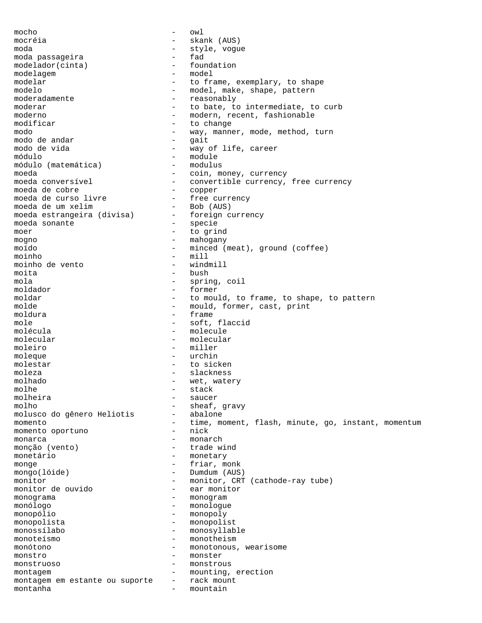mocho - owl mocréia - skank (AUS) moda - style, vogue moda passageira<br>modelador(cinta) - foundation modelador(cinta) - found<br>modelaqem - model modelagem - model modelar  $\begin{array}{ccc}\n\text{model}\text{ or } & - & \text{ to frame, exemplary, to shape} \\
\text{model}\text{ or } & - & \text{model}\text{ or } & \text{model}\n\end{array}$ modelo - model, make, shape, pattern<br>moderadamente - reasonably - reasonably moderar  $-$  to bate, to intermediate, to curb moderno - modern, recent, fashionable<br>modificar - to change modificar  $-$  to change modo - way, manner, mode, method, turn modo de andar  $-$  gait modo de vida - way of life, career<br>módulo - module - module - module<br>- modulus módulo (matemática) moeda<br>
moeda conversível<br>
- convertible currency, - convertible currency, free currency<br>- copper moeda de cobre<br>moeda de curso livre - free currency<br>- Bob (AUS) moeda de um xelim - Bob (AUS) moeda estrangeira (divisa) moeda sonante  $-$  specie moer - to grind mogno - mahogany - mahogany moído - minced (meat), ground (coffee) moinho - mill moinho de vento - windmill moita - bush mola - spring, coil moldador - former moldar  $\begin{array}{cccc} - & \text{to would, to frame, to shape, to pattern} \\ - & \text{would, former, cast, print} \end{array}$ - mould, former, cast, print moldura - frame mole - soft, flaccid molécula - molecule molecular - molecular moleiro - miller<br>molecue - miller - miller moleque - urchin molestar - to sicken moleza - slackness molhado - wet, watery molhe - stack<br>molheira - sauce: - saucer molho - sheaf, gravy<br>molusco do gênero Heliotis - abalone molusco do gênero Heliotis momento - time, moment, flash, minute, go, instant, momentum<br>momento oportuno - nick momento oportuno monarca - monarch monção (vento) - trade wind monetário - monetary monge  $-$  friar, monk mongo(lóide) - Dumdum (AUS) monitor - monitor, CRT (cathode-ray tube)<br>monitor de ouvido - ear monitor monitor de ouvido monograma - monogram monologue monopólio - monopoly monopolista<br>monossílabo - monosvilab monossílabo - monosyllable monoteísmo - monotheism monótono - monotonous, wearisome monstro - monster monstruoso - monstrous montagem - mounting, erection montagem em estante ou suporte - rack mount montanha  $-$  mountain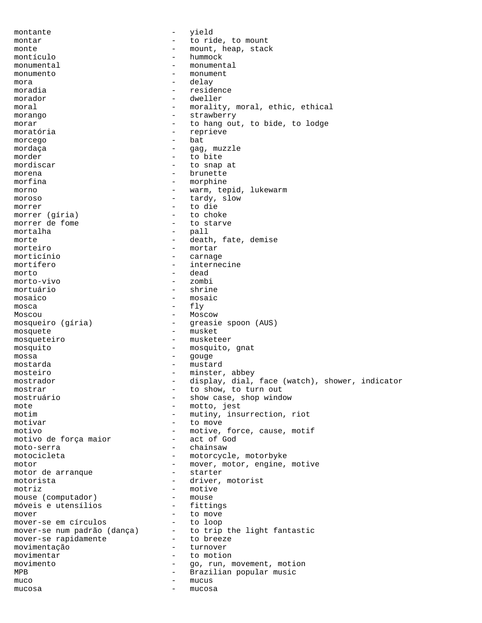montante  $-$  yield montar  $\qquad \qquad -$  to ride, to mount monte  $\qquad \qquad -$  mount, heap, stack montículo - hummock monumental - monumental monumento - monument mora - delay moradia  $-$  residence morador - dweller moral  $-$  morality, moral, ethic, ethical morango  $-$  strawberry morar  $-$  to hang out, to bide, to lodge moratória - reprieve morcego - bat and a bat and a bat and a bat and a bat and a bat and a bat and a bat and a bat and a bat and a bat and a bat and a bat and a bat and a bat and a bat and a bat and a bat and a bat and a bat and a bat and a ba mordaça  $-$  gag, muzzle morder - to bite mordiscar - to snap at morena - brunette morfina - morphine morno  $-$  warm, tepid, lukewarm moroso  $-$  tardy, slow morrer  $\arctan \frac{1}{2}$  and  $\arctan \frac{1}{2}$  to die  $\arctan \frac{1}{2}$  to choke morrer (gíria)<br>morrer de fome - to starve mortalha - pall morte  $\qquad -$  death, fate, demise morteiro - mortar<br>morticínio - carnado morticínio - carnage mortífero  $-$  internecine morto - dead - dead - dead - dead - zombi morto-vivo mortuário - shrine mosaico - mosaic mosca - fly Moscou - Moscow mosqueiro (gíria) - greasie spoon (AUS) mosquete - musket mosqueteiro - musketeer mosquito - mosquito, gnat<br>mossa - douge - douge mossa - gouge mostarda - mustard mosteiro - minster, abbey mostrador - display, dial, face (watch), shower, indicator mostrar - to show, to turn out mostruário - show case, shop window mote - motto, jest<br>motim - mutiny insulary - mutiny insulary - mutiny, insurrection, riot motivar - to move motivo - motive, force, cause, motif motivo de força maior moto-serra - chainsaw motocicleta - motorcycle, motorbyke motor - mover, motor, engine, motive<br>motor de arranque - starter motor de arranque motorista - driver, motorist - motive<br>- mouse mouse (computador) - mouse<br>móveis e utensílios - fittings móveis e utensílios mover<br>mover-se em círculos - to nove<br>- to loop mover-se em círculos mover-se num padrão (dança) - to trip the light fantastic<br>mover-se rapidamente - to breeze mover-se rapidamente  $-$  to breeze<br>movimentação  $-$  turnover movimentação movimentar  $\overline{m}$  - to motion  $\overline{m}$  - to motion  $\overline{m}$ movimento  $-$  go, run, movement, motion MPB - Brazilian popular music muco - mucus mucosa - mucosa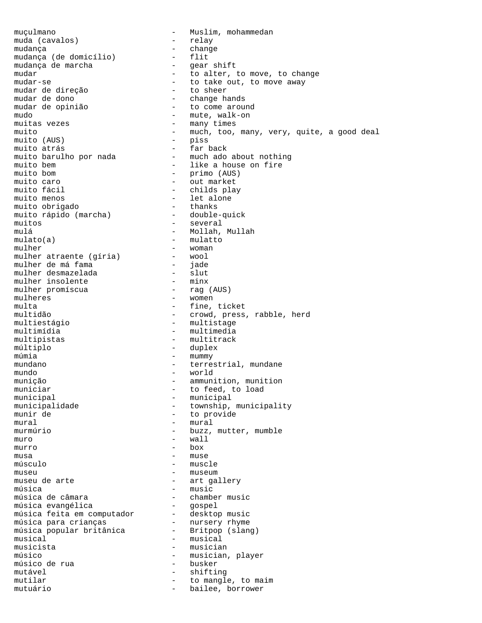muçulmano - Muslim, mohammedan muda (cavalos) - - Muslim, mohammedan muda (cavalos) – relative de la provincia de la provincia de la provincia de la provincia de la provincia de l mudança - change mudança (de domicílio) - flit mudança de marcha - gear shift mudar extended to the move to move, to change the move, to change mudar-se  $\qquad \qquad \qquad -$  to take out, to move away mudar de direção  $-$  to sheer<br>mudar de dono mudar de dono  $-$  change hands<br>mudar de opinião  $-$  to come arou: - to come around mudo - mute, walk-on muitas vezes  $\overline{m}$  - many times  $\overline{m}$  - muito - much, too, many, very, quite, a good deal<br>- piss muito (AUS) - piss muito atrás - far back muito barulho por nada - much ado about nothing muito bem - like a house on fire muito bom - primo (AUS) muito caro<br>muito fácil de production de la production de la production de la production de la production de la<br>muito fácil de la production de la production de la production de la production de la production de la product muito fácil<br>muito menos - childs play<br>- let alone - v---<br>- let alone muito obrigado<br>muito rápido (marcha) muito rápido (marcha) - double-quick muitos - several mulá - Mollah, Mullah - mulatto<br>- woman mulher - woman mulher atraente (gíria) - wool mulher de má fama - jade mulher desmazelada - slut mulher insolente - minx mulher promíscua - rag (AUS) mulher desmazelada - slut<br>
mulher insolente - slut<br>
mulher promíscua - minx<br>
mulheres - minx<br>
mulheres - women<br>
multa - fine, tic multa - fine, ticket<br>multidão - crowd, press - crowd, press, rabble, herd multiestágio - multistage - multimedia multipistas - multitrack múltiplo - duplex múmia - mummy - mummy mundano  $-$  terrestrial, mundane mundo - world munição - ammunition, munition municiar  $\begin{array}{ccc}\n & - & \text{to feed, to load} \\
 & - & \text{municipal}\n\end{array}$ municipal<br>municipalidade - municipal<br>- township, municipalidade - township, municipality<br>munir de - to provide - to provide  $mural \hspace{2.6cm} - \hspace{.6cm} mural$ murmúrio  $-$  buzz, mutter, mumble  $muro$   $-$  wall murro - box musa - muse músculo - muscle museu - museum - art gallery música - music<br>música de câmara - music - chambe - chamber music<br>- gospel música evangélica - gospel música feita em computador desktop music música para crianças nursery rhyme música popular britânica - Britpop (slang) musical  $-$  musical musicista - musician músico - musician, player<br>músico de rua - busker - busker músico de rua mutável - shifting mutilar  $-$  to mangle, to maim mutuário - bailee, borrower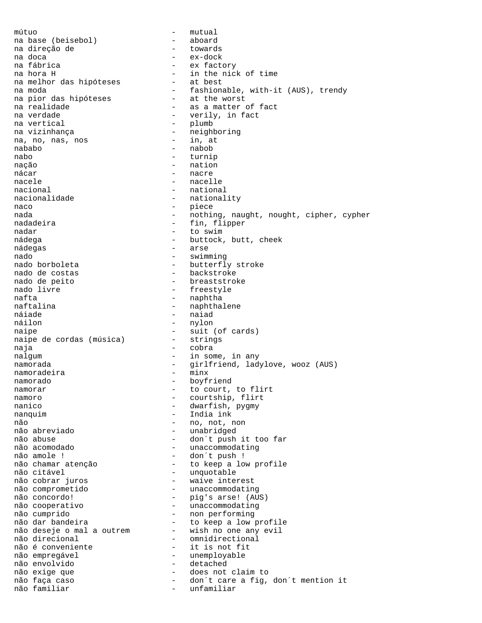mútuo - mutual na base (beisebol) - aboard na direção de<br>na doca na doca - ex-dock na fábrica - ex factory - in the nick of time<br>- at best na melhor das hipóteses na moda<br>
na pior das hipóteses - at the worst<br>
- at the worst na pior das hipóteses - at the worst na realidade - as a matter of fact na verdade  $-$  verily, in fact na vertical  $-$  plumb na vizinhança - neighboring na, no, nas, nos nababo - nabob nabo - turnip nação - nation nácar - nacre nacele - nacelle<br>
nacional - nationa nacional extensional transformational mational extensional control of the mational extension of the mational e<br>
and the mational extensional extensional extensional extensional extensional extensional extensional extension - nationality naco - piece nada - nothing, naught, nought, cipher, cypher nadadeira - fin, flipper nadar - to swim nádega - buttock, butt, cheek nádegas - arse nado - swimming - butterfly stroke nado de costas  $\qquad \qquad \qquad -$  backstroke nado de peito  $-$  breaststroke nado livre  $\qquad \qquad$  - freestyle nafta - naphtha - naphtha - naphtha - naphtha - naphtha - naphtha - naphtha - naphtha - naphtha - naphtha - na<br>- naphtha - naphtha - naphtha - naphtha - naphtha - naphtha - naphtha - naphtha - naphtha - naphtha - naphtha - naphthalene náiade - naiad<br>náilon - naiad - naiad - nylon naipe<br>
naipe de cordas (música) - suit (of cards)<br>
- strings naipe de cordas (música) naja - cobra nalgum - in some, in any namorada - girlfriend, ladylove, wooz (AUS)<br>namoradeira - minx namoradeira namorado - boyfriend namorar  $-$  to court, to flirt namoro - courtship, flirt nanico  $-$  dwarfish, pygmy nanquim - India ink não - no, not, non não abreviado - unabridged não abuse  $\sim$  - don´t push it too far não acomodado  $\qquad \qquad -$  unaccommodating não amole ! - don´t push !<br>não chamar atenção - - - - - - - to keep a low profile não chamar atenção - to keep a low profile não citável este antico de la construcción de la construcción de la construcción de la construcción de la cons não cobrar juros - waive interest não comprometido - unaccommodating não concordo! - pig's arse! (AUS) não cooperativo - unaccommodating não cumprido - non performing não dar bandeira to keep a low profile não deseje o mal a outrem - wish no one any evil não direcional component de compositional directional de component de compo não é conveniente  $\qquad \qquad$  - it is not fit não empregável <br/> - unemployable não envolvido - detached não exige que  $-$  does not claim to não faça caso de contrato do contrato de care a fig, don´t mention it não familiar  $-$  unfamiliar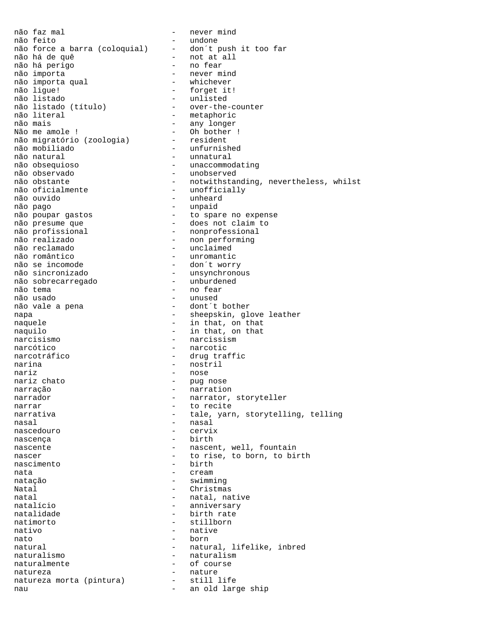não faz mal  $-$  never mind não feito<br>não force a barra (coloquial) - don´t push it too far não force a barra (coloquial) não há de quê - not at all não há perigo<br>não importa - never mind<br>- whichever não importa qual<br>não lique! não ligue! - e forget it!<br>
não listado - e unlisted - unlisted<br>- over-the-counter não listado (título)<br>não literal não literal - metaphoric<br>
não mais<br>
- any longer não mais - any longer Não me amole !  $-$  Oh bother ! não migratório (zoologia) - resident não mobiliado - unfurnished não natural - unnatural não obsequioso - unaccommodating não observado - unobserved não obstante - notwithstanding, nevertheless, whilst<br>não oficialmente - unofficially não oficialmente - unofficially<br>não ouvido - unheard - unheard não ouvido  $\overline{\hspace{1cm}}$  - unheard  $\overline{\hspace{1cm}}$  - unheard  $\overline{\hspace{1cm}}$  - unheard  $\overline{\hspace{1cm}}$ - unpaid não poupar gastos  $-$  to spare no expense não presume que  $\hskip1cm -\hskip1cm -\hskip1cm$  - does not claim to não profissional - nonprofessional não realizado  $-$  non performing não reclamado - unclaimed não romântico  $\overline{a}$ o romântico  $\overline{a}$ o se incomode  $\overline{a}$  - don't worr não se incomode - don´t worry não sincronizado - unsynchronous não sobrecarregado - unburdened não tema - no fear não usado - unused - dont´t bother napa  $\overline{\phantom{a}}$  - sheepskin, glove leather naquele  $-$  in that, on that naquilo  $-$  in that, on that narcisismo - narcissism narcótico  $-$  narcotic narcotráfico  $-$  drug traffic narina - nostril nariz<br>
nariz chato<br>
nariz chato<br>
and the contract of the purinos nariz chato  $-$  pug nose narração - narration narrador - narrator, storyteller narrar  $-$  to recite narrativa - tale, yarn, storytelling, telling nasal - nasal nascedouro nascenca - birth nascente - nascent, well, fountain<br>nascer - nascent, well, fountain<br>hascer nascer and the rise, to born, to birth nascimento - birth nata  $-$  cream natação - swimming Natal - Christmas natal - natal, native natal, native natalicio natalício - anniversary - birth rate natimorto - stillborn nativo - native nato - born natural  $-$  natural, lifelike, inbred naturalismo - naturalismo - naturalismo - naturalismo - naturalismo - naturalismo - naturalismo - naturalismo <br>
- naturalmente - naturalismo - naturalismo - naturalismo - naturalismo - naturalismo - naturalismo - naturalis naturalmente - of course natureza - nature natureza morta (pintura) - still life nau - an old large ship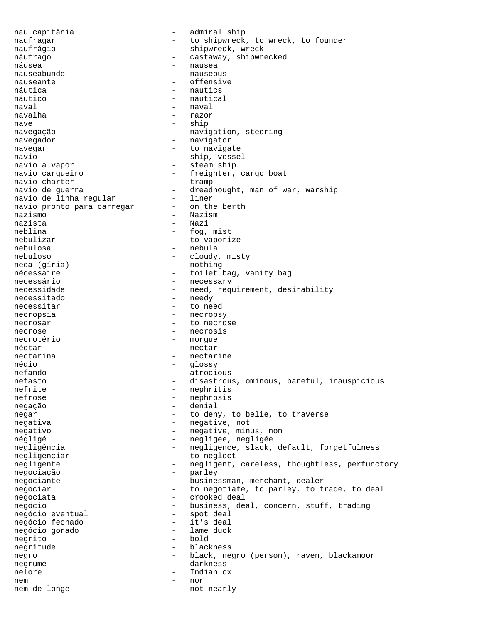nau capitânia - admiral ship naufragar  $-$  to shipwreck, to wreck, to founder naufrágio - shipwreck, wreck náufrago  $-$  castaway, shipwrecked náusea - nausea nauseabundo nauseante - offensive náutica - nautics - nautical  $\begin{tabular}{ccc} naval & & & - & naval \\ \end{tabular}$ navalha - razor nave - ship navegação  $-$  navigation, steering navegador - navigator navegar - to navigate navio - ship, vessel navio a vapor  $-$  steam ship navio cargueiro - freighter, cargo boat navio charter<br>navio de guerra - dreadnought, man of war, warship<br>- liner navio de linha regular - liner navio pronto para carregar nazismo - Nazism nazista - Nazi - fog, mist nebulizar  $-$  to vaporize nebulosa - nebula nebuloso - cloudy, misty neca (gíria) - nothing nécessaire - toilet bag, vanity bag<br>necessário - - - - - - - necessarv necessário - necessary necessidade - need, requirement, desirability<br>necessitado - needy necessitado - needy<br>necessitar - to ne - to need necropsia - necropsy necrosar extended to necrose necrose - necrosis necrotério - morgue néctar  $-$  nectar nectarina  $-$  nectarine nédio - glossy nefando - atrocious nefasto - disastrous, ominous, baneful, inauspicious nefrite - nephritis nefrose - nephrosis negação - denial negar - to deny, to belie, to traverse negativa - negative, not negativo - negative, minus, non négligé - negligee, negligée negligência  $-$  negligence, slack, default, forgetfulness negligenciar - to neglect negligente - negligent, careless, thoughtless, perfunctory<br>negociacão - parlev negociação - parley negociante - businessman, merchant, dealer negociar entitled a model of the negotiate, to parley, to trade, to deal negociata  $\qquad \qquad -$  crooked deal negócio - business, deal, concern, stuff, trading<br>negócio eventual - spot deal negócio eventual  $-$  spot deal negócio fechado  $-$  it's deal negócio fechado - it's deal negócio gorado - lame duck negrito negritude - blackness negro - black, negro (person), raven, blackamoor<br>negrume - darkness negrume - darkness nelore - Indian ox nem - nor nem de longe  $-$  not nearly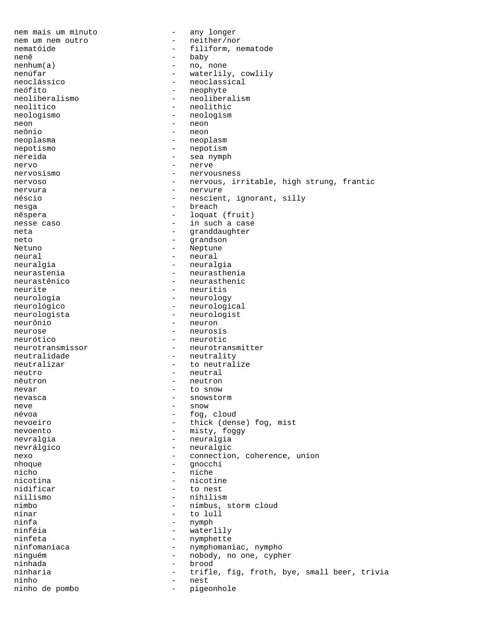nem mais um minuto  $-$  any longer nem um nem outro  $-$  neither/nor nematóide  $-$  filiform, nematode nenê - baby<br>nenhum(a) - no, r nenhum(a) - no, none nenúfar<br>
neoclássico<br>
- neoclassical<br>
- neoclassical<br>
- neoclassical neoclássico - neoclassical<br>neófito - neophyte neófito - neophyte<br>neoliberalismo - neolibera - neoliberalism neolítico - neolithic neologismo - neologism neon - neon neônio - neon neoplasma - neoplasm nepotismo - nepotism nereida - sea nymph nervo - nerve nervosismo - nervousness nervoso - nervous, irritable, high strung, frantic nervura - nervure néscio - nescient, ignorant, silly nesga - breach nêspera - loquat (fruit) nesse caso  $-$  in such a case neta - granddaughter neto - grandson Netuno - Neptune neural - neural - neural neuralgia  $-$  neuralgia neurastenia - neurasthenia neurastênico - neurasthenic neurite - neuritis<br>neurologia - neurologi neurologia - neurology - neurological neurologista - neurologist neurônio - neuron neurose - neurosis neurótico - neurotic neurotransmissor - neurotransmitter neutralidade - neutrality neutralizar  $-$  to neutralize neutro - neutral - neutral nêutron - neutron nevar - to snow nevasca - snowstorm neve - snow - fog, cloud nevoeiro - thick (dense) fog, mist nevoento - misty, foggy nevralgia  $-$  neuralgia nevrálgico - neuralgic nexo  $-$  connection, coherence, union nhoque - gnocchi nicho - niche - niche - niche - niche - niche - niche - niche - niche - niche - niche - niche - niche - niche - niche - niche - niche - niche - niche - niche - niche - niche - niche - niche - niche - niche - niche - niche nicotina  $\qquad \qquad -$  nicotine  $\qquad \qquad -$  to nest nidificar  $-$  to nest<br>niilismo  $-$  nihilismo  $-$  nihilismo niilismo - nihilismo - nihilismo - nihilismo - nihilismo - nihilismo - nihilismo - nihilismo - nihilismo - nih nimbo - nimbus, storm cloud - to lull ninfa - nymph<br>ninféia - nymph - nymph - waterlily ninfeta - nymphette ninfomaníaca - nymphomaniac, nympho ninguém  $-$  nobody, no one, cypher ninhada - brood ninharia - trifle, fig, froth, bye, small beer, trivia ninho - nest ninho de pombo - pigeonhole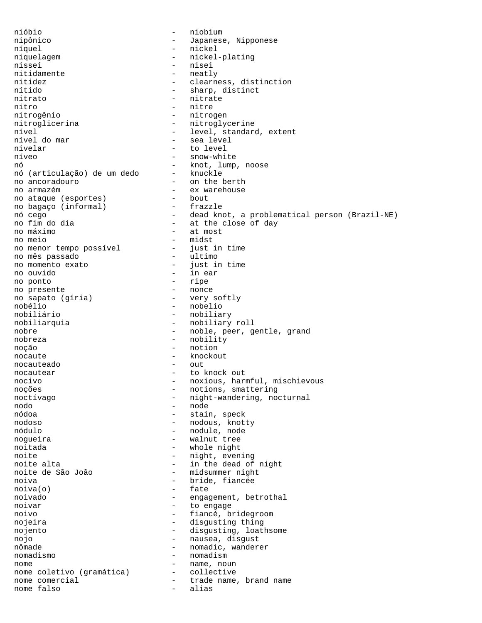nióbio - niobium nipônico - Japanese, Nipponese níquel - nickel niquelagem - nickel-plating nissei - nisei - nisei<br>nitidamente - neatly - neatly nitidamente - neatly<br>nitidez - clearn nitidez - clearness, distinction nítido - sharp, distinct nitrato - nitrate nitro - nitre nitrogênio - nitrogen nitroglicerina - nitroglycerine nível<br>
nível do mar<br>
- sea level<br>
- sea level - sea level nivelar - to level níveo - snow-white nó - knot, lump, noose nó (articulação) de um dedo no ancoradouro - on the berth - ex warehouse<br>- bout no ataque (esportes) - bout<br>no baqaco (informal) - frazzle no bagaço (informal) nó cego - dead knot, a problematical person (Brazil-NE) - at the close of day no máximo  $-$  at most<br>no meio  $-$  midst no meio - midst no menor tempo possível - just in time no mês passado - ultimo no momento exato - just in time no ouvido - in ear no ponto - ripe no presente no sapato (gíria) - very softly<br>nobélio - nobelio nobélio - nobelio - nobelio - nobelio - nobelio - nobelio - nobelio - nobelio - nobelio - nobelio - nobelio - - nobiliary nobiliarquia - nobiliary roll nobre - noble, peer, gentle, grand nobreza - nobility noção - notion nocaute - knockout nocauteado nocautear extended to knock out nocivo - noxious, harmful, mischievous noções - notions, smattering noctívago  $-$  night-wandering, nocturnal nodo - node - stain, speck nodoso - nodous, knotty nódulo - nodule, node nogueira - walnut tree noitada - whole night noite - night, evening noite alta  $-$  in the dead of night noite de São João - midsummer night<br>noiva - bride, fiancée - bride, fiancée noiva(o) - fate noivado  $-$  engagement, betrothal noivar - to engage noivo - fiancé, bridegroom nojeira - disgusting thing nojento - disgusting, loathsome nojo - nausea, disgust - nomadic, wanderer nomadismo - nomadismo - nomadismo - nomadismo - nomadismo - nomadismo - noma nome - name, noun nome coletivo (gramática) - collective nome comercial  $\qquad \qquad -$  trade name, brand name nome falso  $-$  alias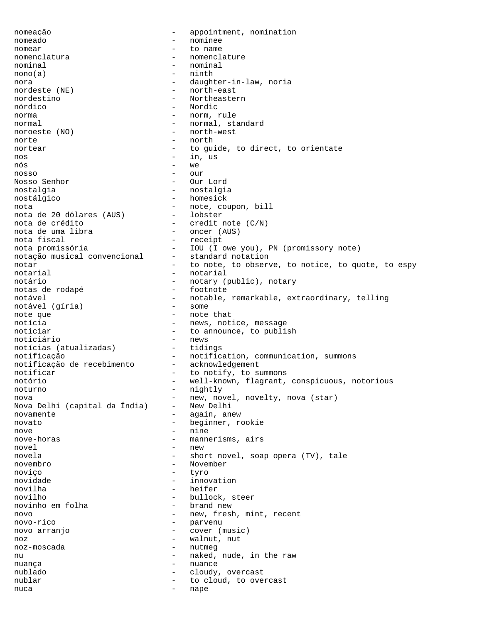nomeação  $-$  appointment, nomination nomeado - nominee nomear - to name nomenclatura - nomenclature nominal - nominal - nominal  $\text{mono}(a)$  - ninth nora - daughter-in-law, noria - north-east nordestino - Northeastern nórdico - Nordic norma - norm, rule<br>
normal - normal states - normal, standard noroeste (NO) - north-west norte - north - north - north - north - north - north - north - north - north - north - north - north - north - north - north - north - north - north - north - north - north - north - north - north - north - north - north nortear and to guide, to direct, to orientate nos - in, us nós - we nosso - our Nosso Senhor - Our Lord nostalgia - nostalgia nostálgico - homesick nota<br>nota de 20 dólares (AUS) - note, coupon, bill<br>nota de 20 dólares (AUS) - lobster nota de 20 dólares (AUS)<br>nota de crédito - credit note (C/N)<br>- oncer (AUS) nota de uma libra<br>nota fiscal - receipt nota promissória - IOU (I owe you), PN (promissory note)<br>notação musical convencional - standard notation notação musical convencional notar extending to note, to observe, to notice, to quote, to espy notarial - notarial notário - notary (public), notary notas de rodapé - notary - footnote notas de rodapé notável <sup>-</sup> notable, remarkable, extraordinary, telling<br>notável (qíria) - some notável (gíria) note que  $-$  note that notícia  $-$  news, notice, message noticiar - to announce, to publish<br>noticiário - news noticiário - news notícias (atualizadas) notificação - notification, communication, summons<br>notificação de recebimento - acknowledgement notificação de recebimento notificar  $-$  to notify, to summons notório - well-known, flagrant, conspicuous, notorious noturno - nightly nova<br>Nova Delhi (capital da Índia) - New Delhi<br>Nova Delhi (capital da Índia) - New Delhi Nova Delhi (capital da Índia) -<br>novamente novamente  $-$  again, anew novato - beginner, rookie nove - nine nove-horas - mannerisms, airs novel - new novela - short novel, soap opera (TV), tale novembro - November<br>novico - tyro - tyro noviço - tyro novidade - innovation novilha - heifer novilho  $-$  bullock, steer<br>novinho em folha  $-$  brand new novinho em folha novo  $-$  new, fresh, mint, recent novo-rico - parvenu novo arranjo  $\qquad \qquad -$  cover (music) noz  $-$  walnut, nut noz-moscada - nutmeg nu  $-$  naked, nude, in the raw nuança de la contrata de la contrata de la contrata de la contrata de la contrata de la contrata de la contrat nublado - cloudy, overcast nublar  $-$  to cloud, to overcast nuca - nape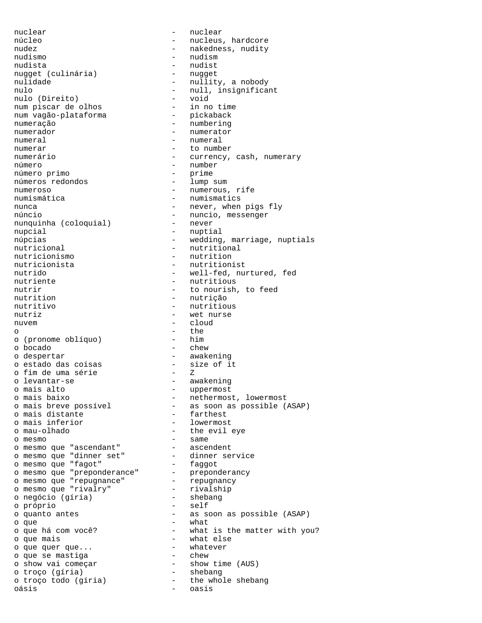nuclear - nuclear núcleo  $-$  nucleus, hardcore nudez - nakedness, nudity nudismo - nudism nudista - nudist<br>nuqqet (culinária) - nugget nugget (culinária)<br>nulidade nulidade - nullity, a nobody<br>nulo - null insignifical nulo (Direito)<br>num piscar de olhos num piscar de olhos - in no time num vagão-plataforma numeração - numbering numerador - numerator numeral - numeral numerar - to number número  $-$  number<br>número primo  $-$  prime número primo - prime números redondos numeroso - numerous, rife<br>
numismática<br>
- numismatics<br>
- numismatics numismática - numismatics<br>nunca - never when núncio<br>nunquinha (coloquial) - nuncio, messenger<br>- never nunquinha (coloquial) nupcial - nuptial - nuptial nutricional extensional contractional contractional contractional nutricionismo - nutrition<br>nutricionista - nutrition nutrir - to nourish, to feed<br>nutrition - nutricão nutrition - nutrição<br>
nutritivo - nutrition - nutrition nutriz - wet nurse nuvem - cloud o - the - the - the - the - the - the - the - the - the - the - the - the - the - the - the - the - the - the - the - the - the - the - the - the - the - the - the - the - the - the - the - the - the - the - the - the - th o (pronome oblíquo) o bocado - chew o despertar - awakening<br>
o estado das coisas - size of it<br>
o fim de uma série - z o estado das coisas o fim de uma série - Z o levantar-se - awakening o mais alto  $-$  uppermost o mais distante  $\overline{\phantom{a}}$  - farthest o mais inferior  $-$  lowermost o mau-olhado - the evil eye o mesmo - same o mesmo que "ascendant" - ascendent o mesmo que "dinner set" - dinner service o mesmo que "fagot" - faggot o mesmo que "preponderance" - preponderancy o mesmo que "repugnance" - repugnancy o mesmo que "rivalry" - rivalship o negócio (gíria) - shebang o próprio - self o que<br>
o que há com você?<br>
- what = what o que mais  $-$  what else o que quer que...  $\qquad \qquad$  - whatever o que se mastiga - chew o show vai começar - show time (AUS) o troço (gíria) - shebang o troço todo (gíria) - the whole shebang

- null, insignificant<br>- void numerário  $-$  currency, cash, numerary - never, when pigs fly núpcias - wedding, marriage, nuptials - nutritionist nutrido - well-fed, nurtured, fed<br>
nutriente - hutritious<br>
- hutritious - nutritious - nutritious o mais baixo - nethermost, lowermost o mais breve possível - as soon as possible (ASAP) o quanto antes - as soon as possible (ASAP) o que há com você? - The matter with you? oásis - oasis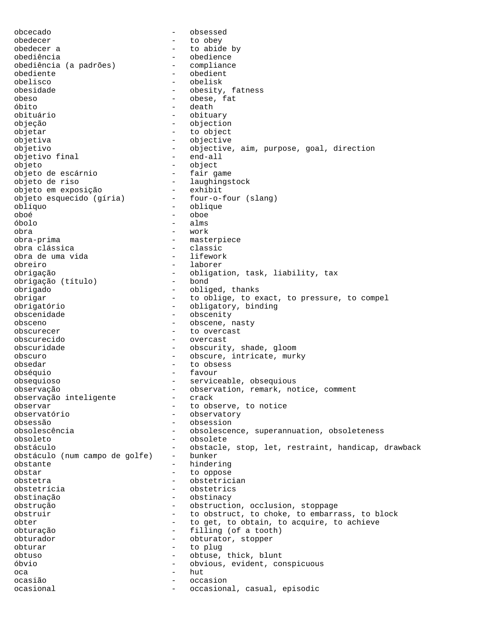obcecado - obsessed obedecer - to obey - to abide by obediência<br>obediência (a padrões) - obedience<br>- compliance obediência (a padrões) -<br>obediente obediente - obedient obelisco - obelisk<br>obesidade - obesitv - obesity, fatness obeso - obese, fat<br>
6bito - obese, fat<br>
- death - death obituário - obituary objeção - objection objetar - to object objetiva - objective objetivo - objective, aim, purpose, goal, direction objetivo final - end-all objeto - object objeto de escárnio objeto de riso - laughingstock objeto em exposição<br>objeto esquecido (gíria) - four-o-four (slang) oblíquo - oblique oboé - oboe - oboe - oboe - oboe - oboe - oboe - oboe - oboe - oboe - oboe - oboe - oboe - oboe - oboe - oboe - oboe - oboe - oboe - oboe - oboe - oboe - oboe - oboe - oboe - oboe - oboe - oboe - oboe - oboe - oboe - oboe óbolo - alms obra - work obra-prima - masterpiece obra clássica<br>
obra de uma vida<br>
- lifework obra de uma vida obreiro - laborer - laborer - laborer - laborer - laborer - laborer - laborer - laborer - laborer - laborer obrigação - obligation, task, liability, tax<br>obrigação (título) - bond obrigação (título) -<br>obrigado obrigado - obliged, thanks obrigar - to oblige, to exact, to pressure, to compel obrigatório - obligatory, binding obscenidade - obscenity obsceno - obscene, nasty obscurecer - to overcast obscurecido - overcast obscuridade - obscurity, shade, gloom<br>obscuro - obscure.intricate.mur obscuro - obscure, intricate, murky obsedar - to obsess obséquio - favour obsequioso - serviceable, obsequious observação - observation, remark, notice, comment observação inteligente - crack observar - to observe, to notice - observatory<br>- obsession obsessão - obsession obsolescência - obsolescence, superannuation, obsoleteness obsoleto - obsolete obstáculo - obstacle, stop, let, restraint, handicap, drawback obstáculo (num campo de golfe) - bunker obstante hindering - hindering obstar - to oppose obstetra - obstetrician<br>obstetrícia obstetrícia - obstetrics<br>
obstinacão - obstinacy<br>
- obstinacy obstinação - obstinacy obstrução - obstruction, occlusion, stoppage obstruir  $-$  to obstruct, to choke, to embarrass, to block obter  $-$  to get, to obtain, to acquire, to achieve obturação - filling (of a tooth)<br>obturador - obturator stopper obturador - obturator, stopper obturar - to plug obtuso - obtuse, thick, blunt óbvio - obvious, evident, conspicuous oca - hut ocasião - occasion ocasional  $\sim$  - occasional, casual, episodic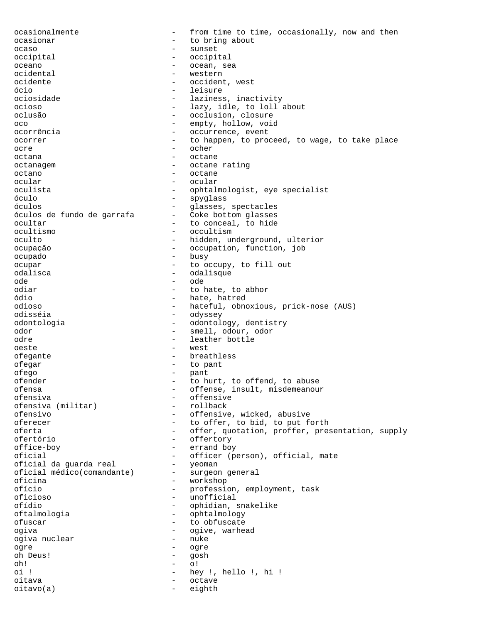ocasionalmente - from time to time, occasionally, now and then ocasionar - to bring about ocaso - sunset occipital - occipital oceano - ocean, sea ocidental - western<br>
coidente ocidente - occident, west<br>
6cio - leisure - leisure ócio - leisure ociosidade - laziness, inactivity<br>ocioso - lazv.idle.to loll. - lazy, idle, to loll about oclusão - occlusion, closure oco - empty, hollow, void ocorrência - occurrence, event ocorrer example to happen, to proceed, to wage, to take place ocre - ocher octana - octane - octane octanagem - octane rating octano - octane - octane ocular - ocular - ocular oculista - ophtalmologist, eye specialist<br>
- spyglass<br>
- spyglass óculo - spyglass - glasses, spectacles<br>- Coke bottom glasses óculos de fundo de garrafa ocultar  $-$  to conceal, to hide ocultismo - occultism oculto - hidden, underground, ulterior ocupação - occupation, function, job ocupado - busy ocupar  $-$  to occupy, to fill out odalisca - odalisque<br>
ode - ode - ode ode - ode odiar - to hate, to abhor ódio - hate, hatred odioso - hateful, obnoxious, prick-nose (AUS) - odyssey odontologia - odontology, dentistry odor - smell, odour, odor - leather bottle oeste - west ofegante - breathless ofegar - to pant ofego - pant ofender - to hurt, to offend, to abuse ofensa - offense, insult, misdemeanour - offensive<br>- rollback ofensiva (militar)<br>ofensivo - offensive, wicked, abusive oferecer - to offer, to bid, to put forth oferta - offer, quotation, proffer, presentation, supply ofertório - offertory office-boy - errand boy oficial - officer (person), official, mate<br>oficial da guarda real - yeoman<br>oficial médico(comandante) - surgeon general oficial da guarda real oficial médico(comandante) oficina - workshop ofício - profession, employment, task oficioso - unofficial - ophidian, snakelike oftalmologia - ophtalmology ofuscar - to obfuscate ogiva - ogive, warhead ogiva nuclear - nuke ogre - ogre oh Deus! - gosh<br>oh! - gosh oh! - o! oi ! - hey !, hello !, hi ! oitava - octave oitavo(a) - eighth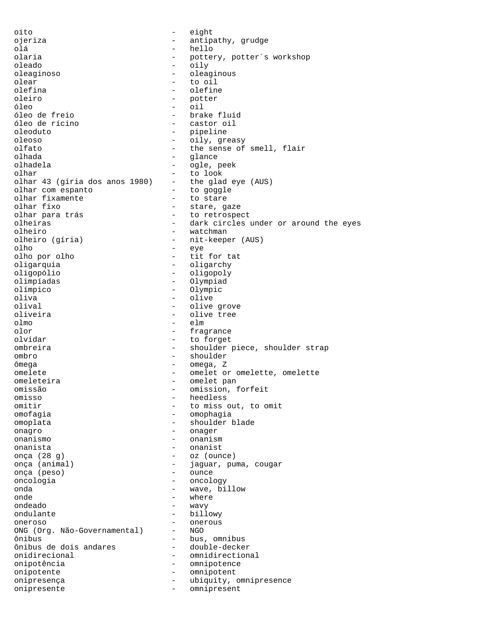oito - eight ojeriza - antipathy, grudge olá - hello - pottery, potter's workshop oleado - oily oleaginoso - oleaginous<br>olear - oleaginous<br>- to oil olear - to oil olefina - olefine - olefine<br>oleiro - obter - obter - potter<br>- oil óleo - oil óleo de freio - brake fluid - castor oil oleoduto - pipeline oleoso - oily, greasy olfato - the sense of smell, flair<br>
olhada - clance olhada - glance olhadela - ogle, peek olhar  $-$  to look<br>olhar 43 (gíria dos anos 1980) - the glad eye (AUS) olhar 43 (gíria dos anos 1980) - the glad e<br>olhar com espanto - to goggle olhar com espanto - to goggle olhar fixamente<br>olhar fixo olhar fixo - stare, gaze - to retrospect olheiras - dark circles under or around the eyes olheiro - watchman<br>olheiro (gíria) - mit-keepe - nit-keeper (AUS) olho - eye olho por olho - tit for tat oligarquia - oligarchy oligopólio - oligopoly olimpíadas - Olympiad olímpico - Olympic oliva - olive olival - olive grove - olive tree olmo - elm olor - fragrance olvidar - to forget ombreira - shoulder piece, shoulder strap ombro - shoulder ômega - omega, Z omelete - omelette, omelette, omelette - omelette, omelette - omelette - omelette - omelette - omelette - omelette - omelette - omelette - omelette - omelette - omelette - omelette - omelette - omelette - omelette - omelet omeleteira - omelet pan<br>
omissão - omissão - omission omissão - omission, forfeit omisso - heedless omitir  $-$  to miss out, to omit omofagia - omophagia omoplata - shoulder blade onagro - onager onanismo - onanism onanista - onanist onça (28 g) - oz (ounce) onça (animal)  $-$  jaguar, puma, cougar onça (peso) - ounce oncologia - oncology onda - wave, billow onde - where ondeado ondulante - billowy<br>
oneroso - oneroso - onerous oneroso - onerous<br>
ONG (Org. Não-Governamental) - NGO ONG (Org. Não-Governamental) ônibus<br>ônibus de dois andares double-decker ônibus de dois andares onidirecional - omnidirectional<br>
onipotência<br>
- omnipotence onipotência - omnipotence onipotente - omnipotent onipresença - ubiquity, omnipresence<br>onipresente onipresente - omnipresent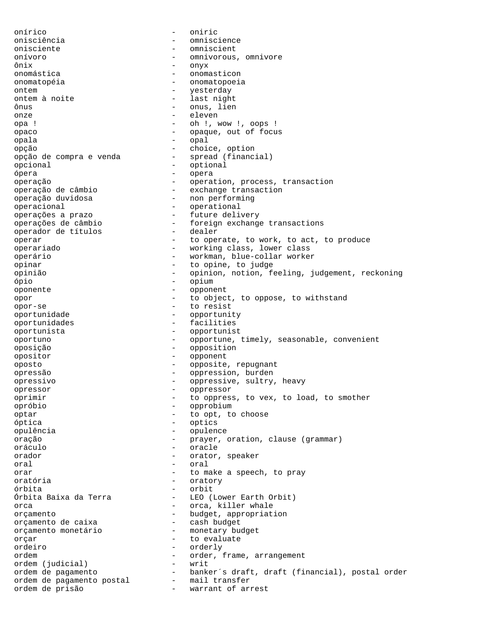onírico - oniric onisciência - omniscience onisciente - omniscient onívoro - omnivorous, omnivore ônix - onyx onomástica - onomasticon onomatopéia - onomatopoeia ontem a noite and the settlement of the settlement of the settlement of the settlement of the settlement of the settlement of the settlement of the settlement of the settlement of the settlement of the settlement of the se - last night ônus - onus, lien onze - eleven opa ! - oh !, wow !, oops ! opaco - opaque, out of focus opala - opal opção - choice, option opção de compra e venda - spread (financial) opcional - optional - optional - optional - optional - optional - optional - optional - opera ópera - opera operação<br>
operação de câmbio exchange transaction operação de câmbio<br>
operação duvidosa<br>
- non performing operação duvidosa - non performing<br>operacional - operacional operacional - operational operações a prazo future delivery<br>operações de câmbio foreign exchange - foreign exchange transactions<br>- dealer operador de títulos operar  $-$  to operate, to work, to act, to produce operariado - working class, lower class operário - workman, blue-collar worker opinar - to opine, to judge<br>
opinião<br>
- opinion notion fe opinião - opinion, notion, feeling, judgement, reckoning<br>
- opium ópio - opium oponente - opponent opor - to object, to oppose, to withstand opor-se - to resist<br>oportunidade - to resist<br>- opportuni - opportunity oportunidades - facilities oportunista - opportunist oportuno - opportune, timely, seasonable, convenient oposição - opposition opositor - opponent oposto - opposite, repugnant opressão - oppression, burden opressivo - oppressive, sultry, heavy<br>opressor opressor - oppressor oprimir - to oppress, to vex, to load, to smother opróbio - opprobium optar - to opt, to choose óptica - optics opulência - opulence oração - prayer, oration, clause (grammar) oráculo - oracle orador - orator, speaker oral - oral orar  $-$  to make a speech, to pray oratória - oratory órbita - orbit - LEO (Lower Earth Orbit) orca - orca, killer whale orçamento<br>
orçamento de caixa<br>
- cash budget<br>
- cash budget orçamento de caixa orçamento monetário - monetary budget orcar - to evaluate ordeiro - orderly ordem - order, frame, arrangement ordem (judicial) - writ - banker´s draft, draft (financial), postal order ordem de pagamento postal - mail transfer ordem de prisão - warrant of arrest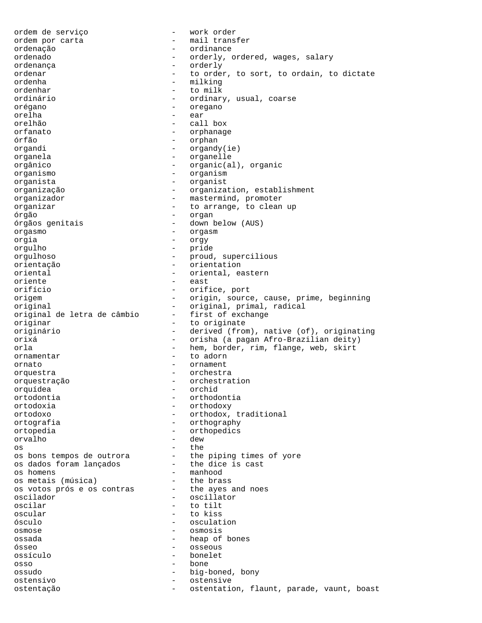ordem de serviço - work order ordem por carta - mail transfer ordenação - ordinance ordenado - orderly, ordered, wages, salary - orderly ordenar and the order, to sort, to ordain, to dictate ordenha - milking ordenhar - to milk - ordinary, usual, coarse orégano - oregano orelha - ear orelhão - call box orfanato - orphanage órfão - orphan organdi - organdy(ie) organela - organelle orgânico - organic(al), organic organismo - organism organista - organist organização - organization, establishment organizador - mastermind, promoter<br>organizar - to arrange, to clean - to arrange, to clean up órgão - organ órgãos genitais - down below (AUS) orgasmo - orgasm orgia - orgy orgulho - pride orgulhoso - proud, supercilious orientação - orientation oriental - oriental, eastern<br>
oriente - east oriente - east - orifice, port origem - origin, source, cause, prime, beginning<br>
- original, primal, radical - original, primal, radical<br>- first of exchange original de letra de câmbio<br>originar - to originate originário - derived (from), native (of), originating orixá - orisha (a pagan Afro-Brazilian deity) orla - hem, border, rim, flange, web, skirt ornamentar  $-$  to adorn ornato - ornament orquestra - orchestra orquestração - orchestration orquídea - orchid ortodontia - orthodontia ortodoxia - orthodoxy - orthodox, traditional ortografia - orthography ortopedia - orthopedics - dew<br>- the os - the os bons tempos de outrora - the piping times of yore os dados foram lançados - the dice is cast os homens - manhood os metais (música) - the brass os votos prós e os contras - the ayes and noes<br>oscilador - oscillator oscilador - oscillator - oscillator<br>
oscilar - to tilt oscilar - to tilt<br>oscular - to kiss - to kiss - to kiss ósculo - osculation osmose - osmosis ossada - heap of bones ósseo - osseous ossículo - bonelet osso - bone ossudo - big-boned, bony ostensivo - ostensive ostentação entre estentation, flaunt, parade, vaunt, boast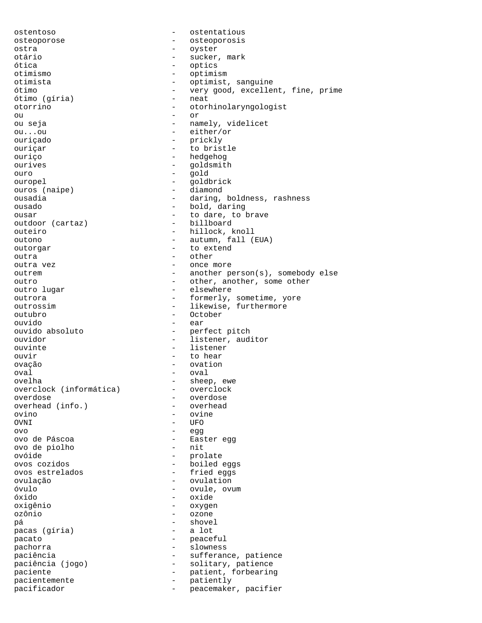ostentoso - ostentatious osteoporose - osteoporosis ostra - oyster otário - sucker, mark ótica - optics otimismo - optimism otimista - optimist, sanguine<br>
- optimist, sanguine<br>
- verv good, exceller - very good, excellent, fine, prime<br>- neat ótimo (gíria) otorrino - otorhinolaryngologist  $\overline{a}$  or ou seja - namely, videlicet ou...ou - either/or ouriçado - prickly ouriçar - to bristle ouriço - hedgehog ourives - goldsmith<br>
ouro - gold ouro - gold ouropel - goldbrick<br>ouros (naipe) - diamond ouros (naipe) ousadia - daring, boldness, rashness<br>ousado - - - - - - - - - - - - - bold, daring - bold, daring ousar - to dare, to brave outdoor (cartaz) outeiro - hillock, knoll outono - autumn, fall (EUA) outorgar - to extend<br>
outra outra - other outra vez  $-$  once more outrem - another person(s), somebody else outro  $-$  other, another, some other<br>outro lugar  $-$  elsewhere - elsewhere outrora  $-$  formerly, sometime, yore outrossim  $-$  likewise, furthermore outubro - October ouvido - ear - perfect pitch ouvidor - listener, auditor ouvinte - listener ouvir expression to hear to hear ovação - ovation oval - oval ovelha - sheep, ewe overclock (informática) overdose - overdose overhead (info.) ovino - ovine - UFO ovo - egg ovo de Páscoa - Easter egg ovo de piolho ovóide - prolate ovos cozidos<br>
ovos estrelados<br>
- fried eggs - fried eggs ovulação - ovulation óvulo - ovule, ovum óxido - oxide oxigênio - oxygen - ozone pá - shovel pacas (gíria) pacato - peaceful - slowness paciência  $-$  sufferance, patience paciência (jogo) - solitary, patience paciente  $-$  patient, forbearing pacientemente - patiently<br>
pacificador<br>
- peacemaker pacificador  $-$  peacemaker, pacifier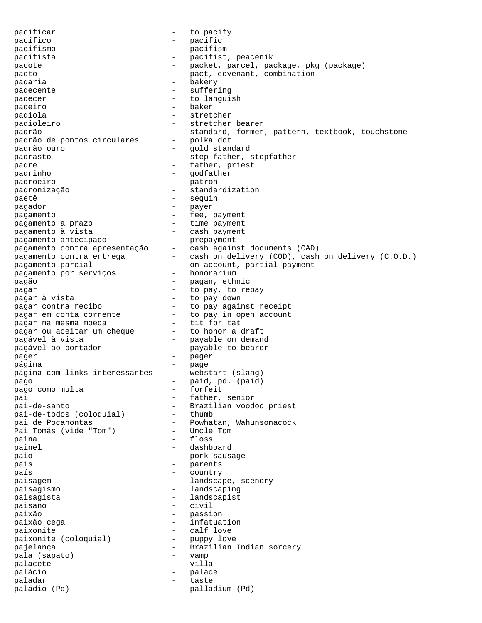pacificar  $-$  to pacify pacífico - pacific pacifismo - pacifism pacifista - pacifist, peacenik pacote - packet, parcel, package, pkg (package) pacto  $\qquad \qquad -$  pact, covenant, combination padaria  $-$  bakery padecente - suffering padecer - to languish padeiro - baker padiola - stretcher - stretcher bearer padrão - standard, former, pattern, textbook, touchstone<br>padrão de pontos circulares - polka dot padrão de pontos circulares -<br>padrão ouro padrão ouro - gold standard padrasto - step-father, stepfather padre  $\qquad \qquad$  - father, priest padrinho  $-$  godfather padroeiro - patron padronização - standardization paetê  $-$  sequin -<br>pagador - payer pagamento<br>
pagamento a prazo  $-$  fee, payment<br>
- time payment pagamento a prazo - time payment pagamento à vista - cash payment pagamento antecipado - prepayment pagamento contra apresentação - cash against documents (CAD) pagamento contra entrega - cash on delivery (COD), cash on delivery (C.O.D.) pagamento parcial  $\hspace{1cm}$  - on account, partial payment pagamento por serviços - honorarium pagamento parcial - on account, p.<br>
pagamento por serviços - honorarium<br>
pagão - pagan, ethnic<br>
pagar - to pay. to res pagar  $\frac{1}{2}$  pagar à vista  $\frac{1}{2}$  - to pay, to repay pagar à vista - to pay down pagar contra recibo - to pay against receipt pagar em conta corrente - to pay in open account pagar na mesma moeda - tit for tat pagar ou aceitar um cheque - to honor a draft pagável à vista - payable on demand pagável ao portador  $-$  payable to bearer<br>pager  $-$  pager pager - pager página - page página com links interessantes - webstart (slang) pago - paid, pd. (paid) pago como multa  $\begin{array}{ccc} - & 5 \ 2 & - & 5 \ 2 & - & 5 \end{array}$  - forfeit pai - father, senior pai-de-santo - Brazilian voodoo priest pai-de-todos (coloquial) - thumb pai de Pocahontas - Powhatan, Wahunsonacock Pai Tomás (vide "Tom") - Uncle Tom paina - floss painel - dashboard paio - pork sausage pais - parents país  $-$  country paisagem  $-$  landscape, scenery paisagismo - landscaping .<br>paisagista - landscapist paisano - civil paixão - passion paixão cega  $-$  infatuation paixonite<br>
paixonite (coloquial) - puppy love<br>
- puppy love paixonite (coloquial) pajelança - - - - - - - - - - - - Brazilian Indian sorcery pala (sapato) - vamp palacete - villa palácio - palace paladar - taste paládio (Pd) - palladium (Pd)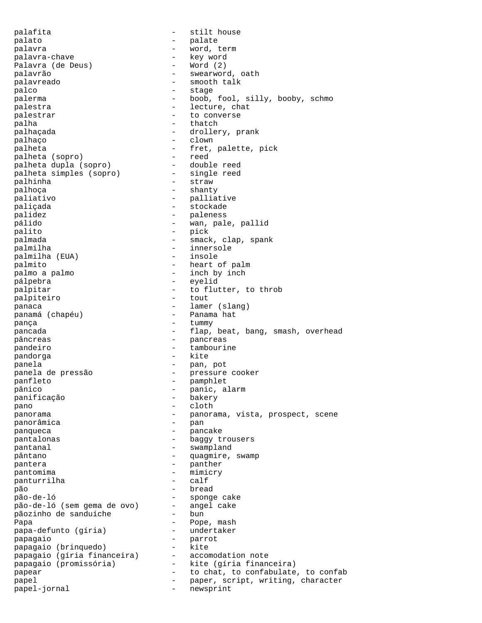palafita  $-$  stilt house palato - palate palavra - word, term palavra-chave - key word Palavra (de Deus)<br>palavrão - swearword, oath .<br>palavreado - smooth talk palco - stage - stage palerma - boob, fool, silly, booby, schmo palestra  $\qquad \qquad -$  lecture, chat palestrar  $\qquad \qquad \qquad -$  to converse palha - thatch palhaçada - drollery, prank palhaço - clown palheta  $-$  fret, palette, pick palheta (sopro)  $-$  freed  $-$  reed palheta (sopro) - reed palheta dupla (sopro) - double reed palheta simples (sopro) palhinha - straw - straw -<br>palhoça - shanty paliativo - palliative paliçada - stockade - paleness pálido - wan, pale, pallid palito - pick palmada  $-$  smack, clap, spank palmilha<br>
palmilha (EUA) - innersole<br>
- insole palmilha (EUA) palmito - heart of palm palmo a palmo  $-$  inch by inch pálpebra - eyelid palpitar  $\qquad \qquad -$  to flutter, to throb palpiteiro  $\qquad \qquad -$  tout palpiteiro panaca - lamer (slang) panamá (chapéu) pança  $-$  tummy pancada - flap, beat, bang, smash, overhead pâncreas - pancreas - pancreas pandeiro - tambourine pandorga - kite panela - pan, pot panela de pressão - pressure cooker panfleto - pamphlet pânico - panic, alarm panificação - bakery pano - cloth panorama - panorama, vista, prospect, scene<br>
panoramica - pan<br>
- pan panorâmica panqueca - pancake pantalonas - baggy trousers pantanal  $-$  swampland pântano  $-$  quagmire, swamp pantera  $-$  panther pantomima - mimicry panturrilha - calf - pão<br>pão-de-1ó - - - - - - - - - bread<br>- - sponge cake pão-de-ló - sponge cake pão-de-ló (sem gema de ovo) - angel cake pãozinho de sanduíche - bun Papa - Pope, mash<br>
papa-defunto (gíria) - undertaker papa-defunto (gíria) papagaio - parrot papagaio (brinquedo) - kite papagaio (gíria financeira) - accomodation note papagaio (promissória) - kite (gíria financeira) papear  $-$  to chat, to confabulate, to confabulate  $-$  to chat, to confabulate, to confab papel  $-$  paper, script, writing, character<br>  $-$  newsprint papel-jornal  $-$  newsprint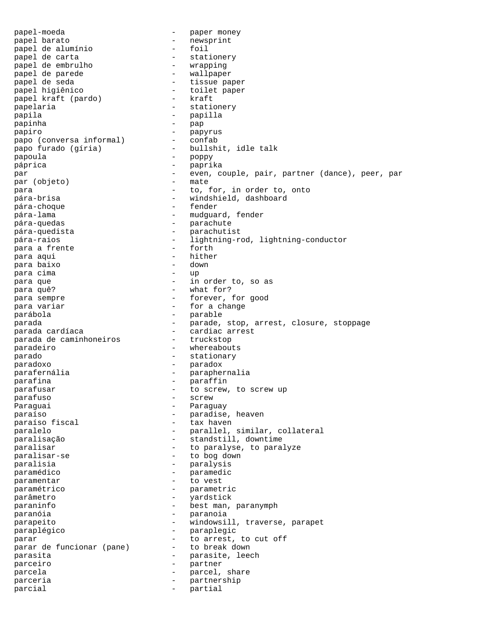papel-moeda - paper money papel barato - newsprint papel de alumínio papel de carta<br>
papel de embrulho<br>
- wrapping<br>
- wrapping papel de embrulho - wrapping papel de parede papel de seda<br>
papel higiênico<br>
- toilet paper - toilet paper<br>- kraft papel kraft (pardo) papelaria  $\qquad \qquad$  - stationery papila - papilla papinha  $-$  pap papiro - papyrus papo (conversa informal) - confab papo furado (gíria) - bullshit, idle talk papoula - poppy páprica - paprika par  $-$  even, couple, pair, partner (dance), peer, par par (objeto)  $-$  mate par (objeto) – matematic entre entre entre entre entre el estado en el estado entre el estado entre el estado<br>Demografia para  $\qquad \qquad -$  to, for, in order to, onto pára-brisa - windshield, dashboard -<br>pára-choque - fender pára-lama - mudguard, fender pára-quedas - parachute<br>pára-quedista - parachuti pára-quedista - parachutist pára-raios - lightning-rod, lightning-conductor<br>para a frente - forth - forth para a frente para aqui - hither para baixo para cima - up para que  $-$  in order to, so as para quê?  $\overline{a}$  - what for? para sempre  $\qquad \qquad -$  forever, for good para variar  $-$  for a change parábola - parable parada  $-$  parade, stop, arrest, closure, stoppage parada cardíaca<br>
parada de caminhoneiros - cardiac arrest<br>
- truckstop parada de caminhoneiros paradeiro  $-$  whereabouts parado  $-$  stationary paradoxo - paradox parafernália - paraphernalia parafina - paraffin parafusar  $\overline{r}$  - to screw, to screw up parafuso - screw -<br>Paraguai - Paraguay paraíso  $-$  paraíso fiscal  $-$  paradise, heaven  $-$  tax haven paraíso fiscal paralelo  $-$  parallel, similar, collateral -<br>paralisação - - - - - - - - standstill, downtime paralisar  $-$  to paralyse, to paralyze paralisar-se  $-$  to bog down paralisia - paralysis paramédico - paramedic paramentar  $-$  to vest paramétrico - parametric parâmetro - yardstick paraninfo - best man, paranymph paranóia - paranoia parapeito - windowsill, traverse, parapet paraplégico - paraplegic<br>parar - paraplegic parar<br>parar de funcionar (pane) - to arrest, to cut off parar de funcionar (pane) parasita  $-$  parasite, leech parceiro - partner parcela  $-$  parcel, share parceria - partnership parcial  $\qquad \qquad$  - partial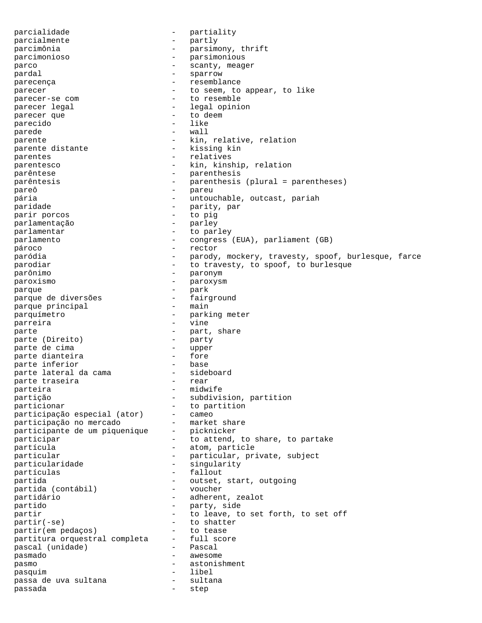parcialidade - partiality<br>
parcialmente - partly<br>
- partly parcialmente - partly parcimônia - parsimony, thrift parcimonioso - parsimonious parco  $\qquad \qquad -$  scanty, meager pardal - sparrow - sparrow parecença  $-$  resemblance parecer - to seem, to appear, to like parecer-se com - to resemble - legal opinion<br>- to deem parecer que  $\qquad \qquad -$  to deep  $\qquad \qquad -$  to deep  $\qquad \qquad -$  like parecido parede  $-$  wall parente  $\qquad \qquad -$  kin, relative, relation parente distante  $\qquad \qquad$  - kissing kin parentes  $-$  relatives parentesco  $-$  kin, kinship, relation parêntese  $\qquad \qquad -$  parenthesis parêntesis - parenthesis (plural = parentheses) -<br>pareô - pareu pária - untouchable, outcast, pariah paridade - parity, par<br>
parir porcos - to pig parir porcos parlamentação - parley parlamentar  $-$  to parley parlamento - congress (EUA), parliament (GB) pároco - rector paródia - parody, mockery, travesty, spoof, burlesque, farce parodiar - to travesty, to spoof, to burlesque parônimo - paronym paroxismo - paroxysm parque - park parque de diversões - fairground parque principal parquímetro - parking meter parreira - vine parte  $\rho$  part, share  $\rho$  part, share  $\rho$  party  $\rho$  party parte (Direito) - parte de cima - parte de cima - parte de cima - parte de contra - parte de contra - parte de parte de cima<br>
parte dianteira<br>
parte dianteira<br>
parte dianteira<br>
parte de componente de la parte de la parte de la parte de la parte de la parte de la parte de la parte de la parte dianteira - fore parte inferior base<br>parte lateral da cama sideboard parte lateral da cama  $-$  sideboarte traseira parte traseira parteira - midwife -<br>partição - subdivision, partition particionar  $-$  to partition participação especial (ator) - cameo participação no mercado - market share participante de um piquenique - picknicker participar - to attend, to share, to partake partícula  $-$  atom, particle particular - particular, private, subject<br>
particularidade - singularity particularidade - singularity partículas - fallout partida  $-$  outset, start, outgoing<br>partida (contábil) - voucher partida (contábil) partidário - adherent, zealot partido  $\overline{\phantom{a}}$  - party, side<br>partir - to leave to partir  $-$  to leave, to set forth, to set off partir(-se) - to shatter<br>
partir(em pedacos) - to tease partir(em pedaços) - to tease partitura orquestral completa - full score pascal (unidade) - Pascal pasmado - awesome pasmo - astonishment pasquim - libel passa de uva sultana passada - step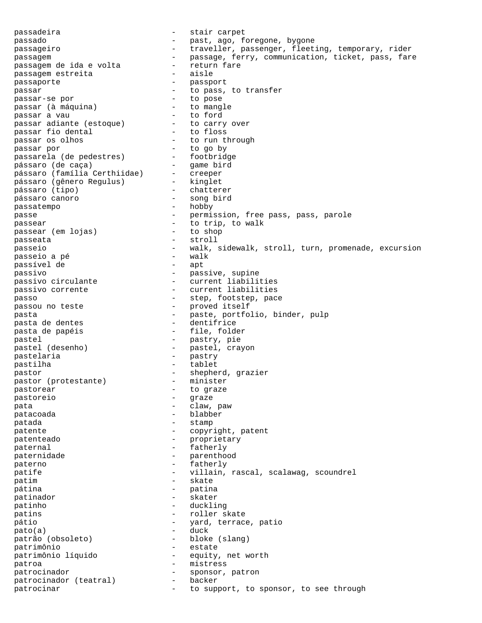passadeira  $-$  stair carpet passado  $-$  past, ago, foregone, bygone passageiro - traveller, passenger, fleeting, temporary, rider passagem<br>passagem de ida e volta - passage, ferry, communication, ticket, pass, fare<br>passagem de ida e volta - return fare passagem de ida e volta - return - return passagem estreita passagem estreita passaporte - passport passar<br>passar-se por  $-$  to pass, to transfer<br>passar-se por  $-$  to pose passar-se por - to pose passar (à máquina) - to mangle passar a vau - to ford passar adiante (estoque) - to carry over passar fio dental  $-$  to floss passar os olhos - to run through passar por - to go by passarela (de pedestres) - footbridge pássaro (de caça) - game bird pássaro (família Certhiidae) - creeper pássaro (gênero Regulus) - kinglet pássaro (tipo) - chatterer pássaro canoro - song bird passatempo - hobby passe  $-$  permission, free pass, pass, parole -<br>passear (em loias) - to trip, to walk<br>nassear (em loias) - to shop passear (em lojas) passeata - stroll passeio - walk, sidewalk, stroll, turn, promenade, excursion<br>passeio a pé - walk<br>- walk passeio a pé - walk passível de passivo - passive, supine passivo circulante - current liabilities passivo corrente - current liabilities passo  $-$  step, footstep, pace passou no teste  $-$  proved itself pasta  $-$  paste, portfolio, binder, pulp -<br>pasta de dentes - dentifrice pasta de papéis - file, folder pastel - pastry, pie pastel (desenho) - pastel, crayon<br>pastelaria - pastry - pastry pastelaria - pastry pastilha - tablet pastor<br>
pastor (protestante) - shepherd, grazier<br>
- minister pastor (protestante) pastorear - to graze pastoreio - graze - graze - graze - graze - graze - graze - graze - graze - graze - graze - graze - graze - graze - graze - graze - graze - graze - graze - graze - graze - graze - graze - graze - graze - graze - graze - gr pata  $-$  claw, paw patacoada - blabber patada  $-$  stamp patente  $\qquad \qquad -$  copyright, patent patenteado  $-$  proprietary paternal  $-$  fatherly paternidade - parenthood paterno - fatherly patife  $-$  villain, rascal, scalawag, scoundrel patim - skate pátina - patina patinador - skater patinho - duckling - duckling patins - roller skate pátio  $-$  yard, terrace, patio pato(a) - duck patrão (obsoleto) - bloke (slang) patrimônio - estate patrimônio líquido - equity, net worth patroa - mistress patrocinador<br>patrocinador (teatral) - backer<br>patrociners patrocinador (teatral) patrocinar  $-$  to support, to sponsor, to see through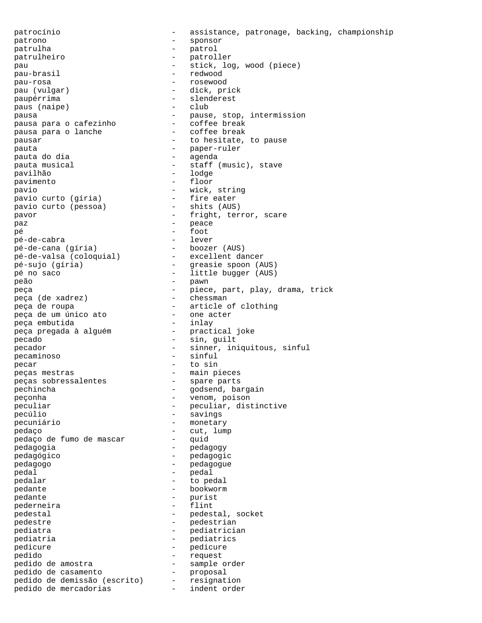patrocínio - assistance, patronage, backing, championship patrono - sponsor patrulha - patrol patrulheiro - patroller pau - stick, log, wood (piece) pau-brasil - redwood pau-rosa - rosewood pau (vulgar) - dick, prick paupérrima - slenderest paus (naipe) pausa<br>
pausa para o cafezinho<br>
- coffee break<br>
- coffee break pausa para o cafezinho - coffee break pausa para o lanche pausar  $-$  to hesitate, to pause pauta - paper-ruler pauta do dia - agenda pauta musical  $-$  staff (music), stave pavilhão - lodge pavimento - floor pavio<br>
pavio curto (qíria) - wick, string<br>
- fire eater pavio curto (gíria) - fire eater<br>
pavio curto (pessoa) - shits (AUS) pavio curto (pessoa) pavor and the set of the set of the set of the set of the set of the set of the set of the set of the set of t paz - peace pé - foot pé-de-cabra - lever pé-de-cana (gíria) - boozer (AUS) pé-de-valsa (coloquial) - excellent dancer pé-sujo (gíria) - greasie spoon (AUS) pé no saco - little bugger (AUS) pé no saco<br>
pé no saco<br>
peão - pawn<br>
- pawn peça (de xadrez) - chessman peça de roupa - article of clothing peça de um único ato - one acter peça embutida - inlay peça pregada à alguém - practical joke pecado  $-$  sin, guilt pecador - sinner, iniquitous, sinful pecaminoso - sinful pecar - to sin -<br>
peças mestras<br>
peças sobressalentes<br>
- spare parts peças sobressalentes pechincha - godsend, bargain peçonha - venom, poison peculiar - peculiar, distinctive pecúlio  $-$  savings pecuniário - monetary pedaço - cut, lump pedaço de fumo de mascar pedagogia - pedagogy pedagógico - pedagogic pedagogo - pedagogue pedal - pedal pedalar - to pedal pedante  $\qquad$  - bookworm pedante - purist pederneira pedestal  $-$  pedestal, socket pedestre  $-$  pedestrian pediatra  $-$  pediatrician pediatria  $-$  pediatrics pedicure - pedicure - pedicure pedido - request<br>
pedido de amostra - sample order<br>
pedido de casamento - proposal<br>
pedido de demicrão ( pedido de amostra - sample order pedido de casamento - proposal pedido de demissão (escrito) - resignation pedido de mercadorias - indent order

peça  $-$  piece, part, play, drama, trick peça (de xadrez)  $-$  chessman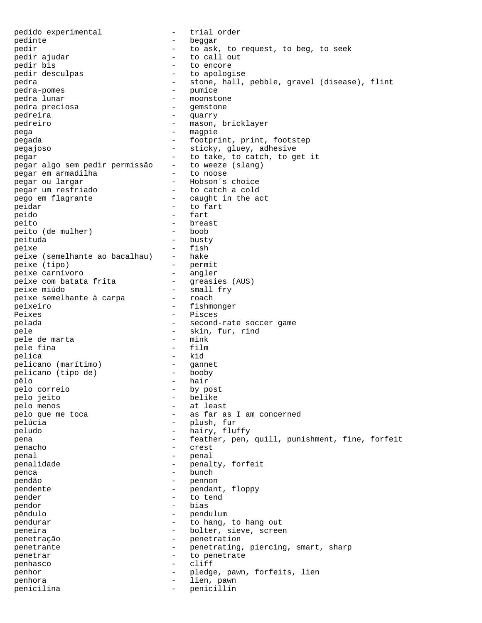pedido experimental - trial order pedinte - beggar pedir  $-$  to ask, to request, to beg, to seek pedir ajudar  $-$  to call out pedir ajudar - to call out pedir bis - to encore - to apologise pedra - stone, hall, pebble, gravel (disease), flint pedra-pomes - pumice -<br>
pedra-pomes - pumice<br>
pedra lunar - moonsto - moonstone<br>- gemstone pedra preciosa - gemstone - gemstone - gemstone - gemstone - gemstone - gemstone - gemstone - gemstone - gemstone - gemstone - gemstone - gemstone - gemstone - gemstone - gemstone - gemstone - gemstone - gemstone - gemston pedreira - quarry pedreiro - mason, bricklayer -<br>pega - magpie pegada - footprint, print, footstep pegajoso - sticky, gluey, adhesive pegar<br>pegar algo sem pedir permissão - to take, to catch, to get it<br>pegar algo sem pedir permissão - to weeze (slang) pegar algo sem pedir permissão - to weeze<br>pegar em armadilha - to noose nd<br>pegar em armadilha<br>pegar ou largar - Hobson´s choice<br>- to catch a cold pegar um resfriado pego em flagrante  $-$  caught in the act peidar - to fart peido - fart - breast<br>- boob peito (de mulher) peituda - busty peixe - fish peixe (semelhante ao bacalhau) - hake peixe (tipo) - permit peixe carnívoro - angler peixe com batata frita peixe miúdo - small fry peixe semelhante à carpa peixeiro - fishmonger - Pisces pelada - second-rate soccer game<br>
- skin, fur, rind<br>
- skin, fur, rind - skin, fur, rind<br>- mink pele de marta pele fina - film pelica - kid pelicano (marítimo) - ganne<br>pelicano (tipo de) - booby pelicano (tipo de) pêlo - hair pelo correio - by post pelo jeito - belike pelo menos - at least - as far as I am concerned pelúcia - plush, fur peludo - hairy, fluffy pena - feather, pen, quill, punishment, fine, forfeit penacho - crest penal - penal penalidade  $-$  penalty, forfeit penca - bunch pendão - pennon pendente - pendant, floppy<br>
pendant - pendant, floppy<br>
- to tend pender - to tend pendor - bias pêndulo - pendulum pendurar extending to hang, to hang out peneira - bolter, sieve, screen penetração - penetration penetrante - penetrating, piercing, smart, sharp penetrar  $-$  to penetrate penhasco - cliff penhor - pledge, pawn, forfeits, lien<br>
penhora - lien pawn penhora  $-$  lien, pawn penicilina - penicillin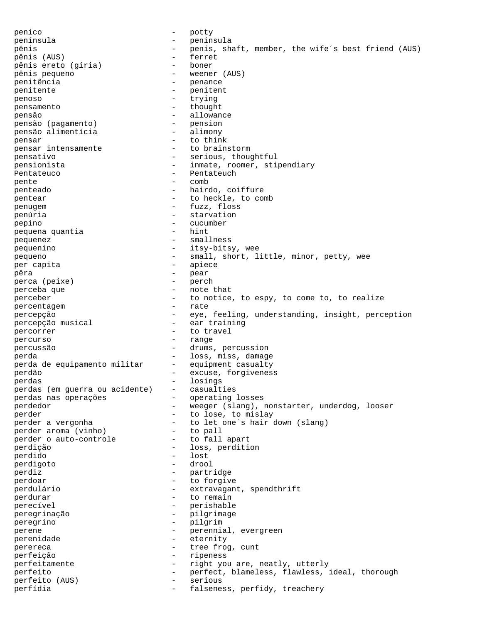penico - potty<br>
península - potty<br>
- península - penín península - peninsula pênis - penis, shaft, member, the wife´s best friend (AUS) pênis (AUS) - ferret pênis ereto (gíria) pênis pequeno - weener (AUS) penitência  $\overline{ }$  - penance<br>nenitente - penitente penitente  $\overline{z}$  - penitente  $\overline{z}$ penoso - trying pensamento - thought pensão - allowance pensão (pagamento) - pension<br>
pensão alimentícia - alimony pensão alimentícia pensar - to think pensar intensamente  $-$  to brainstorm pensativo - serious, thoughtful pensionista - inmate, roomer, stipendiary<br>Pentateuco - Pentateuch Pentateuco - Pentateuch - Pentateuch - Pentateuch - Pentateuch - Pentateuch - Comb pente  $-$  comb penteado - hairdo, coiffure pentear  $-$  to heckle, to comb penugem - fuzz, floss penúria  $-$  starvation pepino - cucumber pequena quantia pequenez - smallness pequenino  $-$  itsy-bitsy, wee pequeno - small, short, little, minor, petty, wee per capita  $-$  apiece pêra - pear perca (peixe) - perch perceba que en extension de la perceba que perceber - to notice, to espy, to come to, to realize<br>percentagem - rate percentagem percepção - eye, feeling, understanding, insight, perception<br>
percepcão musical - ear training percepção musical percorrer - to travel percurso - range percussão - drums, percussion perda<br>
perda de equipamento militar - loss, miss, damage<br>
perda de equipamento militar - equipment casualty perda de equipamento militar perdão  $-$  excuse, forgiveness perdas - losings perdas (em guerra ou acidente) - casualties perdas nas operações - operating losses perdedor - weeger (slang), nonstarter, underdog, looser perder - to lose, to mislay perder a vergonha - to let one's hair down (slang)<br>perder aroma (vinho) - to pall perder aroma (vinho) - to pall<br>perder o auto-controle - to fall apart perder o auto-controle perdição - loss, perdition perdido - lost perdigoto - drool perdiz - partridge perdoar and the contract of the forgive perdulário  $-$  extravagant, spendthrift<br>perdurar  $-$  to remain perdurar - to remain perecível - perishable<br>perecripacão - perishable peregrinação - pilgrimage peregrino - pilgrim perene - perennial, evergreen<br>
perenidade - eternity - eternity perereca - tree frog, cunt perfeição - ripeness perfeitamente - right you are, neatly, utterly<br>perfeito - perfect. hlameless flawless perfeito - perfect, blameless, flawless, ideal, thorough perfeito (AUS) - serious<br>perfídia - falsene: falseness, perfidy, treachery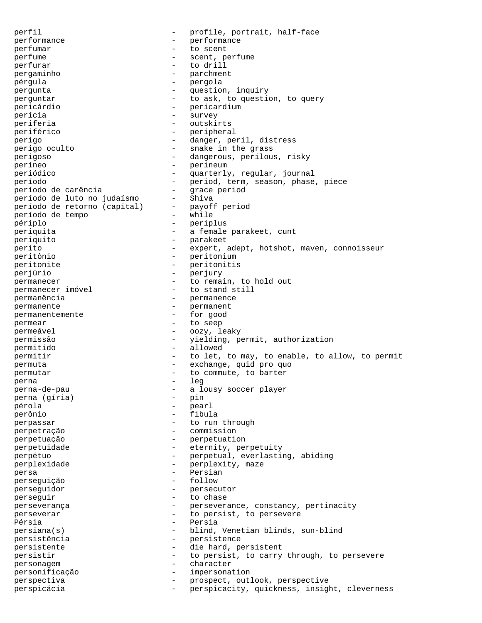perfil<br>
- profile, portrait, half-face<br>
- proformance<br>
- proformance<br>
- proformance performance - performance perfumar  $-$  to scent perfume - scent, perfume perfurar - to drill pergaminho - parchment pérgula - pergola pergunta  $-$  question, inquiry perguntar  $-$  to ask, to question, to query pericárdio - pericardium -<br>perícia - survey - survey periferia - outskirts periférico  $-$  peripheral perigo - danger, peril, distress perigo oculto  $-$  snake in the grass perigoso - dangerous, perilous, risky períneo - perineum periódico - quarterly, regular, journal período<br>
período de carência<br>
- grace period período de carência - grace period<br>
período de luto no judaísmo - Shiva período de luto no judaísmo - Shiva<br>período de retorno (capital) - payoff period período de retorno (capital)  $-$ <br>período de tempo período de tempo - while périplo - periplus periquita  $-$  a female parakeet, cunt periquito - parakeet perito - expert, adept, hotshot, maven, connoisseur peritônio - peritonium peritonite - peritonitis perjúrio - perjury permanecer  $\frac{1}{2}$  - to remain, to hold out permanecer imóvel - to stand still - to stand still permanência - permanence permanente - permanent permanentemente permear - to seep permeável - oozy, leaky permissão - yielding, permit, authorization permitido - allowed permitir  $-$  to let, to may, to enable, to allow, to permit permuta - exchange, quid pro quo permutar  $\qquad \qquad -$  to commute, to barter perna - leg<br>nerna-de-nau - leg - a lo perna-de-pau - a lousy soccer player perna (gíria) - pin pérola perônio - fibula perpassar - to run through perpetração - commission perpetuação - perpetuation perpetuidade - eternity, perpetuity perpétuo<br>
perpetual, everlasting, abiding<br>
perplexidade<br>
- perplexity maze perplexidade  $\qquad \qquad -$  perplexity, maze persa - Persian perseguição perseguidor - persecutor perseguir and to chase the chase of the contract of the chase  $$ perseverança  $\overline{a}$  - perseverance, constancy, pertinacity perseverar  $-$  to persist, to persevere -<br>Pérsia - Persia persiana(s) - blind, Venetian blinds, sun-blind persistência en persistence persistente  $\qquad \qquad -$  die hard, persistent persistir  $-$  to persist, to carry through, to persevere personagem - character personificação - impersonation perspectiva - prospect, outlook, perspective perspicácia - perspicacity, quickness, insight, cleverness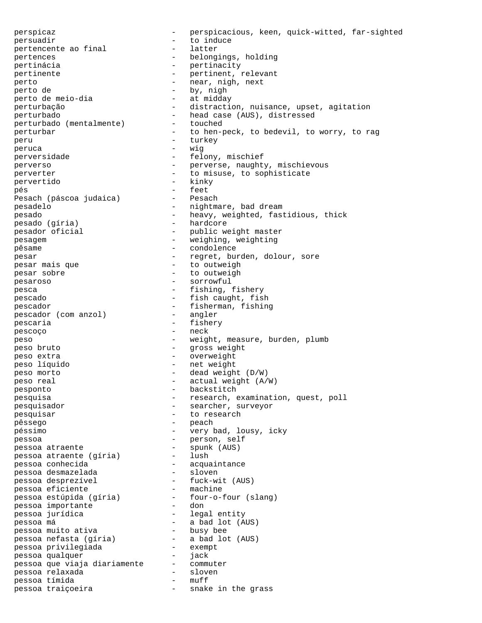perspicaz  $-$  perspicacious, keen, quick-witted, far-sighted<br>persuadir persuadir - to induce pertencente ao final pertences - belongings, holding pertinácia - pertinacity pertinente - pertinent, relevant perto  $-$  near, nigh, next perto de  $\rho$  by, nigh<br>
perto de meio-dia  $\rho$  - at midday perto de meio-dia perturbação  $-$  distraction, nuisance, upset, agitation perturbado<br>
perturbado (mentalmente) - head case (AUS), distressed<br>
perturbado (mentalmente) - touched perturbado (mentalmente) perturbar - to hen-peck, to bedevil, to worry, to rag peru - turkey peruca - wig perversidade - felony, mischief perverso - perverse, naughty, mischievous perverter  $\qquad \qquad -$  to misuse, to sophisticate - pervertido - kinky - kinky - kinky - feet pés - feet -<br>Pesach (páscoa judaica) - Pesach pesadelo  $-$  nightmare, bad dream pesado - heavy, weighted, fastidious, thick<br>
pesado (qíria) - hardcore pesado (gíria) pesador oficial - public weight master -<br>pesagem - weighing, weighting pêsame  $\overline{ }$  - condolence pesar extending the regret, burden, dolour, sore pesar mais que  $-$  to outweigh pesar sobre  $-$  to outweigh pesaroso - sorrowful pesca - fishing, fishery pescado - fish caught, fish pescador<br>
pescador (com anzol) - fisherman, fishing<br>
- angler pescador (com anzol) pescaria  $-$  fishery -<br>pescoço - neck peso - weight, measure, burden, plumb peso bruto - gross weight peso extra - overweight peso líquido - net weight peso morto - dead weight (D/W) peso real  $-$  actual weight (A/W) pesponto - backstitch - -<br>pesquisa - - research, examination, quest, poll pesquisador - searcher, surveyor pesquisar  $-$  to research pêssego - peach péssimo - very bad, lousy, icky pessoa - person, self pessoa atraente - spunk (AUS) pessoa atraente (gíria) - lush pessoa conhecida - acquaintance pessoa desmazelada - sloven<br>pessoa desprezível - fuck-wit (AUS) pessoa desmazeiada<br>pessoa desprezível<br>pessoa eficiente pessoa eficiente - machine pessoa estúpida (gíria) - four-o-four (slang) pessoa importante - don pessoa jurídica - legal entity<br>pessoa má - a bad lot (AUS) pessoa má - a bad lot (AUS) pessoa muito ativa - busy bee pessoa nefasta (gíria) - a bad lot (AUS) pessoa privilegiada - exempt pessoa qualquer - jack pessoa que viaja diariamente - commuter pessoa relaxada - sloven pessoa tímida - muff pessoa traiçoeira - snake in the grass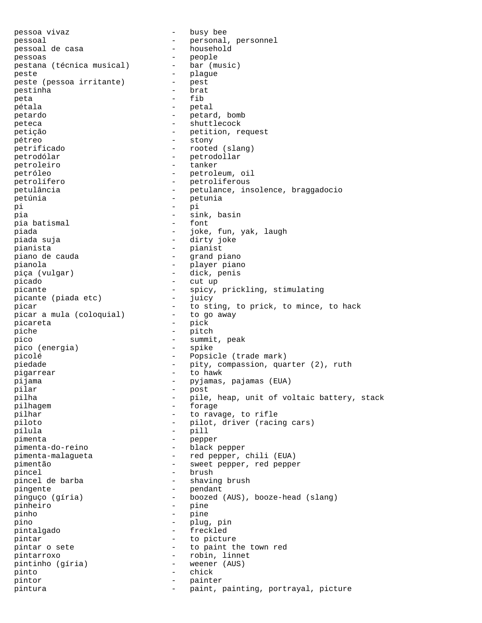pessoa vivaz - busy bee pessoal  $-$  personal, personnel pessoal de casa - household pessoas - people pestana (técnica musical) peste  $-$  plague peste (pessoa irritante) - pest pestinha - brat peta - fib pétala  $-$  petal petardo - petard, bomb peteca - shuttlecock petição  $-$  petition, request pétreo - stony -<br>
petrificado - rooted (slang)<br>
petrodólar - petrodollar petrodólar - petrodollar petroleiro - tanker petróleo - petroleum, oil<br>
petrolífero - petrolíferous<br>
- petrolíferous petrolífero - petroliferous petulância  $-$  petulance, insolence, braggadocio -<br>petúnia - petunia - petunia pi - pi pia - sink, basin pia batismal piada - joke, fun, yak, laugh piada suja - dirty joke pianista - pianist piano de cauda - grand piano pianola - player piano piça (vulgar) - dick, penis picado - cut up picante  $-$  spicy, prickling, stimulating<br>picante (piada etc)  $-$  iuicy picante (piada etc) - juicy<br>picar - to st picar<br>picar a mula (coloquial) - to sting, to prick, to mince, to hack<br>picar a mula (coloquial) - to go away picar a mula (coloquial) picareta - pick piche  $-$  pitch pico  $-$  summit, peak pico (energia) - spike picolé - Popsicle (trade mark) piedade  $-$  pity, compassion, quarter (2), ruth pigarrear - to hawk pijama - pyjamas, pajamas (EUA) pilar - post pilha - pile, heap, unit of voltaic battery, stack -<br>pilhagem - forage pilhar  $-$  to ravage, to rifle piloto - pilot, driver (racing cars) pílula - pill pimenta - pepper pimenta-do-reino - black pepper pimenta-malagueta - red pepper, chili (EUA) pimentão - sweet pepper, red pepper pincel - brush pincel de barba - shaving brush pingente - pendant pinguço (gíria) - boozed (AUS), booze-head (slang) pinheiro - pine pinho - pine pino - plug, pin pintalgado - freckled pintar  $-$  to picture pintar o sete  $-$  to paint the town red pintarroxo - robin, linnet pintinho (gíria) - weener (AUS) pinto - chick pintor - painter pintura  $-$  paint, painting, portrayal, picture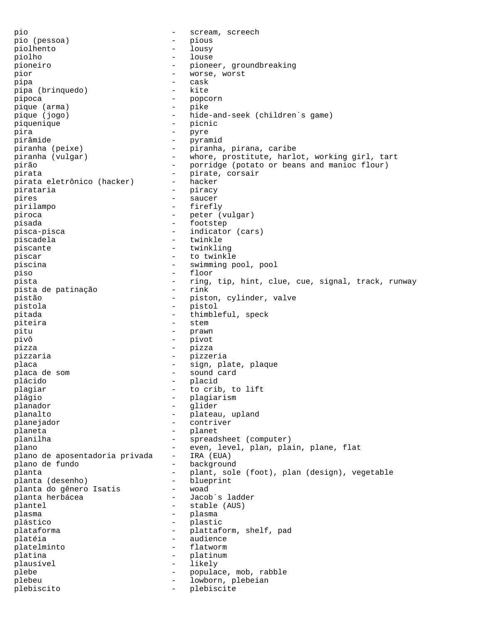pio - scream, screech pio (pessoa) - pious piolhento - lousy piolho - louse pioneiro - pioneer, groundbreaking pior - worse, worst pipa - cask pipa (brinquedo) pipoca - popcorn pique (arma) - pike pique (jogo) - hide-and-seek (children´s game) piquenique  $\qquad -$  picnic pira - pyre pirâmide - pyramid piranha (peixe) - piranha, pirana, caribe piranha (vulgar) - whore, prostitute, harlot, working girl, tart pirão - porridge (potato or beans and manioc flour)<br>pirata - pirate corsair pirata<br>
pirata eletrônico (hacker) - hacker<br>
- hacker pirata eletrônico (hacker) -<br>pirataria pirataria - piracy pires - saucer pirilampo - firefly piroca - peter (vulgar) pisada - footstep pisca-pisca  $-$  indicator (cars) piscadela - twinkle piscante  $-$  twinkling piscar - to twinkle piscina - swimming pool, pool piso - floor pista - ring, tip, hint, clue, cue, signal, track, runway<br>pista de patinacão - rink pista de patinação pistão - piston, cylinder, valve pistola - pistol pitada  $-$  thimbleful, speck -<br>piteira - stem pitu - prawn pivô - pivot pizza - pizza pizzaria - pizzeria placa  $\qquad \qquad -$  sign, plate, plaque -<br>placa de som - sound card plácido - placid plagiar  $-$  to crib, to lift plágio - plagiarism planador - glider planalto - plateau, upland<br>
planeiador - contriver planejador - contriver planeta - planet planilha - spreadsheet (computer)<br>plano - even.level.plan.plan plano<br>plano de aposentadoria privada - IRA (EUA)<br>plano de aposentadoria privada - IRA (EUA) plano de aposentadoria privada plano de fundo  $-$  background planta  $-$  plant, sole (foot), plan (design), vegetable planta (desembo)  $-$  blueprint planta (desenho) bluep<br>planta do qênero Isatis woad planta do gênero Isatis -<br>planta herbácea planta herbácea - - Jacob´s ladder plantel - stable (AUS) plasma - plasma plástico - plastic plataforma - plattaform, shelf, pad platéia  $-$  audience platelminto - flatworm platina  $-\qquad -\qquad$ platinum plausível - likely plebe  $\qquad \qquad -$  populace, mob, rabble plebeu - lowborn, plebeian plebiscito - plebiscite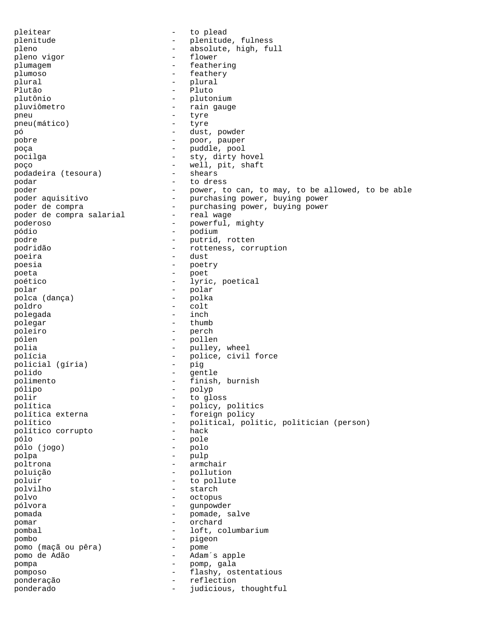pleitear - to plead plenitude - plenitude, fulness pleno  $-$  absolute, high, full pleno vigor  $-$  flower pleno vigor plumagem entry the feathering plumoso - feathery<br>plural - plural - plural plural - plural - plural Plutão - Pluto plutônio - plutonium pluviômetro  $-$  rain gauge pneu - tyre pneu(mático) pó - dust, powder pobre - poor, pauper poça - puddle, pool pocilga - sty, dirty hovel pocing<br>poço - well, pit, shaft podadeira (tesoura) - shears podar - to dress poder<br>poder aquisitivo - power, to can, to may, to be allowed, to be able<br>poder aquisitivo - purchasing power, buying power - purchasing power, buying power poder de compra<br>poder de compra salarial - purchasing power, buying power<br>real wage poder de compra salarial poderoso - powerful, mighty pódio - podium podre - putrid, rotten podridão  $-$  rotteness, corruption poeira - dust poesia - poetry poeta - poet poético  $-$  lyric, poetical polar - polar polca (dança) - polka poldro - colt polegada polegar - thumb poleiro - perch pólen - pollen polia - pulley, wheel polícia - police, civil force policial (gíria) - pig polido - gentle polimento - finish, burnish pólipo - polyp polir  $-$  to gloss política  $-$  policy, politics política externa  $-$  foreign policy político - political, politic, politician (person)<br>
- hack<br>
- hack político corrupto pólo - pole pólo (jogo) - polo polpa - pulp poltrona - armchair poluição - pollution - pollution<br>poluir - to pollution poluir  $-$  to pollute polvilho - starch polvo - octopus pólvora - gunpowder pomada - pomade, salve pomar - orchard - orchard pombal - loft, columbarium pombo - pigeon pomo (maçã ou pêra) pomo de Adão  $-$  Adam´s apple pompa - pomp, gala pomposo - flashy, ostentatious ponderação  $-$  reflection<br>ponderado  $-$  judicious ponderado - judicious, thoughtful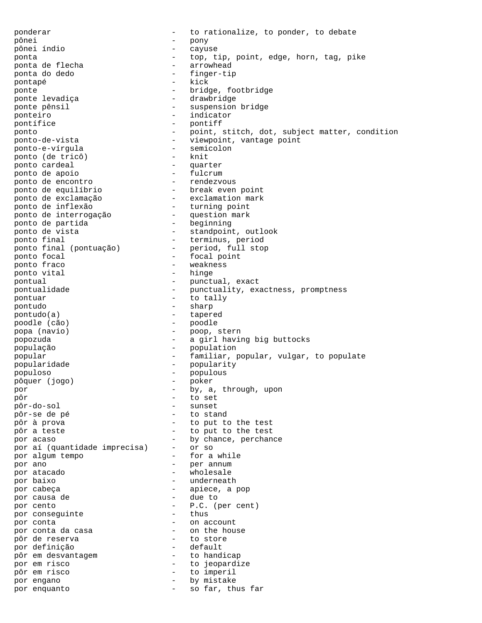ponderar  $-$  to rationalize, to ponder, to debate pônei - pony pônei índio - cayuse ponta - top, tip, point, edge, horn, tag, pike ponta de flecha ponta do dedo - finger-tip pontapé ponte  $\begin{array}{ccc} 1 & - & - & - \end{array}$  bridge, footbridge ponte levadiça - drawbridge ponte pênsil  $-$  suspension bridge ponteiro  $-$  indicator<br>pontífice  $-$  pontiff - pontiff ponto - point, stitch, dot, subject matter, condition ponto-de-vista - viewpoint, vantage point ponto-e-vírgula - semicolon ponto (de tricô) and the service of the service of the service of the service of the service of the service of the service of the service of the service of the service of the service of the service of the service of the se ponto cardeal - quarter ponto de apoio - fulcrum ponto de encontro - rendezvous ponto de equilíbrio - break even point ponto de exclamação - exclamation mark ponto de inflexão - turning point ponto de interrogação - question mark ponto de partida - beginning ponto de vista  $-$  standpoint, outlook ponto final  $-$  terminus, period ponto final (pontuação) - period, full stop ponto focal and the set of the focal point ponto fraco  $-$  weakness bonto vital  $-$  hinge ponto vital pontual  $\qquad \qquad -$  punctual, exact -<br>pontualidade - punctuality, exactness, promptness pontuar  $-$  to tally pontudo - sharp pontudo(a) - tapered poodle (cão) popa (navio) - poop, stern popozuda - a girl having big buttocks população - population popular - familiar, popular, vulgar, to populate popularidade - popularity populoso - populous pôquer (jogo) - poker por  $-$  by, a, through, upon pôr - to set pôr-do-sol<br>pôr-se de pé - to stand pôr à prova - to put to the test pôr a teste  $\begin{array}{ccc} 1 & - & + \end{array}$  to put to the test por acaso  $\begin{array}{ccc} - & + \end{array}$  by chance, perchan - by chance, perchance<br>- or so por aí (quantidade imprecisa) por algum tempo - for a while por ano  $\overline{p}$  - per annum  $\overline{p}$  - per annum  $\overline{p}$  - wholesale por atacado  $-$  wholesale por baixo - underneath por cabeça  $-$  apiece, a pop por causa de  $-$  due to por causa de por cento - P.C. (per cent)<br>por consequinte - thus por conseguinte por conta<br>
por conta da casa<br>
por conta da casa<br>
por conta da casa<br>
por conta da casa<br>
por conta da casa<br>
por conta da casa<br>
por conta da casa<br>
por conta da casa<br>
por conta da casa<br>
por conta da casa<br>
por conta da casa<br>
po por conta da casa  $\overline{p}$  - on the house of the house of the house of the house of the house of the house of the house of the house of the house of the house of the house of the house of the house of the house of the hous pôr de reserva - to store por definição por acrimiças<br>pôr em desvantagem  $-$  to handicap por em risco<br>
pôr em risco<br>
en la de la de la depardize<br>
pôr em risco<br>
en la de la de la de la de la de la de la de la de la de la de la de la de la de la de la de la de la de la de la de la de la de la de la de la de la d pôr em risco - to imperil por engano  $-$  by mistake por enquanto  $-$  so far, thus far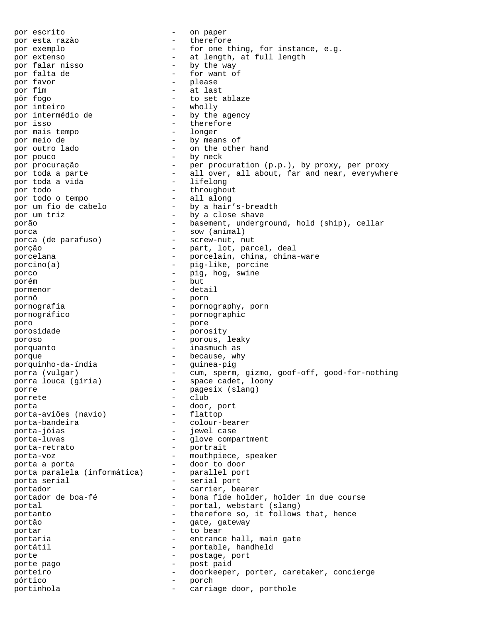por escrito  $-$  on paper por esta razão  $-$  therefore por exemplo  $-$  for one thing, for instance, e.g. por extenso<br>
por falar nisso<br>  $\begin{array}{ccc}\n-\end{array}$  at length, at full length<br>
por falar nisso<br>  $\begin{array}{ccc}\n-\end{array}$  by the way - by the way por falta de  $\qquad \qquad -$  for want of por favor por favor  $\qquad$  - please  $\qquad$  - please  $\qquad$  - at last por fim  $\frac{1}{2}$  - at last pôr fogo - to set ablaze<br>- wholly por inteiro<br>por intermédio de por intermédio de  $-$  by the agency<br>por isso  $-$  therefore - therefore<br>- longer por mais tempo por meio de  $-$  by means of por outro lado por outro lado  $-$  on the other hand por pouco - by neck por procuração - per procuration (p.p.), by proxy, per proxy por toda a parte - all over, all about, far and near, everywhere por toda a vida - lifelong<br>por todo - throughou - throughout<br>- all along por todo o tempo<br>por um fio de cabelo - by a hair's-breadth por um triz  $-$  by a close shave porão - basement, underground, hold (ship), cellar porca - sow (animal) porca (de parafuso) - screw-nut, nut porção - part, lot, parcel, deal porcelana - porcelain, china, china-ware - porcelain, china, china-ware porcino(a) - pig-like, porcine porco - pig, hog, swine porém – but<br>pormenor – detail pormenor pornô - porn pornografia - pornography, porn pornográfico - pornographic poro - pore porosidade - porosity poroso - porous, leaky porquanto - inasmuch as porque  $\qquad$  - because, why porquinho-da-índia - guinea-pig porra (vulgar) - cum, sperm, gizmo, goof-off, good-for-nothing porra louca (gíria) - space cadet, loony porre – pagesix (slang)<br>porrete – club porrete - club porta<br>
porta-aviões (navio) - door, port<br>
- flattop porta-aviões (navio)<br>porta-bandeira porta-bandeira - colour-bearer porta-jóias - jewel case - glove compartment porta-retrato - portrait porta-voz - mouthpiece, speaker porta a porta<br>porta paralela (informática) - parallel port porta paralela (informática) -<br>porta serial porta serial  $\overline{a}$  - serial port<br>nortador - carrier be portador - carrier, bearer - bona fide holder, holder in due course portal  $\qquad \qquad -$  portal, webstart (slang) portanto - therefore so, it follows that, hence portão  $-$  gate, gateway portar - to bear portaria  $-$  entrance hall, main gate portátil  $-$  portable, handheld porte  $\qquad \qquad -$  postage, port<br>porte pago  $\qquad \qquad -$  nost paid porte pago - post paid porteiro - doorkeeper, porter, caretaker, concierge pórtico - porch portinhola  $\qquad \qquad -$  carriage door, porthole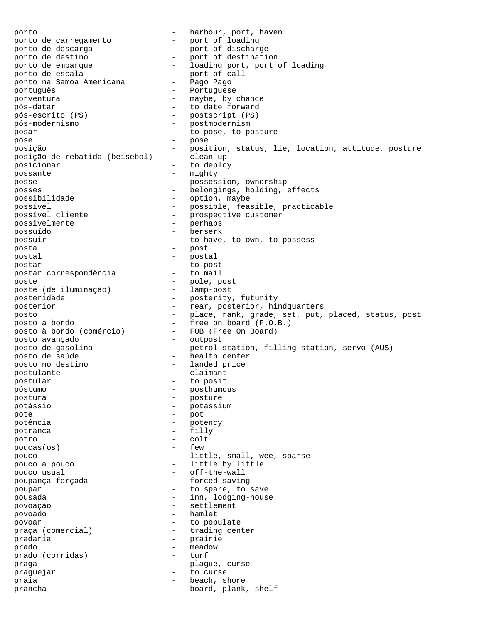porto - harbour, port, haven porto de carregamento<br>porto de descarga porto de descarga - port of discharge porto de destino - port of destination porto de embarque - loading port, port of loading porto de escala<br>
porto na Samoa Americana - Pago Pago porto na Samoa Americana -<br>português - Portuguese porventura  $\begin{array}{ccc}\n\text{power} & \text{power} \\
\text{power} & \text{power} \\
\text{power} & \text{power} \\
\text{power} & \text{power} \\
\text{power} & \text{power} \\
\text{power} & \text{power} \\
\text{power} & \text{power} \\
\text{power} & \text{power} \\
\text{power} & \text{water} \\
\text{power} & \text{water} \\
\text{power} & \text{water} \\
\text{power} & \text{water} \\
\text{power} & \text{water} \\
\text{power} & \text{water} \\
\text{power} & \text{water} \\
\text{power} & \text{water} \\
\text{power} & \text{water$ - to date forward pós-escrito (PS) - postscript (PS)<br>pós-modernismo - postmodernism - postmodernism posar  $-$  to pose, to posture pose - pose posição - position, status, lie, location, attitude, posture posição de rebatida (beisebol) - clean-up posicionar  $-$  to deploy possante - mighty<br>posse - mosses posse - possession, ownership posses<br>possibilidade - belongings, holding, effects<br>possibilidade - option, maybe - option, maybe possível - possible, feasible, practicable possível cliente  $\qquad \qquad -$  prospective customer<br>possivelmente  $\qquad \qquad -$  perhaps possivelmente possuído - berserk possuir - to have, to own, to possess posta - post postal - postal - postal postar - to post postar correspondência poste<br>
poste (de iluminação) - pole, post<br>
- lamp-post poste (de iluminação) posteridade - posterity, futurity -<br>posterior - rear, posterior, hindquarters posto - place, rank, grade, set, put, placed, status, post posto a bordo  $-$  free on board (F.O.B.) posto à bordo (comércio) - FOB (Free On Board) posto avançado - outpost posto de gasolina - petrol station, filling-station, servo (AUS) posto de saúde - health center posto no destino  $-$  landed price postulante - claimant postular - to posit póstumo - posthumous postura - posture potássio - potassium pote - pot potência - potency potranca - filly potro - colt  $poucas$  (os) pouco - little, small, wee, sparse pouco a pouco  $\qquad \qquad -$  little by little pouco usual  $\qquad \qquad -$  off-the-wall poupança forçada  $\qquad \qquad -$  forced saving poupar  $-$  to spare, to save pousada  $-$  inn, lodging-house povoação - settlement povoado - hamlet povoar - to populate praça (comercial) - trading center pradaria en la prairie prado  $-$  meadow  $-$  meadow prado (corridas) - turf praga - plague, curse praguejar - to curse praia  $-$  beach, shore prancha - board, plank, shelf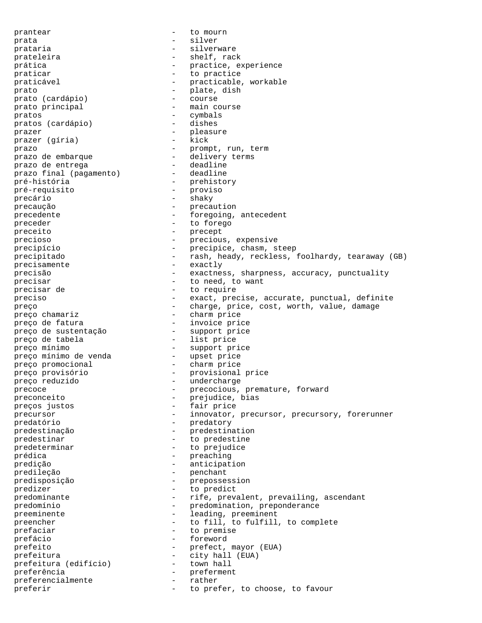prantear - to mourn prata  $-$  silver prataria  $-$  silverware prateleira - shelf, rack prática - practice, experience praticar and to practice praticável - practicable, workable prato  $-$  plate, dish  $-$  plate, dish  $-$  course prato (cardápio) prato principal  $-$  main course pratos<br>
pratos (cardápio) - cymbals<br>
- dishes pratos (cardápio) prazer - pleasure prazer (gíria) prazo - prompt, run, term prazo de embarque - delivery terms -<br>prazo de entrega deadline<br>prazo final (pagamento) deadline prazo final (pagamento) pré-história - prehistory pré-requisito -<br>precário - shaky precaução - precaution precedente - foregoing, antecedent preceder  $-$  to forego preceito - precept precioso - precious, expensive precipício - precipice, chasm, steep precipitado - rash, heady, reckless, foolhardy, tearaway (GB) precisamente - exactly precisão - exactness, sharpness, accuracy, punctuality precisar  $-$  to need, to want precisar de  $-$  to require preciso - exact, precise, accurate, punctual, definite preço  $-$  charge, price, cost, worth, value, damage preço chamariz - charm price<br>preço de fatura - invoice pri - invoice price<br>- support price preço de sustentação  $-$  support price price entre de tabela preço de tabela preço mínimo - support price preço mínimo de venda preço promocional  $\qquad -$  charm price preço provisório - provisional price preço reduzido - undercharge precoce - precocious, premature, forward<br>preconceito - predudice bias preconceito - prejudice, bias -<br>preços justos - fair price precursor - innovator, precursor, precursory, forerunner predatório - predatory predestinação - predestination predestinar  $-$  to predestine predeterminar - to prejudice prédica - preaching predição - anticipation predileção - penchant predisposição - prepossession predizer - to predict predominante and the rife, prevalent, prevailing, ascendant predomínio - predomination, preponderance preeminente - leading, preeminent preencher - to fill, to fulfill, to complete prefaciar - to premise prefácio  $-$  foreword prefeito - prefect, mayor (EUA)<br>prefeitura - city hall (EUA) prefeitura<br>prefeitura (edifício) - city hall (EUA)<br>- town hall prefeitura (edifício) -<br>preferência preferência - preferment preferencialmente - rather preferir  $-$  to prefer, to choose, to favour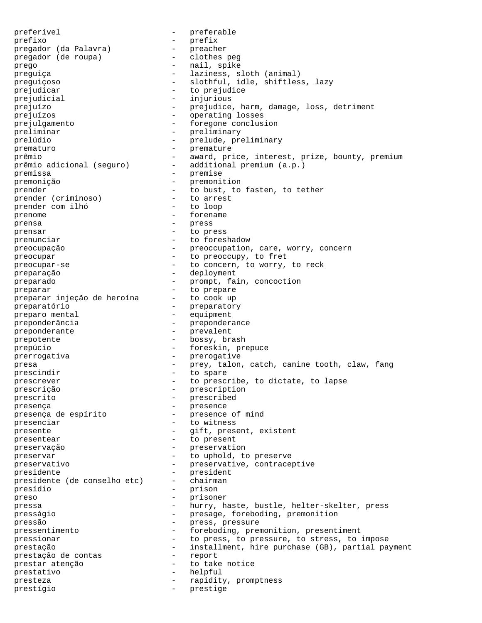preferível - preferable prefixo - prefix<br>pregador (da Palavra) - preacher<br>pregador (de roupa) - clothes peg pregador (da Palavra) pregador (de roupa) prego - nail, spike preguiça - laziness, sloth (animal) preguiçoso - slothful, idle, shiftless, lazy prejudicar entry to prejudice prejudicial  $-$  injurious prejuízo - prejudice, harm, damage, loss, detriment prejuízos - operating losses prejulgamento - foregone conclusion preliminar - preliminary prelúdio  $\begin{array}{ccc} - &$  prelude, preliminary<br>prematuro  $\overline{\phantom{a}} & - &$  premature prematuro - premature prêmio - award, price, interest, prize, bounty, premium prêmio adicional (seguro) - additional premium (a.p.) premissa - premise premonição  $-$  premonition<br>premonentes de la premonition<br> $-$  to bust to prender<br>prender (criminoso) - to bust, to fasten, to tether<br>prender (criminoso) - to arrest prender (criminoso) - to arrest - to arrest prender computation in the set of the set of the set of the set of the set of the set of the set of the set of the set of the set of the set of the set of the set of the set of t prender com ilhó -<br>prenome - forename prensa - press prensar - to press prenunciar  $-$  to foreshadow preocupação - preoccupation, care, worry, concern preocupar - to preoccupy, to fret preocupar-se - to concern, to worry, to reck preparação - deployment preparado  $-$  prompt, fain, concoction preparar<br>preparar injeção de heroína - to cook up preparar injeção de heroína preparatório - preparatory preparo mental and the component of the equipment preponderância - preponderance<br>preponderante - prevalent preponderante - prevalent prepotente  $\overline{\phantom{0}}$  - bossy, brash prepúcio - foreskin, prepuce prerrogativa - prerogative<br>presa - prevision presa  $-$  prey, talon, catch, canine tooth, claw, fang prescindir  $-$  to spare prescrever  $-$  to prescribe, to dictate, to lapse prescrição - prescription prescrito - prescribed presença<br>presença de espírito  $\begin{array}{cccc} - \\ - \\ - \end{array}$  presence of mind presença de espírito presenciar  $-$  to witness presente  $-$  gift, present, existent presentear extending to present preservação - preservation - preservation<br>preservar - ho unhold to preservar  $-$  to uphold, to preserve preservativo - preservative, contraceptive<br>
presidente - president presidente - president presidente (de conselho etc) - chairman presídio - prison preso - prisoner pressa - hurry, haste, bustle, helter-skelter, press presságio  $-$  presage, foreboding, premonition<br>pressão  $-$  press, pressure pressão - press, pressure pressentimento - foreboding, premonition, presentiment pressionar extending the press, to pressure, to stress, to impose prestação  $-$  installment, hire purchase (GB), partial payment prestação de contas  $\begin{array}{ccc} - &$  report<br>prestar atenção  $\begin{array}{ccc} - & & \\ - & & + \sqrt{1 - \frac{1}{2}} \\ \end{array}$ prestar atenção - to take notice prestativo - helpful presteza - rapidity, promptness prestígio - prestige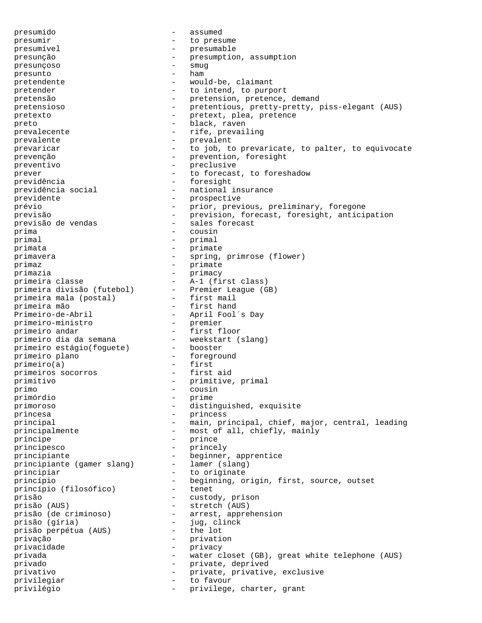presumido - assumed presumir  $-$  to presume presumível - presumable presunção - presumption, assumption presunçoso - smug presunto pretendente  $\qquad \qquad -$  would-be, claimant pretender  $-$  to intend, to purport pretensão  $-$  pretension, pretence, demand pretensioso - pretentious, pretty-pretty, piss-elegant (AUS) pretexto - pretext, plea, pretence -<br>preto - black, raven prevalecente - rife, prevailing prevalente - prevalent prevaricar - to job, to prevaricate, to palter, to equivocate prevenção - prevention, foresight preventivo - preclusive prever  $\qquad \qquad -$  to forecast, to foreshadow previdência en extreme de la previdência de la presight de la presight de la presight de la provincia de la pr previdência social  $-$  national insurance previdente  $-$  prospective prévio - prior, previous, preliminary, foregone previsão  $-$  prevision, forecast, foresight, anticipation -<br>previsão de vendas - sales forecast -<br>prima - cousin primal the primal term of the primal states of the primal states of the primal states of the states of the states of the states of the states of the states of the states of the states of the states of the states of the sta primata - primate primavera - spring, primrose (flower) primaz - primate primazia - primacy primeira classe - A-1 (first class) primeira divisão (futebol) - Premier League (GB) primeira mala (postal) - first mail primeira mão - first hand Primeiro-de-Abril - April Fool´s Day<br>primeiro-ministro - premier primeiro-ministro - premier<br>primeiro andar - first floor<br>primeiro dia da semana - veekstart (slang) primeiro andar - first floor primeiro dia da semana - weekstart (slang) primeiro estágio(foguete) - booster primeiro plano - foreground primeiro(a) - first<br>primeiros socorros - first aid primeiros socorros primitivo - primitive, primal<br>primo - cousin primo - cousin primórdio - prime primoroso - distinguished, exquisite princesa - princess principal - main, principal, chief, major, central, leading principalmente - most of all, chiefly, mainly príncipe - prince principesco - princely principesco<br>principiante (gamer slang) - beginner, apprentice<br>principiante (gamer slang) - lamer (slang) principiante (gamer slang) principiar  $\overline{a}$  - to originate princípio - beginning, origin, first, source, outset princípio (filosófico) prisão - custody, prison prisão (AUS) - stretch (AUS) prisão (de criminoso) - arrest, apprehension prisão (gíria) - jug, clinck prisão perpétua (AUS) privação - privation privacidade - privacy privada - water closet (GB), great white telephone (AUS) privado - private, deprived privativo - private, privative, exclusive privilegiar - to favour<br>privilégio privilégio - privilege, charter, grant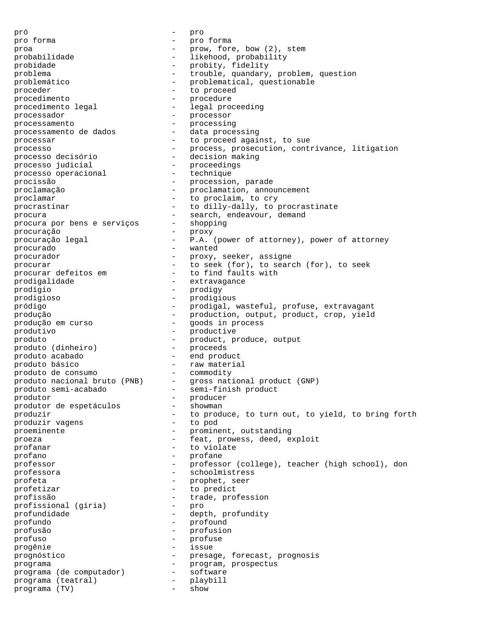pró - pro pro forma  $\begin{array}{ccc} - & - & - \\ - & - & - \end{array}$  pro forma  $\begin{array}{ccc} - & - & - \end{array}$  prove forma  $\begin{array}{ccc} - & - & - \end{array}$ proa - prow, fore, bow (2), stem probabilidade - - likehood, probability probidade - probity, fidelity problema - trouble, quandary, problem, question problemático  $\qquad \qquad -$  problematical, questionable proceder extending to proceed to proceed procedimento<br>procedimento legal  $\qquad \qquad -$  legal procedure - legal proceeding processador - processor Processamento<br>
processamento de dados<br>
- data processing<br>
- data processing processamento de dados processar  $-$  to proceed against, to sue processo - process, prosecution, contrivance, litigation processo decisório - decision making processo judicial - proceedings<br>processo operacional - proceedings<br>- technique processo operacional procissão - procession, parade proclamação - proclamation, announcement proclamar - to proclaim, to cry procrastinar  $-$  to dilly-dally, to procrastinate procura<br>procura por bens e serviços - shopping<br>- shopping procura por bens e serviços procuração - proxy procuração legal - P.A. (power of attorney), power of attorney procurado - wanted procurador - proxy, seeker, assigne procurar - to seek (for), to search (for), to seek -<br>procurar defeitos em - to find faults with -<br>prodigalidade - extravagance prodígio - prodigy prodigioso - prodigious pródigo - prodigal, wasteful, profuse, extravagant produção - production, output, product, crop, yield -<br>produção em curso - goods in process produtivo - productive produto  $\qquad \qquad -$  product, produce, output produto (dinheiro) produto (dinheiro) - proceeds<br>produto acabado - end product produto básico - raw material produto de consumo produto nacional bruto (PNB) - gross national product (GNP) produto semi-acabado - semi-finish product -<br>produtor de espetáculos - producer<br>produtor de espetáculos - showman produtor de espetáculos - showman produzir<br>
produzir vagens<br>
- to pod<br>
- to pod<br>
- to pod produzir vagens proeminente - prominent, outstanding proeza - feat, prowess, deed, exploit profanar - to violate profano - profane professor - professor (college), teacher (high school), don professora - schoolmistress profeta - prophet, seer profetizar  $-$  to predict profissão - trade, profession<br>profissional (gíria) - pro profissional (gíria) profundidade - depth, profundity profundo - profound profusão - profusion profuso - profuse progênie - issue prognóstico - presage, forecast, prognosis<br>programa - program, prospectus<br>program, integrative - program, prospectus programa - program, prospectus programa (de computador) - software programa (teatral) - playbill programa (de computador) - soft<br>programa (teatral) - play<br>programa (TV) - show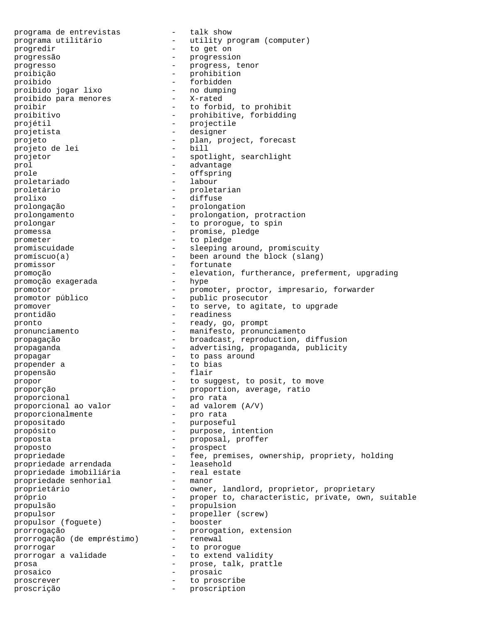programa de entrevistas - talk show programa utilitário - utility program (computer) progredir  $-$  to get on progressão - progression progresso - progress, tenor proibição - prohibition proibido - forbidden proibido jogar lixo - no dumping<br>proibido para menores - X-rated proibido para menores proibir - to forbid, to prohibit proibitivo - prohibitive, forbidding projétil - projectile projetista  $-$  designer projeto - plan, project, forecast projeto de lei projetor - spotlight, searchlight prol - advantage prole  $\qquad \qquad$  - offspring -<br>proletariado - labour proletário - proletarian prolixo - diffuse prolongação - prolongation prolongamento - prolongation, protraction prolongamento<br>
prolongar - to prorogue, to spin<br>  $\frac{1}{2}$  - to prorogue, to spin promessa - promise, pledge prometer - to pledge promiscuidade - - sleeping around, promiscuity promíscuo(a) - been around the block (slang) promissor  $-$  fortunate promoção - elevation, furtherance, preferment, upgrading<br>promoção exagerada - hype promoção exagerada promotor - promoter, proctor, impresario, forwarder promotor público - public prosecutor promover **come contract to serve, to agitate, to upgrade** -<br>prontidão - readiness pronto - ready, go, prompt pronunciamento - manifesto, pronunciamento propagação - broadcast, reproduction, diffusion propaganda - advertising, propaganda, publicity propagar - to pass around propender a  $\qquad \qquad$  - to bias propensão  $\qquad \qquad$  - flair propensão propor  $-$  to suggest, to posit, to move proporção - proportion, average, ratio proporcional and the profile of the profile profile of  $\sim$ proporcional ao valor  $-$  ad valorem proporcionalmente  $-$  pro rata proporcionalmente propositado - purposeful propósito - purpose, intention proposta  $\frac{1}{2}$  - proposal, proffer proposto - prospect propriedade - fee, premises, ownership, propriety, holding propriedade arrendada - leasehold nde imobiliária (1992)<br>propriedade senhorial (1994) - manor propriedade senhorial -<br>proprietário proprietário - owner, landlord, proprietor, proprietary próprio - proper to, characteristic, private, own, suitable propulsão - propulsion propulsor<br>propulsor (foquete) - propeller (screw)<br>- booster propulsor (foguete) prorrogação - prorogation, extension<br>prorrogação (de empréstimo) - renewal prorrogação (de empréstimo) prorrogar extended to prorogue prorrogar a validade - to extend validity prosa - prose, talk, prattle<br>prosaico - prosaic prosaico - prosaic proscrever  $-$  to proscribe proscrição - proscription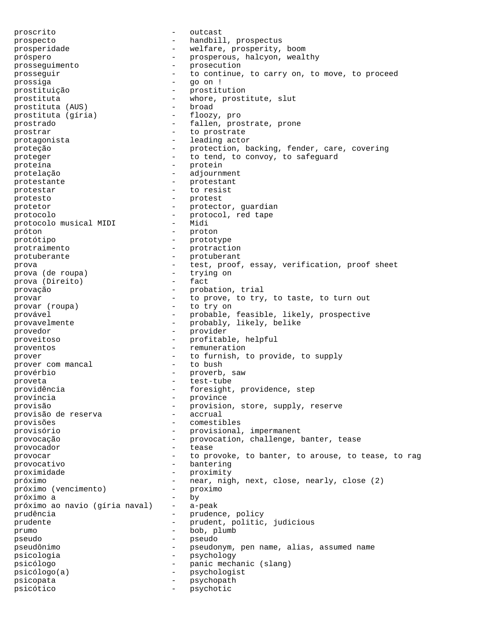proscrito - outcast prospecto - handbill, prospectus prosperidade - welfare, prosperity, boom próspero - prosperous, halcyon, wealthy - prosperous, halcyon, wealthy prosseguimento  $\begin{array}{ccc}\n & & \text{prosections,} \\
\text{prosection} & & -\text{prosection} \\
\end{array}$ prosseguir  $-$  to continue, to carry on, to move, to proceed prossiga - go on ! prostituição - prostitution prostituta  $(ANS)$  - whore, prostitute, slut prostituta  $(A\text{US})$  - broad prostituta (AUS) - broad<br>prostituta (gíria) - floozy, pro prostituta (gíria) prostrado - fallen, prostrate, prone prostrar  $-$  to prostrate protagonista - leading actor proteção - protection, backing, fender, care, covering proteger  $\qquad \qquad \qquad -$  to tend, to convoy, to safeguard proteína - protein protelação - adjournment protestante - protestant protestar - to resist protesto - protest protetor - protector, guardian<br>
protector - protector, guardian<br>
- protector, guardian protocolo  $-$  protocol, red tape<br>nectocolo musical MIDI  $-$  Midi protocolo musical MIDI próton - proton protótipo - prototype protraimento - prototype<br>
protuberante - protraction<br>  $\frac{1}{2}$  - prototype protuberante  $\rho$  protuberante  $\rho$  protuberant<br>prova prova  $-$  test, proof, essay, verification, proof sheet<br>prova (de roupa)  $-$  trying on prova (de roupa) - trying prova (Direito) - fact prova (Direito) provação  $-$  probation, trial<br>provar  $-$  to prove to try provar  $(1)$  - to prove, to try, to taste, to turn out provar (roupa) - to try on - to try on provável - probable, feasible, likely, prospective provavelmente - probably, likely, belike -<br>provedor - provider proveitoso - profitable, helpful proventos - remuneration<br>prover - remuneration<br>- remuneration<br>- remuneration prover com mancal  $-$  to furnish, to provide, to supply<br>prover com mancal  $-$  to bush prover com mancal provérbio - proverb, saw proveta - test-tube providência en entre en la providence, step província - province provisão - provision, store, supply, reserve provisão de reserva - accrual provisões - comestibles provisório - provisional, impermanent provocação  $-$  provocation, challenge, banter, tease provocador - tease provocar **-** to provoke, to banter, to arouse, to tease, to rag provocativo - bantering proximidade - proximity próximo - near, nigh, next, close, nearly, close (2) próximo (vencimento) - proximo próximo a - by próximo ao navio (gíria naval) - a-peak prudência - prudence, policy prudente - prudent, politic, judicious prumo - bob, plumb pseudo - pseudo pseudônimo - pseudonym, pen name, alias, assumed name psicologia - psychology psicólogo - panic mechanic (slang) psicólogo(a) - psychologist psicopata - psychopath psicótico - psychotic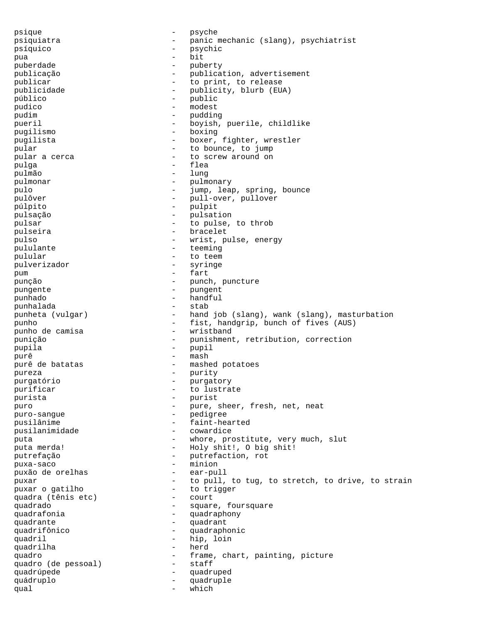psique  $-$  psyche psiquiatra - panic mechanic (slang), psychiatrist psíquico - psychic pua - bit puberdade - puberty publicação - publication, advertisement publicar  $-$  to print, to release publicidade - publicity, blurb (EUA) público - public pudico - modest pudim - pudding pueril - boyish, puerile, childlike pugilismo - boxing pugilista - boxer, fighter, wrestler pular  $-$  to bounce, to jump pular a cerca  $\qquad \qquad$  - to screw around on pulga - flea pulmão - lungurar e lungurar e lungurar e lungurar e lungurar e lungurar e lungurar e lungurar e lungurar e lu<br>Lungurar e lungurar e lungurar e lungurar e lungurar e lungurar e lungurar e lungurar e lungurar e lungurar e pulmonar  $-$  pulmonary pulo  $-$  jump, leap, spring, bounce pulôver - pull-over, pullover púlpito - pulpit pulsação - pulsation pulsar - to pulse, to throb pulseira  $-$  bracelet pulso - wrist, pulse, energy pululante  $-$  teeming pulular - to teem pulverizador - syringer - syringer - syringer - syringer - syringer - syringer pum - fart punção - punch, puncture pungente  $-$  pungent punhado - handful punhalada punheta (vulgar) - hand job (slang), wank (slang), masturbation punho  $\alpha$  - fist, handgrip, bunch of fives (AUS) bunch de camisa punho de camisa punição - punishment, retribution, correction pupila - pupil purê di nash di nash di nash di nash di nash di nash di nash di nash di nash di nash di nash di nash di nash<br>Di nash di nash di nash di nash di nash di nash di nash di nash di nash di nash di nash di nash di nash di nas purê de batatas  $\qquad \qquad -$  mashed potatoes pureza - purity purgatório - purgatory purificar  $-$  to lustrate purista - purist puro - pure, sheer, fresh, net, neat puro-sangue - pedigree - faint-hearted pusilanimidade - cowardice puta  $-$  whore, prostitute, very much, slut puta merda! - Holy shit!, O big shit! putrefação - putrefaction, rot puxa-saco - minion puxão de orelhas  $\qquad -$  ear-pull puxar external to pull, to tug, to stretch, to drive, to strain puxar o gatilho - to trigger quadra (tênis etc) quadrado - square, foursquare<br>quadrafonia - squadraphony - quadraphony quadrante quadrant quadrifônico - quadraphonic quadril - hip, loin<br>
muadrilha - herd<br>
- herd quadrilha quadro (de pessoal) - frame, chart, painting, picture<br>quadro (de pessoal) - staff quadro (de pessoal) - staff quadrúpede - quadruped quádruplo - quadruple qual  $-$  which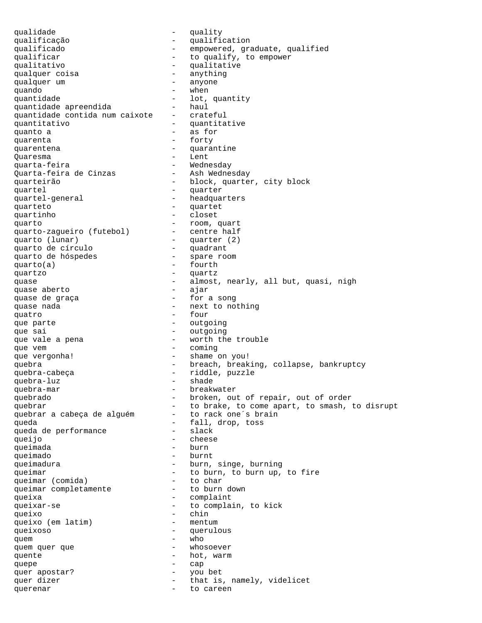qualidade - quality qualificação - qualification qualificado  $-$  empowered, graduate, qualified qualificar  $\qquad \qquad -$  to qualify, to empower -<br>qualitativo - qualitative<br>qualquer coisa - anything qualquer coisa - anything qualquer um quando - when quantidade  $\begin{array}{ccc} - & \text{lot, quantity} \\ - & \text{haul} \end{array}$ quantidade apreendida quantidade contida num caixote - crateful quantitativo - quantitative quanto a  $\qquad \qquad -$  as for quarenta  $-$  forty quarentena  $\qquad \qquad -$  quarantine Quaresma - Lent quarta-feira<br>Quarta-feira de Cinzas Ash Wednesday Quarta-feira de Cinzas quarteirão  $-$  block, quarter, city block quartel - quarter - headquarters quarteto quartet quartet quartinho - closet<br>quarto - closet<br>- room, quart quarto  $\sim$  - room, quart quarto-zagueiro (futebol) - centre half quarto (lunar) - quarter (2) quarto de círculo - quadrant quarto de hóspedes quarto(a) - fourth quartzo - quartz quase  $\frac{1}{2}$  - almost, nearly, all but, quasi, nigh quase aberto quase aberto quase de graça  $\sim$  - for a song quase nada<br>
- next to nothing quatro - four que parte  $\qquad \qquad -$  outgoing que sai  $\qquad \qquad -$  outgoing que vale a pena  $\overline{a}$  - worth the trouble que vem  $\qquad -$  coming que vergonha! - shame on you! quebra - breach, breaking, collapse, bankruptcy quebra-cabeça - riddle, puzzle quebra-luz quebra-mar - breakwater quebrado  $-$  broken, out of repair, out of order quebrar<br>quebrar a cabeça de alguém to brake, to come apart, to smash, to disrupt<br>quebrar a cabeça de alguém to rack one's brain quebrar a cabeça de alguém queda - fall, drop, toss queda de performance queijo - cheese queimada burn - burn queimado - burnt queimadura - burn, singe, burning queimar<br>queimar (comida) - to burn, to burn up, to fire<br>to char<br>to char queimar (comida) - to char<br>queimar completamente - to burn down queimar completamente queixa - complaint queixar-se  $-$  to complain, to kick queixo<br>queixo (em latim) - chin<br>- mentum queixo (em latim) queixoso - querulous quem<br>
quem quer que<br>
quem quer que<br>  $\frac{1}{2}$  and  $\frac{1}{2}$  and  $\frac{1}{2}$  whosoever quem quer que quente - hot, warm quepe - cap quer apostar?  $-$  you bet quer dizer  $-$  that is, namely, videlicet querenar  $-$  to careen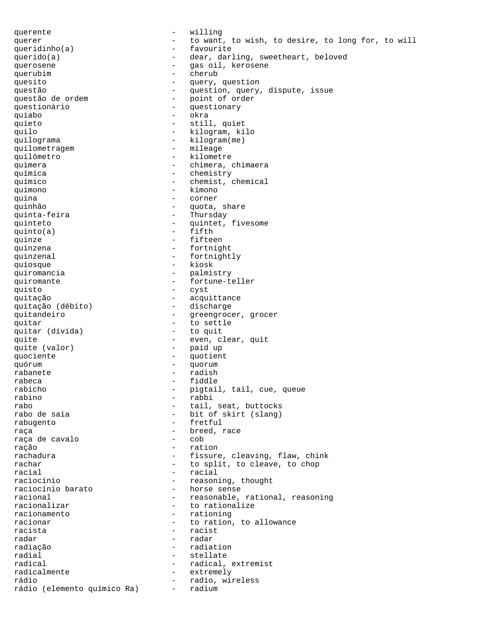querente  $-$  willing querer  $-$  to want, to wish, to desire, to long for, to will queridinho(a) - favourite querido(a) - dear, darling, sweetheart, beloved querosene  $\qquad \qquad \qquad -$  gas oil, kerosene querubim - cherub quesito  $-$  query, question questão  $-$  question, query, dispute, issue<br>questão de ordem  $-$  point of order - point of order<br>- questionary questionário - questionary quiabo - okra quieto - still, quiet quilo - kilogram, kilo quilograma  $-$  kilogram(me) quilometragem - mileage quilômetro - kilometre quimera  $-$  chimera, chimaera química - chemistry químico - chemist, chemical quimono - kimono quina - corner quinhão  $-$  quota, share quinta-feira - Thursday quinteto - quintet, fivesome<br>quinto(a) - fifth  $quinto(a)$ quinze  $-$  fifteen quinzena  $-$  fortnight quinzenal  $\qquad \qquad -$  fortnightly quiosque - kiosk quiromancia  $-$  palmistry quiromante  $-$  fortune-teller quisto - cyst quitação - acquittance quitação (débito) quitandeiro  $-$  greengrocer, grocer quitar<br>
quitar (dívida) - to settle<br>
- to quit quitar (dívida) quite  $\qquad \qquad -$  even, clear, quit quite (valor) - paid up<br>quociente - quotien quociente - quotient quórum - quorum rabanete - radish rabeca - fiddle rabicho - pigtail, tail, cue, queue rabino - rabbi rabo - tail, seat, buttocks<br>rabo de saia - hit of skirt (slang) - bit of skirt (slang) rabugento - fretful raça - breed, race raça de cavalo ração - ration rachadura - fissure, cleaving, flaw, chink rachar - to split, to cleave, to chop racial - racial - reasoning, thought<br>- horse sense raciocínio barato racional  $-$  reasonable, rational, reasoning<br>racionalizar  $-$  to rationalize racionalizar  $-$  to rationalize<br>racionamento  $-$  rationing - rationing racionar - to ration, to allowance<br>racista - racist - racist radar - radar - radar radiação - radiation radial - stellate radical - radical, extremist<br>radicalmente - extremely radicalmente - extremely - radio, wireless<br>- radium rádio (elemento químico Ra)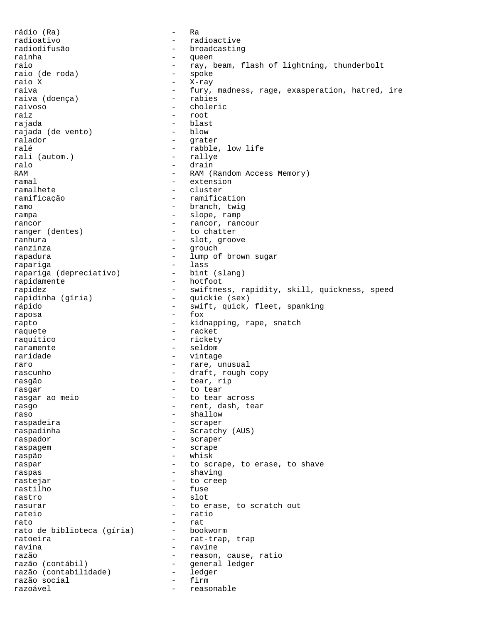rádio (Ra) - Ra radioativo - radioactive radiodifusão - broadcasting rainha anns an t-ainmeil raio - ray, beam, flash of lightning, thunderbolt raio (de roda) - spoke raio (de roda)<br>raio X raio X - X-ray - fury, madness, rage, exasperation, hatred, ire<br>- rabies raiva (doença) raivoso - choleric raiz este en la contrata de la contrata de la contrata de la contrata de la contrata de la contrata de la cont rajada - blast rajada (de vento) ralador - grater ralé  $\begin{array}{ccc} \texttt{rad\'e} & - & \texttt{rabble, low life} \\ \texttt{rali (autom.)} & - & \texttt{rallye} \end{array}$ rali (autom.) ralo - drain - RAM (Random Access Memory) ramal - extension - cluster ramificação - ramification ramo - branch, twig rampa  $-$  slope, ramp rancor<br>
rancor - rancor, rancour<br>
ranger (dentes) - to chatter ranger (dentes) ranhura - slot, groove ranzinza - grouch rapadura - lump of brown sugar rapariga<br>
rapariga (depreciativo) - lass<br>
- bint (slang) rapariga (depreciativo) rapidamente - hotfoot<br>rapidez - swiftne - swiftness, rapidity, skill, quickness, speed<br>- quickie (sex) rapidinha (gíria) rápido - swift, quick, fleet, spanking raposa - fox rapto - kidnapping, rape, snatch raquete - racket raquítico - rickety raramente - seldom raridade - vintage raro - rare, unusual - draft, rough copy rasgão - tear, rip rasgar - to tear rasgar ao meio  $-$  to tear across rasqo  $-$  rent, dash, tear raso - shallow raspadeira - scraper raspadinha - Scratchy (AUS) raspador - scraper raspagem entre a contract to the series of the scrape raspão - whisk raspar  $-$  to scrape, to erase, to shave raspas - shaving rastejar - to creep rastilho – fuse de la función de la función de la función de la función de la función de la función de la funció<br>La función de la función de la función de la función de la función de la función de la función de la función rastro - slot<br>rasurar - to e rasurar  $\qquad \qquad -$  to erase, to scratch out rateio - ratio rato - rat rato de biblioteca (gíria) ratoeira - rat-trap, trap ravina - ravine razão - reason, cause, ratio razão (contábil) - general ledger razão (contabilidade) - ledger razão social de la contrava de la contrava de la contrava de la contrava de la contrava de la contrava de la c<br>Trazoável razoável en extensivel de la contrata de la reasonable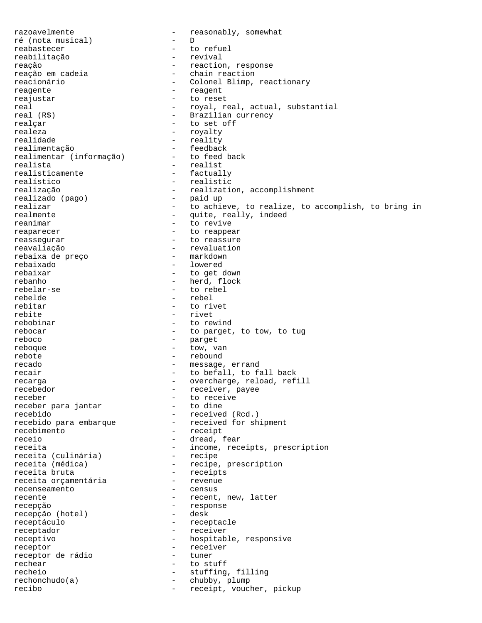razoavelmente - reasonably, somewhat<br>
ré (nota musical) - D<br>
- D ré (nota musical) reabastecer - to refuel reabilitação reação - reaction, response<br>reação em cadeia - reaction - chain reaction - chain reaction reacionário - Colonel Blimp, reactionary reagente  $-$  reagent reajustar - to reset real  $-$  royal, real, actual, substantial<br>real (R\$)  $-$  Brazilian currency - Brazilian currency realçar - to set off realeza - royalty realidade  $-$  reality realimentação - feedback<br>realimentar (informação) - - to feed back realimentar (informação) realista - realist<br>realisticamente - factually realisticamente<br>realístico realístico  $\overline{c}$  - realistic realização  $\overline{c}$  - realizativ - realization, accomplishment<br>- paid up realizado (pago)<br>realizar - to achieve, to realize, to accomplish, to bring in realmente - quite, really, indeed reanimar extended to revive reaparecer extended to reappear reassegurar - to reassure reavaliação - revaluation<br>rebaixa de preço - - markdown rebaixa de preço rebaixado - lowered rebaixar  $-$  to get down rebanho - herd, flock rebelar-se  $-$  to rebel rebelde - rebel - to rivet rebite - rivet<br>rebobinar - rivet - rivet - to rewind rebocar - to parget, to tow, to tug reboco - parget reboque - tow, van rebote - rebound recado  $-$  message, errand recair  $-$  to befall, to fall back recarga  $-$  overcharge, reload, refill recebedor - receiver, payee receber<br>receber para jantar - to dine - to dine receber para jantar recebido - received (Rcd.) recebido para embarque - received for shipment recebimento - receipt receio - dread, fear receita  $\begin{array}{ccc} - & - & - \\ - & - & \end{array}$  receipts, prescription receita (culinária) - recipe receita (culinária)<br>receita (médica) - recipe, prescription<br>- receipts receita bruta  $\begin{array}{ccc} - & \text{receipts} \\ - & \text{receita orcamentária} \end{array}$ receita orçamentária - revenue recenseamento recente  $-$  recent, new, latter recepção - response recepção (hotel) receptáculo - receptacle receptador - receiver receptivo - hospitable, responsive receptor - receiver receptor de rádio  $-$  tuner<br>rechear  $-$  to studies rechear - to stuff recheio - stuffing, filling rechonchudo(a) - chubby, plump recibo  $-$  receipt, voucher, pickup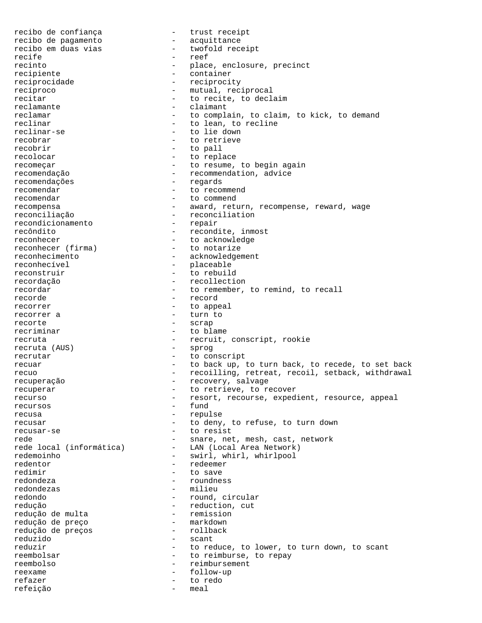recibo de confiança  $-$  trust receipt<br>recibo de pagamento  $-$  acquittance recibo de pagamento recibo em duas vias  $-$  twofold receipt recife - reef - place, enclosure, precinct<br>- container recipiente - container reciprocidade - reciprocity recíproco  $\qquad \qquad -$  mutual, reciprocal recitar  $-$  to recite, to declaim reclamante  $\overline{\phantom{a}}$  - claimant reclamar  $-$  to complain, to claim, to kick, to demand reclinar  $\qquad \qquad -$  to lean, to recline reclinar-se  $-$  to lie down recobrar - to retrieve recobrir - to pall recolocar - to replace recomeçar - to resume, to begin again recomendação - recommendation, advice recomendações - regards recomendações recomendar - to recommend recomendar - to commend recompensa - award, return, recompense, reward, wage reconciliação - reconciliation<br>recondicionamento - repair recondicionamento recôndito - recondite, inmost reconhecer - to acknowledge reconhecer (firma) - to notarize reconhecimento - acknowledgement reconhecível - placeable reconstruir  $-$  to rebuild recordação entra entra entra entra entra entra entra entra entra entra entra entra entra entra entra entra en recordar  $-$  to remember, to remind, to recall recorde - record recorrer - to appeal recorrer a  $-$  turn to recorte - scrap recriminar  $-$  to blame recruta - recruit, conscript, rookie - recruit, rookie - recruit, rookie - sprog recruta (AUS) recrutar - to conscript recuar extending the back up, to turn back, to recede, to set back recuo  $-$  recoilling, retreat, recoil, setback, withdrawal recuperação  $-$  recovery, salvage recuperar  $-$  to retrieve, to recover recurso - resort, recourse, expedient, resource, appeal recursos - fund recusa - repulse recusar - to deny, to refuse, to turn down recusar-se  $-$  to resist rede - snare, net, mesh, cast, network rede local (informática) - LAN (Local Area Network) redemoinho - swirl, whirl, whirlpool redentor - redeemer redimir  $-$  to save redondeza - roundness redondezas - milieu redondo  $-$  round, circular redução<br>redução de multa - reduction, cut<br>- remission redução de multa<br>
redução de preço de entre entre entre markdown<br>
- markdown redução de preço entra entrarmondo - markdown<br>
reducão de precos entrarmento - rollback redução de preços reduzido - scant reduzir  $-$  to reduce, to lower, to turn down, to scant reembolsar  $-$  to reimburse, to repay reembolso - reimbursement reexame  $-$  follow-up refazer - to redo refeição - meal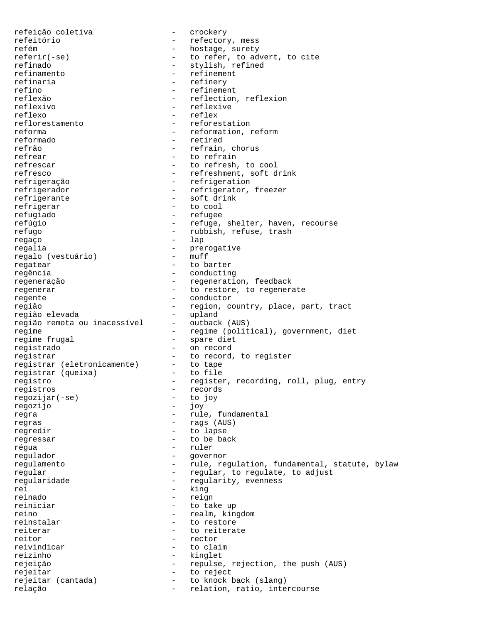refeição coletiva - crockery refeitório  $-$  refectory, mess refém  $-$  hostage, surety referir(-se) - to refer, to advert, to cite refinado  $-$  stylish, refined refinamento refinamento - refinement refinaria - refinery refino - refinement<br>
reflexão - reflection<br>
- reflection - reflection, reflexion reflexivo - reflexive reflexo - reflex reflorestamento - reforestation reforma  $-$  reformation, reformation reformado - retired refrão - refrain, chorus refrear  $-$  to refrain refrescar  $-$  to refresh, to cool refresco - refreshment, soft drink refrigeração - refrigeration refrigerador - refrigerator, freezer refrigerante - soft drink refrigerar - to cool refugiado - refugee refúgio  $-$  refuge, shelter, haven, recourse refugo - rubbish, refuse, trash regaço - lap regalia<br>regalia - prerogative<br>regalo (vestuário) - muff regalo (vestuário) regatear extended to barter regência - conducting regeneração  $-$  regeneration, feedback regenerar  $-$  to restore, to regenerate regente  $\overline{\phantom{a}}$  - conductor região - region, country, place, part, tract<br>região elevada - part, place, part, tract região elevada - upland região remota ou inacessível regime - regime (political), government, diet regime frugal  $-$  spare diet registrado - on record registrar  $-$  to record, to register<br>reqistrar (eletronicamente) - to tape registrar (eletronicamente) - to tape<br>registrar (queixa) - to file registrar (queixa) registro - register, recording, roll, plug, entry registros - records<br>regoziiar(-se) - to joy regozijar(-se) - to - to regozijo - joy regozijo regra  $-$  rule, fundamental regras - rags (AUS) regredir - to lapse regressar - to be back régua - ruler regulador - governor regulamento - rule, regulation, fundamental, statute, bylaw regular - regular, to regulate, to adjust regularidade  $-$  regularity, evenness<br>rei rei - king<br>reinado - reign - reign reinado - reign - to take up reino - realm, kingdom reinstalar - to restore reiterar  $-$  to reiterate reitor  $-$  rector reivindicar - to claim reizinho - kinglet rejeição - repulse, rejection, the push (AUS) rejeitar - to reject rejeitar (cantada) - to knock back (slang) relação  $-$  relation, ratio, intercourse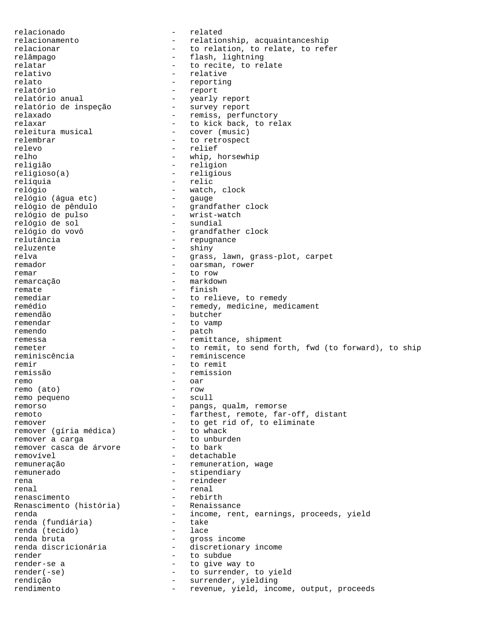relacionado - related relacionamento - relationship, acquaintanceship relacionar and the relation, to relate, to refer relâmpago - flash, lightning relatar  $-$  to recite, to relate relativo - relative relato - reporting<br>relatório - report - report relatório - report - yearly report<br>- survey report relatório de inspeção<br>relaxado - remiss, perfunctory relaxar - to kick back, to relax<br>releitura musical - cover (music) releitura musical relembrar - to retrospect relevo - relief relho - whip, horsewhip religião - religion religioso(a) - religious relíquia - relic - watch, clock<br>- gauge relógio (água etc)<br>relógio de pêndulo relógio (agua etc) — gauge<br>relógio de pêndulo — grandfather clock<br>relógio de pulso — — wrist-watch - wrist-watch<br>- sundial relógio de sol<br>relógio do vovô relógio do vovô  $\begin{array}{ccc} - & - & - \\ - & - & - \end{array}$  repugnance - repugnance reluzente - shiny relva - grass, lawn, grass-plot, carpet remador - oarsman, rower remar - to row remarcação - markdown remate  $-$  finish remediar  $-$  to relieve, to remedy remédio - remedy, medicine, medicament remendão - butcher remendar  $-$  to vamp remendo - patch remessa - remittance, shipment remeter - to remit, to send forth, fwd (to forward), to ship reminiscência - reminiscence remir - to remit remissão - remission remo - oar - oar - oar - oar - oar - oar - oar - oar - oar - oar - oar - oar - oar - oar - oar - oar - oar - o remo (ato) - row - row - row - row - scull remo pequeno remorso - pangs, qualm, remorse remoto - farthest, remote, far-off, distant remover<br>remover (qíria médica) - to get rid of, to eliminate<br>- to whack remover (gíria médica) - to whack<br>remover a carga remover a carga<br>remover casca de árvore - to bark remover casca de árvore removível en externa removível detachable remuneração  $-$  remuneration, wage remunerado - stipendiary rena - reindeer - reindeer - reindeer - renal - renal - renal - renal - renal - renal - renal - renal - renal - renal - renal - renal - renal - renal - renal - renal - renal - renal - renal - renal - renal - renal - renal renal and the contract of the contract of the contract of the contract of the contract of the contract of the contract of the contract of the contract of the contract of the contract of the contract of the contract of the renascimento - rebirth Renascimento (história) - Renaissance renda - income, rent, earnings, proceeds, yield renda (fundiária) - take renda (tecido)  $\qquad \qquad -$  lace<br>renda bruta  $\qquad \qquad -$  dross renda bruta<br>
renda discricionária<br>
- discretionary<br>
-- discretionary income render - to subdue render-se a  $-$  to give way to render(-se) - to surrender, to yield rendição - surrender, yielding rendimento  $-$  revenue, yield, income, output, proceeds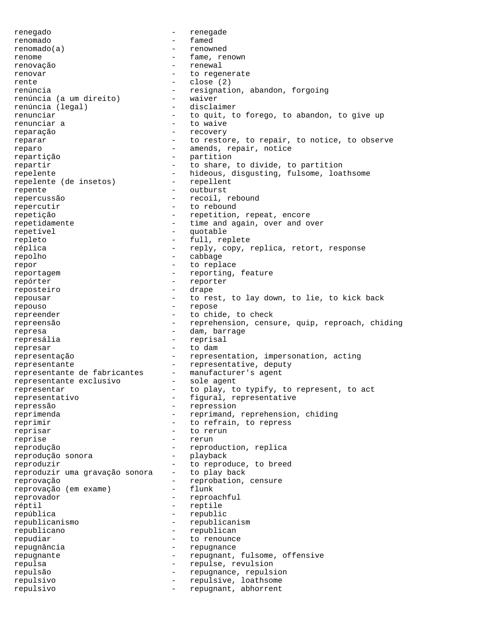renegado - renegade renomado - famed renomado(a) - renowned renome - fame, renown renovação - renewal renovar entre and the set of the regenerate rente  $\qquad \qquad -$  close (2) renúncia<br>
renúncia (a um direito) - resignation, abandon, forgoing<br>
- waiver renúncia (a um direito) - waiver<br>renúncia (legal) - disclaimer renúncia (legal) renunciar and to quit, to forego, to abandon, to give up renunciar a  $-$  to waive reparação entre entre entre entre entre entre entre entre entre entre entre entre entre entre entre entre entr reparar  $-$  to restore, to repair, to notice, to observe reparo  $-$  amends, repair, notice repartição  $\begin{array}{ccc} - & - & - \\ - & - & \end{array}$  partition repartir  $-$  to share, to divide, to partition repelente<br>repelente (de insetos) - hideous, disgusting, fulsome, loathsome<br>repelente (de insetos) - repellent repelente (de insetos) repente - outburst repercussão - recoil, rebound repercutir  $-$  to rebound repetição  $-$  repetition, repeat, encore repetidamente  $-$  time and again, over and over repetível - quotable repleto - full, replete réplica  $-\text{reply}$ , copy, replica, retort, response<br>repolho repolho - cabbage repor  $-$  to replace reportagem  $-$  reporting, feature<br>reporter  $-$  reporter repórter - reporter reposteiro - drape<br>reposteiro - drape<br>- to re repousar The rest, to lay down, to lie, to kick back repouso - repose repreender - to chide, to check repreensão - reprehension, censure, quip, reproach, chiding represa  $\qquad \qquad -$  dam, barrage represália  $-$  reprisal represar  $-$  to dam representação - representation, impersonation, acting<br>representante - representative, deputy representante - representative, deputy representante de fabricantes - manufacturer's agent representante exclusivo - sole agent representar  $-$  to play, to typify, to represent, to act representativo - figural, representative repressão - repression reprimenda - reprimand, reprehension, chiding reprimir  $-$  to refrain, to repress reprisar - to rerun reprise - rerun reprodução  $-$  reproduction, replica<br>reprodução sonora  $-$  plavback reprodução sonora - playback reproduzir<br>reproduzir uma gravação sonora - to play back reproduzir uma gravação sonora<br>reprovação reprovação  $-$  reprobation, censure<br>reprovação (em exame)  $-$  flunk reprovação (em exame) - flunk reprovador - reproachful réptil  $-$  reptile república - republic republicanismo - republicanism republicano - republican repudiar  $-$  to renounce repugnância entre entre la component de la propugnance repugnante - repugnant, fulsome, offensive repulsa - repulse, revulsion repulsão - repugnance, repulsion<br>repulsivo - repulsive loathsoma repulsivo - repulsivo - repulsivo - repulsivo - repulsivo - repulsivo - repulsivo - repulsivo - repulsivo - repulsivo - repulsivo - repulsivo - repulsivo - repulsivo - repulsivo - repulsivo - repulsivo - repulsivo - repuls repulsivo - repugnant, abhorrent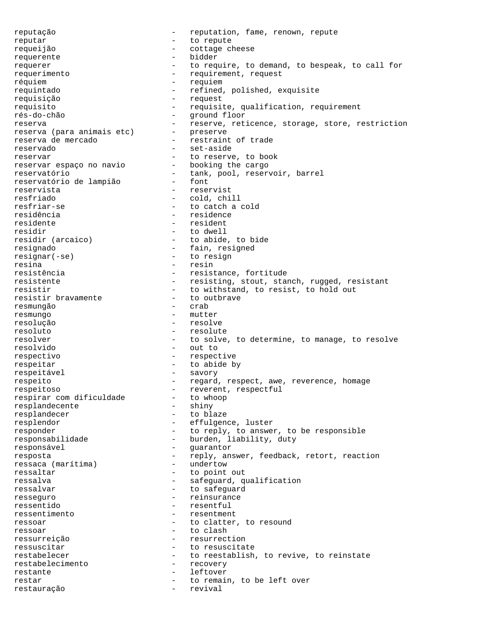reputação  $-$  reputation, fame, renown, repute reputar - to repute requeijão - cottage cheese requerente - bidder requerer  $-$  to require, to demand, to bespeak, to call for requerimento - requirement, request réquiem - requiem requintado  $-$  refined, polished, exquisite requisição - request requisito - requisite, qualification, requirement rés-do-chão - ground floor reserva<br>reserva (para animais etc) - reserve, reticence, storage, store, restriction<br>reserva (para animais etc) - preserve reserva (para animais etc) reserva de mercado  $-$  restraint of trade reservado - set-aside reservar - to reserve, to book reservar espaço no navio - booking the cargo reservatório - tank, pool, reservoir, barrel reservatório<br>reservatório de lampião - tank, pool, reservoir, barrel<br>reservatório de lampião - font reservista - reservist resfriado - cold, chill - to catch a cold residência - residence residente - residente residir  $\begin{array}{ccc} 1 & - & - \end{array}$  to dwell residir (arcaico) - to abide, to bide resignado - fain, resigned resignar(-se) - to resign resina - resina - resina - resina - resina - resina - resina - resina - resina - resina - resina - resina - resin<br>Termina - resina - resina - resina - resina - resina - resina - resina - resina - resina - resina - resina -- resistance, fortitude resistente - resisting, stout, stanch, rugged, resistant resistir  $-$  to withstand, to resist, to hold out resistir bravamente  $-$  to outbrave resistir bravamente  $\overline{z}$  - to outcommunity resmungão resmungo - mutter resolução - resolve resoluto - resolute - to solve, to determine, to manage, to resolve resolvido - out to respectivo - respective respeitar  $-$  to abide by respeitável - savory respeito - regard, respect, awe, reverence, homage respeitoso - reverent, respectful<br>respirar com dificuldade - to whoop respirar com dificuldade - to who<br>resplandecente - shiny resplandecente resplandecer - to blaze resplendor effulgence, luster responder  $-$  to reply, to answer, to be responsible responsabilidade - burden, liability, duty responsável  $-$  guarantor resposta<br>resposta - reply, answer, feedback, retort, reaction<br>ressaca (marítima) - undertow ressaca (marítima) ressaltar  $-$  to point out ressalva - safeguard, qualification ressalvar  $-$  to safeguard resseguro - reinsurance ressentido - resentful ressentimento - resentment ressoar extending to clatter, to resound ressoar - to clash ressurreição - resurrection ressuscitar  $-$  to resuscitate restabelecer - to reestablish, to revive, to reinstate<br>restabelecimento - recovery restabelecimento - recovery restante - leftover restar  $-$  to remain, to be left over restauração - revival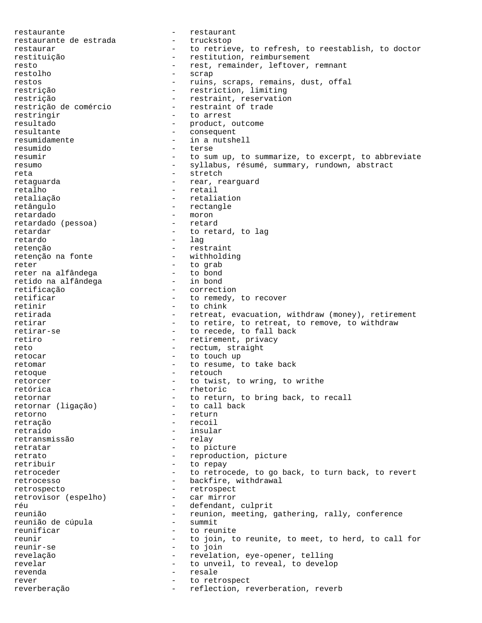restaurante<br>
restaurante de estrada<br>
- truckstop restaurante de estrada restaurar The Common Constantine Contribution of the refresh, to reestablish, to doctor restituição - restitution, reimbursement resto  $-$  rest, remainder, leftover, remnant restolho - scrap restos - ruins, scraps, remains, dust, offal restrição - restriction, limiting restrição  $-$  restraint, reservation<br>restrição de comércio  $-$  restraint of trade restrição de comércio restringir  $-$  to arrest resultado - product, outcome resultante  $\qquad \qquad -$  consequent resumidamente - in a nutshell resumido - terse resumir  $-$  to sum up, to summarize, to excerpt, to abbreviate resumo  $-$  syllabus, résumé, summary, rundown, abstract reta - stretch retaguarda  $-$  rear, rearguard retalho - retail<br>retaliação - - retail<br>- retaliação retaliação  $-$  retaliation<br>retângulo  $-$  rectangle retângulo - rectangle - moron<br>- retard retardado (pessoa) retardar - to retard, to lag retardo - lag retenção - restraint<br>retenção na fonte - vithholding retenção na fonte reter<br>reter na alfândega de la entre de la entre de la entre de la entre de la entre de la entre de la entre de<br>entre de la entre de la entre de la entre de la entre de la entre de la entre de la encontre de la encontre de reter na alfândega - to bond<br>retido na alfândega - in bond retido na alfândega<br>retificação retificação  $\qquad \qquad -$  correction  $\qquad \qquad -$  to remedy. retificar  $-$  to remedy, to recover<br>retinir  $-$  to chink - to chink retirada - retreat, evacuation, withdraw (money), retirement retirar  $-$  to retire, to retreat, to remove, to withdraw retirar-se  $-$  to recede. to fall back - to recede, to fall back retiro  $-$  retirement, privacy reto  $-$  rectum, straight retocar - to touch up retomar - to resume, to take back retoque - retouch retorcer  $-$  to twist, to wring, to writhe retórica - rhetoric retornar<br>
retornar (liqação) - to return, to bring back, to recall<br>
- to call back retornar (ligação) retorno - return retração - recoil retraído - insular retransmissão retratar  $-$  to picture retrato - reproduction, picture retribuir - to repay retroceder - to retrocede, to go back, to turn back, to revert retrocesso  $-$  backfire, withdrawal retrospecto<br>retrovisor (espelho) - retrospect<br>- car mirror retrovisor (espelho) réu - defendant, culprit reunião - reunion, meeting, gathering, rally, conference reunião de cúpula - summit reunião de cúpula reunificar  $-$  to reunite reunir  $-$  to join, to reunite, to meet, to herd, to call for reunir-se - to join revelação - revelation, eye-opener, telling<br>revelar - revelation, eye-opener, telling revelar  $-$  to unveil, to reveal, to develop revenda en establecer establecer establecer establecer establecer establecer establecer establecer establecer e rever  $-$  to retrospect reverberação  $-$  reflection, reverberation, reverb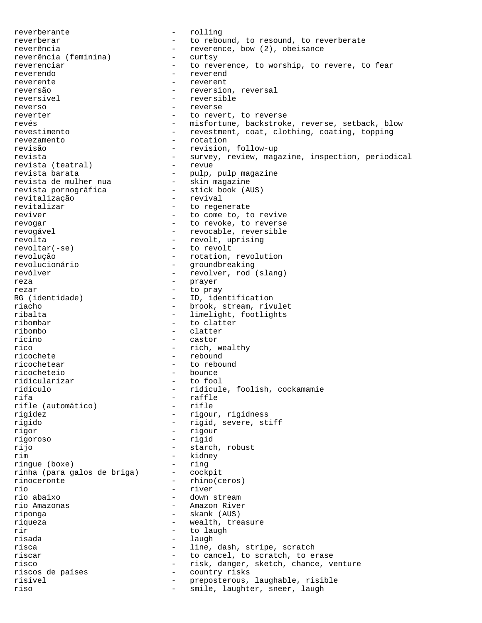reverberante - rolling reverberar extending to rebound, to resound, to reverberate reverência  $reverence, bow (2), obeisance  
revereência (feminina) - curtsy$ reverência (feminina) reverenciar - to reverence, to worship, to revere, to fear reverendo - reverend reverente - reverent reversão - reversion, reversal reversível - reversible reverso - reverse reverter  $\qquad \qquad -$  to revert, to reverse revés en entre reverse, reverse, setback, blow revestimento - revestment, coat, clothing, coating, topping revezamento - rotation revisão - revision, follow-up revista - survey, review, magazine, inspection, periodical revista (teatral) - revue revista (teatral) - revue revista barata  $\qquad \qquad \qquad -$  pulp, pulp magazine revista de mulher nua - skin magazine revista pornográfica - stick book (AUS) revitalização - revival<br>revitalizar - to reger - to regenerate reviver  $-$  to come to, to revive revogar - to revoke, to reverse - revocable, reversible revolta - revolt, uprising revoltar(-se) - to revolt revolução - rotation, revolution revolucionário - groundbreaking revólver - revolver, rod (slang) reza - prayer rezar - to pray RG (identidade) - ID, identification<br>
riacho - brook, stream, rivu - brook, stream, rivulet ribalta - limelight, footlights ribombar - to clatter ribombo - clatter rícino - castor rico - rich, wealthy ricochete - rebound<br>ricochetear - to rebou - to rebound ricocheteio - bounce ridicularizar<br>ridículo ridículo - ridicule, foolish, cockamamie - raffle<br>- rifle rifle (automático)<br>rigidez - rigour, rigidness rígido - rigid, severe, stiff rigor - rigour rigoroso - rigid rijo - starch, robust rim - kidney<br>ringue (boxe) - ring - ring ringue (boxe) - ring<br>rinha (para galos de briga) - cockpit rinha (para galos de briga) rinoceronte - rhino(ceros) rio - river rio abaixo - down stream - Amazon River riponga - skank (AUS) riqueza  $-$  wealth, treasure rir - to laugh risada  $-$  laugh risca - line, dash, stripe, scratch riscar  $-$  to cancel, to scratch, to erase risco - risk, danger, sketch, chance, venture riscos de países  $-$  country risks risível - preposterous, laughable, risible<br>riso - smile laughter speer laugh riso - smile, laughter, sneer, laugh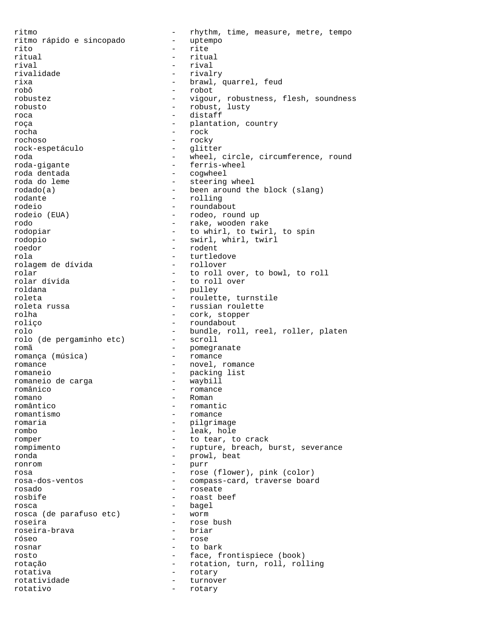ritmo<br>
ritmo rápido e sincopado<br>
- uptempo<br>
- uptempo ritmo rápido e sincopado rito - rite ritual and the ritual ritual ritual rival - rival - rival<br>
rivalidade - rivalidade - rival rivalidade - rivalry rixa  $\begin{array}{ccc} - & 6 \end{array}$  brawl, quarrel, feud - robot robustez - vigour, robustness, flesh, soundness robusto - robust, lusty roca - distaff roça - plantation, country rocha - rock rochoso - rocky rock-espetáculo - glitter roda - wheel, circle, circumference, round roda-gigante - ferris-wheel roda dentada - cogwheel roda do leme - steering wheel rodado(a) - been around the block (slang)<br>rodante - rolling rodante - rolling - roundabout rodeio (EUA) - rodeo, round up rodo - rake, wooden rake rodopiar - to whirl, to twirl, to spin rodopio - swirl, whirl, twirl roedor - rodent rola - turtledove rolagem de dívida rolar  $\begin{array}{ccc} \text{rolar} \\ \text{rolar} \end{array}$  - to roll over, to bowl, to roll rolar divida rolar dívida - to roll over - pulley roleta - roulette, turnstile<br>roleta russa - russian roulette - russian roulette rolha - cork, stopper roliço - roundabout rolo  $\begin{array}{ccc} - &$  bundle, roll, reel, roller, platen<br>rolo (de pergaminho etc) - scroll rolo (de pergaminho etc) romã - pomegranate romança (música) romance - novel, romance romaneio<br>romaneio de carga (metal) - maybill<br>romaneio de carga romaneio de carga  $-$  waybill românico - romance romano - Roman - romantic romantismo - romance romaria  $-$  pilgrimage rombo - leak, hole romper - to tear, to crack rompimento  $-$  rupture, breach, burst, severance ronda - prowl, beat ronrom - purr rosa  $\begin{array}{ccc} \texttt{rosa} & - & \texttt{rose (flower)} & \texttt{pink (color)} \\ \texttt{rosa-dos-ventos} & - & \texttt{compass-card, traverse box} \end{array}$ - compass-card, traverse board rosado - roseate rosbife - roast beef rosca - bagel rosca (de parafuso etc) roseira - rose bush roseira-brava róseo - rose rosnar - to bark rosto - face, frontispiece (book) rotação - rotation, turn, roll, rolling rotativa - rotary rotatividade - turnover rotativo - rotary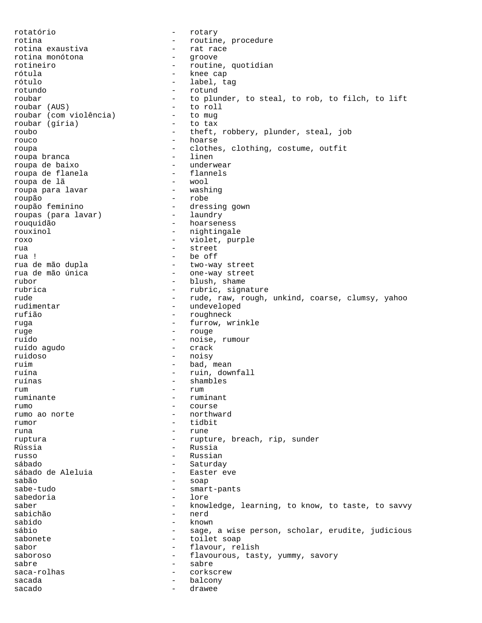rotatório - rotary rotina  $\begin{array}{ccc} - & - & \text{routine, procedure} \\ - & \text{rate, procedure} \end{array}$ rotina exaustiva - rat race rotina monótona<br>rotineiro - routine, quotidian rótula - knee cap rótulo - label, tag - rotund roubar  $-$  to plunder, to steal, to rob, to filch, to lift roubar (AUS)  $-$  to roll - to roll<br>- to mug roubar (com violência) - to mug roubar (gíria) roubo - theft, robbery, plunder, steal, job rouco - hoarse roupa - clothes, clothing, costume, outfit roupa branca - linen roupa de baixo - underwear roupa de flanela - flannels roupa de lã - wool roupa para lavar roupão - robe - dressing gown<br>- laundry roupas (para lavar) rouquidão - hoarseness rouxinol - nightingale roxo - violet, purple rua en el estreet en el street en el street en el street en el street en el street en el street en el street e rua ! - be off rua de mão dupla - two-way street rua de mão única  $-$  one-way street rubor - blush, shame - rubric, signature rude - rude, raw, rough, unkind, coarse, clumsy, yahoo<br>
rudimentar
- undeveloped - undeveloped rufião - roughneck ruga - furrow, wrinkle ruge - rouge ruído  $-$  noise, rumour<br>ruído aqudo  $-$  crack  $-$  crack ruído agudo ruidoso - noisy ruim  $-$  bad, mean ruína - ruin, downfall ruínas - shambles rum - rum - rum ruminante - ruminant rumo  $-$  course  $-$  course  $-$  course  $-$  northward rumo ao norte rumor - tidbit runa  $-$  rune ruptura - rupture, breach, rip, sunder Rússia - Russia russo - Russian sábado - Saturday sábado de Aleluia sabão - soap<br>sabe-tudo - soap - soap sabe-tudo - smart-pants sabedoria saber - knowledge, learning, to know, to taste, to savvy<br>sabichão - nerd - nerd sabido - known sábio - sage, a wise person, scholar, erudite, judicious<br>sabonete - toilet soap - toilet soap sabor - flavour, relish saboroso - flavourous, tasty, yummy, savory sabre - sabre - sabre - sabre - sabre - sabre - sabre - sabre - sabre - sabre - sabre - sabre - sabre - sabre - sabre - sabre - sabre - sabre - sabre - sabre - sabre - sabre - sabre - sabre - sabre - sabre - sabre - sabre saca-rolhas - corkscrew sacada - balcony sacado - drawee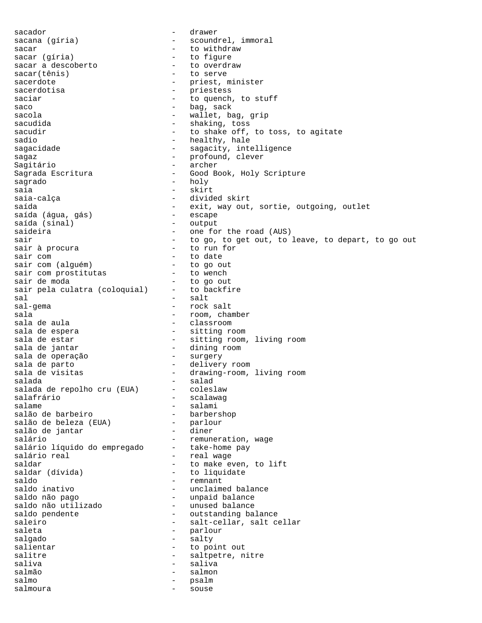sacador - drawer sacana (gíria) - scoundrel, immoral sacar  $\begin{array}{ccc} \text{sacar} & \text{of a bar} \\ \text{sacar} & \text{of a bar} \end{array}$  - to withdraw - to figure<br>- to overdraw sacar a descoberto<br>sacar(tênis) - to serve sacerdote - priest, minister sacerdotisa - priestess saciar  $-$  to quench, to stuff saco - bag, sack<br>sacola - bag, sack<br>- wallet b - wallet, bag, grip sacudida - shaking, toss<br>sacudir - shake off. - to shake off, to toss, to agitate sadio  $-$  healthy, hale sagacidade - sagacity, intelligence sagaz - profound, clever Sagitário - archer Sagrada Escritura - Good Book, Holy Scripture sagrado - holy saia - skirt saia-calça - divided skirt - exit, way out, sortie, outgoing, outlet<br>- escape saída (água, gás) - escape saída (sinal) saideira  $-$  one for the road (AUS) sair sair to go, to get out, to leave, to depart, to go out sair à procura  $-$  to run for sair com<br>sair com (alguém) - to date<br>- to go out sair com (alguém) - to go out sair com prostitutas sair de moda<br>sair pela culatra (coloquial) - to backfire sair pela culatra (coloquial) sal <sup>-</sup> salt = salt = salt = salt = salt = salt = salt = salt = salt = salt = salt = salt = salt = salt = salt = salt = salt = salt = salt = salt = salt = salt = salt = salt = salt = salt = salt = salt = salt = salt = salt - rock salt sala  $-$  room, chamber sala de aula  $\qquad \qquad -$  classroom sala de espera  $-$  sitting room<br>sala de estar  $-$  sitting room. - sitting room, living room sala de jantar - dining room sala de operação sala de parto  $\overline{\phantom{a}}$  - delivery room sala de visitas  $\qquad \qquad -$  drawing-room, living room salada - salad salada de repolho cru (EUA)<br>salafrário salafrário - scalawag salame - salami<br>salão de barbeiro - - barber - barbershop<br>- parlour salão de beleza (EUA) - parloure en parloure diner<br>salão de jantar salão de jantar salário  $-$  remuneration, wage salário líquido do empregado - take-home pay salário real en el este de la comunicación de la comunicación de la comunicación de la comunicación de la comu<br>En el este de la comunicación de la comunicación de la comunicación de la comunicación de la comunicación de l saldar  $-$  to make even, to lift saldar (dívida)  $-$  to liquidate - to liquidate saldo - remnant - unclaimed balance saldo não pago - unpaid balance saldo não utilizado - unused balance<br>saldo pendente - outstanding ba - outstanding balance saleiro - salt-cellar, salt cellar saleta  $-$  parlour salgado - salty salientar - to point out salitre - saltpetre, nitre<br>saliva - saliva - saliva saliva - saliva salmão - salmon salmo - psalm salmoura - souse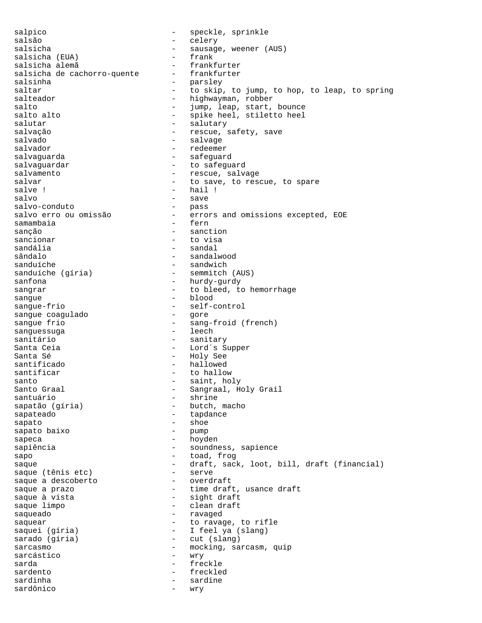salpico - speckle, sprinkle salsão - celery salsicha - sausage, weener (AUS)<br>salsicha (EUA) - - frank salsicha (EUA) - frank salsicha alemã - frankfurter<br>salsicha de cachorro-quente - frankfurter salsicha de cachorro-quente salsinha - parsley saltar  $-$  to skip, to jump, to hop, to leap, to spring<br>salteador  $-$  highwayman, robber - highwayman, robber salto  $-$  jump, leap, start, bounce salto alto  $-$  spike heel, stiletto heel salutar - salutary - salutary salvação  $-$  rescue, safety, save salvado - salvage salvador - redeemer salvaguarda - safeguard salvaguardar en en en announcement and to safeguard salvamento  $-$  rescue, salvage salvar - to save, to rescue, to spare salve ! - hail ! salvo - save salvo-conduto<br>salvo erro ou omissão - errors and omissions excepted, EOE<br>- fern samambaia sanção  $-$  sanction sancionar - to visa sandália - sandal - sandal sândalo - sandalwood sanduíche  $-$  sandwich sanduíche (gíria) - semmitch (AUS) sanfona - hurdy-gurdy sangrar  $-$  to bleed, to hemorrhage  $\frac{1}{2}$  sangue  $\frac{1}{2}$   $\frac{1}{2}$  blood sangue-frio - self-control sangue coagulado sangue frio  $-$  sang-froid (french)<br>sanguessuga anno - leech sanquessuga sanitário  $-$  sanitary Santa Ceia  $-$  Lord´s Supper Santa Sé  $-$  Holy See santificado  $-$  hallowed santificar  $-$  to hallow santo  $\begin{array}{ccc} - & \text{saint, holy} \\ - & \text{Sangraal, H} \end{array}$ - Sangraal, Holy Grail santuário  $-$  shrine sapatão (gíria) - butch, macho sapateado - tapdance sapato - shoe sapato baixo sapeca - hoyden sapiência  $\sim$  - soundness, sapience sapo - toad, frog saque - draft, sack, loot, bill, draft (financial)<br>saque (tênis etc) - serve saque (tênis etc) - serve saque a descoberto saque a prazo  $-$  time draft, usance draft saque à vista  $-$  sight draft saque limpo  $\overline{\phantom{a}}$  - clean draft saqueado - ravaged saquear - to ravage, to rifle saquei (gíria) - I feel ya (slang)<br>sarado (gíria) - cut (slang) - cut (slang) sarcasmo - mocking, sarcasm, quip sarcástico  $-$  wry sarda - freckle sardento - freckled sardinha - sardine sardônico  $-$  wry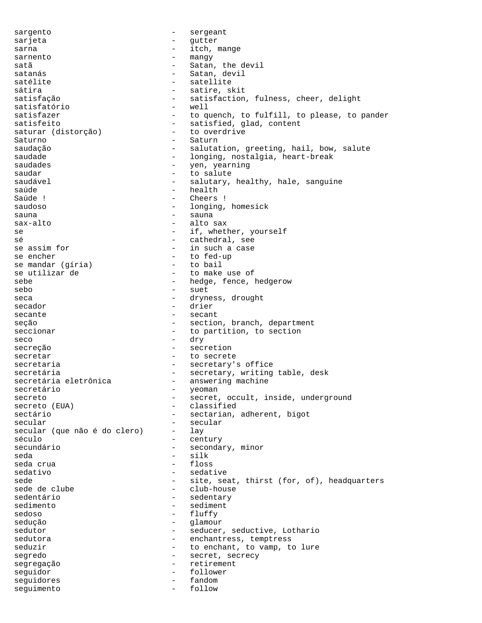sargento - sergeant sarjeta - gutter sarna  $-$  itch, mange sarnento - mangy satã <br/>
- Satan, the devil satanás - Satan, devil satélite - satellite sátira - satire, skit - satisfaction, fulness, cheer, delight<br>- well satisfatório satisfazer  $-$  to quench, to fulfill, to please, to pander satisfeito<br>saturar (distorcão) - satisfied, glad, content<br>- to overdrive saturar (distorção) Saturno - Saturno - Saturno - Saturno - Saturno - Saturno - Saturno - Saturno - Saturno - Saturno - Saturno - Saturno - Saturno - Saturno - Saturno - Saturno - Saturno - Saturno - Saturno - Saturno - Saturno - Saturno - Sa saudação - salutation, greeting, hail, bow, salute saudade - longing, nostalgia, heart-break saudades - yen, yearning saudar - to salute saudável - salutary, healthy, hale, sanguine<br>saúde - health saúde - health Cheers ! saudoso - longing, homesick sauna - sauna - sauna - sauna - sauna - sauna - sauna - sauna - sauna - sauna - sauna - sauna - sauna - sauna sax-alto  $-$  alto sax se  $-$  if, whether, yourself sé  $-$  cathedral, see se assim for  $-$  in such a case se encher  $-$  to fed-up<br>se mandar (gíria)  $-$  to bail se mandar (gíria) se utilizar de  $-$  to make use of sebe  $\qquad \qquad -$  hedge, fence, hedgerow sebo - suet seca - dryness, drought secador - drier secante - secant seção - section, branch, department seccionar  $-$  to partition, to section seco - dry secreção - secretion secretar - to secrete secretaria  $-$  secretary's office secretária - secretary, writing table, desk secretária eletrônica <br />
- answering machine secretário  $-$  yeoman secreto - secret, occult, inside, underground<br>secreto (EUA) - classified - classified sectário  $-$  sectarian, adherent, bigot secular<br>secular (que não é do clero) - lay secular (que não é do clero) século  $-$  century secundário  $-$  secondary, minor seda - silk seda crua  $-$  floss sedativo - sedative sede - site, seat, thirst (for, of), headquarters<br>sede de clube - club-house sede de clube - club-house<br>sedentário - club-house - sedentary sedimento - sediment sedoso - fluffy sedução - glamour sedutor - seducer, seductive, Lothario sedutora  $-$  enchantress, temptress seduzir  $-$  to enchant, to vamp, to lure segredo - secret, secrecy segregação  $-$  retirement seguidor - follower sequidores - fandom seguimento - follow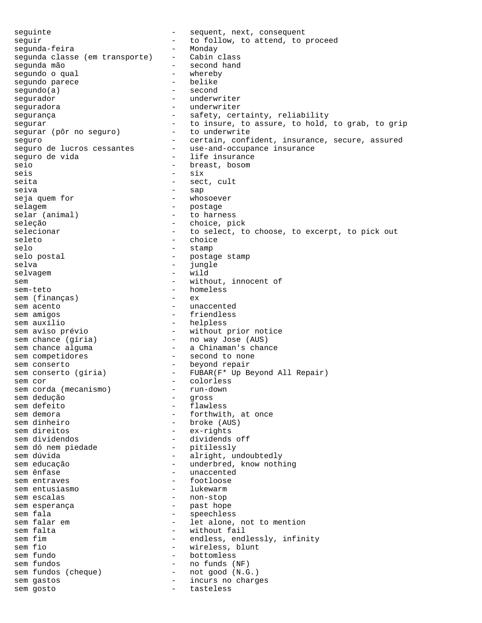seguinte - sequent, next, consequent<br>seguir seguir - to follow, to attend, to proceed<br>sequnda-feira Monday segunda-feira - Monday segunda classe (em transporte) - Cabin class segunda mão - second hand segundo o qual - whereby segundo parece - belike  $segundo(a)$ segurador - underwriter seguradora - underwriter segurança - safety, certainty, reliability sequrar extending the insure, to assure, to hold, to grab, to grip segurar (pôr no seguro) - to underwrite seguro - certain, confident, insurance, secure, assured<br>seguro de lucros cessantes - use-and-occupance insurance seguro de lucros cessantes seguro de vida - life insurance seio - breast, bosom<br>seis - six seis - six seita - sect, cult seiva - sap seja quem for  $-$  whosoever selagem - postage<br>selar (animal) - to harn - to harness seleção  $-$  choice, pick selecionar  $-$  to select, to choose, to excerpt, to pick out seleto - choice selo - stamp selo postal  $\qquad \qquad -$  postage stamp<br>selva selva - jungle selvagem - wild<br>sem - with sem  $-$  without, innocent of sem-teto - homeless<br>sem (financas) - ex sem (finanças) - ex sem acento  $-$  unaccented sem amigos - friendless - helpless sem aviso prévio - without prior notice sem chance (gíria) - no way Jose (AUS) sem chance alguma - a Chinaman's chance sem competidores - second to none sem conserto<br>
sem conserto (gíria) - FUBAR(F\* Up Be - FUBAR(F\* Up Beyond All Repair) sem cor<br>sem corda (mecanismo) - colorless<br>- run-down sem corda (mecanismo) - run-down - run-down - run-down - run-down - run-down - run-down - run-down sem dedução<br>sem defeito sem defeito  $-$  flawless<br>sem demora  $-$  forthwith sem demora  $-$  forthwith, at once<br>sem dinheiro  $-$  hoke (AUS) sem dinheiro - broke (AUS) - ex-rights sem dividendos  $-$  dividends off sem dó nem piedade sem dó nem piedade  $\begin{array}{ccc} - & p \text{itlessly} \\ - & \text{aright, undoubtedly} \\ \text{sem} & - & \text{underbred, know not} \end{array}$ - underbred, know nothing sem ênfase  $\qquad \qquad -$  unaccented sem entraves - footloose sem entusiasmo sem escalas  $-$  non-stop sem esperança<br>
sem fala<br>
- past hope sem fala  $-$  speechless sem falar em  $-$  let alone, not to mention sem falta  $-$  without fail sem fim  $-$  endless, endlessly, infinity sem fio  $-$  wireless, blunt sem fundo  $-$  bottomless sem fundos  $-$  no funds (NF) sem fundos (cheque) - not good (N.G.) sem gastos  $\overline{a}$  - incurs no charges<br>sem gosto  $\overline{a}$  - tastaless sem gosto  $-$  tasteless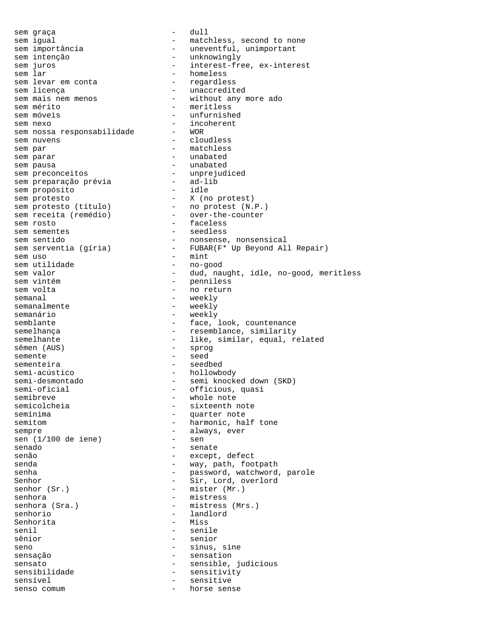sem graça  $-$  dull sem igual - matchless, second to none sem importância  $-$  uneventful, unimportant sem intenção  $-$  unknowingly<br>sem juros  $-$  interest-fre sem juros  $\begin{array}{ccc}\n & - & \text{interest-free, ex-interest} \\
\text{sem } \text{lar} & - & \text{homeless}\n\end{array}$ - homeless<br>- regardless sem levar em conta sem licença<br>sem mais nem menos<br>- without any sem mais nem menos  $-$  without any more ado<br>sem mérito - meritless sem móveis  $-$  unfurnished sem nexo - incoherent sem nossa responsabilidade sem nuvens <br/> electronic sem nuvens de la cloudless sem par  $-$  matchless sem parar  $-$  unabated sem pausa  $-$  unabated<br>sem preconceitos  $-$  unprejudiced sem preconceitos unprejusem preparação prévia sem preparação prévia - ad-lib sem propósito - idle sem protesto - X (no protest) sem protesto (título) - no protest (N.P.) sem receita (remédio) - over-the-counter sem rosto  $-$  faceless sem sementes  $-$  seedless sem sentido  $-$  nonsense, nonsensical sem serventia (gíria) - FUBAR(F\* Up Beyond All Repair) sem uso  $-$  mint<br>sem utilidade  $-$  no-g - no-good sem valor  $-$  dud, naught, idle, no-good, meritless sem vintém  $-$  penniless sem volta  $-$  no return semanal - weekly<br>semanalmente - weekly - weekly semanário  $-$  weekly semblante  $\qquad \qquad -$  face, look, countenance semelhança  $-$  resemblance, similarity semelhante - like, similar, equal, related sêmen (AUS) - sprog semente - seed sementeira - seedbed semi-acústico - hollowbody<br>semi-desmontado - semi knock semi-desmontado - semi knocked down (SKD)<br>semi-oficial - officious, quasi semi-oficial - officious, quasi<br>semibreve - whole note semibreve - whole note<br>semicolcheia - sixteenth is semicolcheia - sixteenth note<br>semínima - sixteenth note - quarter note semitom - harmonic, half tone sempre - always, ever<br>sen (1/100 de iene) - sen sen  $(1/100$  de iene) senado  $-$  senate senão  $-$  except, defect senda - way, path, footpath senha - password, watchword, parole Senhor - Sir, Lord, overlord senhor (Sr.) - mister (Mr.) senhora - mistress<br>senhora (Sra.) - mistress<br>- mistress senhora (Sra.) - mistress (Mrs.) - landlord<br>- Miss Senhorita senil - senile sênior - senior - senior seno - sinus, sine sensação  $-$  sensation sensato - sensible, judicious sensibilidade - sensitivity sensível - sensitive senso comum - horse sense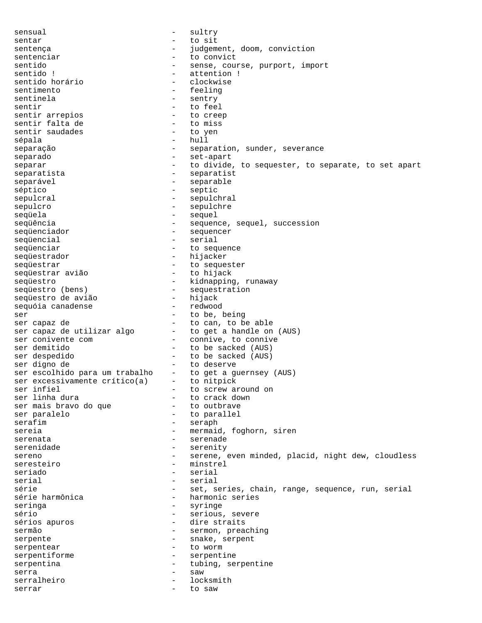sensual - sultry sentar  $\qquad \qquad -$  to sit<br>sentenca sentença - independent, doom, conviction sentenciar and to convict sentido  $-$  sense, course, purport, import sentido !  $-$  attention ! sentido ! - attention ! - clockwise sentimento - feeling - sentry sentir  $\begin{array}{ccc} - & \text{to feel} \\ - & \text{to freely} \end{array}$ sentir arrepios  $\overline{a}$  - to cree<br>sentir falta de  $\overline{a}$  - to miss sentir falta de  $\begin{array}{ccc} - & + \text{to miss} \\ - & + \text{to spin} \end{array}$ sentir saudades sépala  $-$  hull separação  $-$  separation, sunder, severance separado  $-$  set-apart separar extending the sequester, to separate, to set apart separatista - separatist separável - separable séptico - septic sepulcral - sepulchral sepulcro - sepulchre sequela de la contrata de la contrata de la contrata de la contrata de la contrata de la contrata de la contra sequência - sequence, sequel, succession sequenciador - sequencer seqüencial - serial<br>seqüenciar - to seq sequenciar - to sequence seqüestrador - hijacker seqüestrar - to sequester seqüestrar avião seqüestro - kidnapping, runaway<br>seqüestro (bens) - sequestration - sequestration<br>- hijack seqüestro de avião - hijack sequóia canadense ser - to be, being ser capaz de  $\qquad \qquad$  - to can, to be able ser capaz de utilizar algo - to get a handle on (AUS) ser conivente com  $\qquad \qquad -$  connive, to connive ser demitido  $-$  to be sacked (AUS) ser despedido  $-$  to be sacked (AUS)<br>ser digno de  $-$  to deserve ser digno de  $-$  to deserve ser escolhido para um trabalho - to get a guernsey (AUS) ser excessivamente crítico(a) - to nitpick ser infiel  $\qquad \qquad$  - to screw around on ser linha dura - to crack down<br>ser mais bravo do que - to outbrave ser mais bravo do que ser paralelo  $-$  to parallel serafim - seraph sereia - mermaid, foghorn, siren serenata - serenade serenidade - serenity sereno external reserved and serene, even minded, placid, night dew, cloudless seresteiro - minstrel seriado - serial serial - serial série - set, series, chain, range, sequence, run, serial<br>série harmônica - harmonic series - harmonic series seringa - syringe sério  $-$  serious, severe sérios apuros  $\overline{\phantom{a}}$  - dire straits sermão - sermon, preaching serpente - snake, serpent serpentear - to worm serpentiforme - serpentine serpentina  $-$  tubing, serpentine serra - saw serralheiro - locksmith serrar - to saw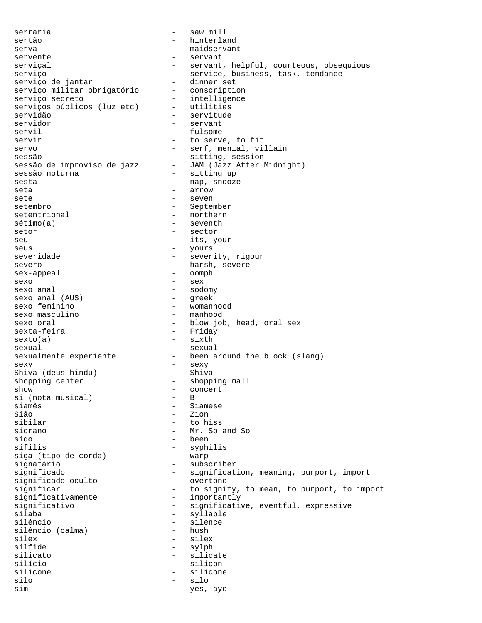serraria  $-$  saw mill sertão - hinterland serva - maidservant servente - servant serviçal - servant, helpful, courteous, obsequious<br>serviço - service, business, task, tendance - service, business, task, tendance<br>- dinner set serviço de jantar dinner set<br>servico militar obrigatório conscription serviço militar obrigatório<br>serviço secreto - intelligence<br>- utilities serviços públicos (luz etc)<br>servidão servidão - servitude - servant servil - fulsome servir  $-$  to serve, to fit servo - serf, menial, villain sessão  $-$  sitting, session sessão de improviso de jazz - JAM (Jazz After Midnight)<br>sessão noturna - sitting up sessão noturna - sessão noturna - sitting uponente uponente sessão de la serie de la serie de la serie de la s<br>Sessão de la serie de la serie de la serie de la serie de la serie de la serie de la serie de la serie de la s sesta - nap, snooze seta - arrow - arrow<br>sete - seven sete - seven - September setentrional  $-$  northern sétimo(a)  $-$  seventh setor - sector seu - its, your seus - yours<br>severidade - yours - yours<br>- severidade - severi severidade - severity, rigour severo - harsh, severe sex-appeal - oomph sexo - sex sexo anal - sodomy sexo anal (AUS)<br>sexo feminino sexo feminino  $-$  womanhood<br>sexo masculino  $-$  manhood - manhood sexo oral  $-$  blow job, head, oral sex sexta-feira sexta-feira  $sexto(a)$  - sixth sexual - sexual - sexual sexualmente experiente - been around the block (slang) sexy - sexy Shiva (deus hindu) shopping center  $\qquad \qquad -$  shopping mall show  $\qquad \qquad -$  concert - concert<br>- B si (nota musical)<br>siamês  $\begin{array}{ccc}\n\text{siamês} \\
\text{sias} \\
\text{sias} \\
\text{sias} \\
\text{sias} \\
\text{sias} \\
\text{sias} \\
\text{sias} \\
\text{sias} \\
\text{sias} \\
\text{sias} \\
\text{sias} \\
\text{sias} \\
\text{sias} \\
\text{sias} \\
\text{sias} \\
\text{sias} \\
\text{sias} \\
\text{sias} \\
\text{sias} \\
\text{sias} \\
\text{sias} \\
\text{sias} \\
\text{sias} \\
\text{sias} \\
\text{sias} \\
\text{sias} \\
\text{sias} \\
\text{sias} \\
\text{sias} \\
\$ Sião - Zion<br>sibilar - Cole - to hiss sicrano - Mr. So and So sido - been sífilis - syphilis siga (tipo de corda) signatário - subscriber significado - signification, meaning, purport, import<br>significado oculto - overtone significado oculto significar - to signify, to mean, to purport, to import<br>significativamente - importantly significativamente<br>significativo significativo - significative, eventful, expressive - syllable silêncio - silence<br>silêncio (calma) - hush - hush silêncio (calma)<br>sílex sílex - silex - sylph silicato - silicate - silicon silicone - silicone silo - silo sim  $-$  yes, aye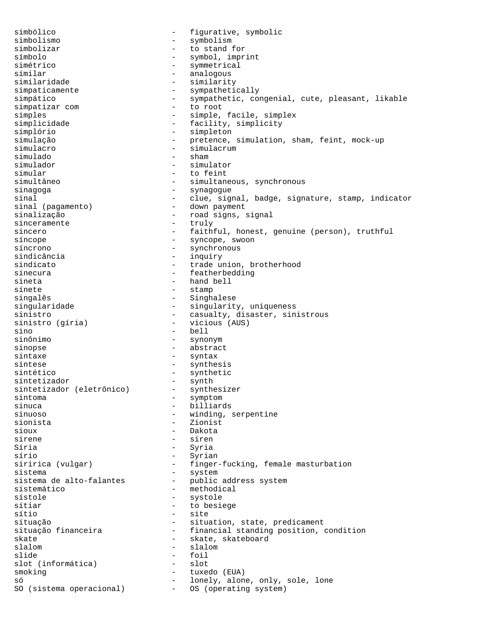simbólico  $-$  figurative, symbolic simbolismo - symbolism simbolizar - to stand for símbolo - symbol, imprint simétrico  $-$  symmetrical similar - analogous similaridade - similarity - sympathetically simpático - sympathetic, congenial, cute, pleasant, likable<br>simpatizar com - to root simpatizar com simples - simple, facile, simplex simplicidade - facility, simplicity simplório - simpleton simulação - pretence, simulation, sham, feint, mock-up simulacro - simulacrum simulado - shamman - shamman - shamman - shamman - shamman - shamman - shamman - shamman - shamman - shamman simulador - simulator simular - to feint simultâneo - simultaneous, synchronous<br>sinagoga - - synagogue - synagogue - synagogue sinal  $-$  clue, signal, badge, signature, stamp, indicator sinal (pagamento)  $-$  down payment sinal (pagamento) sinalização - road signs, signal sinceramente sincero - faithful, honest, genuine (person), truthful síncope - syncope, swoon síncrono - synchronous sindicância - inquiry sindicato - trade union, brotherhood sinecura - featherbedding - featherbedding sineta - hand bell<br>sinete - stamp sinete - stamp singalês - Singhalese - Singhalese - Singhalese - Singhalese - Singhalese - Singhalese - Singhalese - Singhalese - Singhalese - Singhalese - Singhalese - Singhalese - Singhalese - Singhalese - Singhalese - Singhalese - Sin - singularity, uniqueness sinistro - casualty, disaster, sinistrous<br>sinistro (qíria) - vicious (AUS) sinistro (gíria) sino - bell sinônimo - synonym sinopse - abstract sintaxe - syntax síntese  $\qquad \qquad \text{synthesis}$ sintético - synthetic <br>sintetizador - synth sintetizador<br>sintetizador (eletrônico) - synthesizer sintetizador (eletrônico)<br>sintoma sintoma - symptom sinuca - billiards - winding, serpentine sionista - Zionist sioux - Dakota sirene - siren Síria - Syria sírio - Syrian siririca (vulgar) - finger-fucking, female masturbation sistema<br>sistema de alto-falantes - system<br>public - public address system sistemático - methodical<br>sístole - systole - systole sístole - systole sitiar - to besiege<br>sítio - site<br>- site - site situação - situation, state, predicament situação financeira e mais refinancial standing position, condition skate - skate, skateboard slalom - slalom - slalom slide - foil slot (informática) smoking  $-$  tuxedo (EUA) só  $-$  lonely, alone, only, sole, lone<br>SO (sistema operacional)  $-$  OS (operating system) - OS (operating system)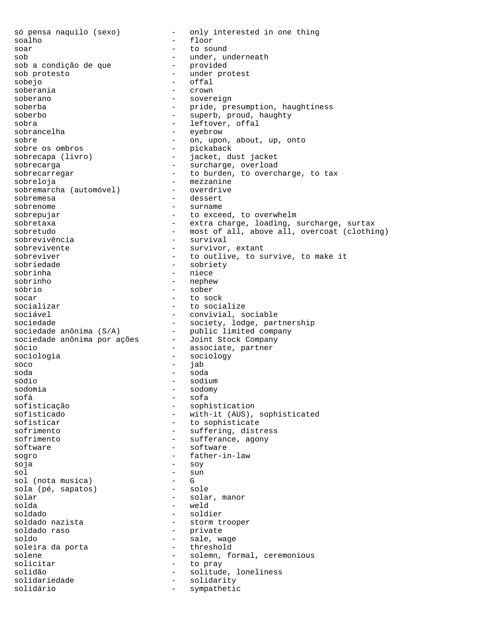só pensa naquilo (sexo) - only interested in one thing soalho - floor soar - to sound sob - under, underneath sob a condição de que sob protesto - under protest sobejo - offal soberania - crown - sovereign soberba - pride, presumption, haughtiness soberbo - superb, proud, haughty sobra  $-$  leftover, offal sobrancelha - eyebrow sobre  $\qquad \qquad \text{on, upon, about, up, onto}$ sobre os ombros<br>sobrecapa (livro) - pickaback<br>- iacket du sobrecapa (livro) - jacket, dust jacket sobrecarga - surcharge, overload sobrecarregar - to burden, to overcharge, to tax sobreloja - mezzanine sobremarcha (automóvel) sobremesa – dessert<br>sobrenome – surname - surname sobrepujar - to exceed, to overwhelm sobretaxa - extra charge, loading, surcharge, surtax sobretudo - most of all, above all, overcoat (clothing) sobrevivência - survival sobrevivente  $-$  survivor, extant sobreviver extending to outlive, to survive, to make it sobriedade - sobriety sobrinha - niece sobrinho - nephew sóbrio - sober<br>socar - to so socar - to sock socializar  $\overline{a}$  - to socialize<br>sociável - convivial. se - convivial, sociable sociedade - society, lodge, partnership<br>sociedade anônima (S/A) - public limited company sociedade anônima (S/A) - public limited company sociedade anônima por ações - Joint Stock Company sociedade anônima por ações - Joint Stock Company<br>sócio - associate, partner sociologia - sociology soco - jab soda - soda sódio - sodium sodomia - sodomy sofá - sofa sofisticação - sophistication<br>sofisticado - with-it (AUS). sofisticado - with-it (AUS), sophisticated<br>sofisticar - to sophisticate - to sophisticate sofrimento - suffering, distress sofrimento  $-$  sufferance, agony software - software sogro - father-in-law soja - soy sol - sun sol (nota musica) - G sola (pé, sapatos) solar - solar, manor solda - weld soldado - soldier - storm trooper soldado raso - private - sale, wage<br>- threshold soleira da porta solene - solemn, formal, ceremonious solicitar - to pray solidão - solitude, loneliness solidariedade - solidarity<br>solidário - sympathetic solidário - sympathetic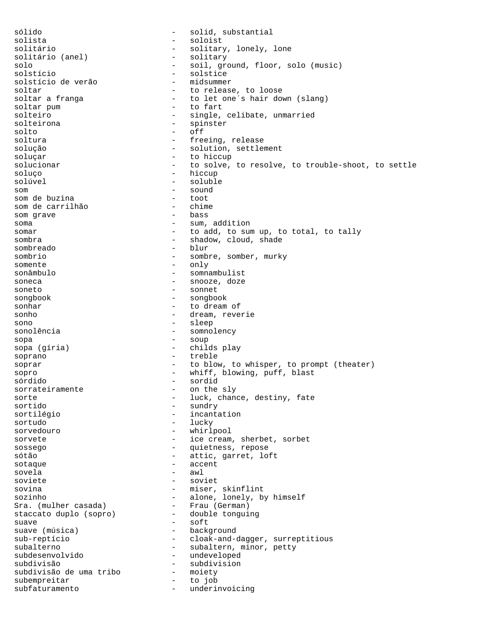sólido - solid, substantial solista - soloist solitário - solitary, lonely, lone<br>solitário (anel) - solitary solitário (anel) solo - soil, ground, floor, solo (music) solstício - solstice solstício de verão soltar  $\begin{array}{ccc} - & + & + \end{array}$  to release, to loose soltar a franga soltar a franga - to let one's hair down (slang)<br>soltar pum - to fart - to fart solteiro  $-$  single, celibate, unmarried solteirona - spinster solto - off soltura - freeing, release solução - solution, settlement soluçar - to hiccup solucionar and the solve, to resolve, to trouble-shoot, to settle soluço - hiccup<br>soluçural - hiccup solúvel - soluble - soluble - soluble - soluble - soluble - soluble - soluble - soluble - soluble - soluble - soluble - soluble - soluble - soluble - soluble - soluble - soluble - soluble - soluble - soluble - soluble - so som de buzina  $\begin{array}{ccc} - & - & \text{sound} \\ - & \text{toot} \end{array}$ som de buzina<br>som de carrilhão de contra - chime som de carrilhão  $-$  chime<br>som crave  $-$  bass som grave soma  $-$  sum, addition somar  $-$  to add, to sum up, to total, to tally sombra  $-$  shadow, cloud, shade sombreado - blur sombrio - sombre, somber, murky somente - only sonâmbulo - somnambulist soneca - snooze, doze soneto - sonnet songbook - songbook sonhar - to dream of sonho - dream, reverie sono - sleep sonolência  $-$  somnolency sopa - soup sopa (gíria) - childs play soprano - treble soprar  $-$  to blow, to whisper, to prompt (theater) sopro  $-$  whiff, blowing, puff, blast sórdido - sordid sorrateiramente<br>sorte - luck, chance, destiny, fate sortido - sundry sortilégio - incantation sortudo - lucky sorvedouro - whirlpool sorvete - ice cream, sherbet, sorbet sossego  $-$  quietness, repose sótão - attic, garret, loft sotaque - accent sovela - awl soviete - soviet sovina - miser, skinflint - alone, lonely, by himself<br>- Frau (German) Sra. (mulher casada) - Frau (German)<br>staccato duplo (sopro) - double tonguing staccato duplo (sopro) suave - soft - background sub-reptício - cloak-and-dagger, surreptitious subalterno - subaltern, minor, petty subdesenvolvido - undeveloped subdivisão - subdivision subdivisão de uma tribo -<br>subempreitar subempreitar  $-$  to job<br>subfaturamento subfaturamento - underinvoicing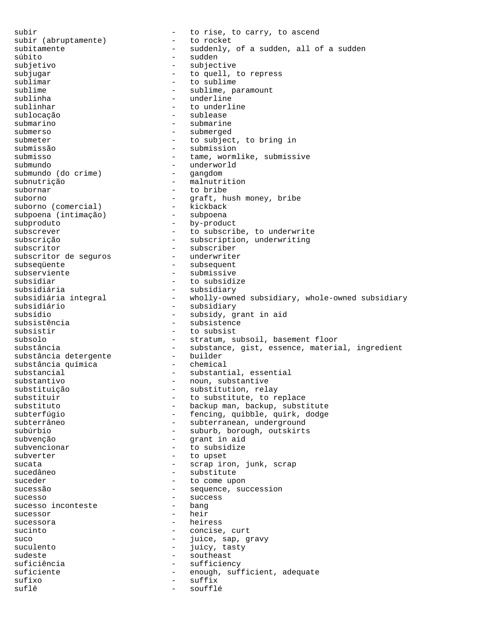subir<br>subir (abruptamente) - to rise, to carry, to ascend<br>to rocket subir (abruptamente) subitamente  $-$  suddenly, of a sudden, all of a sudden súbito - sudden subjetivo - subjective subjugar  $\begin{array}{ccc} - & + & + \text{to quell, to repress} \\ \text{sublimar} & - & + \text{to sublimer} \end{array}$ sublimar - to sublime<br>sublime - sublime - sublime - particle sublime - sublime, paramount - underline sublinhar  $-$  to underline sublocação - sublease submarino - submarine submerso - submerged submeter - to subject, to bring in submissão - submission submisso - tame, wormlike, submissive submundo<br>submundo (do crime) - underworld<br>- gangdom submundo (do crime) subnutrição  $\begin{array}{ccc} - & - \\ - & + \end{array}$  malnutrition subornar subornar - to bribe<br>suborno - qraft, h - graft, hush money, bribe<br>- kickback suborno (comercial) - kickback<br>subpoena (intimação) - subpoena subpoena (intimação) subproduto - by-product subscrever  $-$  to subscribe, to underwrite subscrição - subscription, underwriting subscritor - subscriber subscritor de seguros subseqüente  $\qquad \qquad \text{subsequent}$ subserviente  $-$  submissive subsidiar - to subsidize subsidiária<br>subsidiária integral - subsidiary<br>holly-own subsidiária integral - wholly-owned subsidiary, whole-owned subsidiary<br>subsidiário - subsidiary subsidiário <sup>-</sup> subsidiary - subsidiary - subsidiary - subsidiary - subsidiary - subsidiary - subsidiary - subsidiary - subsidiary - subsidiary - subsidiary - subsidiary - subsidiary - subsidiary - subsidiary - subsidiary subsídio - subsidy, grant in aid<br>subsistência - - subsistence - subsistence subsistir  $-$  to subsist subsolo - stratum, subsoil, basement floor<br>substância - substance, gist, essence, material, ingredient substância - substance, gist, essence, material, ingredient substância detergente - builder substância química - chemical substancial  $\qquad \qquad \qquad -$  substantial, essential substantivo  $\qquad \qquad \text{ -} \qquad \text{ noun, substitute}$ substituição - substitution, relay substituir  $-$  to substitute, to replace<br>substitute  $-$  backup man, backup, subst substituto - backup man, backup, substitute<br>subterfúgio - - fencing, quibble, quirk, dodge - fencing, quibble, quirk, dodge subterrâneo - subterranean, underground subúrbio - suburb, borough, outskirts subvenção - grant in aid subvencionar - to subsidize subverter - to upset sucata - scrap iron, junk, scrap<br>sucedâneo - - - - - - - - - substitute - substitute suceder - to come upon sucessão  $-$  sequence, succession sucesso - success sucesso inconteste sucessor - heir sucessora - heiress sucinto  $\overline{\phantom{a}}$  - concise, curt suco  $-$  juice, sap, gravy suculento  $-$  juicy, tasty sudeste - southeast suficiência  $-$  sufficiency suficiente - enough, sufficient, adequate sufixo - suffix suflê  $-$  soufflé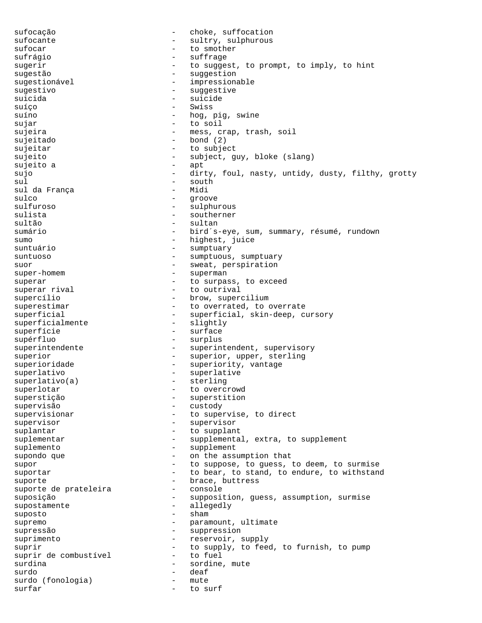sufocação - choke, suffocation sufocante - sultry, sulphurous sufocar - to smother sufrágio - suffrage sugerir  $-$  to suggest, to prompt, to imply, to hint sugestão - suggestion sugestionável - impressionable sugestivo - suggestive suicida - suicide suíço - Swiss suíno - hog, pig, swine sujar - to soil sujeira  $-$  mess, crap, trash, soil sujeitado - bond (2) sujeitar - to subject sujeito - subject, guy, bloke (slang) sujeito a - apt sujo - dirty, foul, nasty, untidy, dusty, filthy, grotty sul - south sul da França sulco - groove - sulphurous sulista - southerner sultão - sultan sumário - bird´s-eye, sum, summary, résumé, rundown sumo - highest, juice suntuário  $-$  sumptuary suntuoso - sumptuous, sumptuous, sumptuary suor - sweat, perspiration<br>super-homem - superman - superman - superman superar  $-$  to surpass, to exceed superar rival  $-$  to outrival - to outrival supercílio - brow, supercilium<br>superestimar - to overrated, to o - to overrated, to overrate superficial - superficial, skin-deep, cursory<br>superficialmente - slightly superficialmente superfície  $-$  surface supérfluo - surplus superintendente - superintendent, supervisory superior - superior, upper, sterling superioridade - superiority, vantage ndexternal superlativo - superlativo - superlative<br>superlativo (a) - sterling  $superlative(a)$ superlotar  $-$  to overcrowd superstição - superstition supervisão - custody supervisionar and the supervise, to direct supervisor - supervisor suplantar  $-$  to supplant suplementar - supplemental, extra, to supplement suplemento - supplement supondo que  $\qquad \qquad -$  on the assumption that supor  $-$  to suppose, to guess, to deem, to surmise suportar **-** to bear, to stand, to endure, to withstand suporte - brace, buttress suporte de prateleira suposição - supposition, guess, assumption, surmise supostamente - allegedly suposto - sham supremo - paramount, ultimate supressão - suppression suprimento  $-$  reservoir, supply suprir  $-$  to supply, to feed, to furnish, to pump suprir de combustível  $-$  to fuel suprir de combustível - to fuel - to fuel - to fuel - to fuel - to fuel - to fuel -- sordine, mute<br>- deaf surdo - deaf surdo (fonologia) - mute<br>surfar - to surfar surfar - to surf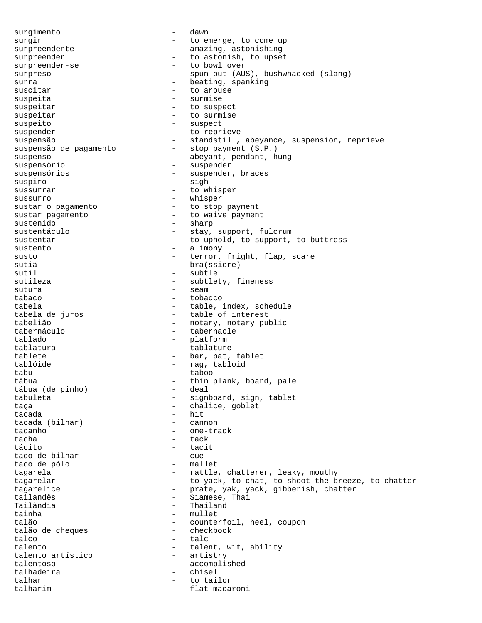surgimento - dawn surgir  $-$  to emerge, to come up surpreendente - amazing, astonishing surpreender - to astonish, to upset surpreender-se - to bowl over surpreso - spun out (AUS), bushwhacked (slang) surra  $\overline{\phantom{a}}$  - beating, spanking suscitar  $-$  to arouse suspeita - surmise suspeitar - to suspect suspeitar - to surmise suspeito  $-$  suspect suspender - to reprieve suspensão <br />
- standstill, abeyance, suspension, reprieve suspensão de pagamento - stop payment (S.P.) suspenso  $\overline{\phantom{a}}$  - abeyant, pendant, hung suspensório - suspender suspensórios  $-$  suspender, braces suspiro - sigh sussurrar - to whisper sussurro - whisper<br>sustar o pagamento - to stop -- to stop payment sustar pagamento  $-$  to waive payment sustenido - sharp sustentáculo  $-$  stay, support, fulcrum sustentar  $-$  to uphold, to support, to buttress sustento - alimony susto  $-$  terror, fright, flap, scare sutiã - bra(ssiere) sutil - subtle sutileza - subtlety, fineness sutura - seam tabaco - tobacco tabela - table, index, schedule tabela de juros - table - table of interest - table of interest tabelião <sup>-</sup> notary, notary public<br>tabernáculo - tabernacle - tabernacle - tabernacle tablado - platform tablatura - tablature tablete - bar, pat, tablet tablóide - rag, tabloid tabu - taboo tábua<br>tábua (de pinho) - thin plank, board, pale<br>- deal tábua (de pinho) tabuleta - signboard, sign, tablet taça - chalice, goblet - hit<br>- cannon tacada (bilhar) tacanho  $\overline{\phantom{a}}$  - one-track tacha - tack tácito - tacit taco de bilhar - cue taco de pólo tagarela - rattle, chatterer, leaky, mouthy tagarelar **-** to yack, to chat, to shoot the breeze, to chatter tagarelice - prate, yak, yack, gibberish, chatter<br>tailandês - - Siamese, Thai tailandês - Siamese, Thai Tailândia - Thailand - mullet talão<br>
talão de cheques<br>
- checkbook<br>
- checkbook talão de cheques  $\begin{tabular}{ccc} talc & - & talc \\ \end{tabular}$ talento  $\begin{array}{ccc} - & t \text{alent, wit, ability} \\ - & \text{attribute} \end{array}$ talento artístico talentoso - accomplished talhadeira - chisel talhar  $-$  to tailor talharim  $-$  flat macaroni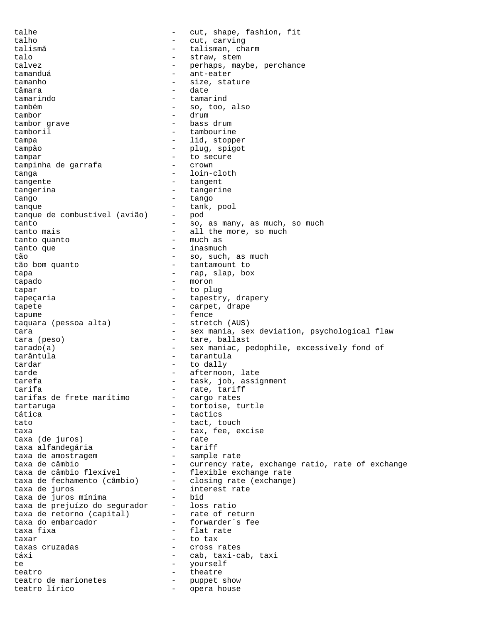talhe  $-$  cut, shape, fashion, fit talho  $-$  cut, carving talismã - talisman, charm talo  $-$  straw, stem talvez - perhaps, maybe, perchance tamanduá - ant-eater tamanho  $-$  size, stature tâmara - date - date tamarindo - tamarind também - so, too, also tambor<br>tambor qrave tambor drum - bass drum tambor grave tamboril tambourine tampa - lid, stopper tampão - plug, spigot<br>
tampar - conseguire - conseguire tampar - to secure<br>tampinha de garrafa - - erown tampinha de garrafa - crown tanga - loin-cloth tangente  $-$  tangent tangerina - tangerine<br>tango - tango - tango tango  $-$  tango tanque<br>tanque de combustível (avião) - pod<br>pod tanque de combustível (avião) tanto  $\sim$  50, as many, as much, so much tanto mais  $-$  all the more, so much tanto quanto tanto quanto tanto que  $-$  inasmuch tão  $-$  so, such, as much tão bom quanto - tantamount to tapa - rap, slap, box tapado - moron tapar - to plug tapeçaria  $-$  tapestry, drapery tapete  $\qquad \qquad -$  carpet, drape tapume - fence taquara (pessoa alta) tara  $-$  sex mania, sex deviation, psychological flaw tara (peso) - tare, ballast tarado(a)  $-$  sex maniac, pedophile, excessively fond of tarântula - tarantula tardar  $-$  to dally tarde  $-$  afternoon, late tarefa - task, job, assignment tarifa - rate, tariff tarifas de frete marítimo tartaruga entry and the tortoise, turtle tática  $-$  tactics tato  $-$  tact, touch taxa - tax, fee, excise taxa (de juros) - rate taxa alfandegária - tariff taxa de amostragem taxa de câmbio<br>taxa de câmbio 11 - currency rate, exchange ratio, rate of exchange<br>taxa de câmbio flexível - flexible exchange rate taxa de câmbio flexível - flexible exchange rate taxa de fechamento (câmbio) - closing rate (exchange) taxa de juros  $\qquad \qquad$  - interest rate taxa de juros mínima - bid taxa de prejuízo do segurador - loss ratio taxa de retorno (capital) - rate of return taxa do embarcador  $\qquad \qquad$  - forwarder´s fee taxa fixa  $\qquad \qquad -$  flat rate taxar - to tax taxas cruzadas  $\overline{\phantom{a}}$  - cross rates táxi - cab, taxi-cab, taxi<br>te - vourself te - yourself teatro  $-$  theatre teatro de marionetes  $\qquad \qquad -$  puppet show teatro lírico  $\overline{\phantom{a}}$  - opera house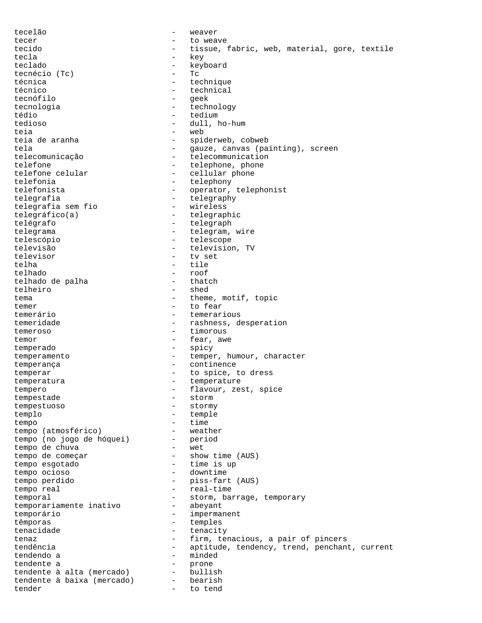tecelão - weaver tecer - to weave<br>tecido - tissue tecido - tissue, fabric, web, material, gore, textile tecla - key teclado - keyboard tecnécio (Tc) - Tc técnica - technique - technical<br>- ceek tecnófilo - geek tecnologia - technology tédio - tedium - dull, ho-hum teia - web teia de aranha  $-$  spiderweb, cobweb tela - gauze, canvas (painting), screen telecomunicação - telecommunication telefone  $\begin{array}{ccc} \text{telefone} & \text{telephone, phone} \\ \text{telefone, echular} & \text{cellular, phone} \end{array}$ - cellular phone telefonia  $\qquad \qquad -$  telephony<br>telefonista - operator, - operator, telephonist telegrafia - telegraphy telegrafia sem fio telegráfico(a) - telegraphic telégrafo - telegraph telegrama - telegram, wire telescópio - telescope televisão - television, TV<br>televisor - tv set televisor<br>telha - tile telhado - roof telhado de palha telheiro - shed tema  $-$  theme, motif, topic temer - to fear temerário - temerarious temeridade  $-$  rashness, desperation temeroso - timorous temor  $-$  fear, awe temperado - spicy temperamento  $-$  temper, humour, character temperança - continence temperar  $-$  to spice, to dress temperatura - temperature tempero - flavour, zest, spice<br>tempestade - storm - storm tempestade tempestuoso - stormy templo - temple tempo<br>
tempo (atmosférico) - time<br>
- weather tempo (atmosférico) - weather tempo (no jogo de hóquei) - period tempo de chuva - wet tempo de começar  $-$  show time (AUS) tempo esgotado - time is up tempo ocioso - downtime tempo perdido - piss-fart (AUS) tempo real  $-$  real-time temporal - storm, barrage, temporary<br>temporariamente inativo - abeyant temporariamente inativo temporário - impermanent têmporas - temples tenacidade  $-$  tenacity tenaz  $-$  firm, tenacious, a pair of pincers tendência  $-$  aptitude, tendency, trend, penchant, current tendendo a  $-$  minded tendente a<br>tendente à alta (mercado) - bullish tendente à alta (mercado) - bullish tendente à baixa (mercado) - bearish tender - to tend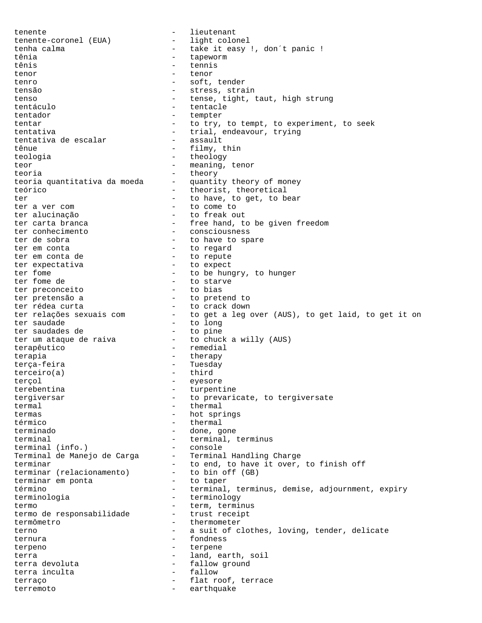tenente - lieutenant tenente-coronel (EUA) tenha calma  $\begin{array}{cccc} - & \text{take it easy !, don't panic !} \\ \text{tênia} & - & \text{tapeworm} \end{array}$ - tapeworm tênis - tennis tenor - tenor tenro - soft, tender tensão  $-$  stress, strain tenso  $-$  tense, tight, taut, high strung tentáculo - tentacle tentador - tempter tentar and the try, to tempt, to experiment, to seek tentativa - trial, endeavour, trying<br>tentativa de escalar - assault tentativa de escalar tênue - filmy, thin teologia - theology teor - meaning, tenor teoria<br>teoria quantitativa da moeda - quantity theory of money teoria quantitativa da moeda teórico  $\overline{\phantom{a}}$  - theorist, theoretical ter  $-$  to have, to get, to bear<br>ter a ver com  $-$  to come to - to come to ter alucinação - to freak out ter carta branca  $-$  free hand, to be given freedom ter conhecimento - consciousness ter de sobra  $-$  to have to spare ter em conta - to regard ter em conta de  $-$  to repute ter expectativa - to expect ter Experiences<br>
ter fome  $\begin{array}{ccc} - & 1 & - \\ - & 1 & - \\ + & 1 & - \\ + & 1 & - \\ + & 1 & - \\ + & 1 & - \\ + & 1 & - \\ + & 1 & - \\ + & 1 & - \\ + & 1 & - \\ + & 1 & - \\ + & 1 & - \\ + & 1 & - \\ + & 1 & - \\ + & 1 & - \\ + & 1 & - \\ + & 1 & - \\ + & 1 & - \\ + & 1 & - \\ + & 1 & - \\ + & 1 & - \\ + & 1 & - \\ + & 1 & - \\ + & 1 & - \\ + & 1 & - \\ + & 1 & - \\ + & 1 & -$ - to starve<br>- to bias ter preconceito ter pretensão a  $-$  to pretend to ter rédea curta  $-$  to crack down ter relações sexuais com - to get a leg over (AUS), to get laid, to get it on ter saudade and to long ter saudade<br>ter saudades de  $-$  to pine<br>ter um ataque de raiva  $-$  to chucl - to chuck a willy (AUS) terapêutico - remedial<br>terapia - therapy terapia - therapy terça-feira - Tuesday terceiro(a) - third terçol - eyesore terebentina entre a turpentine tergiversar extended to prevaricate, to tergiversate termal - thermal termas - hot springs térmico - thermal terminado - done, gone terminal  $-$  terminal, terminus terminal (info.) - console Terminal de Manejo de Carga – Terminal Handling Charge terminar  $\qquad \qquad -$  to end, to have it over, to finish off terminar (relacionamento) - to bin off (GB)<br>terminar em ponta - to taper terminar em ponta término - terminal, terminus, demise, adjournment, expiry terminologia - terminology termo  $-$  term, terminus termo de responsabilidade trust receipt termômetro - thermometer terno  $-$  a suit of clothes, loving, tender, delicate ternura - fondness terpeno - terpene terra  $-$  land, earth, soil terra devoluta  $\begin{array}{ccc} - & \text{fallow ground} \\ - & \text{fallow} \end{array}$ terra inculta terraço  $-$  flat roof, terrace terremoto - earthquake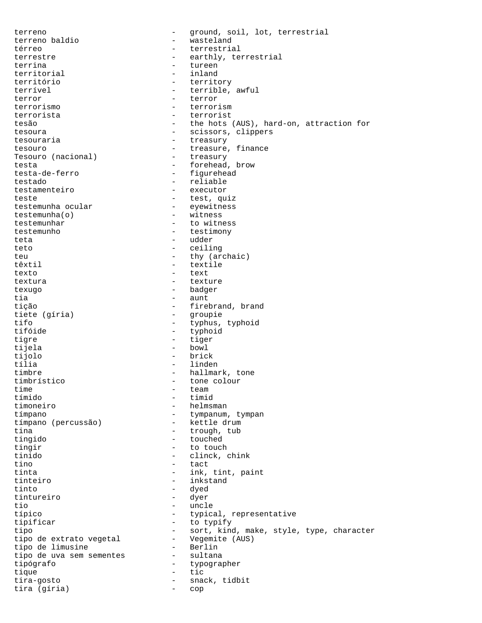terreno - ground, soil, lot, terrestrial terreno baldio  $\begin{array}{ccc} - & \text{wasteland} \\ - & \text{t} \\ \end{array}$ - terrestrial terrestre  $-$  earthly, terrestrial terrina - tureen<br>territorial - inland territorial território - territory - terrible, awful terror - terror - terror terrorismo - terrorism terrorista - terrorist tesão - the hots (AUS), hard-on, attraction for tesoura - scissors, clippers tesouraria  $-$  treasury tesouro  $-$  treasure, finance  $-$  treasure, finance  $-$  treasury Tesouro (nacional) testa - forehead, brow - figurehead testado - reliable testamenteiro - executor teste - test, quiz<br>testemunha ocular - eyewitness - eyewitness<br>- witness  $testemunha(o)$ testemunhar  $-$  to witness testemunho - testimony teta - udder teto - ceiling teu - thy (archaic) têxtil - textile texto - text textura external texture texture texugo - badger tia <sup>-</sup> aunt<br>tição - aunt - fire - firebrand, brand tiete (gíria) - groupie tifo - typhus, typhoid tifóide - typhoid tigre  $-$  tiger tijela - bowl tijolo - brick - linden timbre - hallmark, tone timbrístico - tone colour time - team tímido - timid timoneiro - helmsman<br>tímpano - helmsman - tympanum - tympanum, tympan<br>- kettle drum tímpano (percussão) tina  $\overline{\phantom{a}}$  - trough, tub tingido - touched tingir - to touch tinido - clinck, chink tino - tact - ink, tint, paint tinteiro - inkstand - dyed<br>- dyer tintureiro<br>tio tio - uncle<br>típico - http://www.industrial.com/industrial.com/industrial.com/industrial.com/industrial.com/industrial.com/<br>typics/http://www.industrial.com/industrial.com/industrial.com/industrial.com/industrial.com/indust - typical, representative tipificar - to typify tipo - sort, kind, make, style, type, character tipo de extrato vegetal - Vegemite (AUS) tipo de limusine - Berlin tipo de uva sem sementes - sultana tipógrafo - typographer tique  $-$  tic tira-gosto - snack, tidbit tira (gíria) - cop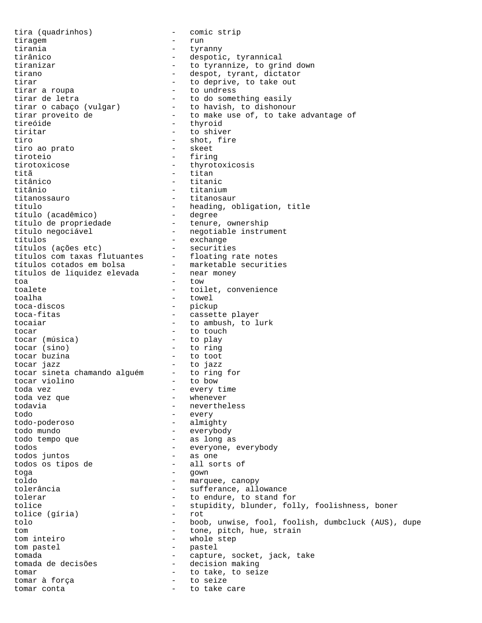tira (quadrinhos) - comic strip tiragem - run<br>tirania - tyre tirania - tyranny tirânico - despotic, tyrannical tiranizar  $-$  to tyrannize, to grind down tirano  $\overline{\phantom{a}}$  - despot, tyrant, dictator<br>tirar  $\overline{\phantom{a}}$  - to deprive, to take out tirar<br>tirar a roupa<br>
- to undress<br>
- to undress tirar a roupa<br>
tirar de letra<br>
- to do something easily tirar de letra - to do something easily tirar o cabaço (vulgar) - to havish, to dishonour tirar proveito de  $\qquad \qquad -$  to make use of, to take advantage of tireóide - thyroid tiritar - to shiver tiro  $\frac{1}{2}$  - shot, fire  $\frac{1}{2}$  - shot, fire  $\frac{1}{2}$  - skeet tiro ao prato tiroteio - firing tirotoxicose - thyrotoxicosis titã - titan<br>titânico - titanico - titani titânico - titanic - titanic - titanic - titanic - titaniu titânio - titanium titanossauro - titanosaur título  $\leftarrow$  - heading, obligation, title<br>título (acadêmico) - degree título (acadêmico) - degree título de propriedade  $\qquad \qquad$  - tenure, ownership título negociável - negotiable instrument títulos - exchange títulos (ações etc) - securities títulos com taxas flutuantes - floating rate notes títulos cotados em bolsa - marketable securities títulos de liquidez elevada - near money toa - tow toalete  $\qquad \qquad -$  toilet, convenience toalha - towel<br>toca-discos - towel - picku - pickup toca-fitas  $\qquad \qquad -$  cassette player tocaiar  $\qquad \qquad -$  to ambush, to lurk tocar (música) - to touch tocar (música) tocar (música) tocar (sino) - to ring<br>tocar buzina - to toot tocar buzina - to toot tocar jazz - to jazz tocar sineta chamando alguém - to ring for tocar violino - to bow toda vez - every time toda vez que todavia - nevertheless todo - every todo-poderoso todo mundo - everybody todo tempo que - as long as todos - everyone, everybody todos juntos todos os tipos de - all sorts of toga - gown toldo - marquee, canopy tolerância  $-$  sufferance, allowance tolerar  $-$  to endure, to stand for tolice  $\begin{array}{ccc} - & \text{stupidity, blunder, folly, foolishness, boner} \\ - & \text{rot} \end{array}$ tolice (gíria) tolo - boob, unwise, fool, foolish, dumbcluck (AUS), dupe tom  $\frac{1}{100}$  - tone, pitch, hue, strain<br>tom inteiro  $\frac{1}{100}$  - whole step - whole step tom pastel  $-$  pastel  $-$  pastel  $-$  capture tomada - capture, socket, jack, take tomada de decisões - decision making tomar<br>tomar à força de la component de la component de la component de la component de la component de la component<br>de la component de la component de la component de la component de la component de la component de la comp tomar à força - to seize tomar conta  $-$  to take care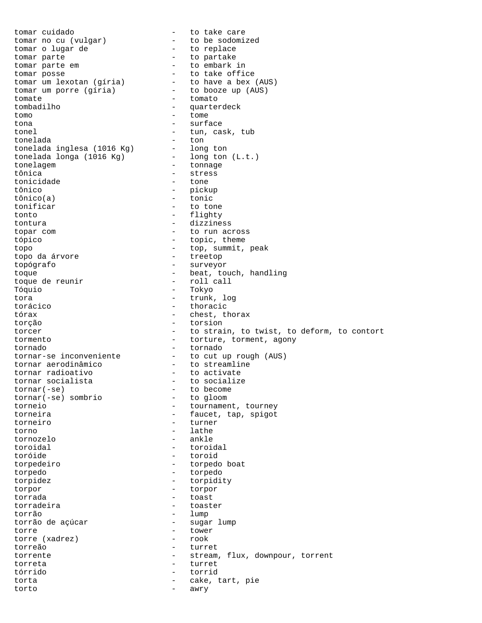tomar cuidado  $\qquad \qquad$  - to take care tomar no cu (vulgar) - to be sodomized tomar o lugar de  $-$  to replace tomar parte - to partake tomar parte em  $-$  to embark in tomar posse  $-$  to take official - to take office tomar um lexotan (gíria) - to have a bex (AUS) tomar um porre (gíria) - to booze up (AUS) tomate  $\overline{\phantom{a}}$  - tomato<br>tombadilho - quarter - quarterdeck tomo - tome tona - surface tonel - tun, cask, tub<br>tonelada - ton tonelada - ton tonelada inglesa (1016 Kg) - long ton tonelada longa (1016 Kg) - long ton (L.t.) tonelagem - tonnage - tonnage<br>tônica - stress - stress<br>- tone tonicidade<br>tônico - pickup<br>- tonic tônico(a) - tonic<br>tonificar - to to - to tone tonto  $-$  flighty tontura - dizziness topar com  $-$  to run across tópico  $-$  topic, theme topo  $-$  top, summit, peak<br>topo da árvore  $-$  treetop  $-$  treetop topo da árvore topógrafo - surveyor toque<br>toque de reunir - beat, touch, handling<br>toque de reunir - roll call toque de reunir Tóquio - Tokyo tora - trunk, log - thoracic tórax  $-$  chest, thorax torção - torsion torcer  $\qquad \qquad -$  to strain, to twist, to deform, to contort tormento - torture, torment, agony tornado - torture, torment, agony tornado - tornado tornar-se inconveniente - to cut up rough (AUS) tornar aerodinâmico - to streamline tornar radioativo - to activate tornar socialista - to socialize tornar(-se) - to become<br>tornar(-se) sombrio - to gloom tornar(-se) sombrio<br>torneio torneio - tournament, tourney<br>torneira - faucet tan spigot - faucet, tap, spigot torneiro - turner torno - lathe - lathe - lathe - lathe - lathe - lathe - lathe - lathe - lathe - lathe - lathe - lathe - lathe - lathe - lathe - lathe - lathe - lathe - lathe - lathe - lathe - lathe - lathe - lathe - lathe - lathe - lathe tornozelo toroidal - toroidal toróide - toroid torpedeiro - torpedo boat torpedo - torpedo torpidez - torpidity torpor - torpor torrada - toast torradeira - toaster torrão - lump torrão de açúcar torre  $\left(\text{xadrez}\right)$  - tower<br>torre  $\left(\text{xadrez}\right)$  - rook torre (xadrez)<br>torreão - turret torrente - stream, flux, downpour, torrent<br>torreta - turret torreta - turret tórrido - torrid torta  $-$  cake, tart, pie torto - awry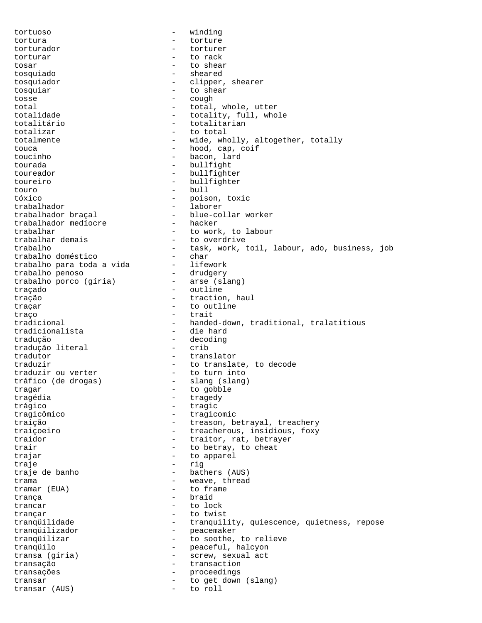tortuoso - winding tortura - torture torturador - torturer torturar - to rack tosar - to shear tosquiado - sheared tosquiador  $-$  clipper, shearer tosquiar - to shear tosse - cough total  $-$  total, whole, utter totalidade  $-$  totality, full, whole totalitário - totalitarian totalizar  $\overline{a}$  - to total<br>totalmente  $\overline{a}$  - wide who totalmente  $-$  wide, wholly, altogether, totally touca - hood, cap, coif toucinho - bacon, lard tourada - bullfight toureador - bullfighter toureiro - bullfighter touro - bull tóxico - poison, toxic - laborer trabalhador braçal - blue-collar worker<br>trabalhador mediocre - hacker trabalhador medíocre trabalhar  $\begin{array}{ccc} t$ rabalhar demais  $\begin{array}{ccc} - & t & 0 \\ - & t & 0 \\ - & t & 0 \end{array}$ - to overdrive trabalho - task, work, toil, labour, ado, business, job<br>trabalho doméstico - char trabalho doméstico - char trabalho para toda a vida lifework trabalho penoso - drudgery trabalho porco (gíria) - arse (slang) traçado - outline tração  $-$  traction, haul traçar  $\qquad \qquad -$  to outline traço  $-$  trait tradicional - handed-down, traditional, tralatitious<br>tradicionalista - die hard tradicionalista tradução - decoding tradução literal tradutor - translator - to translate, to decode<br>- to turn into traduzir ou verter - to turn into tráfico (de drogas) tragar - to gobble tragédia  $\overline{z}$  - tragedy trágico - tragic tragicômico - tragicomic traição - treason, betrayal, treachery traiçoeiro - treacherous, insidious, foxy traidor  $-$  traitor, rat, betrayer trair  $-$  to betray, to cheat trajar  $-$  to apparel traje - rig traje de banho  $-$  bathers (AUS) trama  $\begin{array}{ccc} - & \text{weave, thread} \\ \text{tramar} & (\text{EUA}) & \text{ce} \\ \end{array}$ tramar (EUA) trança - braid trancar - to lock trançar - to twist tranqüilidade - tranquility, quiescence, quietness, repose tranqüilizador - peacemaker tranqüilizar - to soothe, to relieve tranqüilo - peaceful, halcyon transa (gíria) - screw, sexual act transação  $\overline{t}$  transaction<br>transações  $\overline{t}$  - proceedings transações entre entre entre entre entre entre entre entre entre entre entre entre entre entre entre entre en transar  $\begin{array}{ccc} - & + \text{ to get down (slang)} \\ \text{transar (AUS)} & - & + \text{ to roll} \end{array}$ transar (AUS)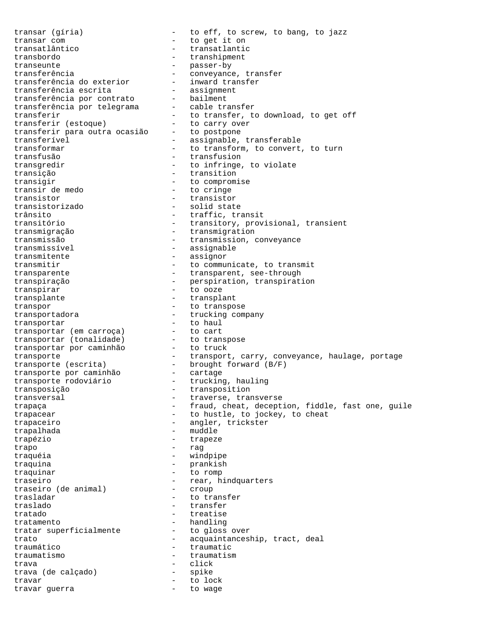transar (gíria) - to eff, to screw, to bang, to jazz transar com  $-$  to get it on transatlântico - transatlantic transbordo - transhipment transeunte - passer-by transferência - conveyance, transfer transferência do exterior - inward transfer transferência escrita - assignment transferência por contrato - bailment transferência por telegrama - cable transfer transferir  $\qquad \qquad -$  to transfer, to download, to get off transferir (estoque) - to carry over transferir para outra ocasião - to postpone transferível - assignable, transferable transformar **-** to transform, to convert, to turn transfusão - transfusion transgredir  $\begin{array}{ccc} - & + & + \\ - & - & \end{array}$  to infringe, to violate transição - transition transigir  $\frac{1}{2}$  - to compromise<br>transir de medo - to cringe transistor - transistor - solid state trânsito - traffic, transit transitório - transitory, provisional, transient transmigração - transmigration - transmission, conveyance transmissível <br/> - assignable - assignable transmitente - assignor transmitir  $\qquad \qquad -$  to communicate, to transmit transparente - transparent, see-through<br>transparente - transparent, see-through transpiração - perspiration, transpiration transpirar  $\overline{ }$  - to ooze transplante - transplant transpor<br>
transportadora - to transpose<br>
transportar
- trucking company<br>
transportar transportadora - trucking company transportar  $-$  to haul transportar (em carroça) - to cart transportar (tonalidade) - to transpose transportar por caminhão - to truck transporte - transport, carry, conveyance, haulage, portage transporte (escrita) - brought forward (B/F) transporte por caminhão - cartage transporte rodoviário - trucking, hauling transposição - transposition transversal extended the traverse, transverse trapaça - fraud, cheat, deception, fiddle, fast one, guile trapacear - to hustle, to jockey, to cheat trapaceiro - angler, trickster<br>trapalhada - muddle - muddle trapalhada trapézio - trapeze trapo - rag traquéia - windpipe traquina - prankish traquinar - to romp traseiro<br>traseiro (de animal) - rear, hindquarters<br>- croup traseiro (de animal) trasladar  $-$  to transfer traslado - transfer tratado - treatise tratamento - handling tratar superficialmente - to gloss over trato - acquaintanceship, tract, deal traumático - traumatic traumatismo - traumatism trava - click trava (de calçado) travar - to lock travar guerra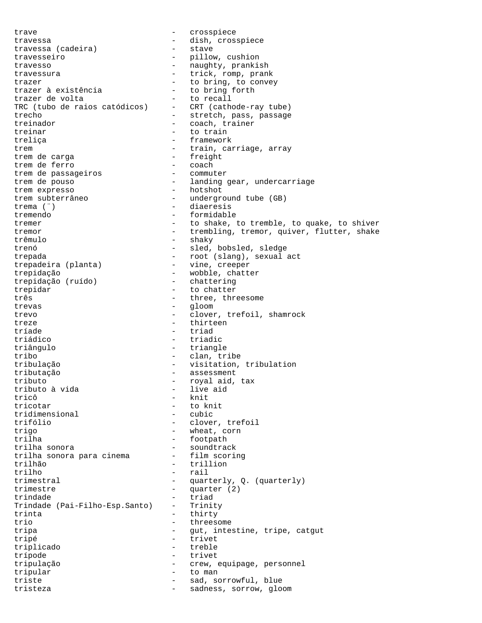trave  $\qquad \qquad -$  crosspiece travessa (cadeira) - dish, crosspiece<br>travessa (cadeira) - stave travessa (cadeira) travesseiro - pillow, cushion travesso  $-$  naughty, prankish travessura - trick, romp, prank trazer<br>trazer à existência  $-$  to bring, to convey<br>trazer à existência  $-$  to bring forth trazer à existência  $\begin{array}{ccc} - & + & + \end{array}$  to bring for trazer de volta trazer de volta<br>TRC (tubo de raios catódicos) - CRT (cathode-ray tube) TRC (tubo de raios catódicos) trecho - stretch, pass, passage treinador  $-$  coach, trainer treinar - to train treliça - framework trem  $-$  train, carriage, array trem de carga - freight trem de ferro - coach trem de passageiros - commuter - landing gear, undercarriage<br>- hotshot trem expresso trem subterrâneo - underground tube (GB) - diaeresis tremendo - formidable tremer - to shake, to tremble, to quake, to shiver tremor - trembling, tremor, quiver, flutter, shake trêmulo - shaky trenó - sled, bobsled, sledge trepada - root (slang), sexual act trepadeira (planta) - vine, creeper trepidação  $\begin{array}{ccc} - & \text{wobble, chatter} \\ \text{trepidação (ruído) } & - & \text{chattering} \end{array}$ trepidação (ruído) trepidar - to chatter três  $\qquad \qquad -$  three, threesome trevas - gloom - gloom - gloom - gloom - gloom - gloom - gloom - gloom - gloom - gloom - gloom - gloom - gloom - gloom - gloom - gloom - gloom - gloom - gloom - gloom - gloom - gloom - gloom - gloom - gloom - gloom - gloom trevo - clover, trefoil, shamrock treze - thirteen tríade - triad triádico - triadic triângulo - triangle tribo - clan, tribe tribulação - visitation, tribulation<br>tributação - - assessment - assessment tributo  $\overline{a}$  - royal aid, tax tributo  $\overline{a}$  vida  $\overline{a}$  - live aid tributo à vida<br>tricô tricô - knit<br>tricotar - to k - to knit<br>- cubic tridimensional trifólio - clover, trefoil trigo - wheat, corn<br>trilha - footpath - footpath - footpath trilha sonora<br>trilha sonora para cinema - film scoring trilha sonora para cinema<br>trilhão - trillion trilho - rail trimestral - quarterly, Q. (quarterly)<br>trimestre - quarter (2) trimestre - quarter (2) trindade - triad<br>Trindade (Pai-Filho-Esp.Santo) - Trinity Trindade (Pai-Filho-Esp.Santo) -<br>trinta - thirty<br>- threes trio - threesome tripa - gut, intestine, tripe, catgut tripé - trivet triplicado - treble trípode - trivet tripulação - crew, equipage, personnel tripular - to man triste - sad, sorrowful, blue tristeza - sadness, sorrow, gloom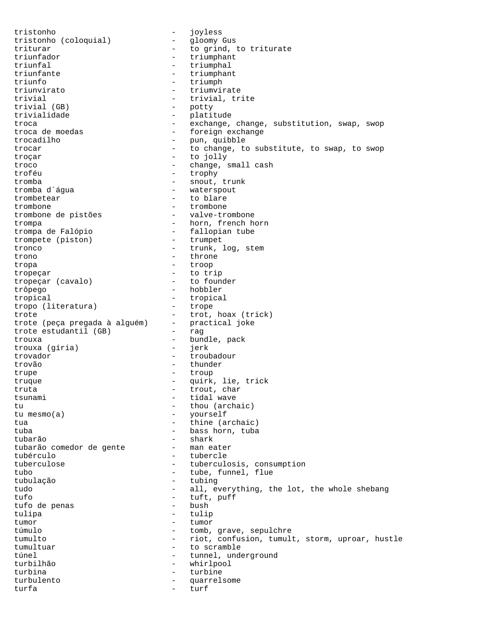tristonho<br>tristonho (coloquial) - joyless<br>qloomy Gus tristonho (coloquial) triturar  $-$  to grind, to triturate triunfador  $-$  triumphant triunfal - triumphal<br>triunfante - triumphan triunfante - triumphant<br>triunfo - triumph triunfo - triumph<br>triunvirato - triumvir triunvirato - triumvirate - trivial, trite<br>- potty trivial (GB) trivialidade  $-$  platitude troca - exchange, change, substitution, swap, swop<br>troca de moedas - foreign exchange - foreign exchange trocadilho - pun, quibble trocar and the change, to substitute, to swap, to swop to swop troçar - to jolly troco <br/> - change, small cash troféu - trophy tromba<br>
tromba d´água<br>
- waterspout - waterspout tromba d'água  $\qquad \qquad \qquad -$  waterspout<br>trombetear  $\qquad \qquad -$  to blare trombetear  $\qquad \qquad -$  to blare<br>trombone  $\qquad \qquad -$  trombone trombone - trombone trombone de pistões trompa  $\overline{\phantom{a}}$  - horn, french horn trompa de Falópio  $-$  fallopian tube<br>trompete (piston)  $-$  trumpet trompete (piston) tronco - trunk, log, stem trono - throne tropa - troop tropeçar - to trip tropeçar (cavalo) trôpego - hobbler tropical - tropical<br>tropo (literatura) - trope tropo (literatura) - trope<br>trote - trot, hoax (trick) trote - trot, hoax (trick) trote (peça pregada à alguém) - practical joke trote estudantil (GB) - rag trote estudantil (GB) - rag<br>trouxa - bundle, pack<br>trouxa (gíria) - jerk trouxa (gíria) trovador - troubadour trovão - thunder trupe  $-$  troup truque - quirk, lie, trick truta - trout, char tsunami  $-$  tidal wave tu  $-$  thou (archaic)<br>tu mesmo(a)  $-$  yourself - yourself tua  $-$  thine (archaic) tuba - bass horn, tuba tubarão - shark tubarão comedor de gente tubérculo - tubercle tuberculose - tuberculosis, consumption tubo - tube, funnel, flue tubulação - tubing tudo  $-$  all, everything, the lot, the whole shebang tufo - tuft, puff tufo de penas tulipa - tulip tumor - tumor - tumor túmulo  $-$  tomb, grave, sepulchre tumulto - riot, confusion, tumult, storm, uproar, hustle tumultuar - to scramble túnel - tunnel, underground<br>turbilhão - tunnel, underground turbilhão - whirlpool turbina - turbine - turbine - turbine - turbine - turbine - turbine - turbine - turbine - turbine - turbine turbulento - quarrelsome turfa - turf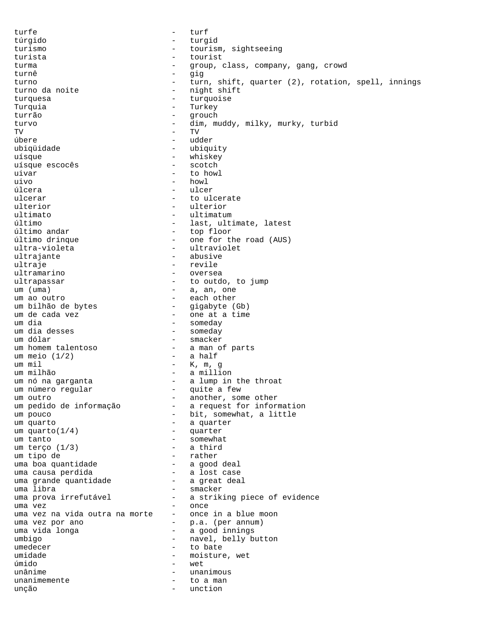turfe - turf túrgido - turgid turismo - tourism, sightseeing turista - tourist turma - group, class, company, gang, crowd turnê  $-$  gig<br>turne - turne turno  $-$  turn, shift, quarter (2), rotation, spell, innings turno da noite  $-$  night shift - night shift<br>- turquoise turquesa - turquoise Turquia - Turkey<br>turrão - Turkey<br>- Turca turrão - qrouch turvo - dim, muddy, milky, murky, turbid TV - TV úbere - udder ubiqüidade - ubiquity uísque - whiskey uísque escocês uivar - to howl uivo - howl úlcera - ulcer ulcerar  $\qquad \qquad -$  to ulcerate<br>ulterior  $\qquad \qquad -$  ulterior ulterior - ulterior ultimato - ultimatum último - last, ultimate, latest - top floor último drinque - one for the road (AUS) ultra-violeta - ultraviolet ultrajante - abusive ultraje - revile ultramarino - oversea ultrapassar  $-$  to outdo, to jump um (uma)  $-$  a, an, one - a, an, one um ao outro - each other - gigabyte (Gb) um de cada vez  $\qquad \qquad$  - one at a time um dia - someday um dia desses - someday - smacker um homem talentoso - a man of parts<br>um meio (1/2) - a half um meio  $(1/2)$ um mil - K, m, g um milhão<br>um nó na garganta (1999 - 1999)<br>1999 - Alumpin - a lump in the throat<br>- quite a few um número regular um outro<br>um pedido de informação  $-$  another, some other<br>- a request for inform - a request for information um pouco  $-$  bit, somewhat, a little um quarto  $-$  a quarter<br>um quarto (1/4)  $-$  quarter um quarto $(1/4)$ um tanto  $-$  somewhat<br>um terco  $(1/3)$   $-$  a third um terço  $(1/3)$ um tipo de - rather uma boa quantidade uma causa perdida<br>uma grande quantidade - a great deal uma grande quantidade uma libra  $\qquad$  - smacker uma prova irrefutável - a striking piece of evidence uma vez<br>uma vez na vida outra na morte - once in a blue moon uma vez na vida outra na morte uma vez por ano  $-$  p.a. (per annum)<br>uma vida longa  $-$  a good innings - a good innings umbigo - navel, belly button umedecer - to bate umidade  $-$  moisture, wet úmido - wet unânime - unanimous unanimemente  $-$  to a man unção - unction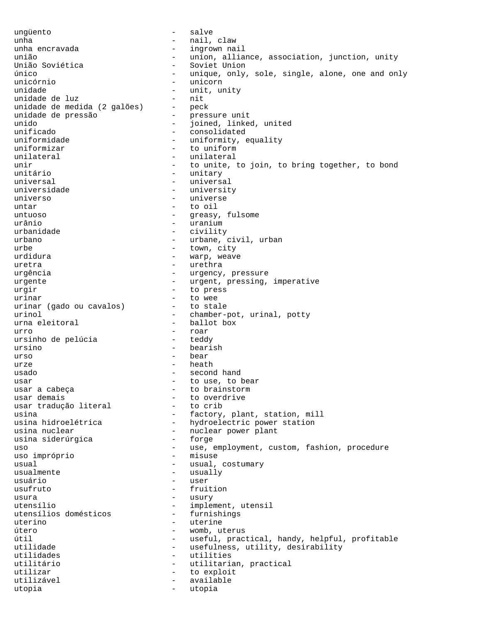ungüento - salve unha - nail, claw - ingrown nail união - union, alliance, association, junction, unity<br>União Soviética - - Soviet Union - Soviet Union único - unique, only, sole, single, alone, one and only unicórnio - unicorn - unit, unity<br>- nit unidade de luz<br>unidade de medida (2 galões) - peck unidade de medida (2 galões) - peck<br>unidade de pressão - pressure unit unidade de pressão - pressure unit unido - joined, linked, united<br>unificado - consolidated - consolidated uniformidade - uniformity, equality uniformizar - to uniform<br>unilateral - unilateral unilateral - unilateral - unilateral - unital - unital - unital - unital - unital - unital - unital - unital unir - to unite, to join, to bring together, to bond<br>unitário - unitary - unitary - unitary<br>- univers universal - universal universidade - university universo - universe untar - to oil untuoso  $-$  greasy, fulsome urânio - uranium - uranium<br>urbanidade - - - - - - - - - civility - civility urbano  $-$  urbane, civil, urban urbe - town, city urdidura  $-$  warp, weave uretra - urethra - urgency, pressure urgente - urgent, pressing, imperative urgir  $-$  to press urinar<br>urinar (qado ou cavalos) - to stale urinar (gado ou cavalos) urinol  $\qquad \qquad -$  chamber-pot, urinal, potty urna eleitoral  $-$  ballot box urro - roar<br>ursinho de pelúcia (1999 - 1999) - teddy ursinho de pelúcia ursino - bearish urso - bear urze  $\qquad \qquad -$  heath usado - second hand usar  $-$  to use, to bear usar a cabeça  $-$  to brainstorm usar demais<br>usar traducão literal - to crib usar tradução literal usina  $-$  factory, plant, station, mill usina hidroelétrica - hydroelectric power station<br>usina nuclear - nuclear power plant - nuclear power plant<br>- forge usina siderúrgica uso - use, employment, custom, fashion, procedure uso impróprio usual  $-$  usual, costumary usualmente - usually usuário - user usufruto - fruition usura - usury utensílio  $-$  implement, utensil<br>utensílios domésticos  $-$  furnishings utensílios domésticos uterino - uterine - uterine útero - womb, uterus útil - useful, practical, handy, helpful, profitable utilidade - vsefulness, utility, desirability utilidades - utilities utilitário - utilitarian, practical utilizar  $-$  to exploit utilizável - available utopia - utopia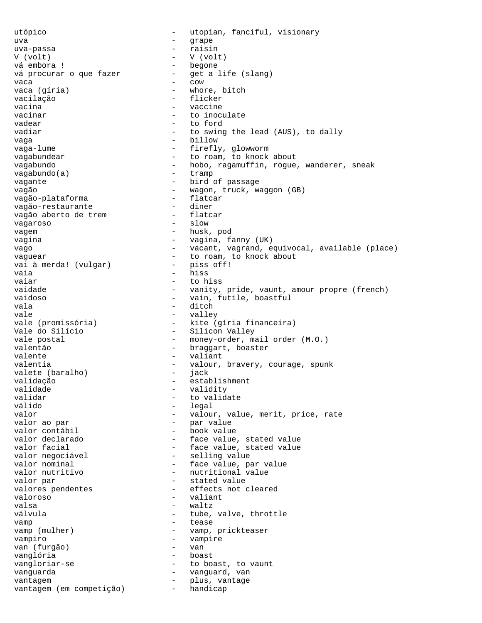utópico - utopian, fanciful, visionary uva - grape uva-passa - raisin V (volt) vá embora ! - begone vá procurar o que fazer  $-$  get a life (slang)<br>vaca vaca - cow vaca (gíria) - whore, bitch vacilação - flicker<br>vacina - vacina vacina  $\overline{\phantom{a}}$  - vaccine vacinar  $\qquad \qquad$  - to inoculate vadear by the contract of the contract of the contract of the contract of the contract of the contract of the contract of the contract of the contract of the contract of the contract of the contract of the contract of the vadiar  $-$  to swing the lead (AUS), to dally vaga  $-$  billow vaga-lume - firefly, glowworm<br>vagabundear - for to roam to knock vagabundear - to roam, to knock about vagabundo  $-$  hobo, ragamuffin, rogue, wanderer, sneak vagabundo(a) - tramp vagante - bird of passage vagão - wagon, truck, waggon (GB) vagão-plataforma - flatc.<br>vagão-restaurante - diner vagão-restaurante - diner<br>vagão aberto de trem - - flatcar vagão aberto de trem  $\frac{1}{2}$  - flate vagaroso vagem  $\overline{\phantom{0}}$  - husk, pod vagina - vagina, fanny (UK) vago - vacant, vagrand, equivocal, available (place) vaguear<br>vai à merda! (vulgar) - to roam, to knock about<br>- niss off! vai à merda! (vulgar) - piss off! vaia - hiss<br>vaiar - hiss<br>- to h vaiar - to hiss vaidade - vanity, pride, vaunt, amour propre (french)<br>vaidoso vaidoso - vain, futile, boastful vala - ditch<br>vale - valley - valley vale  $-$  valley vale (promissória) - kite (gíria financeira) Vale do Silício - Silicon Valley vale postal  $\qquad \qquad -$  money-order, mail order (M.O.) valentão - braggart, boaster valente  $\qquad \qquad -$  valiant valentia  $\qquad \qquad \qquad -$  valour, bravery, courage, spunk valete (baralho) - jack validação - establishment validade - validity validar - to validate válido - legal - valour, value, merit, price, rate valor ao par - par value valor contábil - book value - face value, stated value valor facial  $\qquad \qquad$  - face value, stated value valor negociável - selling value valor nominal  $-$  face value, par value<br>valor nutritivo  $-$  nutritional value - nutritional value valor par  $-$  stated value<br>valores pendentes  $-$  effects not of valores pendentes - effects not cleared<br>valores valoroso - valiant valsa - waltz válvula  $\qquad \qquad -$  tube, valve, throttle vamp - tease vamp (mulher) - vamp, prickteaser vampiro - vampire van (furgão) - van vanglória - boast vangloriar-se - to boast, to vaunt<br>vanguarda - vanguard van vanguarda - vanguard, van vantagem - plus, vantage vantagem (em competição)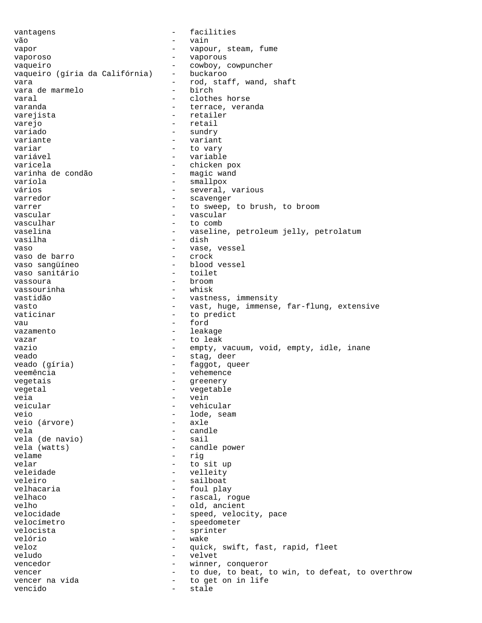vantagens  $\qquad \qquad -$  facilities vão - vain vapor  $\sim$  - vapour, steam, fume vaporoso - vaporous vaqueiro<br>vaqueiro (gíria da Califórnia) - buckaroo vaqueiro (gíria da Califórnia) vara  $-$  rod, staff, wand, shaft<br>vara de marmelo  $-$  birch vara de marmelo - birch varal  $\qquad \qquad -$  clothes horse varanda  $-$  terrace, veranda varejista - retailer varejo - retail variado  $-$  sundry variante  $-$  variant variar - to vary variável - variable varicela - chicken pox varinha de condão varíola - smallpox - several, various varredor - scavenger varrer  $-$  to sweep, to brush, to broom vascular  $-$  vascular vascular - vascular - to comb vaselina - vaseline, petroleum jelly, petrolatum vasilha - dish vaso - vase, vessel vaso de barro - crock vaso sangüíneo - blood vessel vaso sanitário - toilet vassoura - broom vassourinha vastidão - vastness, immensity vasto - vast, huge, immense, far-flung, extensive vaticinar - to predict vau - ford vazamento  $-$  leakage vazar  $-$  to leak vazio - empty, vacuum, void, empty, idle, inane veado  $-$  stag, deer<br>veado (gíria)  $-$  faggot, qu - faggot, queer veemência - vehemence<br>vegetais - vehemence vegetais - greenery - vegetable<br>- vein veia - vein veicular - vehicular veio - lode, seam veio (árvore) vela - candle vela (de navio) vela (watts) - candle power velame - rig velar - to sit up<br>
veleidade - to sit up<br>
- veleidade veleidade - velleity veleiro - sailboat velhacaria  $-$  foul play velhaco - rascal, rogue velho - old, ancient - speed, velocity, pace velocímetro - speedometer velocista  $\overline{ }$  - sprinter<br>velório velório - wake veloz - quick, swift, fast, rapid, fleet veludo - velvet vencedor - winner, conqueror vencer  $-$  to due, to beat, to win, to defeat, to overthrow<br>vencer na vida  $-$  to get on in life - to get on in life vencido en estale de stale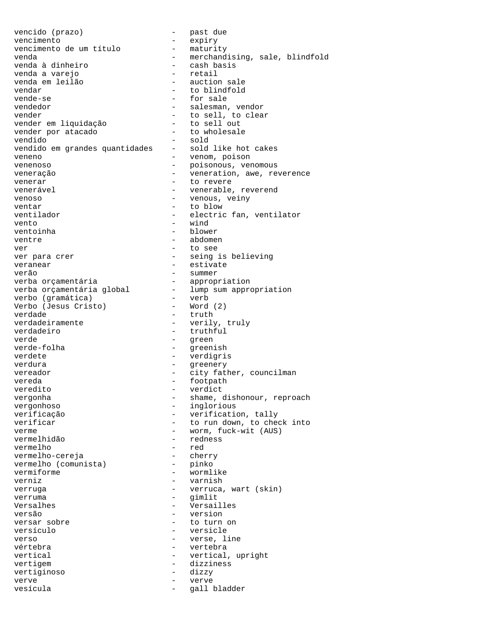vencido (prazo) - past due vencimento<br>vencimento de um título - maturity vencimento de um título venda - merchandising, sale, blindfold<br>venda à dinheiro - cash basis venda à dinheiro - cash basis venda a varejo - retail venda em leilão<br>vendar vendar - to blindfold - for sale vendedor - salesman, vendor vender - to sell, to clear vender em liquidação  $-$  to sell out<br>vender por atacado  $-$  to wholesale vender por atacado - to wholesale vendido - sold vendido em grandes quantidades - sold like hot cakes veneno - venom, poison venenoso - poisonous, venomous<br>
veneracão - poisonous, venomous<br>
- veneration awe re veneração  $-$  veneration, awe, reverence venerar  $\overline{\phantom{a}}$  - to revere venerável  $\qquad \qquad \qquad -$  venerable, reverend venoso  $-$  venous, veiny ventar  $-$  to blow ventilador - electric fan, ventilator vento - wind ventoinha - blower ventre - abdomen ver - to see ver para crer  $-$  seing is believing veranear - estivate<br>
verão - estivate<br>
- summer verão - summer verba orçamentária - appropriation verba orçamentária global - lump sum appropriation verbo (gramática) - verb Verbo (Jesus Cristo) - Word (2) verdade  $-$  truth verdadeiramente - verily, truly verdadeiro - truthful verde - green - greenish verdete - verdigris verdura - greenery - greenery vereador  $-$  city father, councilman vereda - footpath - footpath veredito - verdict vergonha - shame, dishonour, reproach vergonhoso - inglorious verificação  $-$  verification, tally<br>verificar - complemento che - to run down, to check into verme - worm, fuck-wit (AUS)<br>vermelhidão - redness - redness<br>- red vermelho - red vermelho-cereja - cherry<br>vermelho (comunista) - pinko vermelho (comunista) vermiforme - wormlike verniz - varnish verruga - verruca, wart (skin) verruma - gimlit Versalhes - Versailles versão - version - to turn on versículo  $-$  versicle verso  $-$  verse, line vértebra  $-$  vertebra vertical  $-$  vertical, upright vertigem entrancement and the dizziness vertiginoso - dizzy verve - verve vesícula  $-$  gall bladder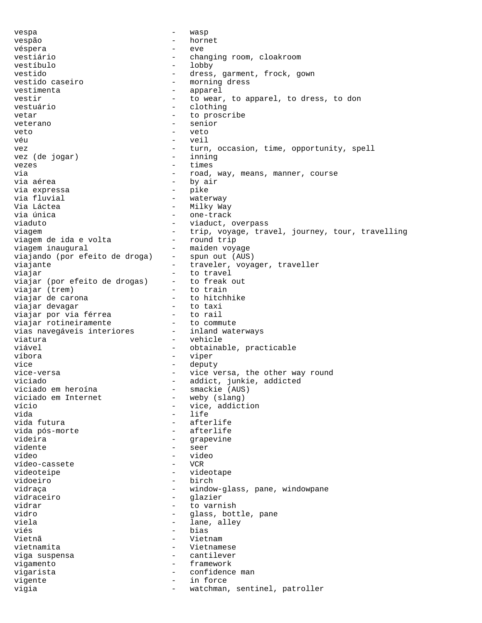vespa - wasp vespão - hornet véspera - eve vestiário  $-$  changing room, cloakroom vestíbulo - lobby vestido - dress, garment, frock, gown<br>vestido caseiro - morning dress vestido caseiro  $-$  morning dress vestimenta - apparel vestir  $-$  to wear, to apparel, to dress, to don vestuário vestuário - clothing vetar - to proscribe<br>
veterano - senior - senior veterano - senior<br>veto - veto veto - veto véu - veil vez (de jogar) - turn, occasion, time, opportunity, spell<br>vez (de jogar) - inning vez (de jogar) - inning vezes  $-$  times via  $-$  road, way, means, manner, course via aérea - by air via expressa - pike via fluvial - waterway Via Láctea - Milky Way via única - one-track viaduct, overpass viagem  $-$  trip, voyage, travel, journey, tour, travelling<br>viagem de ida e volta  $-$  round trip viagem de ida e volta viagem inaugural - maiden voyage<br>viajando (por efeito de droga) - spun out (AUS viajando (por efeito de droga) - spun out (AUS) viajante  $-$  traveler, voyager, traveller viajar - to travel viajar (por efeito de drogas) - to freak<br>viajar (trem) - to train viajar (trem)<br>viajar de carona - to hitchhike<br>- to taxi viajar devagar - to taxi viajar por via férrea  $\qquad \qquad -$  to rail<br>viajar rotineiramente  $\qquad \qquad -$  to commute viajar rotineiramente - to commute<br>vias navegáveis interiores - inland waterways vias navegáveis interiores viatura  $\qquad \qquad -$  vehicle viável  $-$  obtainable, practicable víbora - viper vice - deputy vice-versa  $-$  vice versa, the other way round viciado - addict, junkie, addicted<br>viciado em heroína - - - - - - smackie (AUS) viciado em heroína - smackie (AUS) viciado em Internet - weby (slang)<br>vício vício  $\overline{u}$  - vice, addiction<br>vida - life - life vida futura  $-$  afterlife vida pós-morte  $-$  afterlife videira  $-$  grapevine vidente en el estacione de la seer vídeo - video vídeo-cassete - VCR videoteipe - videotape vidoeiro - birch<br>vidraca - birch<br>- windo vidraça - window-glass, pane, windowpane<br>vidraceiro - clazier - clazier vidraceiro - glazier vidrar - to varnish<br>vidro - class bott - glass, bottle, pane<br>- lane alley viela - lane, alley viés - bias Vietnã - Vietnam vietnamita - Vietnamese viga suspensa - cantilever vigamento - framework vigarista  $\qquad \qquad -$  confidence man vigente  $-$  in force vigia - watchman, sentinel, patroller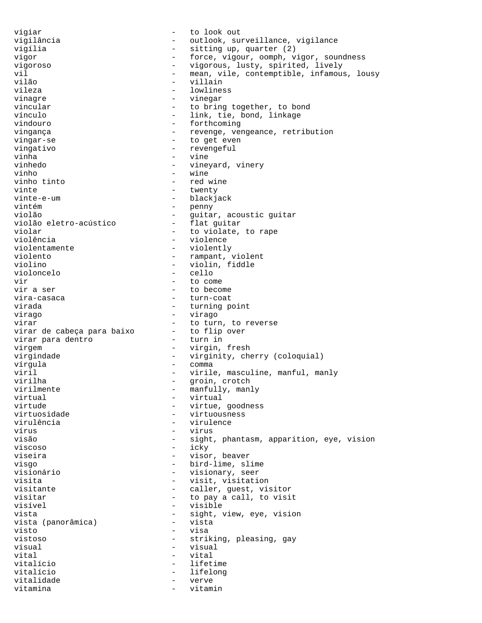vigiar - to look out vigilância - outlook, surveillance, vigilance vigília - sitting up, quarter (2) vigor - force, vigour, oomph, vigor, soundness vigoroso - vigorous, lusty, spirited, lively vil<br>
- mean, vile, contemptible, infamous, lousy<br>
vilão<br>
- villain vilão - villain<br>vileza - villain - villain vileza - lowliness<br>vinagre - lowliness<br>- vinegar - vinegar vincular  $-$  to bring together, to bond vínculo - link, tie, bond, linkage vindouro  $-$  forthcoming vingança  $-$  revenge, vengeance, retribution vingar-se  $-$  to get even vingativo - revengeful vinha - vine vinhedo - vineyard, vinery vinho - wine - red wine vinte - twenty<br>vinte-e-um - blacki vinte-e-um - blackjack<br>vintém - penny - penny - penny violão<br>violão eletro-acústico - quitar, acoustic guitar violão eletro-acústico violar  $\begin{array}{ccc} - & + & + \end{array}$  to violate, to rape violência - violence violentamente - violently violento - rampant, violent violino - violin, fiddle violoncelo - violin, fiddle - violin, fiddle - violoncelo - violin, fiddle - violoncelo violoncelo vir - to come vir a ser  $\frac{1}{2}$  - to become vira-casaca  $\frac{1}{2}$  - turn-coat vira-casaca - turn-coat<br>virada - turning p - turning point virago - virago virar<br>virar de cabeca para baixo - to flip over virar de cabeça para baixo - to flip<br>virar para dentro - turn in virar para dentro virgem - virgin, fresh virgindade  $-$  virginity, cherry (coloquial) vírgula - comma viril  $-$  virile, masculine, manful, manly<br>virilha  $-$  spoin, crotch virilha - groin, crotch<br>virilmente - manfully, mani virilmente - manfully, manly virtual - virtual virtude - virtue, goodness<br>virtuosidade - virtuousness - virtuousness virulência - virulence vírus - virus - virus visão - sight, phantasm, apparition, eye, vision viscoso - icky viseira - visor, beaver visgo - bird-lime, slime visionário - visionary, seer visita  $-$  visit, visitation visitante  $\qquad \qquad -$  caller, guest, visitor visitar - to pay a call, to visit - visible vista<br>vista (panorâmica) - sight, view, eye, vision<br>- vista vista (panorâmica) visto - visa vistoso - striking, pleasing, gay visual - visual - visual vital  $-$  vital vitalício - lifetime vitalício - lifelong vitalidade  $-$  verve vitamina  $-$  vitamin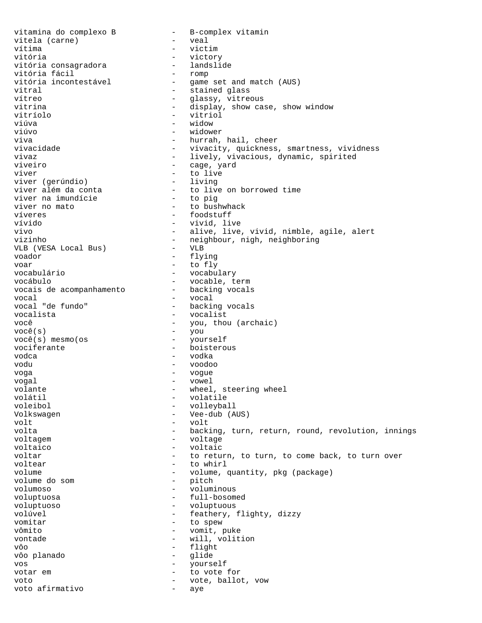vitamina do complexo B - B-complex vitamin<br>vitela (carne) - veal vitela (carne) - veal vítima - victim vitória<br>vitória consagradora landslide vitória consagradora - landslide vitória fácil<br>vitória incontestável vitória incontestável - game set and match (AUS)<br>vitral - stained glass vitral - stained glass<br>
vitreo - alass vitreo - glassy, vitreous vitrina  $-$  display, show case, show window vitríolo - vitriol viúva - widow - widower viva - hurrah, hail, cheer vivacidade - vivacity, quickness, smartness, vividness vivaz - lively, vivacious, dynamic, spirited - cage, yard viver  $\overline{u}$  - to live viver (qerúndio) - living viver (gerúndio)<br>viver além da conta viver on borrowed time<br>- to pig viver na imundície<br>viver no mato - to bushwhack víveres  $\qquad \qquad -$  foodstuff vívido - vivid, live vivo - alive, live, vivid, nimble, agile, alert vizinho - neighbour, nigh, neighboring<br>VLB (VESA Local Bus) - VLB VLB (VESA Local Bus) voador - flying voar - to fly - vocabulary vocábulo<br>vocais de acompanhamento - vocable, term<br>- backing vocals vocais de acompanhamento vocal vocal vocal vocal vocal vocal vocal vocal vocal vocal vocal vocal vocal vocal vocal vocal vocal vocal vo vocal "de fundo" - backing vocals<br>vocalista - vocalista - vocalist - vocalist você  $-$  you, thou (archaic) você(s) - you  $você(s)$  mesmo(os vociferante - boisterous vodca - vodka vodu - voodoo voga - vogue - vowel volante - wheel, steering wheel<br>volátil - volatile - volatile volátil - volatile voleibol - volleyball - Vee-dub (AUS) volt - volt volta - backing, turn, return, round, revolution, innings<br>voltage - voltage - voltage voltaico - voltaic voltar - to return, to turn, to come back, to turn over - to whirl volume  $v$  - volume, quantity, pkg (package)<br>volume do som - pitch volume do som  $\overline{ }$  - pitches  $\overline{ }$  - pitches  $\overline{ }$  volumoso - voluminous - full-bosomed voluptuoso - voluptuous - feathery, flighty, dizzy vomitar - to spew vômito - vomit, puke vontade  $-$  will, volition vôo - flight vôo planado - glide vos - yourself votar em  $\begin{array}{ccc} - & \text{to vote for} \\ \text{voto} & - & \text{voto} \\ \end{array}$ voto  $-$  vote, ballot, vow voto afirmativo - aye